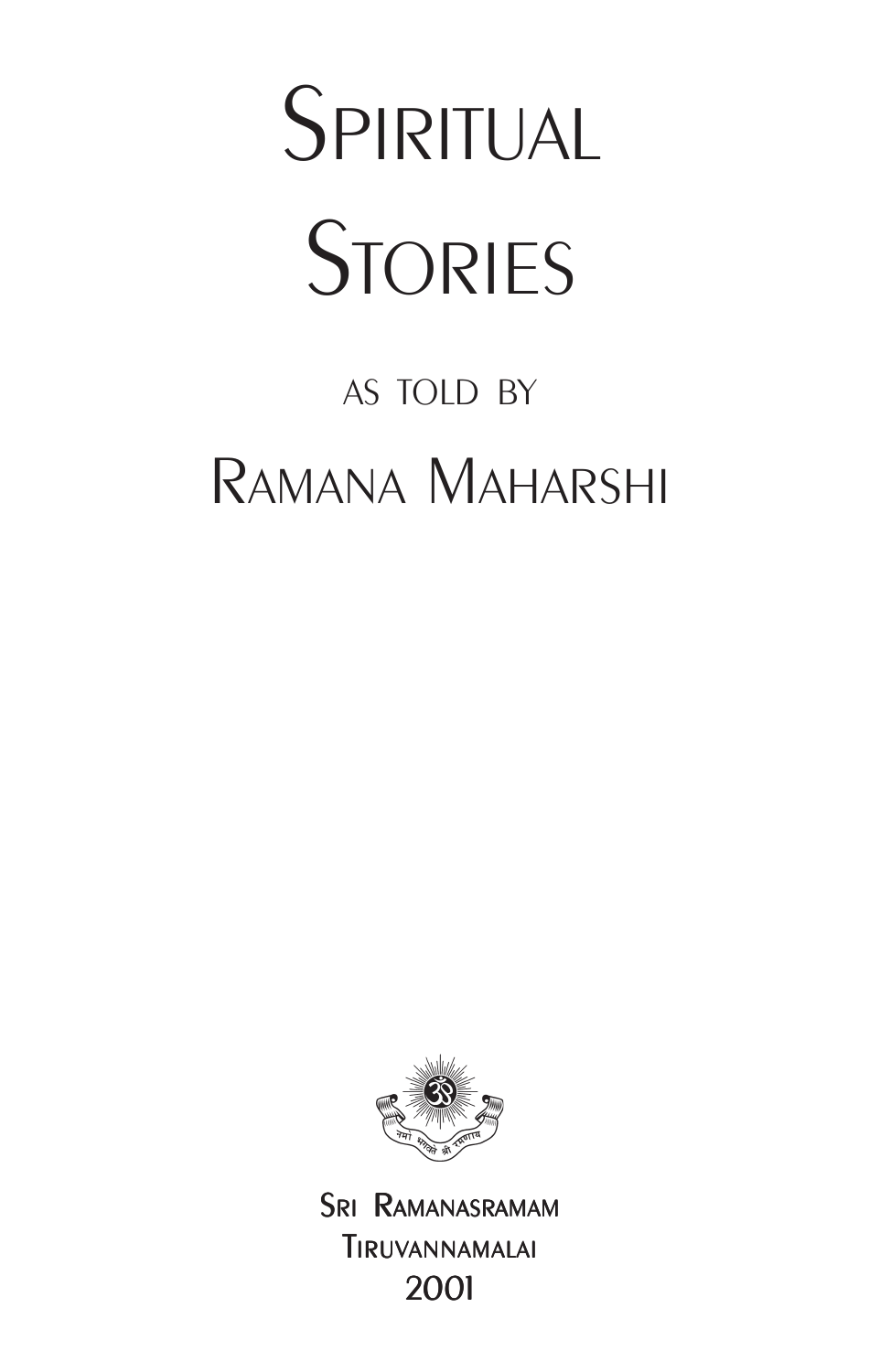# SPIRITUAL **STORIES**

## AS TOLD BY RAMANA MAHARSHI



SRI RAMANASRAMAM **TIRUVANNAMALAI** 2001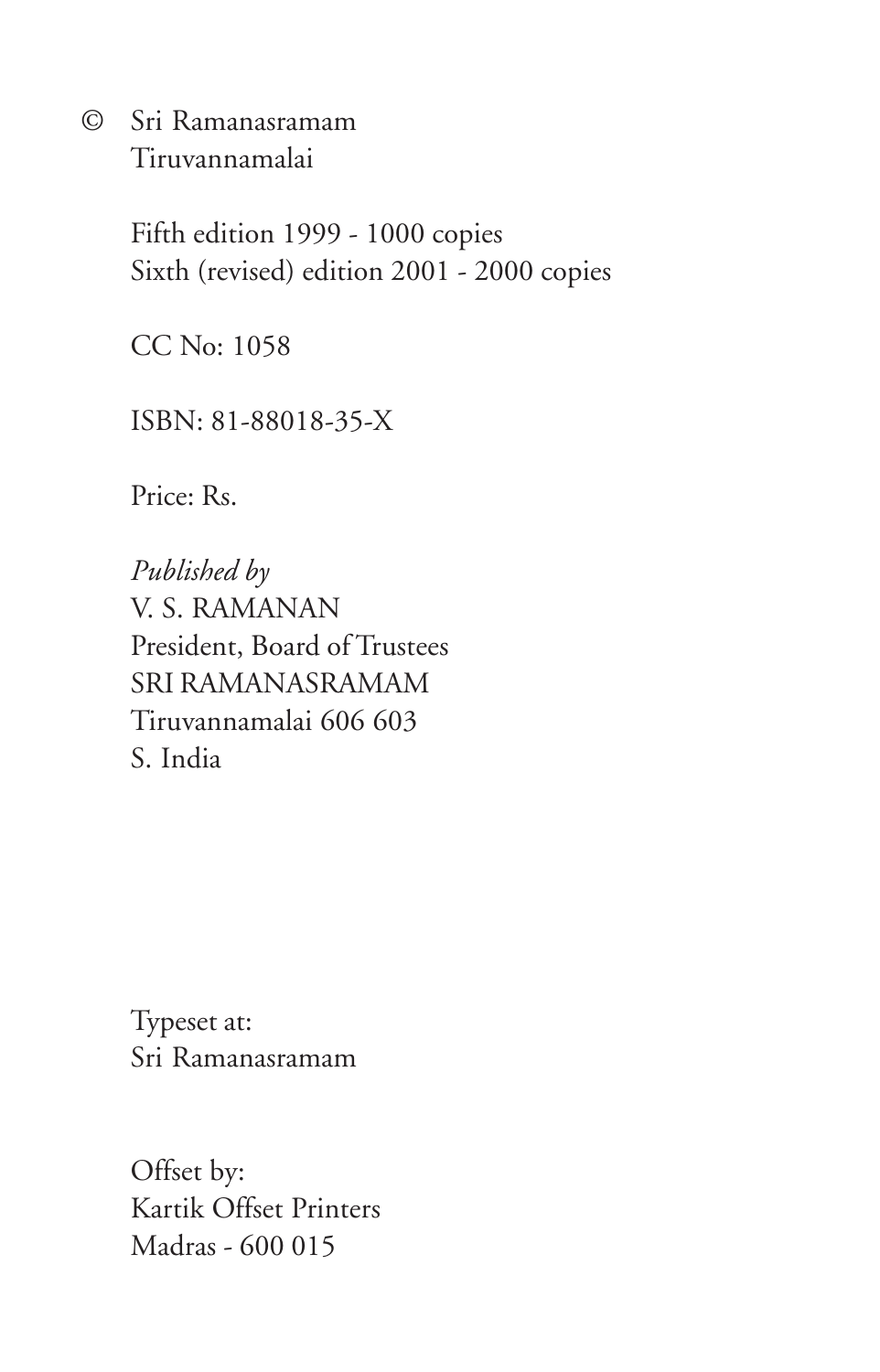© Sri Ramanasramam Tiruvannamalai

> Fifth edition 1999 - 1000 copies Sixth (revised) edition 2001 - 2000 copies

CC No: 1058

ISBN: 81-88018-35-X

Price: Rs.

*Published by* V. S. RAMANAN President, Board of Trustees SRI RAMANASRAMAM Tiruvannamalai 606 603 S. India

Typeset at: Sri Ramanasramam

Offset by: Kartik Offset Printers Madras - 600 015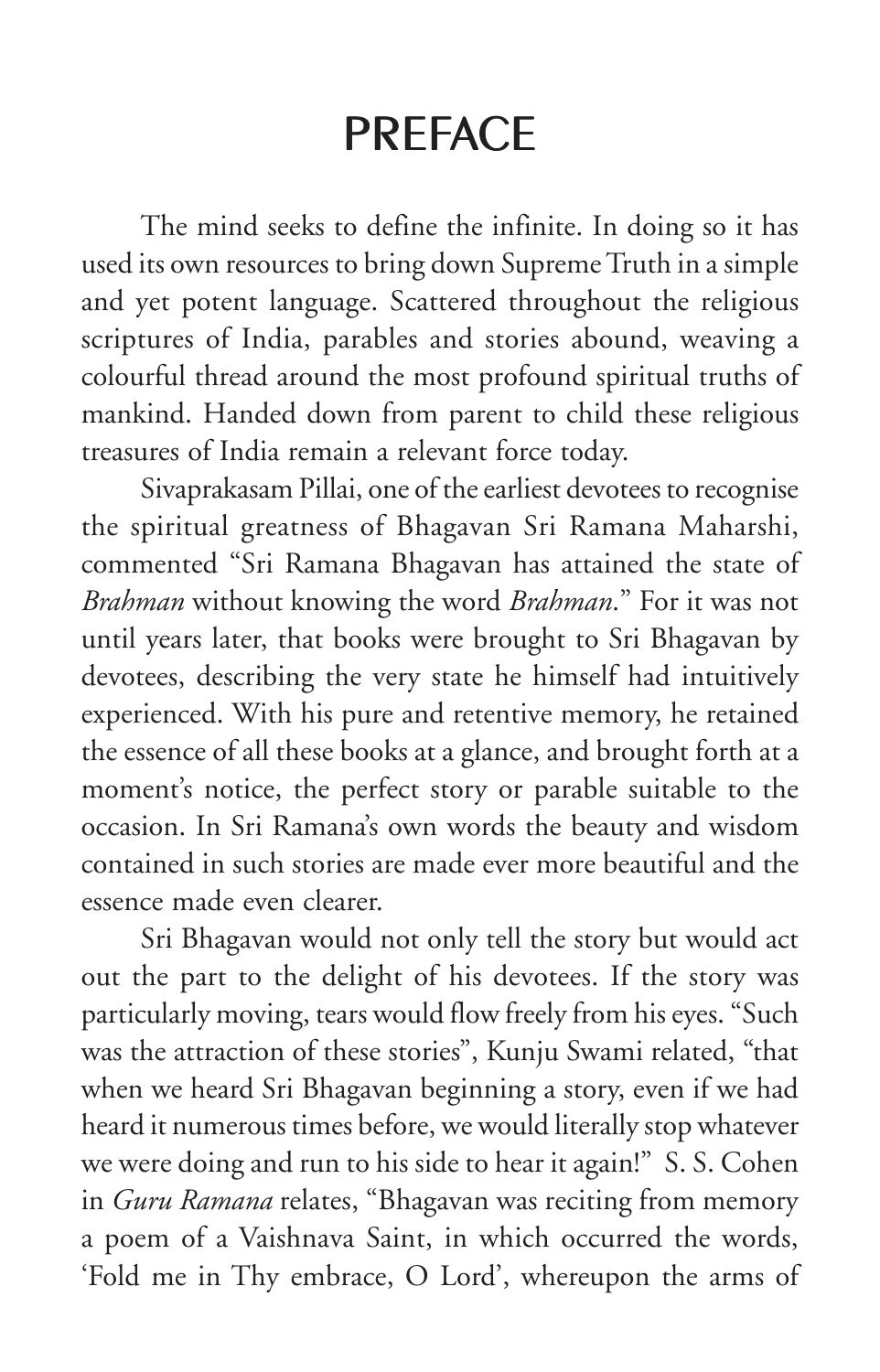#### **PREFACE**

The mind seeks to define the infinite. In doing so it has used its own resources to bring down Supreme Truth in a simple and yet potent language. Scattered throughout the religious scriptures of India, parables and stories abound, weaving a colourful thread around the most profound spiritual truths of mankind. Handed down from parent to child these religious treasures of India remain a relevant force today.

Sivaprakasam Pillai, one of the earliest devotees to recognise the spiritual greatness of Bhagavan Sri Ramana Maharshi, commented "Sri Ramana Bhagavan has attained the state of *Brahman* without knowing the word *Brahman*." For it was not until years later, that books were brought to Sri Bhagavan by devotees, describing the very state he himself had intuitively experienced. With his pure and retentive memory, he retained the essence of all these books at a glance, and brought forth at a moment's notice, the perfect story or parable suitable to the occasion. In Sri Ramana's own words the beauty and wisdom contained in such stories are made ever more beautiful and the essence made even clearer.

Sri Bhagavan would not only tell the story but would act out the part to the delight of his devotees. If the story was particularly moving, tears would flow freely from his eyes. "Such was the attraction of these stories", Kunju Swami related, "that when we heard Sri Bhagavan beginning a story, even if we had heard it numerous times before, we would literally stop whatever we were doing and run to his side to hear it again!" S. S. Cohen in *Guru Ramana* relates, "Bhagavan was reciting from memory a poem of a Vaishnava Saint, in which occurred the words, 'Fold me in Thy embrace, O Lord', whereupon the arms of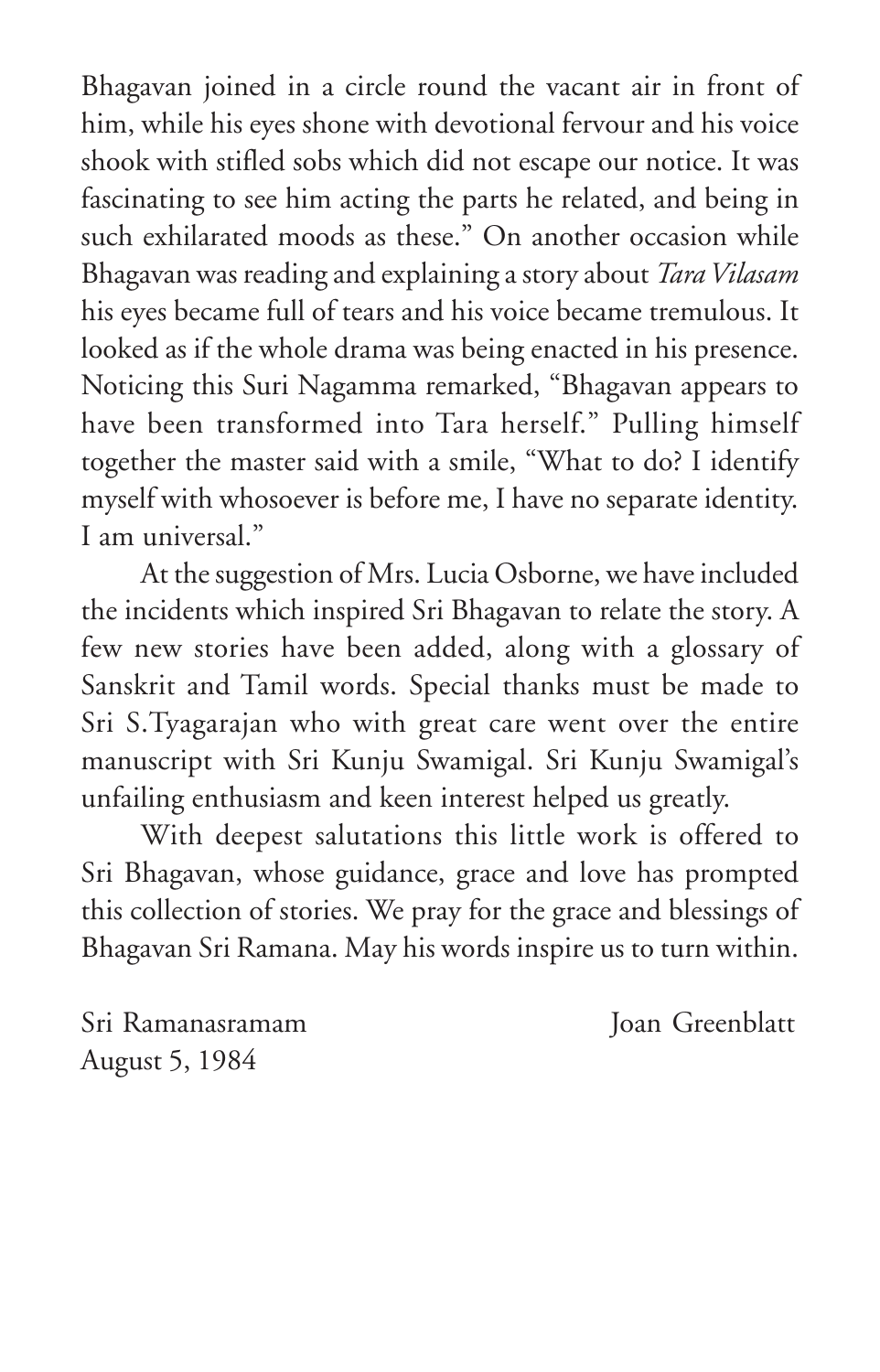Bhagavan joined in a circle round the vacant air in front of him, while his eyes shone with devotional fervour and his voice shook with stifled sobs which did not escape our notice. It was fascinating to see him acting the parts he related, and being in such exhilarated moods as these." On another occasion while Bhagavan was reading and explaining a story about *Tara Vilasam* his eyes became full of tears and his voice became tremulous. It looked as if the whole drama was being enacted in his presence. Noticing this Suri Nagamma remarked, "Bhagavan appears to have been transformed into Tara herself." Pulling himself together the master said with a smile, "What to do? I identify myself with whosoever is before me, I have no separate identity. I am universal."

At the suggestion of Mrs. Lucia Osborne, we have included the incidents which inspired Sri Bhagavan to relate the story. A few new stories have been added, along with a glossary of Sanskrit and Tamil words. Special thanks must be made to Sri S.Tyagarajan who with great care went over the entire manuscript with Sri Kunju Swamigal. Sri Kunju Swamigal's unfailing enthusiasm and keen interest helped us greatly.

With deepest salutations this little work is offered to Sri Bhagavan, whose guidance, grace and love has prompted this collection of stories. We pray for the grace and blessings of Bhagavan Sri Ramana. May his words inspire us to turn within.

Sri Ramanasramam Joan Greenblatt August 5, 1984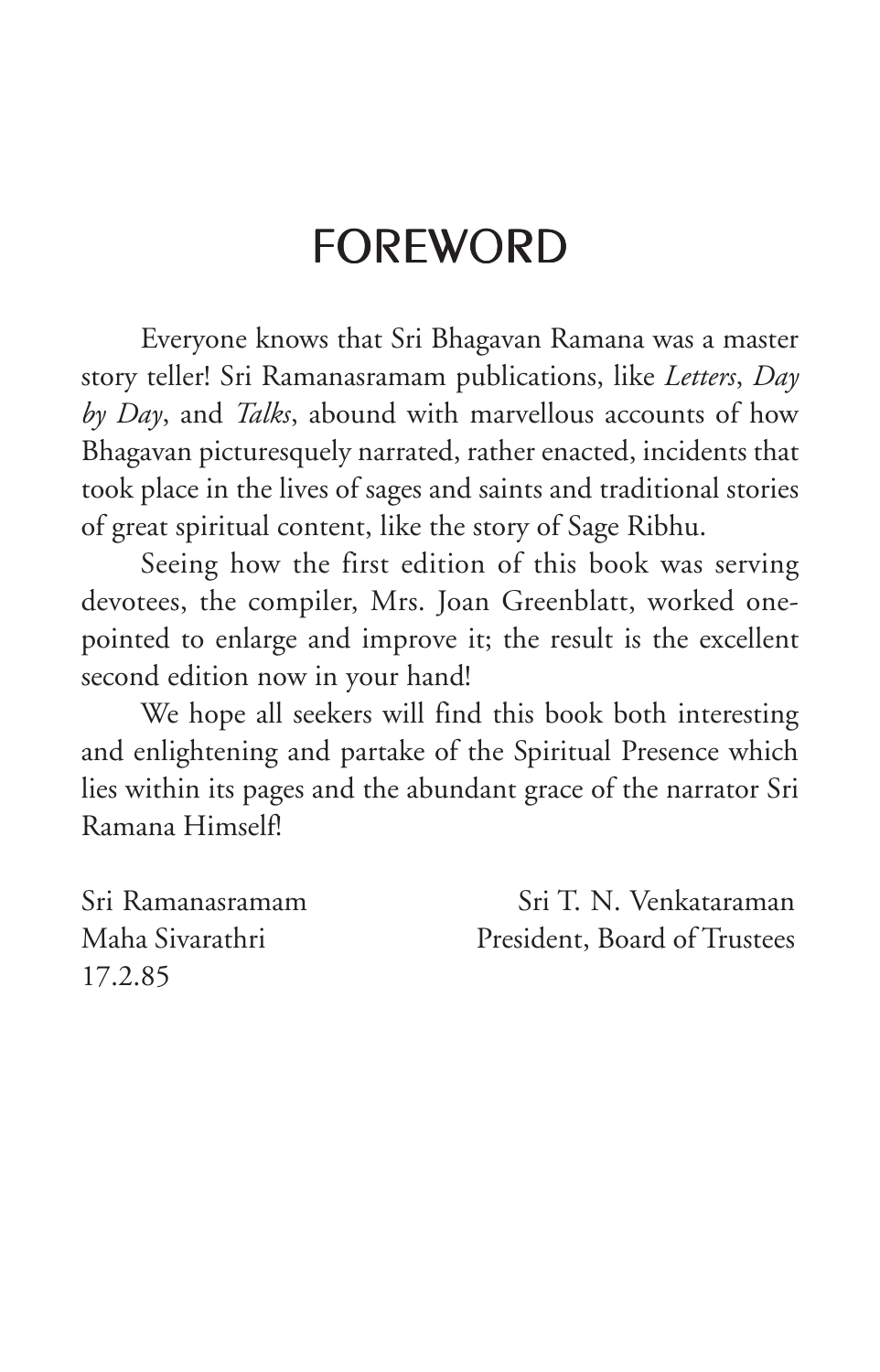#### **FOREWORD**

Everyone knows that Sri Bhagavan Ramana was a master story teller! Sri Ramanasramam publications, like *Letters*, *Day by Day*, and *Talks*, abound with marvellous accounts of how Bhagavan picturesquely narrated, rather enacted, incidents that took place in the lives of sages and saints and traditional stories of great spiritual content, like the story of Sage Ribhu.

Seeing how the first edition of this book was serving devotees, the compiler, Mrs. Joan Greenblatt, worked onepointed to enlarge and improve it; the result is the excellent second edition now in your hand!

We hope all seekers will find this book both interesting and enlightening and partake of the Spiritual Presence which lies within its pages and the abundant grace of the narrator Sri Ramana Himself!

17.2.85

Sri Ramanasramam Sri T. N. Venkataraman Maha Sivarathri President, Board of Trustees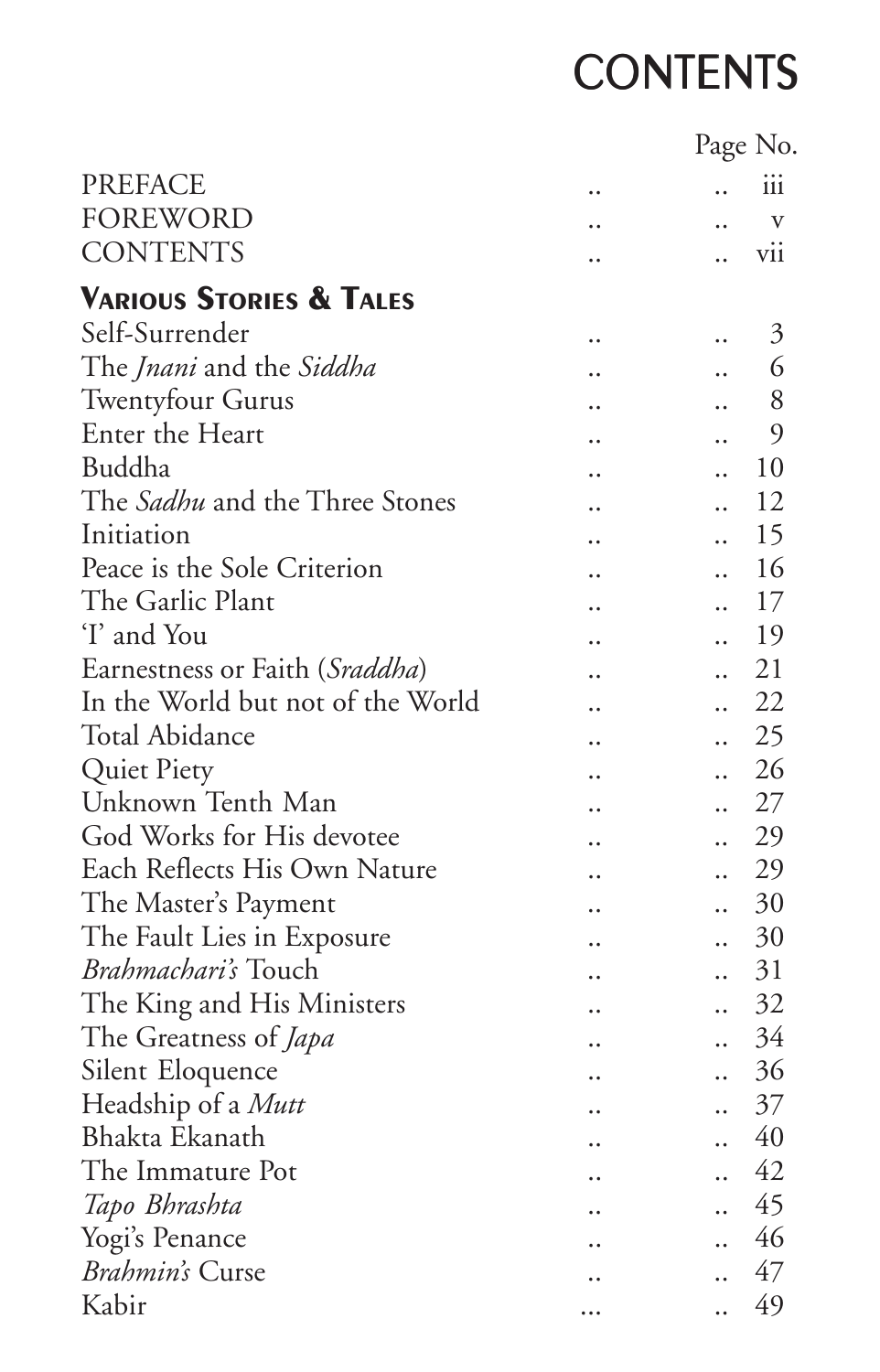#### **CONTENTS**

|                                        |                      | Page No.         |
|----------------------------------------|----------------------|------------------|
| <b>PREFACE</b>                         |                      | $\overline{111}$ |
| <b>FOREWORD</b>                        | <br>                 | V                |
| <b>CONTENTS</b>                        |                      | vii              |
| <b>VARIOUS STORIES &amp; TALES</b>     |                      |                  |
| Self-Surrender                         | <br>                 | 3                |
| The <i>Jnani</i> and the <i>Siddha</i> |                      | 6                |
| Twentyfour Gurus                       |                      | 8                |
| Enter the Heart                        |                      | 9                |
| Buddha                                 |                      | 10               |
| The <i>Sadhu</i> and the Three Stones  |                      | 12               |
| Initiation                             |                      | 15               |
| Peace is the Sole Criterion            |                      | 16               |
| The Garlic Plant                       |                      | 17               |
| 'I' and You                            |                      | 19               |
| Earnestness or Faith (Sraddha)         |                      | 21               |
| In the World but not of the World      |                      | 22               |
| <b>Total Abidance</b>                  |                      | 25               |
| Quiet Piety                            | $\ddot{\phantom{a}}$ | 26               |
| Unknown Tenth Man                      |                      | 27               |
| God Works for His devotee              |                      | 29               |
| Each Reflects His Own Nature           |                      | 29               |
| The Master's Payment                   |                      | 30               |
| The Fault Lies in Exposure             |                      | 30               |
| Brahmachari's Touch                    |                      | 31               |
| The King and His Ministers             |                      | 32               |
| The Greatness of <i>Japa</i>           |                      | 34               |
| Silent Eloquence                       |                      | 36               |
| Headship of a Mutt                     |                      | 37               |
| Bhakta Ekanath                         |                      | 40               |
| The Immature Pot                       |                      | 42               |
| Tapo Bhrashta                          |                      | 45               |
| Yogi's Penance                         |                      | 46               |
| Brahmin's Curse                        |                      | 47               |
| Kabir                                  | <br>. .              | 49               |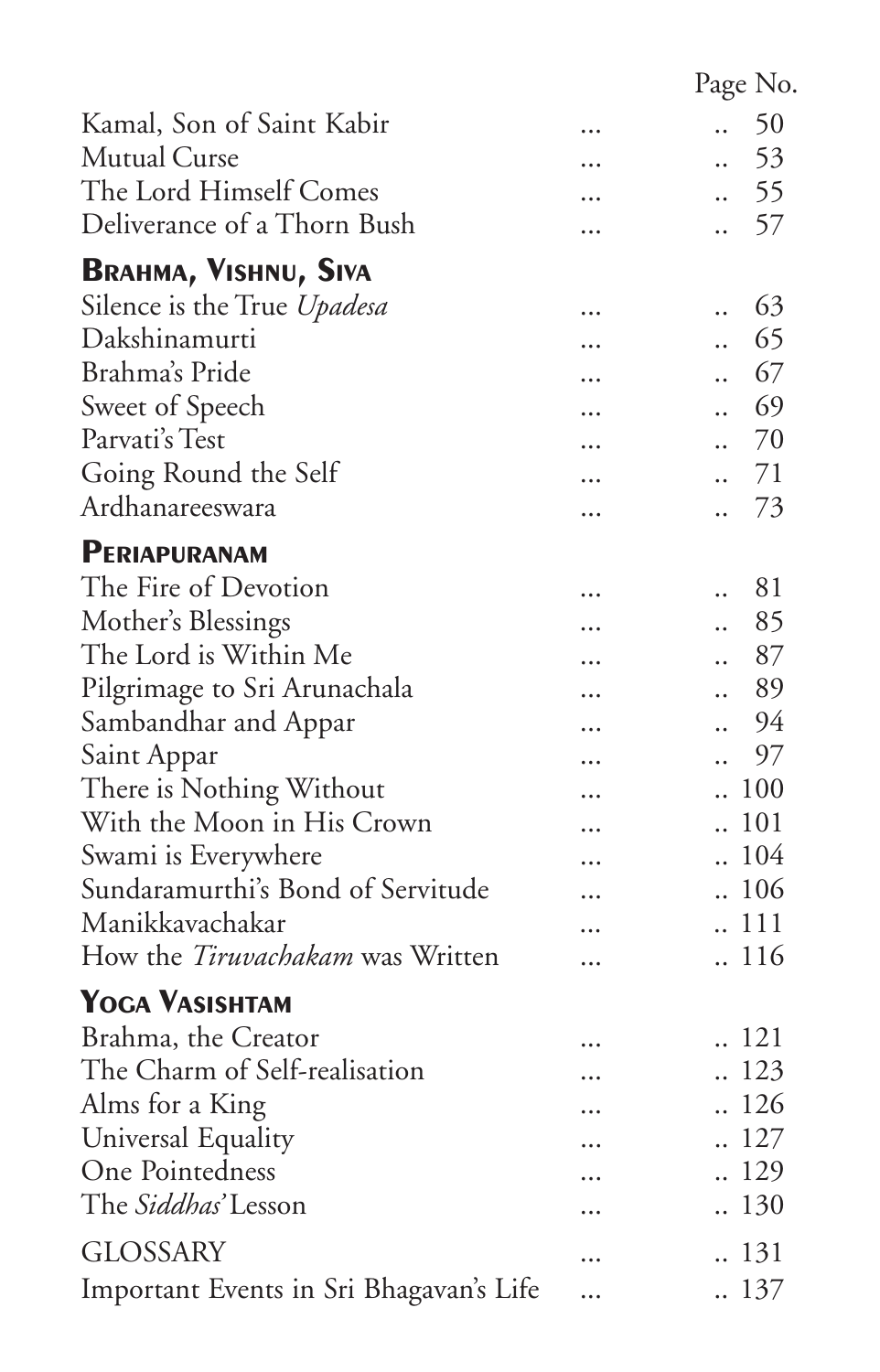Page No. Kamal, Son of Saint Kabir ... ... 50 Mutual Curse ... ... ... 53 The Lord Himself Comes ... ... 55 Deliverance of a Thorn Bush ... ... 57 **BRAHMA, VISHNU, SIVA** Silence is the True *Upadesa* ... ... ... 63 Dakshinamurti ... ... ... 65 Brahma's Pride ... ... 67 Sweet of Speech ... ... 69 Parvati's Test ... ... ... ... ... ... ... ... 70 Going Round the Self ... ... ... 71 Ardhanareeswara ... ... ... 73 **PERIAPURANAM** The Fire of Devotion ... ... 81 Mother's Blessings ... ... 85 The Lord is Within Me ... ... 87 Pilgrimage to Sri Arunachala ... ... ... 89 Sambandhar and Appar **...** ... ... 94 Saint Appar ... ... 97 There is Nothing Without ... ... ... 100 With the Moon in His Crown ... ... ... 101 Swami is Everywhere ... ... ... ... 104 Sundaramurthi's Bond of Servitude ... ... ... 106 Manikkavachakar ... ... ... 111 How the *Tiruvachakam* was Written ... ... ... 116 **YOGA VASISHTAM** Brahma, the Creator ... ... ... ... ... ... 121 The Charm of Self-realisation ... ... ... 123 Alms for a King ... ... ... ... ... 126 Universal Equality ... ... ... ... 127 One Pointedness ... ... ... ... ... 129 The *Siddhas*' Lesson ... ... ... ... 130 GLOSSARY ... ... 131 Important Events in Sri Bhagavan's Life ... 137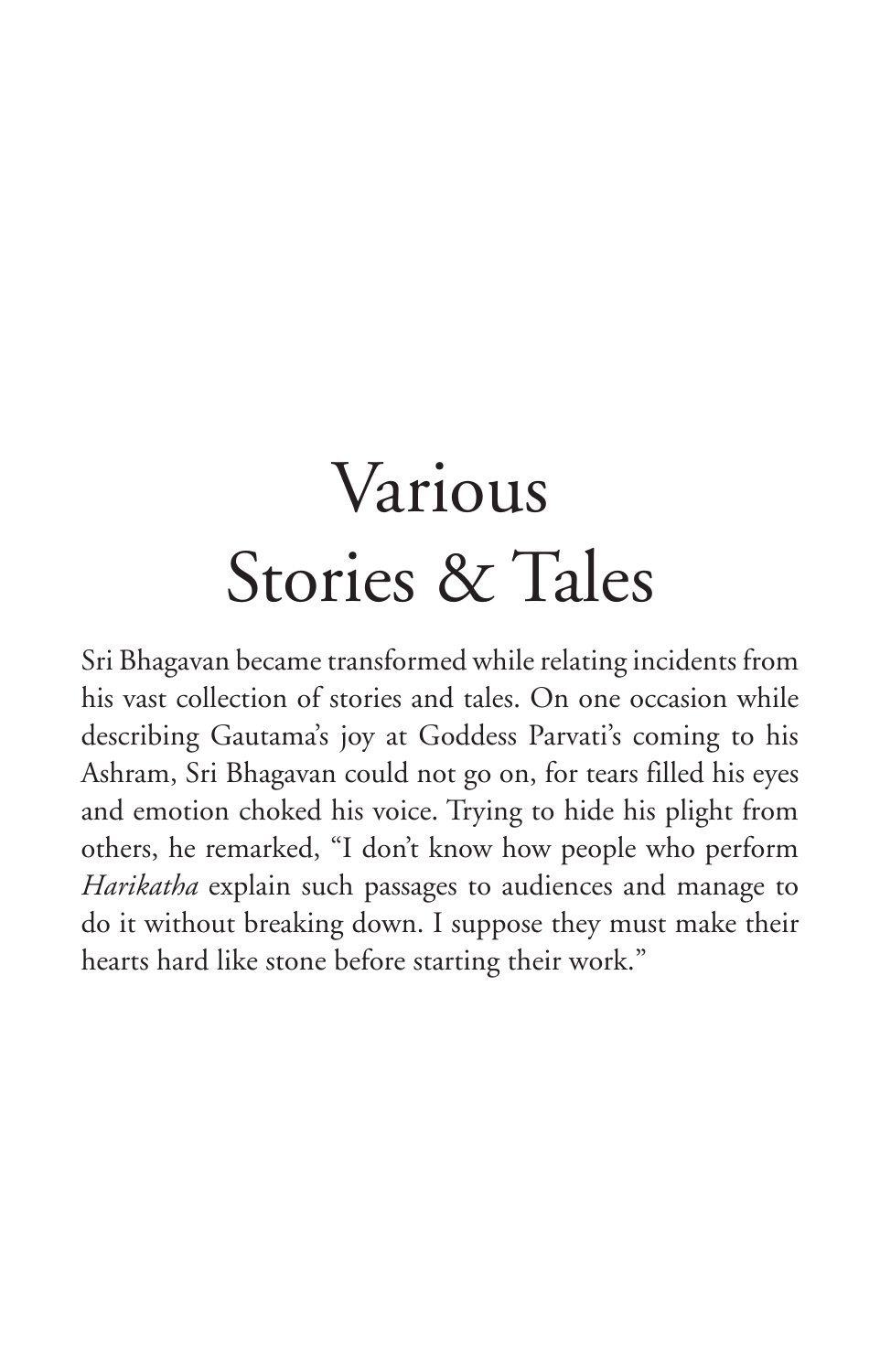# Various Stories & Tales

Sri Bhagavan became transformed while relating incidents from his vast collection of stories and tales. On one occasion while describing Gautama's joy at Goddess Parvati's coming to his Ashram, Sri Bhagavan could not go on, for tears filled his eyes and emotion choked his voice. Trying to hide his plight from others, he remarked, "I don't know how people who perform *Harikatha* explain such passages to audiences and manage to do it without breaking down. I suppose they must make their hearts hard like stone before starting their work."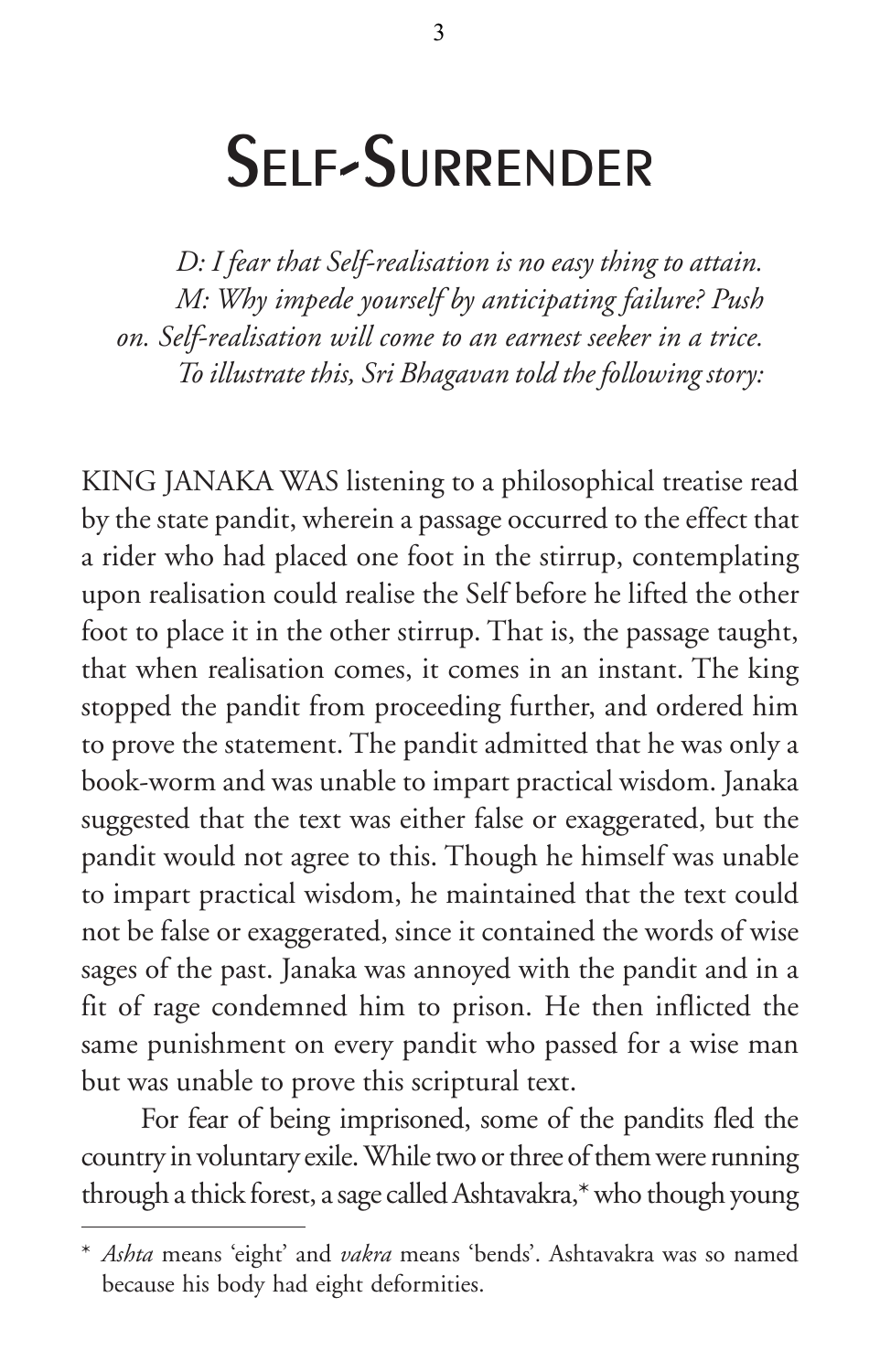#### SELF-SURRENDER

*D: I fear that Self-realisation is no easy thing to attain. M: Why impede yourself by anticipating failure? Push on. Self-realisation will come to an earnest seeker in a trice. To illustrate this, Sri Bhagavan told the following story:*

KING JANAKA WAS listening to a philosophical treatise read by the state pandit, wherein a passage occurred to the effect that a rider who had placed one foot in the stirrup, contemplating upon realisation could realise the Self before he lifted the other foot to place it in the other stirrup. That is, the passage taught, that when realisation comes, it comes in an instant. The king stopped the pandit from proceeding further, and ordered him to prove the statement. The pandit admitted that he was only a book-worm and was unable to impart practical wisdom. Janaka suggested that the text was either false or exaggerated, but the pandit would not agree to this. Though he himself was unable to impart practical wisdom, he maintained that the text could not be false or exaggerated, since it contained the words of wise sages of the past. Janaka was annoyed with the pandit and in a fit of rage condemned him to prison. He then inflicted the same punishment on every pandit who passed for a wise man but was unable to prove this scriptural text.

For fear of being imprisoned, some of the pandits fled the country in voluntary exile. While two or three of them were running through a thick forest, a sage called Ashtavakra,\* who though young

<sup>\*</sup> *Ashta* means 'eight' and *vakra* means 'bends'. Ashtavakra was so named because his body had eight deformities.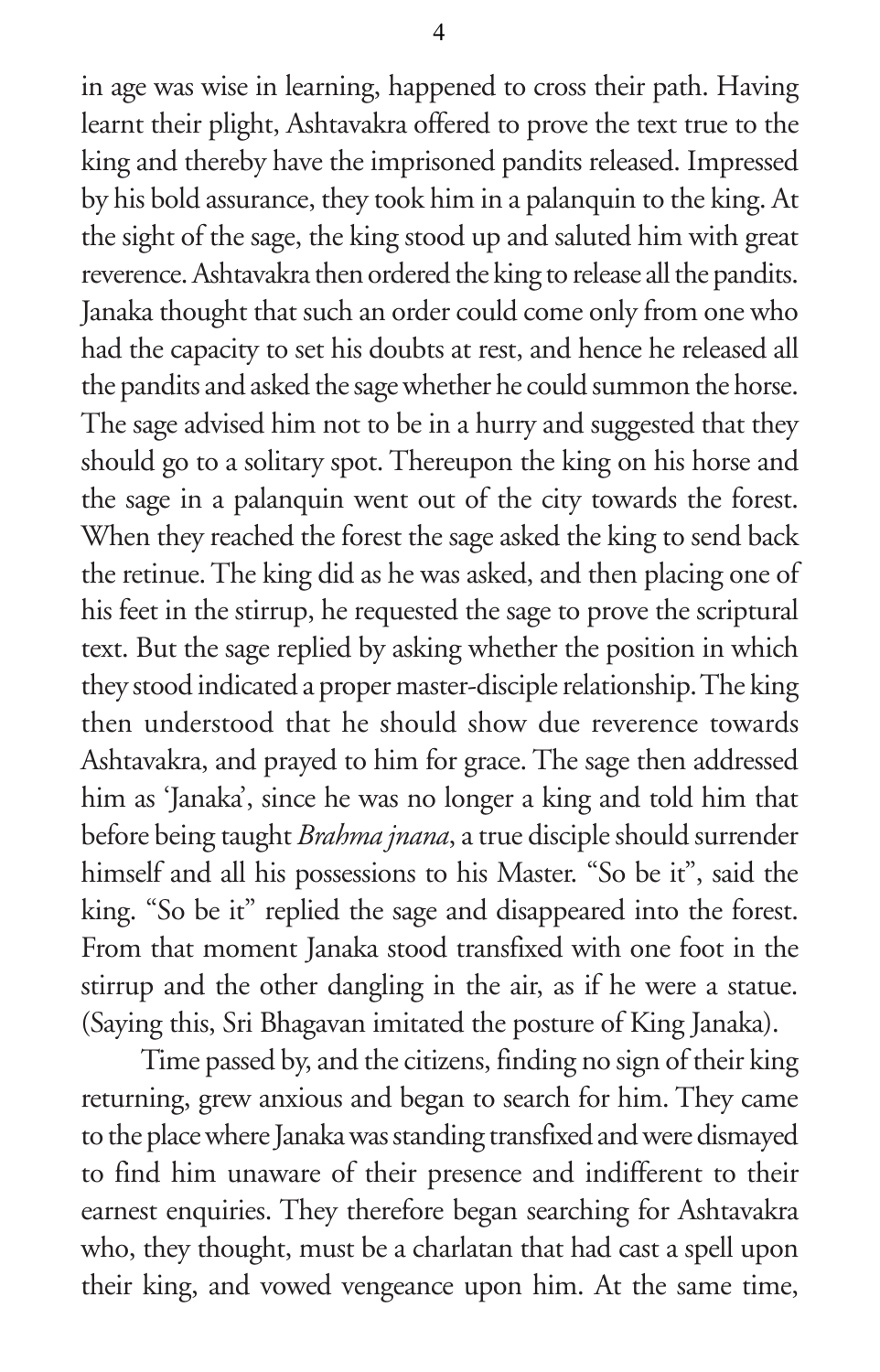in age was wise in learning, happened to cross their path. Having learnt their plight, Ashtavakra offered to prove the text true to the king and thereby have the imprisoned pandits released. Impressed by his bold assurance, they took him in a palanquin to the king. At the sight of the sage, the king stood up and saluted him with great reverence. Ashtavakra then ordered the king to release all the pandits. Janaka thought that such an order could come only from one who had the capacity to set his doubts at rest, and hence he released all the pandits and asked the sage whether he could summon the horse. The sage advised him not to be in a hurry and suggested that they should go to a solitary spot. Thereupon the king on his horse and the sage in a palanquin went out of the city towards the forest. When they reached the forest the sage asked the king to send back the retinue. The king did as he was asked, and then placing one of his feet in the stirrup, he requested the sage to prove the scriptural text. But the sage replied by asking whether the position in which they stood indicated a proper master-disciple relationship. The king then understood that he should show due reverence towards Ashtavakra, and prayed to him for grace. The sage then addressed him as 'Janaka', since he was no longer a king and told him that before being taught *Brahma jnana*, a true disciple should surrender himself and all his possessions to his Master. "So be it", said the king. "So be it" replied the sage and disappeared into the forest. From that moment Janaka stood transfixed with one foot in the stirrup and the other dangling in the air, as if he were a statue. (Saying this, Sri Bhagavan imitated the posture of King Janaka).

Time passed by, and the citizens, finding no sign of their king returning, grew anxious and began to search for him. They came to the place where Janaka was standing transfixed and were dismayed to find him unaware of their presence and indifferent to their earnest enquiries. They therefore began searching for Ashtavakra who, they thought, must be a charlatan that had cast a spell upon their king, and vowed vengeance upon him. At the same time,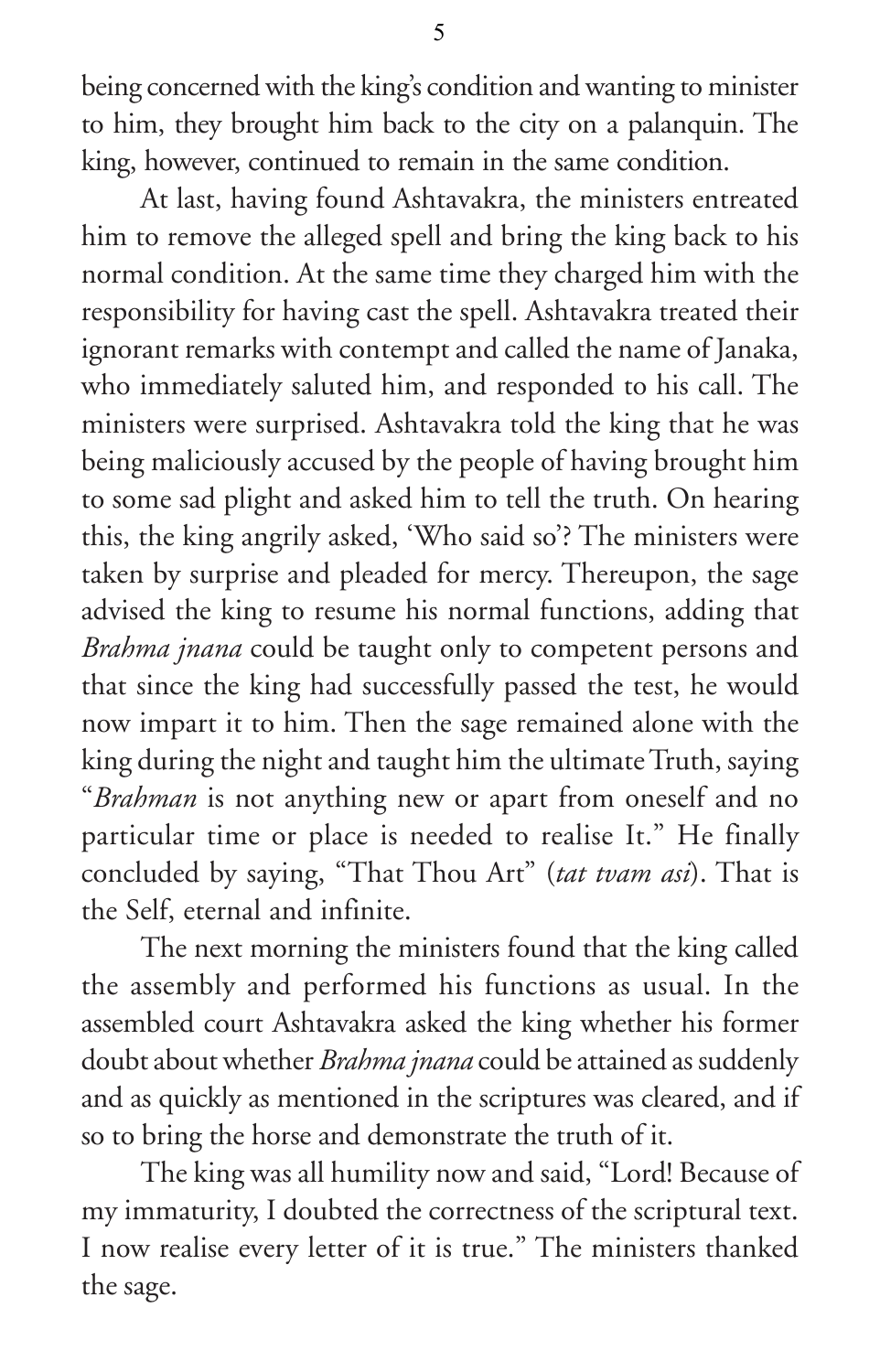being concerned with the king's condition and wanting to minister to him, they brought him back to the city on a palanquin. The king, however, continued to remain in the same condition.

At last, having found Ashtavakra, the ministers entreated him to remove the alleged spell and bring the king back to his normal condition. At the same time they charged him with the responsibility for having cast the spell. Ashtavakra treated their ignorant remarks with contempt and called the name of Janaka, who immediately saluted him, and responded to his call. The ministers were surprised. Ashtavakra told the king that he was being maliciously accused by the people of having brought him to some sad plight and asked him to tell the truth. On hearing this, the king angrily asked, 'Who said so'? The ministers were taken by surprise and pleaded for mercy. Thereupon, the sage advised the king to resume his normal functions, adding that *Brahma jnana* could be taught only to competent persons and that since the king had successfully passed the test, he would now impart it to him. Then the sage remained alone with the king during the night and taught him the ultimate Truth, saying "*Brahman* is not anything new or apart from oneself and no particular time or place is needed to realise It." He finally concluded by saying, "That Thou Art" (*tat tvam asi*). That is the Self, eternal and infinite.

The next morning the ministers found that the king called the assembly and performed his functions as usual. In the assembled court Ashtavakra asked the king whether his former doubt about whether *Brahma jnana* could be attained as suddenly and as quickly as mentioned in the scriptures was cleared, and if so to bring the horse and demonstrate the truth of it.

The king was all humility now and said, "Lord! Because of my immaturity, I doubted the correctness of the scriptural text. I now realise every letter of it is true." The ministers thanked the sage.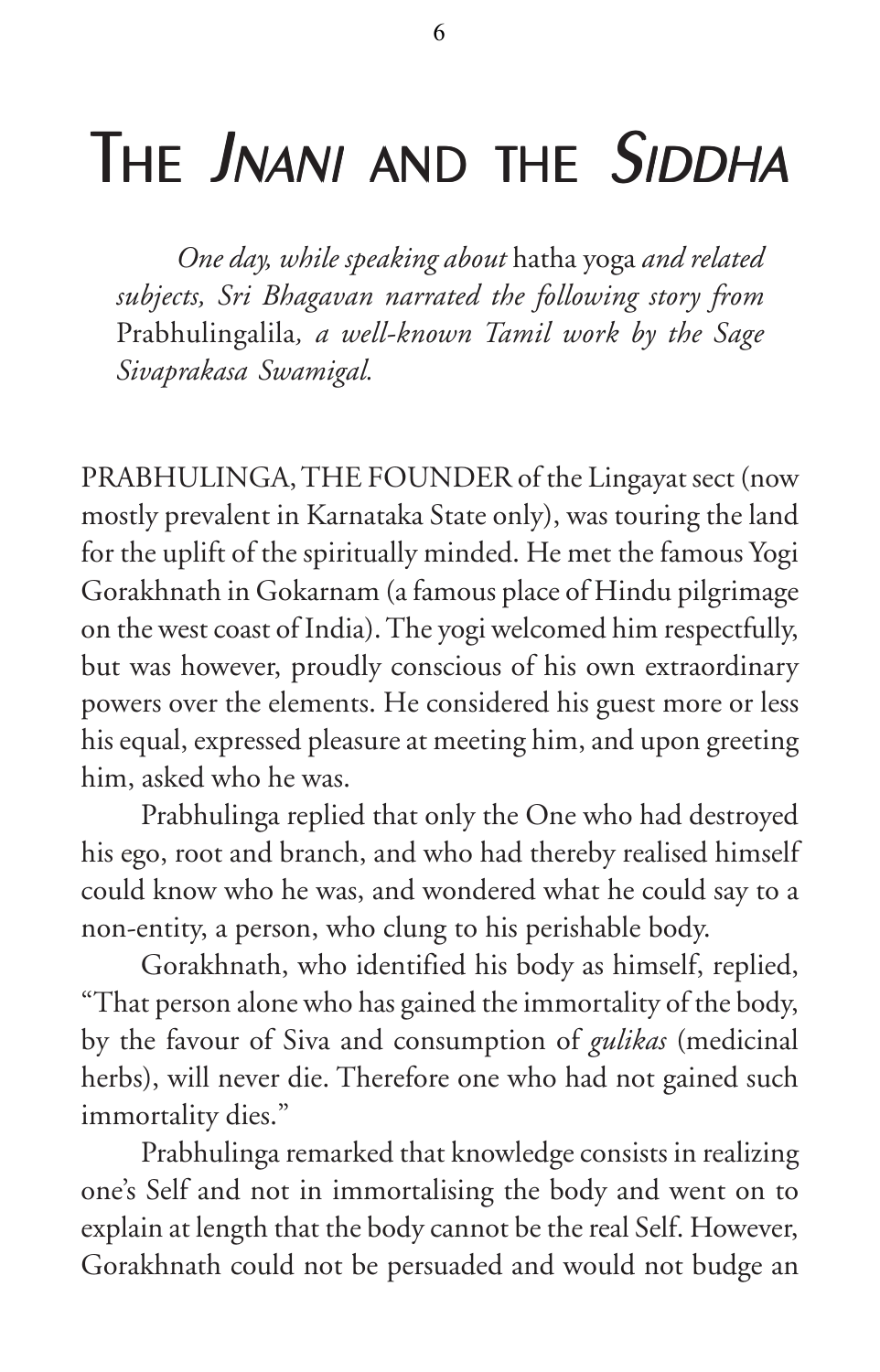### THE JNANI AND THE SIDDHA

*One day, while speaking about* hatha yoga *and related subjects, Sri Bhagavan narrated the following story from* Prabhulingalila*, a well-known Tamil work by the Sage Sivaprakasa Swamigal.*

PRABHULINGA, THE FOUNDER of the Lingayat sect (now mostly prevalent in Karnataka State only), was touring the land for the uplift of the spiritually minded. He met the famous Yogi Gorakhnath in Gokarnam (a famous place of Hindu pilgrimage on the west coast of India). The yogi welcomed him respectfully, but was however, proudly conscious of his own extraordinary powers over the elements. He considered his guest more or less his equal, expressed pleasure at meeting him, and upon greeting him, asked who he was.

Prabhulinga replied that only the One who had destroyed his ego, root and branch, and who had thereby realised himself could know who he was, and wondered what he could say to a non-entity, a person, who clung to his perishable body.

Gorakhnath, who identified his body as himself, replied, "That person alone who has gained the immortality of the body, by the favour of Siva and consumption of *gulikas* (medicinal herbs), will never die. Therefore one who had not gained such immortality dies."

Prabhulinga remarked that knowledge consists in realizing one's Self and not in immortalising the body and went on to explain at length that the body cannot be the real Self. However, Gorakhnath could not be persuaded and would not budge an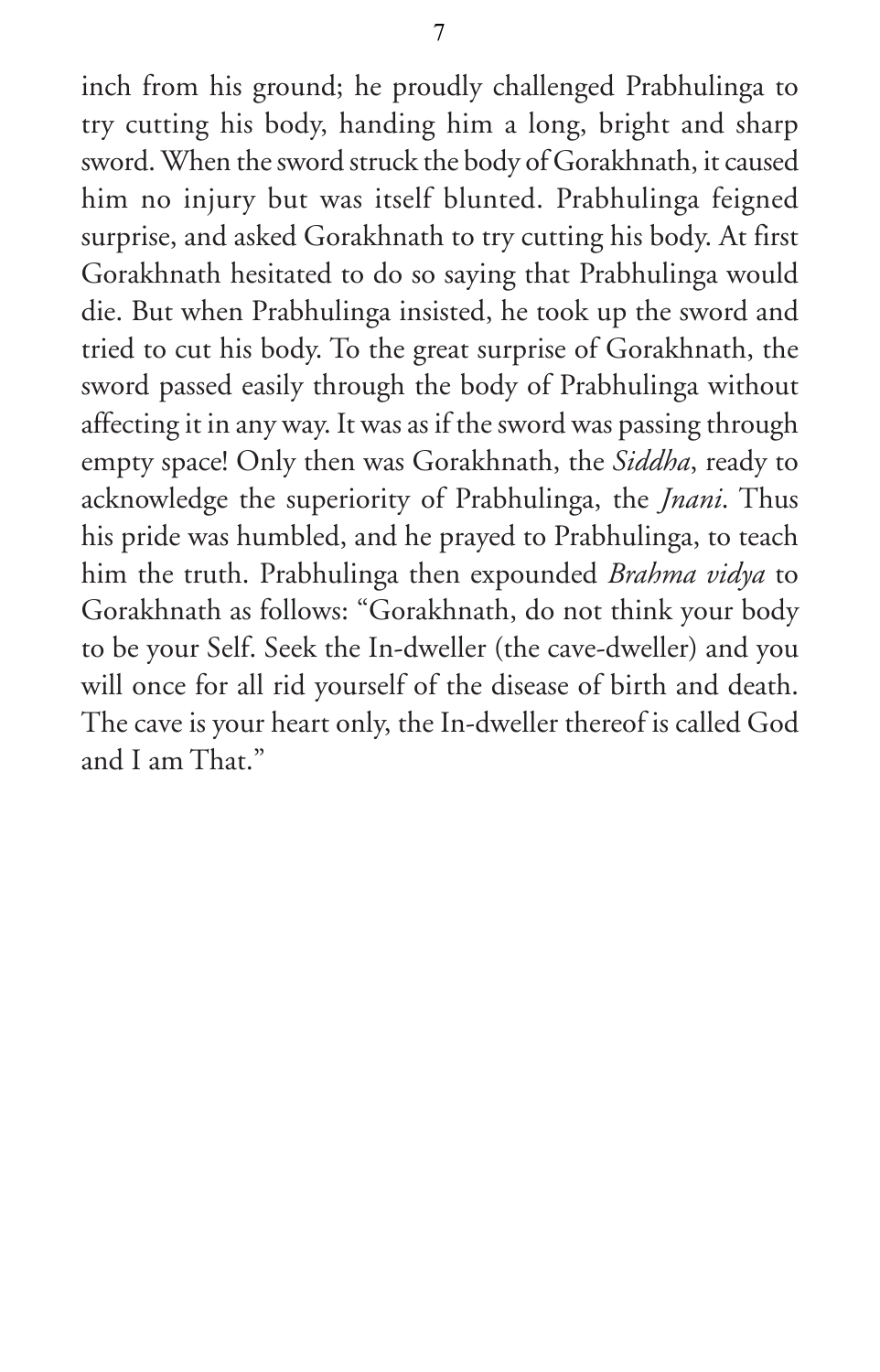inch from his ground; he proudly challenged Prabhulinga to try cutting his body, handing him a long, bright and sharp sword. When the sword struck the body of Gorakhnath, it caused him no injury but was itself blunted. Prabhulinga feigned surprise, and asked Gorakhnath to try cutting his body. At first Gorakhnath hesitated to do so saying that Prabhulinga would die. But when Prabhulinga insisted, he took up the sword and tried to cut his body. To the great surprise of Gorakhnath, the sword passed easily through the body of Prabhulinga without affecting it in any way. It was as if the sword was passing through empty space! Only then was Gorakhnath, the *Siddha*, ready to acknowledge the superiority of Prabhulinga, the *Jnani*. Thus his pride was humbled, and he prayed to Prabhulinga, to teach him the truth. Prabhulinga then expounded *Brahma vidya* to Gorakhnath as follows: "Gorakhnath, do not think your body to be your Self. Seek the In-dweller (the cave-dweller) and you will once for all rid yourself of the disease of birth and death. The cave is your heart only, the In-dweller thereof is called God and I am That."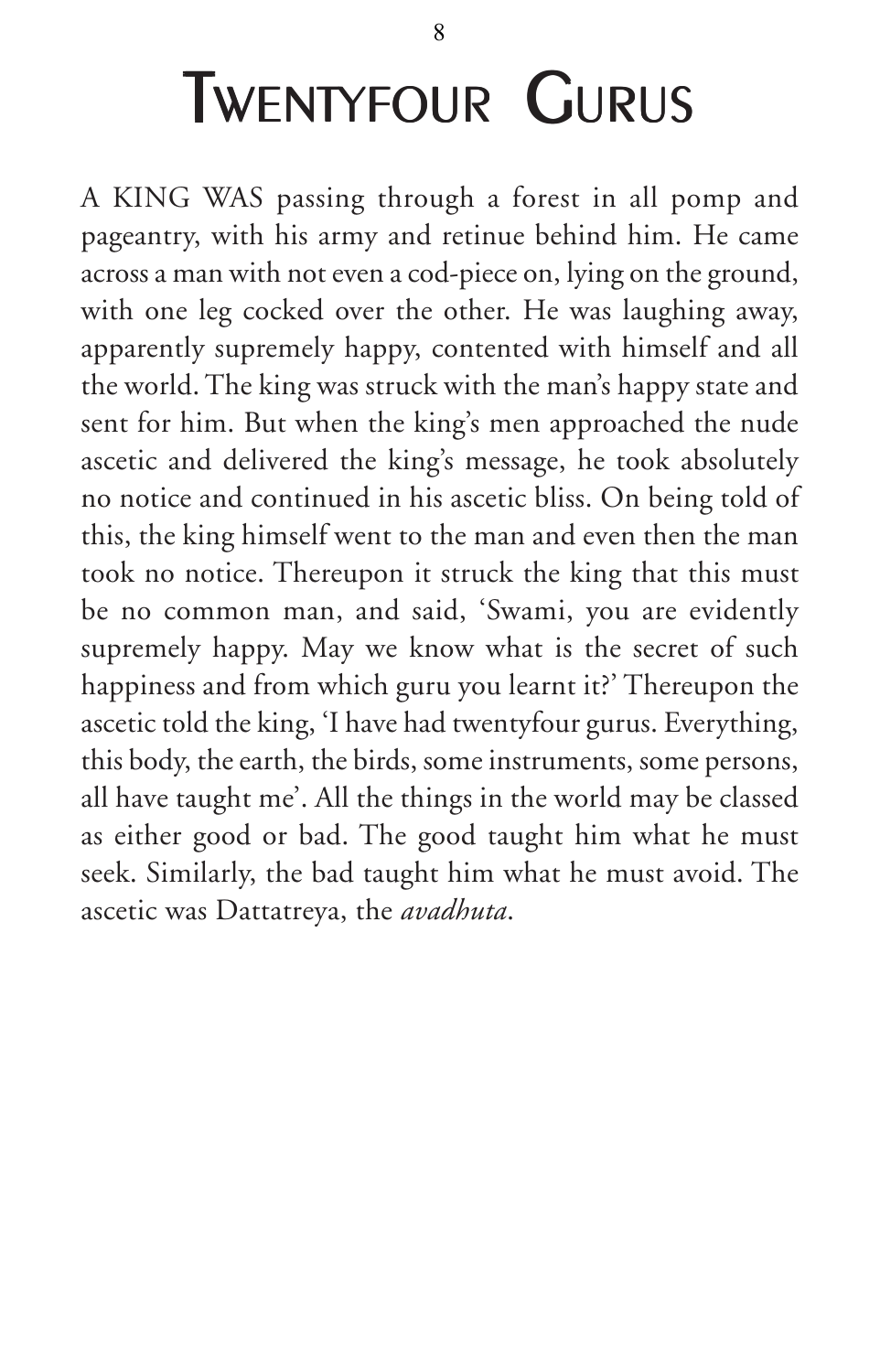# **TWENTYFOUR GURUS**

A KING WAS passing through a forest in all pomp and pageantry, with his army and retinue behind him. He came across a man with not even a cod-piece on, lying on the ground, with one leg cocked over the other. He was laughing away, apparently supremely happy, contented with himself and all the world. The king was struck with the man's happy state and sent for him. But when the king's men approached the nude ascetic and delivered the king's message, he took absolutely no notice and continued in his ascetic bliss. On being told of this, the king himself went to the man and even then the man took no notice. Thereupon it struck the king that this must be no common man, and said, 'Swami, you are evidently supremely happy. May we know what is the secret of such happiness and from which guru you learnt it?' Thereupon the ascetic told the king, 'I have had twentyfour gurus. Everything, this body, the earth, the birds, some instruments, some persons, all have taught me'. All the things in the world may be classed as either good or bad. The good taught him what he must seek. Similarly, the bad taught him what he must avoid. The ascetic was Dattatreya, the *avadhuta*.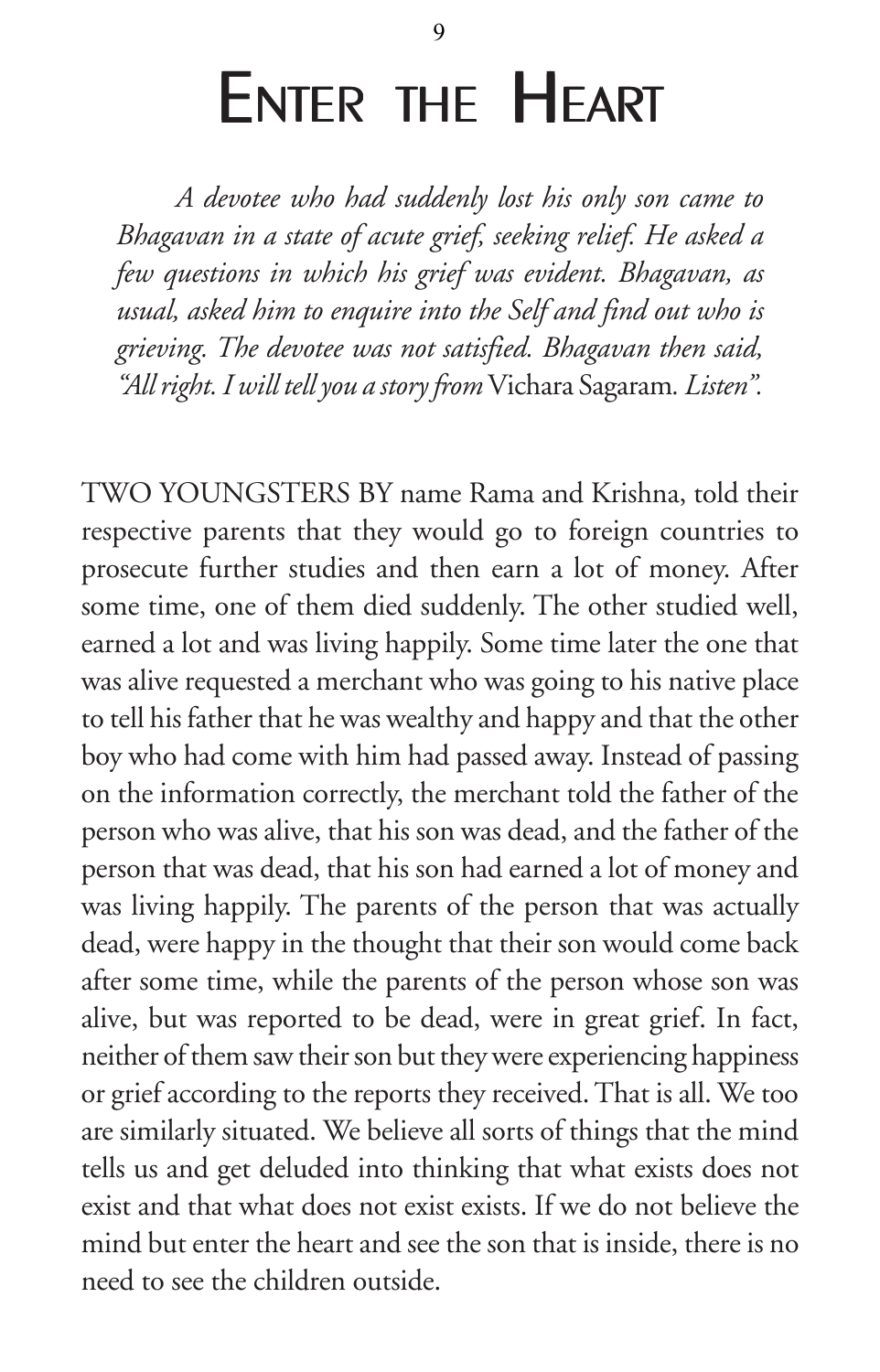## ENTER THE HEART

*A devotee who had suddenly lost his only son came to Bhagavan in a state of acute grief, seeking relief. He asked a few questions in which his grief was evident. Bhagavan, as usual, asked him to enquire into the Self and find out who is grieving. The devotee was not satisfied. Bhagavan then said, "All right. I will tell you a story from* Vichara Sagaram*. Listen".*

TWO YOUNGSTERS BY name Rama and Krishna, told their respective parents that they would go to foreign countries to prosecute further studies and then earn a lot of money. After some time, one of them died suddenly. The other studied well, earned a lot and was living happily. Some time later the one that was alive requested a merchant who was going to his native place to tell his father that he was wealthy and happy and that the other boy who had come with him had passed away. Instead of passing on the information correctly, the merchant told the father of the person who was alive, that his son was dead, and the father of the person that was dead, that his son had earned a lot of money and was living happily. The parents of the person that was actually dead, were happy in the thought that their son would come back after some time, while the parents of the person whose son was alive, but was reported to be dead, were in great grief. In fact, neither of them saw their son but they were experiencing happiness or grief according to the reports they received. That is all. We too are similarly situated. We believe all sorts of things that the mind tells us and get deluded into thinking that what exists does not exist and that what does not exist exists. If we do not believe the mind but enter the heart and see the son that is inside, there is no need to see the children outside.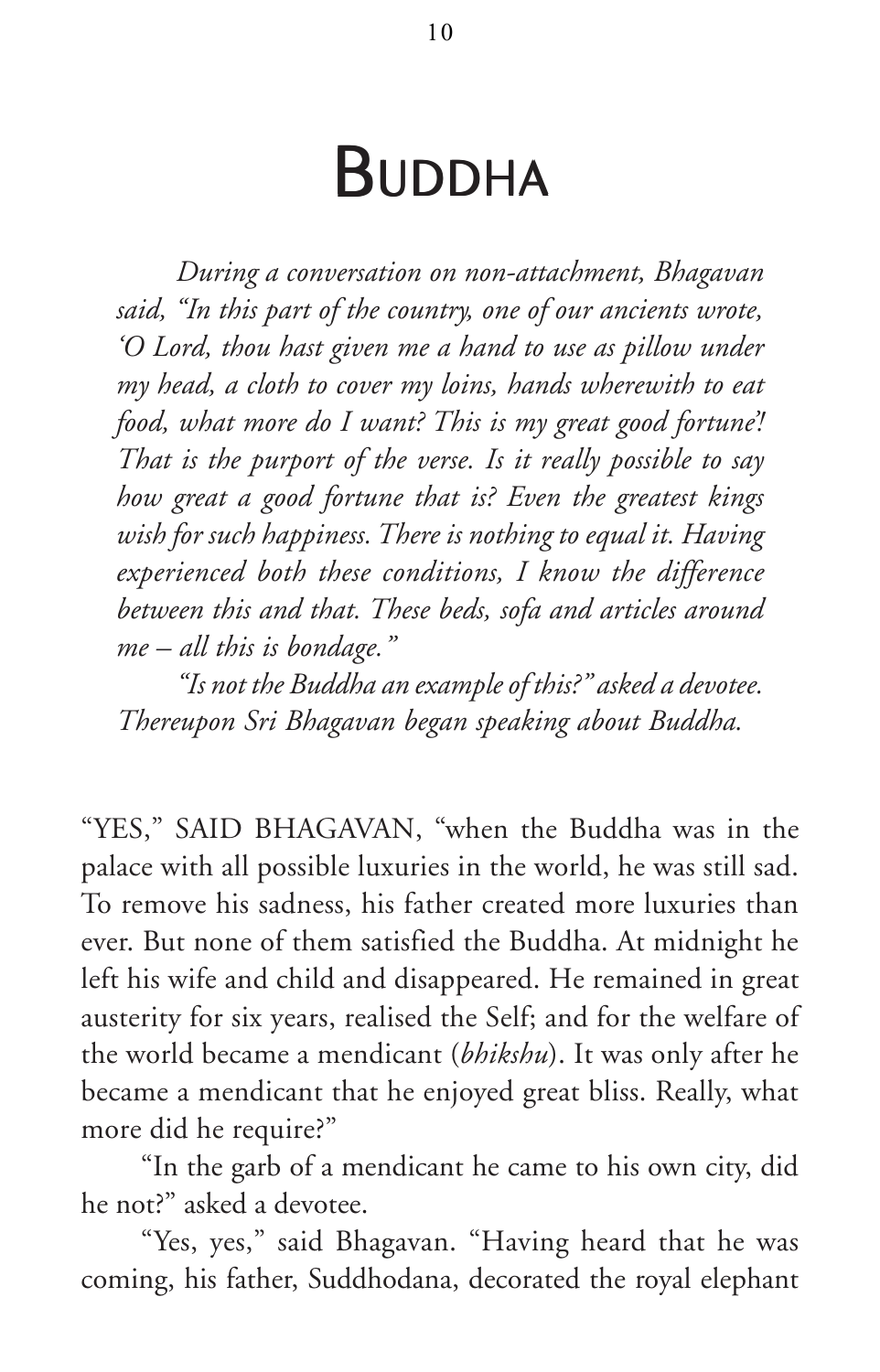#### BUDDHA

*During a conversation on non-attachment, Bhagavan said, "In this part of the country, one of our ancients wrote, 'O Lord, thou hast given me a hand to use as pillow under my head, a cloth to cover my loins, hands wherewith to eat food, what more do I want? This is my great good fortune'! That is the purport of the verse. Is it really possible to say how great a good fortune that is? Even the greatest kings wish for such happiness. There is nothing to equal it. Having experienced both these conditions, I know the difference between this and that. These beds, sofa and articles around me – all this is bondage."*

*"Is not the Buddha an example of this?" asked a devotee. Thereupon Sri Bhagavan began speaking about Buddha.*

"YES," SAID BHAGAVAN, "when the Buddha was in the palace with all possible luxuries in the world, he was still sad. To remove his sadness, his father created more luxuries than ever. But none of them satisfied the Buddha. At midnight he left his wife and child and disappeared. He remained in great austerity for six years, realised the Self; and for the welfare of the world became a mendicant (*bhikshu*). It was only after he became a mendicant that he enjoyed great bliss. Really, what more did he require?"

"In the garb of a mendicant he came to his own city, did he not?" asked a devotee.

"Yes, yes," said Bhagavan. "Having heard that he was coming, his father, Suddhodana, decorated the royal elephant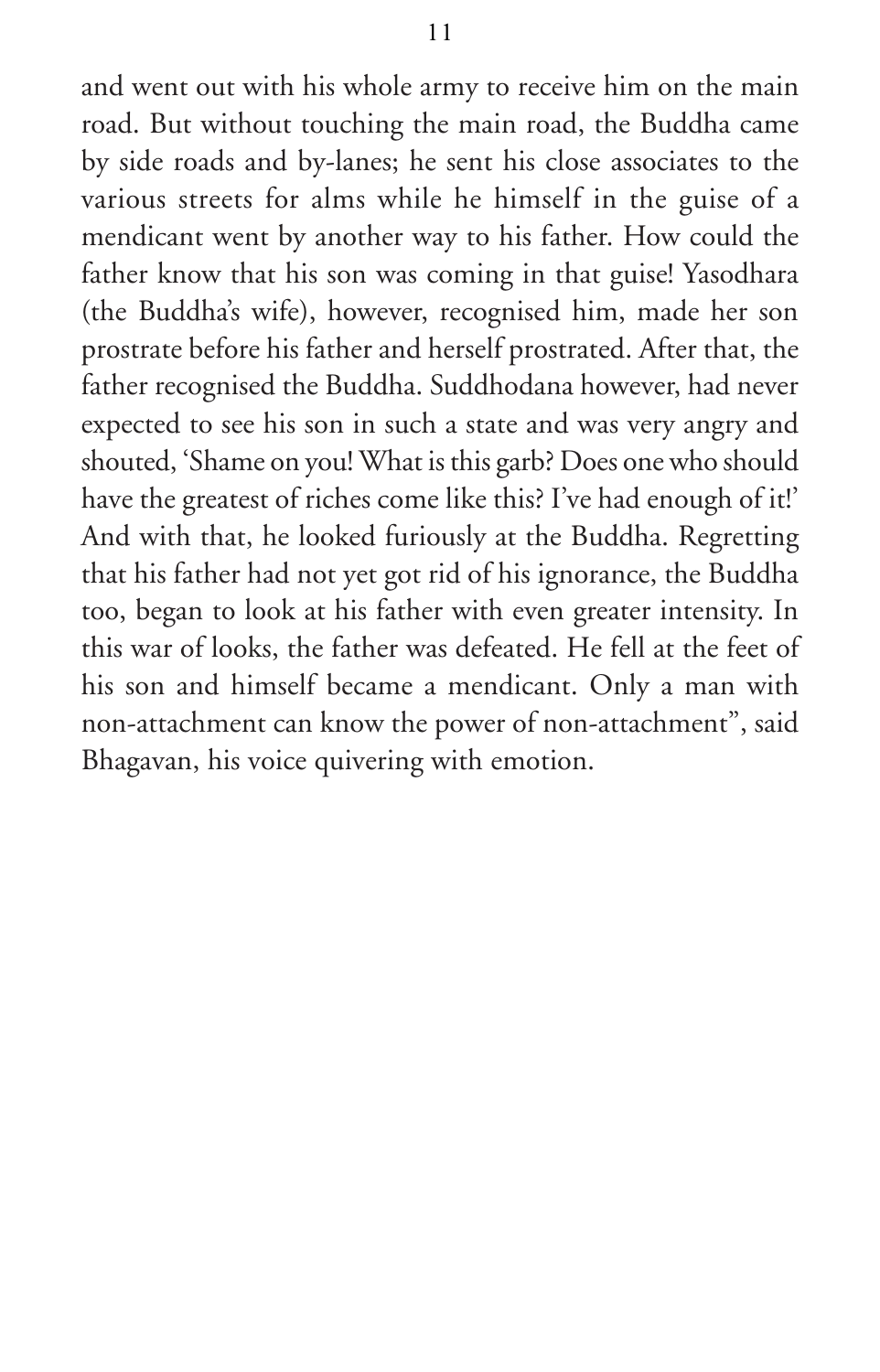and went out with his whole army to receive him on the main road. But without touching the main road, the Buddha came by side roads and by-lanes; he sent his close associates to the various streets for alms while he himself in the guise of a mendicant went by another way to his father. How could the father know that his son was coming in that guise! Yasodhara (the Buddha's wife), however, recognised him, made her son prostrate before his father and herself prostrated. After that, the father recognised the Buddha. Suddhodana however, had never expected to see his son in such a state and was very angry and shouted, 'Shame on you! What is this garb? Does one who should have the greatest of riches come like this? I've had enough of it!' And with that, he looked furiously at the Buddha. Regretting that his father had not yet got rid of his ignorance, the Buddha too, began to look at his father with even greater intensity. In this war of looks, the father was defeated. He fell at the feet of his son and himself became a mendicant. Only a man with non-attachment can know the power of non-attachment", said Bhagavan, his voice quivering with emotion.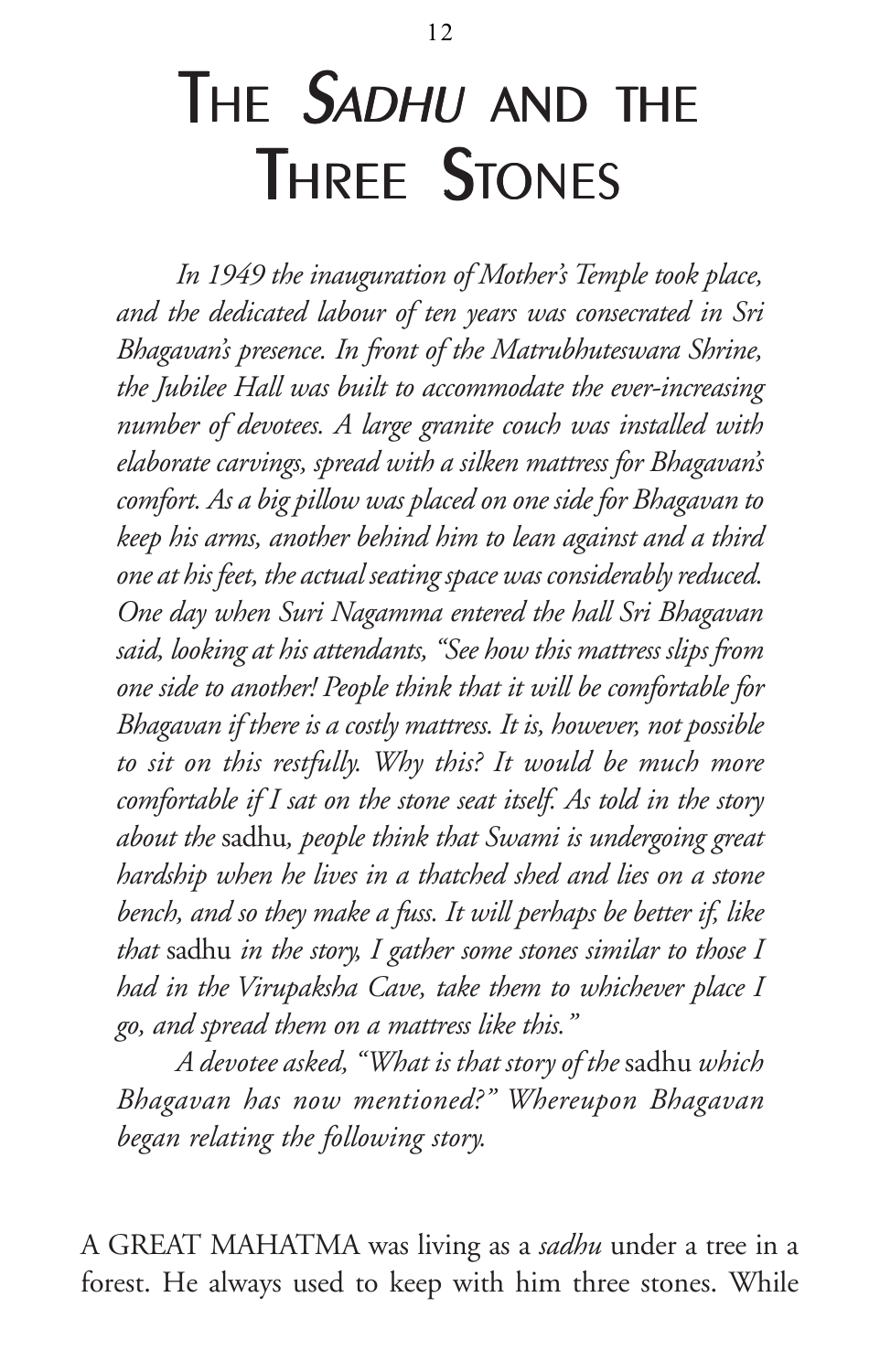## THE SADHU AND THE **THREE STONES**

*In 1949 the inauguration of Mother's Temple took place, and the dedicated labour of ten years was consecrated in Sri Bhagavan's presence. In front of the Matrubhuteswara Shrine, the Jubilee Hall was built to accommodate the ever-increasing number of devotees. A large granite couch was installed with elaborate carvings, spread with a silken mattress for Bhagavan's comfort. As a big pillow was placed on one side for Bhagavan to keep his arms, another behind him to lean against and a third one at his feet, the actual seating space was considerably reduced. One day when Suri Nagamma entered the hall Sri Bhagavan said, looking at his attendants, "See how this mattress slips from one side to another! People think that it will be comfortable for Bhagavan if there is a costly mattress. It is, however, not possible to sit on this restfully. Why this? It would be much more comfortable if I sat on the stone seat itself. As told in the story about the* sadhu*, people think that Swami is undergoing great hardship when he lives in a thatched shed and lies on a stone bench, and so they make a fuss. It will perhaps be better if, like that* sadhu *in the story, I gather some stones similar to those I had in the Virupaksha Cave, take them to whichever place I go, and spread them on a mattress like this."*

*A devotee asked, "What is that story of the* sadhu *which Bhagavan has now mentioned?" Whereupon Bhagavan began relating the following story.*

A GREAT MAHATMA was living as a *sadhu* under a tree in a forest. He always used to keep with him three stones. While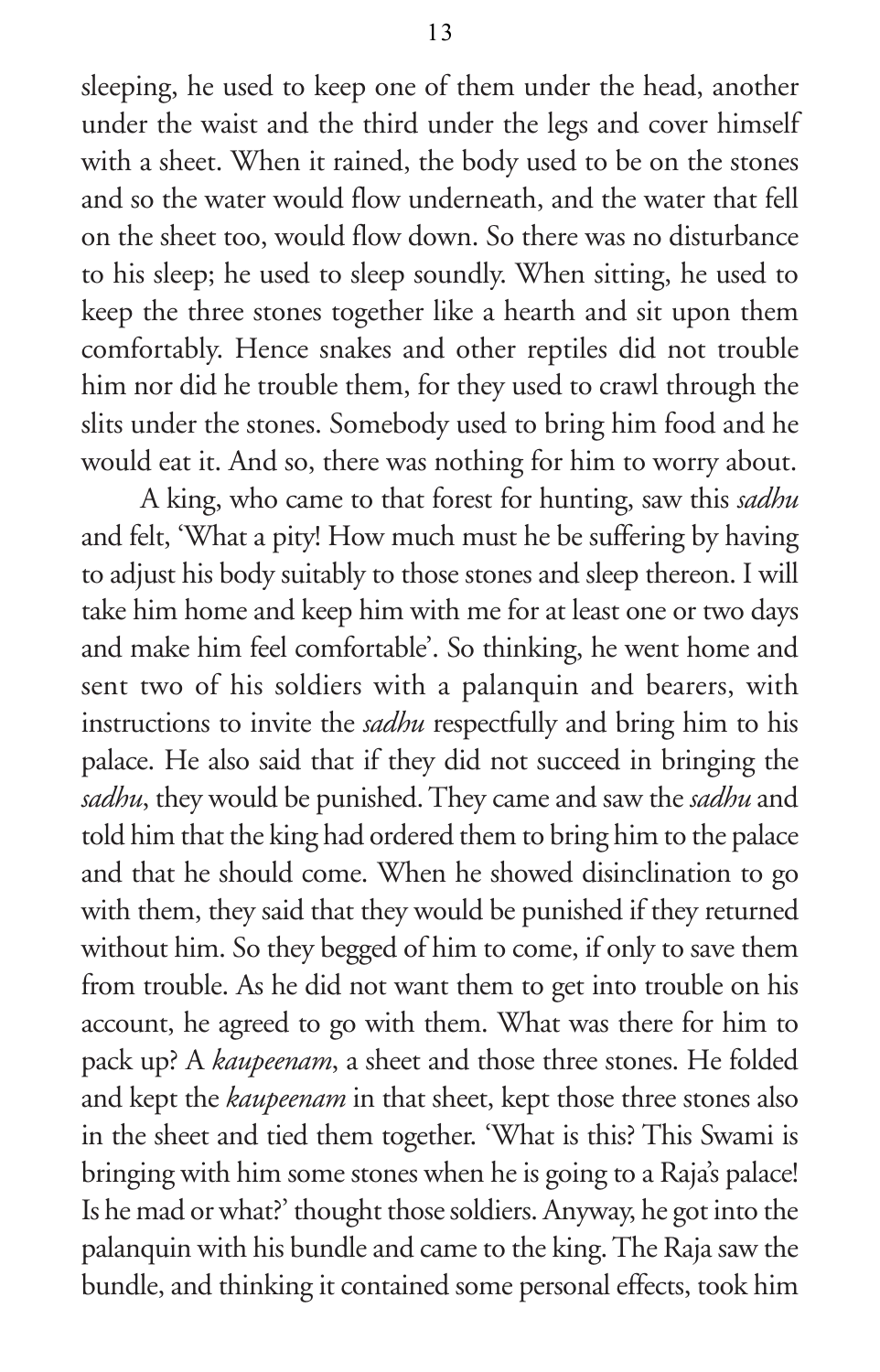sleeping, he used to keep one of them under the head, another under the waist and the third under the legs and cover himself with a sheet. When it rained, the body used to be on the stones and so the water would flow underneath, and the water that fell on the sheet too, would flow down. So there was no disturbance to his sleep; he used to sleep soundly. When sitting, he used to keep the three stones together like a hearth and sit upon them comfortably. Hence snakes and other reptiles did not trouble him nor did he trouble them, for they used to crawl through the slits under the stones. Somebody used to bring him food and he would eat it. And so, there was nothing for him to worry about.

A king, who came to that forest for hunting, saw this *sadhu* and felt, 'What a pity! How much must he be suffering by having to adjust his body suitably to those stones and sleep thereon. I will take him home and keep him with me for at least one or two days and make him feel comfortable'. So thinking, he went home and sent two of his soldiers with a palanquin and bearers, with instructions to invite the *sadhu* respectfully and bring him to his palace. He also said that if they did not succeed in bringing the *sadhu*, they would be punished. They came and saw the *sadhu* and told him that the king had ordered them to bring him to the palace and that he should come. When he showed disinclination to go with them, they said that they would be punished if they returned without him. So they begged of him to come, if only to save them from trouble. As he did not want them to get into trouble on his account, he agreed to go with them. What was there for him to pack up? A *kaupeenam*, a sheet and those three stones. He folded and kept the *kaupeenam* in that sheet, kept those three stones also in the sheet and tied them together. 'What is this? This Swami is bringing with him some stones when he is going to a Raja's palace! Is he mad or what?' thought those soldiers. Anyway, he got into the palanquin with his bundle and came to the king. The Raja saw the bundle, and thinking it contained some personal effects, took him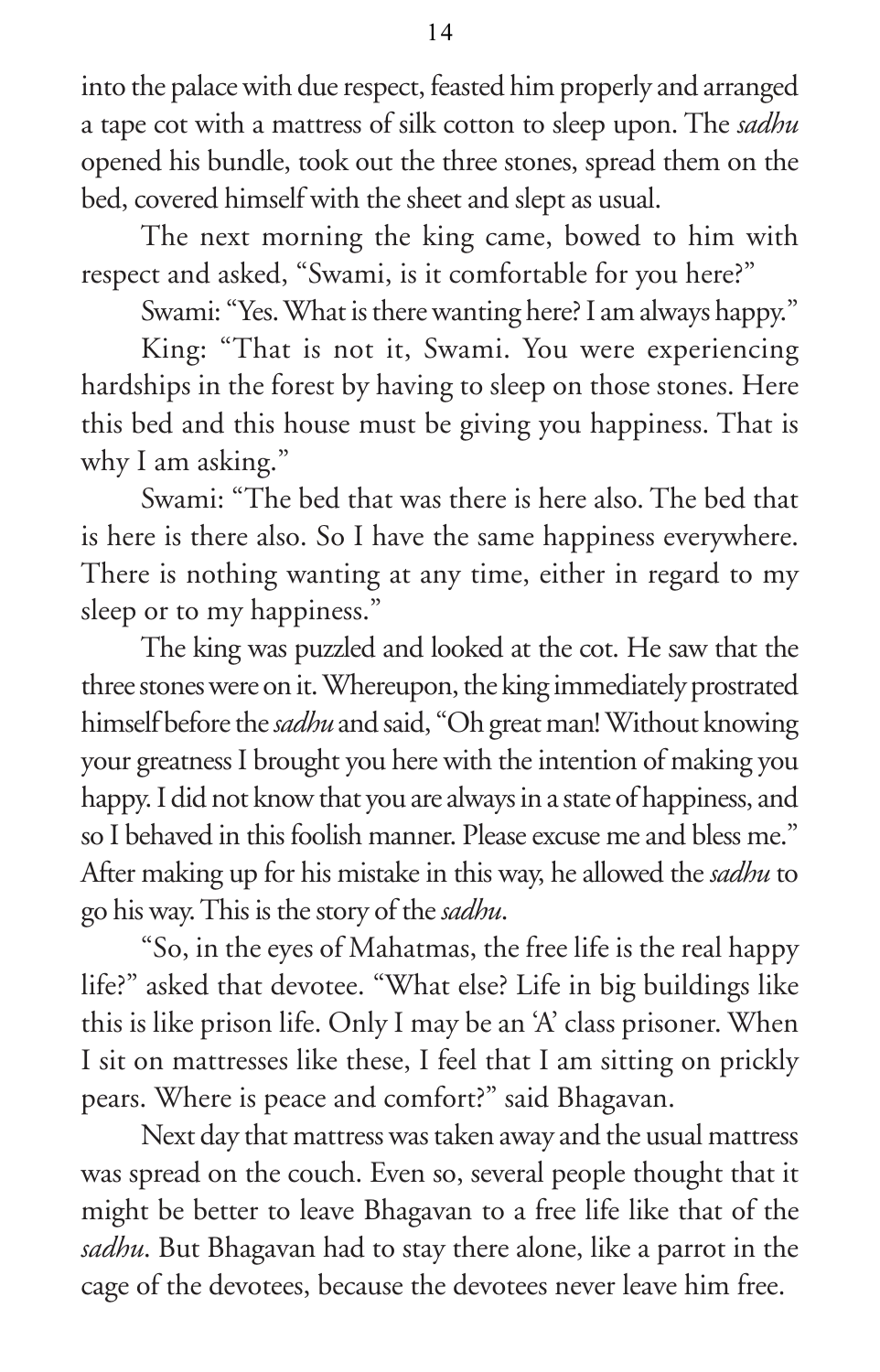into the palace with due respect, feasted him properly and arranged a tape cot with a mattress of silk cotton to sleep upon. The *sadhu* opened his bundle, took out the three stones, spread them on the bed, covered himself with the sheet and slept as usual.

The next morning the king came, bowed to him with respect and asked, "Swami, is it comfortable for you here?"

Swami: "Yes. What is there wanting here? I am always happy."

King: "That is not it, Swami. You were experiencing hardships in the forest by having to sleep on those stones. Here this bed and this house must be giving you happiness. That is why I am asking."

Swami: "The bed that was there is here also. The bed that is here is there also. So I have the same happiness everywhere. There is nothing wanting at any time, either in regard to my sleep or to my happiness."

The king was puzzled and looked at the cot. He saw that the three stones were on it. Whereupon, the king immediately prostrated himself before the *sadhu* and said, "Oh great man! Without knowing your greatness I brought you here with the intention of making you happy. I did not know that you are always in a state of happiness, and so I behaved in this foolish manner. Please excuse me and bless me." After making up for his mistake in this way, he allowed the *sadhu* to go his way. This is the story of the *sadhu*.

"So, in the eyes of Mahatmas, the free life is the real happy life?" asked that devotee. "What else? Life in big buildings like this is like prison life. Only I may be an 'A' class prisoner. When I sit on mattresses like these, I feel that I am sitting on prickly pears. Where is peace and comfort?" said Bhagavan.

Next day that mattress was taken away and the usual mattress was spread on the couch. Even so, several people thought that it might be better to leave Bhagavan to a free life like that of the *sadhu*. But Bhagavan had to stay there alone, like a parrot in the cage of the devotees, because the devotees never leave him free.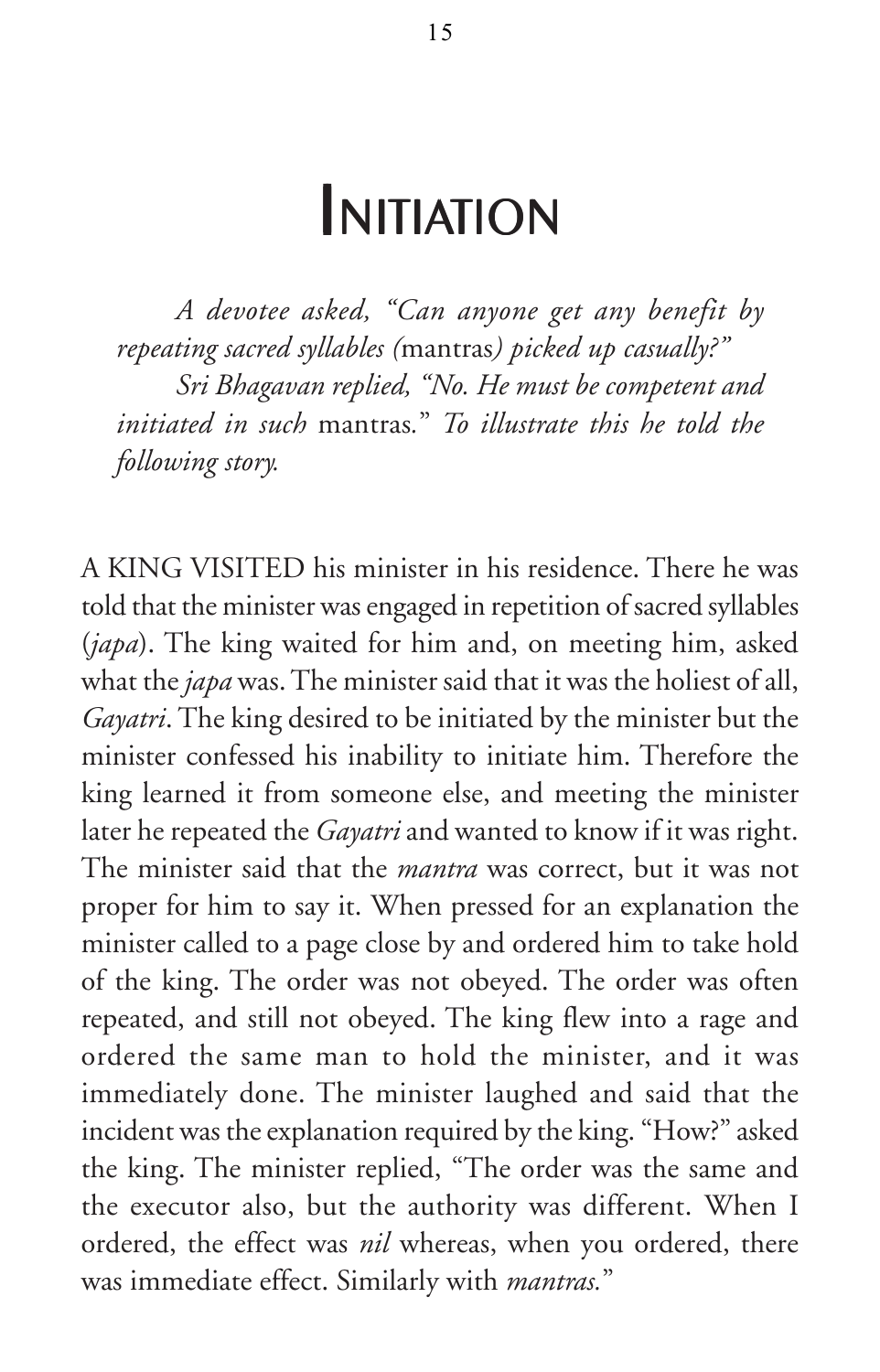#### INITIATION

*A devotee asked, "Can anyone get any benefit by repeating sacred syllables (*mantras*) picked up casually?" Sri Bhagavan replied, "No. He must be competent and initiated in such* mantras*.*" *To illustrate this he told the following story.*

A KING VISITED his minister in his residence. There he was told that the minister was engaged in repetition of sacred syllables (*japa*). The king waited for him and, on meeting him, asked what the *japa* was. The minister said that it was the holiest of all, *Gayatri*. The king desired to be initiated by the minister but the minister confessed his inability to initiate him. Therefore the king learned it from someone else, and meeting the minister later he repeated the *Gayatri* and wanted to know if it was right. The minister said that the *mantra* was correct, but it was not proper for him to say it. When pressed for an explanation the minister called to a page close by and ordered him to take hold of the king. The order was not obeyed. The order was often repeated, and still not obeyed. The king flew into a rage and ordered the same man to hold the minister, and it was immediately done. The minister laughed and said that the incident was the explanation required by the king. "How?" asked the king. The minister replied, "The order was the same and the executor also, but the authority was different. When I ordered, the effect was *nil* whereas, when you ordered, there was immediate effect. Similarly with *mantras.*"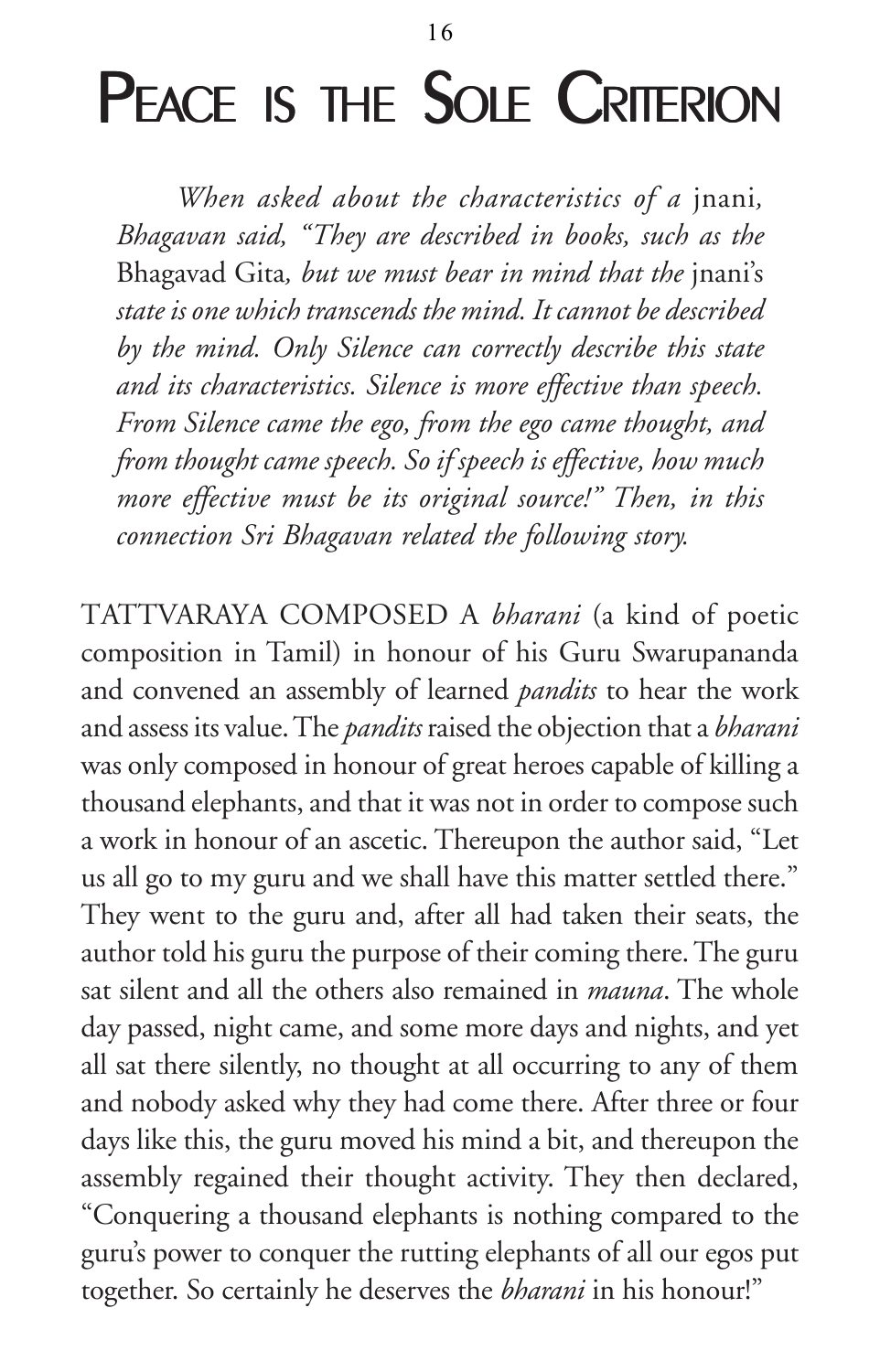PEACE IS THE SOLE CRITERION

16

*When asked about the characteristics of a* jnani*, Bhagavan said, "They are described in books, such as the* Bhagavad Gita*, but we must bear in mind that the* jnani's *state is one which transcends the mind. It cannot be described by the mind. Only Silence can correctly describe this state and its characteristics. Silence is more effective than speech. From Silence came the ego, from the ego came thought, and from thought came speech. So if speech is effective, how much more effective must be its original source!" Then, in this connection Sri Bhagavan related the following story.*

TATTVARAYA COMPOSED A *bharani* (a kind of poetic composition in Tamil) in honour of his Guru Swarupananda and convened an assembly of learned *pandits* to hear the work and assess its value. The *pandits* raised the objection that a *bharani* was only composed in honour of great heroes capable of killing a thousand elephants, and that it was not in order to compose such a work in honour of an ascetic. Thereupon the author said, "Let us all go to my guru and we shall have this matter settled there." They went to the guru and, after all had taken their seats, the author told his guru the purpose of their coming there. The guru sat silent and all the others also remained in *mauna*. The whole day passed, night came, and some more days and nights, and yet all sat there silently, no thought at all occurring to any of them and nobody asked why they had come there. After three or four days like this, the guru moved his mind a bit, and thereupon the assembly regained their thought activity. They then declared, "Conquering a thousand elephants is nothing compared to the guru's power to conquer the rutting elephants of all our egos put together. So certainly he deserves the *bharani* in his honour!"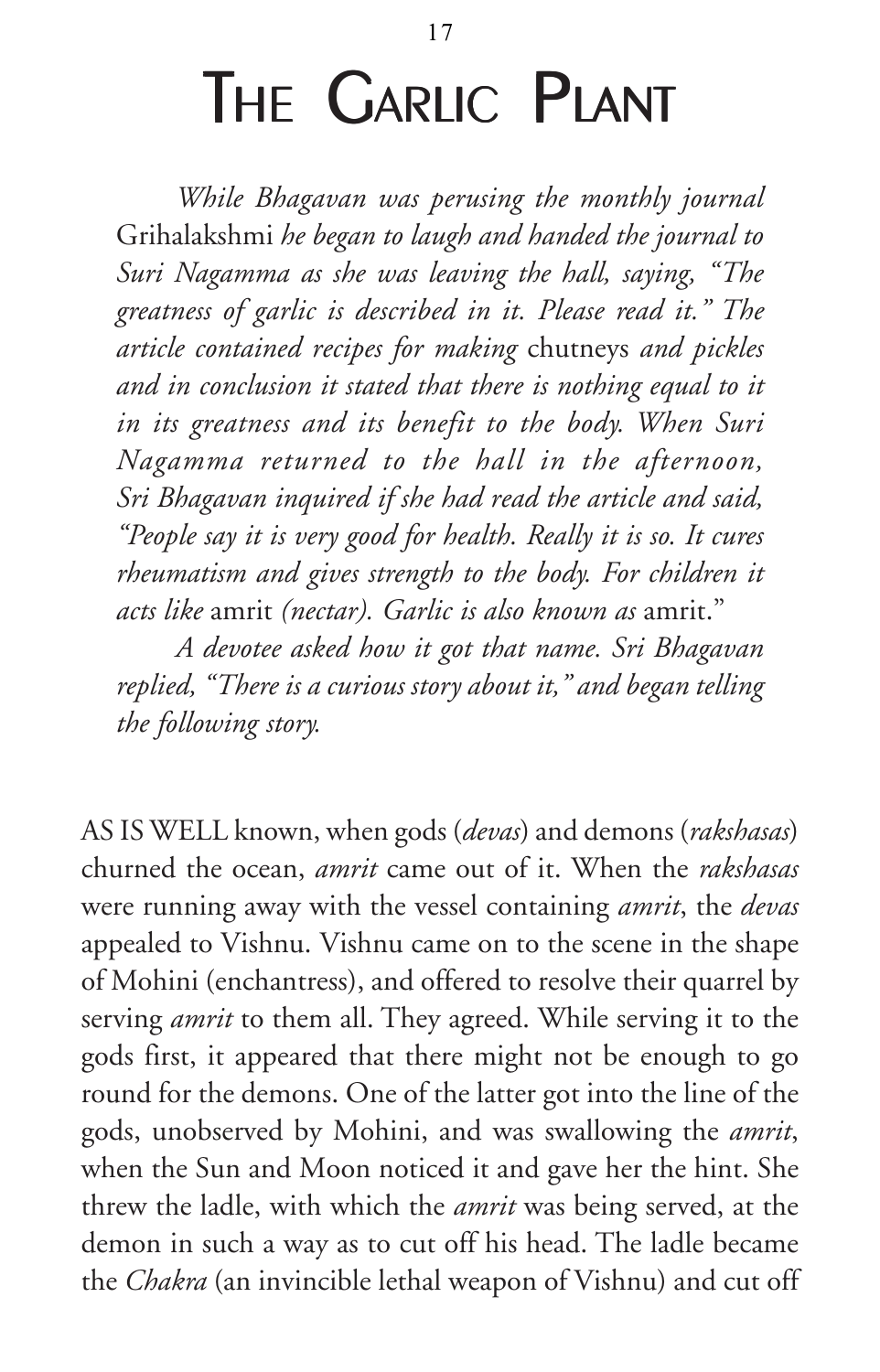## THE GARLIC PLANT

*While Bhagavan was perusing the monthly journal* Grihalakshmi *he began to laugh and handed the journal to Suri Nagamma as she was leaving the hall, saying, "The greatness of garlic is described in it. Please read it." The article contained recipes for making* chutneys *and pickles and in conclusion it stated that there is nothing equal to it in its greatness and its benefit to the body. When Suri Nagamma returned to the hall in the afternoon, Sri Bhagavan inquired if she had read the article and said, "People say it is very good for health. Really it is so. It cures rheumatism and gives strength to the body. For children it acts like* amrit *(nectar). Garlic is also known as* amrit."

*A devotee asked how it got that name. Sri Bhagavan replied, "There is a curious story about it," and began telling the following story.*

AS IS WELL known, when gods (*devas*) and demons (*rakshasas*) churned the ocean, *amrit* came out of it. When the *rakshasas* were running away with the vessel containing *amrit*, the *devas* appealed to Vishnu. Vishnu came on to the scene in the shape of Mohini (enchantress), and offered to resolve their quarrel by serving *amrit* to them all. They agreed. While serving it to the gods first, it appeared that there might not be enough to go round for the demons. One of the latter got into the line of the gods, unobserved by Mohini, and was swallowing the *amrit*, when the Sun and Moon noticed it and gave her the hint. She threw the ladle, with which the *amrit* was being served, at the demon in such a way as to cut off his head. The ladle became the *Chakra* (an invincible lethal weapon of Vishnu) and cut off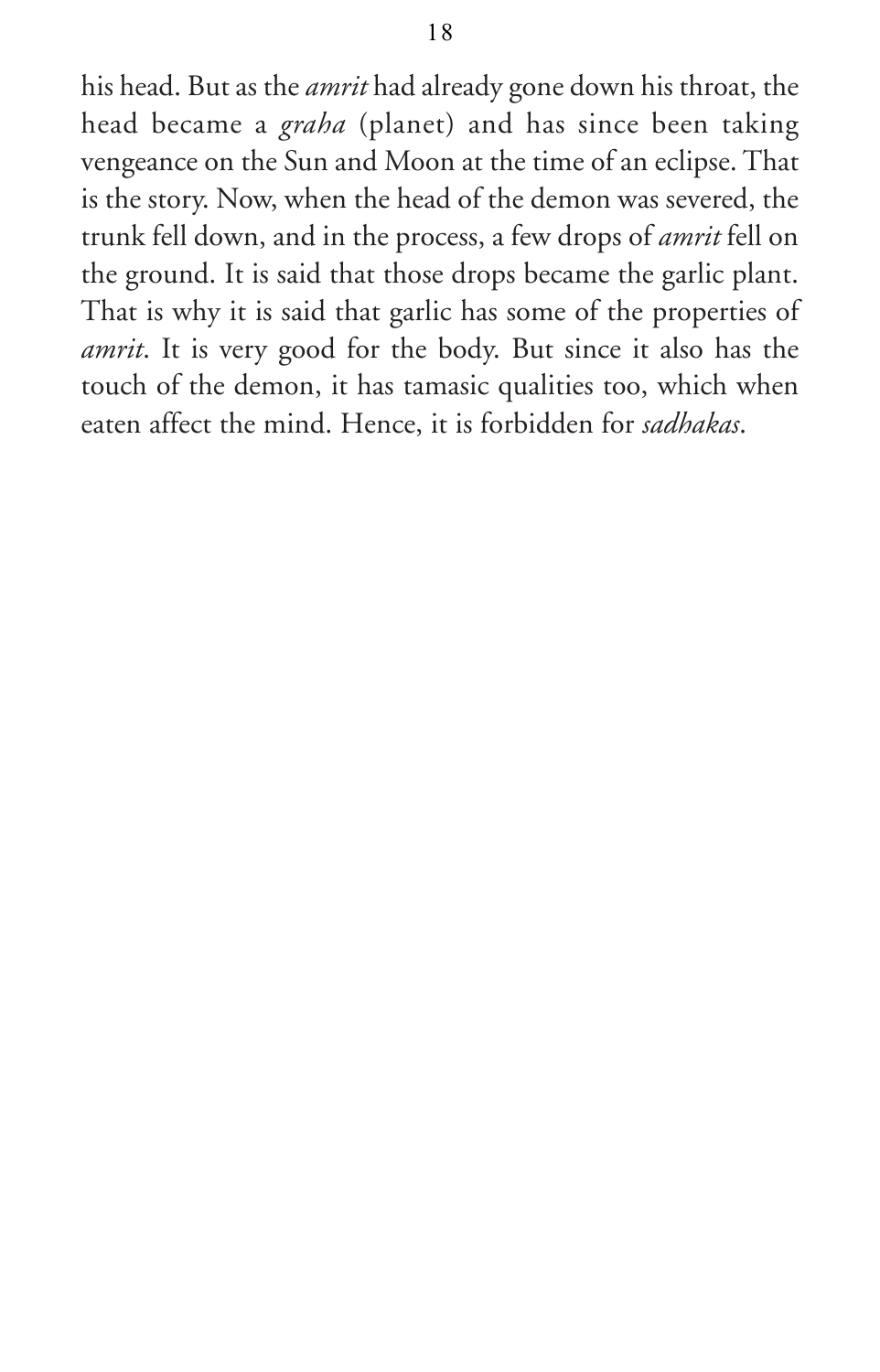his head. But as the *amrit* had already gone down his throat, the head became a *graha* (planet) and has since been taking vengeance on the Sun and Moon at the time of an eclipse. That is the story. Now, when the head of the demon was severed, the trunk fell down, and in the process, a few drops of *amrit* fell on the ground. It is said that those drops became the garlic plant. That is why it is said that garlic has some of the properties of *amrit*. It is very good for the body. But since it also has the touch of the demon, it has tamasic qualities too, which when eaten affect the mind. Hence, it is forbidden for *sadhakas*.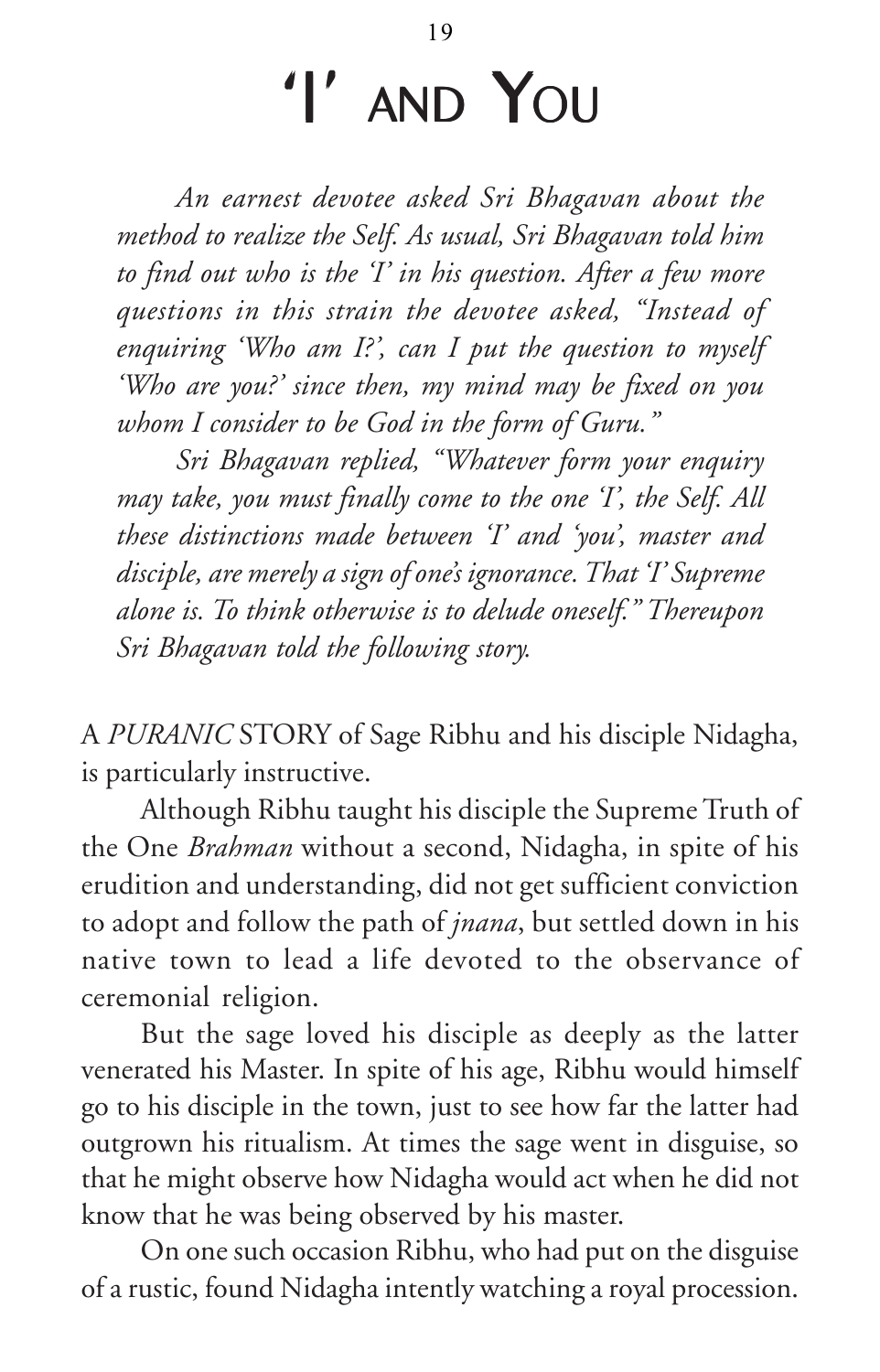# 'I' AND YOU

*An earnest devotee asked Sri Bhagavan about the method to realize the Self. As usual, Sri Bhagavan told him to find out who is the 'I' in his question. After a few more questions in this strain the devotee asked, "Instead of enquiring 'Who am I?', can I put the question to myself 'Who are you?' since then, my mind may be fixed on you whom I consider to be God in the form of Guru."*

*Sri Bhagavan replied, "Whatever form your enquiry may take, you must finally come to the one 'I', the Self. All these distinctions made between 'I' and 'you', master and disciple, are merely a sign of one's ignorance. That 'I' Supreme alone is. To think otherwise is to delude oneself." Thereupon Sri Bhagavan told the following story.*

A *PURANIC* STORY of Sage Ribhu and his disciple Nidagha, is particularly instructive.

Although Ribhu taught his disciple the Supreme Truth of the One *Brahman* without a second, Nidagha, in spite of his erudition and understanding, did not get sufficient conviction to adopt and follow the path of *jnana*, but settled down in his native town to lead a life devoted to the observance of ceremonial religion.

But the sage loved his disciple as deeply as the latter venerated his Master. In spite of his age, Ribhu would himself go to his disciple in the town, just to see how far the latter had outgrown his ritualism. At times the sage went in disguise, so that he might observe how Nidagha would act when he did not know that he was being observed by his master.

On one such occasion Ribhu, who had put on the disguise of a rustic, found Nidagha intently watching a royal procession.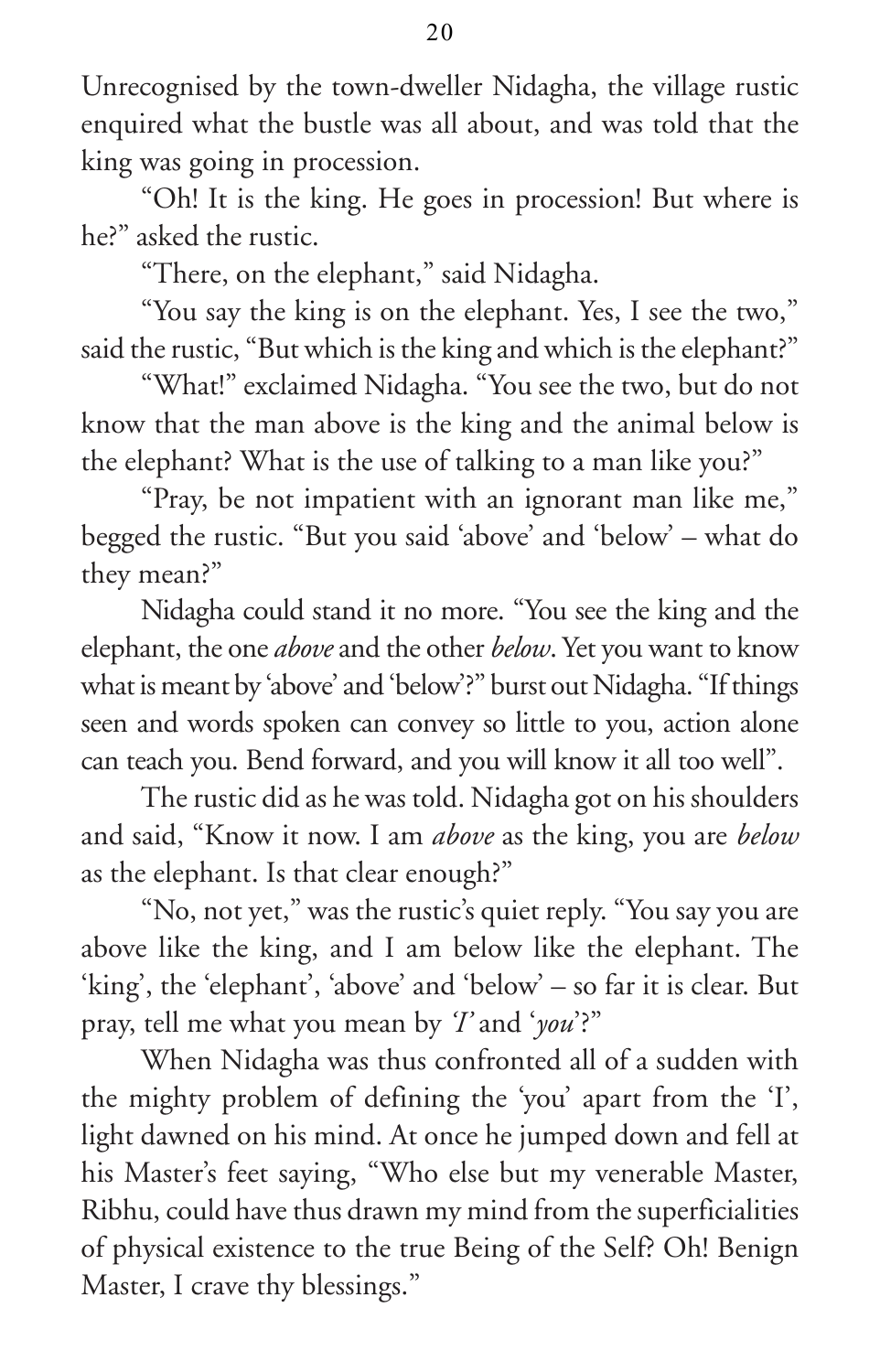Unrecognised by the town-dweller Nidagha, the village rustic enquired what the bustle was all about, and was told that the king was going in procession.

"Oh! It is the king. He goes in procession! But where is he?" asked the rustic.

"There, on the elephant," said Nidagha.

"You say the king is on the elephant. Yes, I see the two," said the rustic, "But which is the king and which is the elephant?"

"What!" exclaimed Nidagha. "You see the two, but do not know that the man above is the king and the animal below is the elephant? What is the use of talking to a man like you?"

"Pray, be not impatient with an ignorant man like me," begged the rustic. "But you said 'above' and 'below' – what do they mean?"

Nidagha could stand it no more. "You see the king and the elephant, the one *above* and the other *below*. Yet you want to know what is meant by 'above' and 'below'?" burst out Nidagha. "If things seen and words spoken can convey so little to you, action alone can teach you. Bend forward, and you will know it all too well".

The rustic did as he was told. Nidagha got on his shoulders and said, "Know it now. I am *above* as the king, you are *below* as the elephant. Is that clear enough?"

"No, not yet," was the rustic's quiet reply. "You say you are above like the king, and I am below like the elephant. The 'king', the 'elephant', 'above' and 'below' – so far it is clear. But pray, tell me what you mean by *'I'* and '*you*'?"

When Nidagha was thus confronted all of a sudden with the mighty problem of defining the 'you' apart from the 'I', light dawned on his mind. At once he jumped down and fell at his Master's feet saying, "Who else but my venerable Master, Ribhu, could have thus drawn my mind from the superficialities of physical existence to the true Being of the Self? Oh! Benign Master, I crave thy blessings."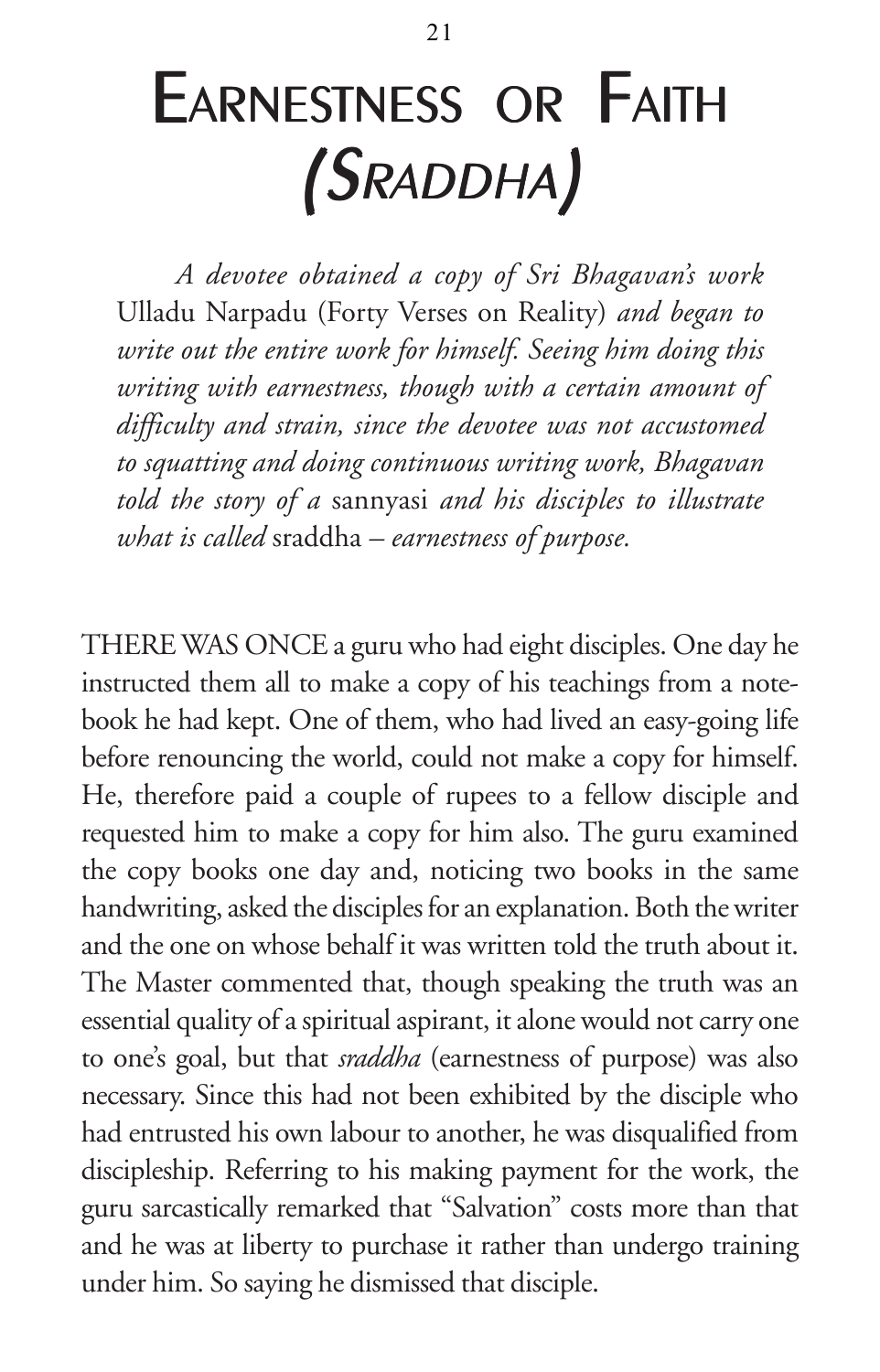## EARNESTNESS OR FAITH (SRADDHA)

*A devotee obtained a copy of Sri Bhagavan's work* Ulladu Narpadu (Forty Verses on Reality) *and began to write out the entire work for himself. Seeing him doing this writing with earnestness, though with a certain amount of difficulty and strain, since the devotee was not accustomed to squatting and doing continuous writing work, Bhagavan told the story of a* sannyasi *and his disciples to illustrate what is called* sraddha *– earnestness of purpose.*

THERE WAS ONCE a guru who had eight disciples. One day he instructed them all to make a copy of his teachings from a notebook he had kept. One of them, who had lived an easy-going life before renouncing the world, could not make a copy for himself. He, therefore paid a couple of rupees to a fellow disciple and requested him to make a copy for him also. The guru examined the copy books one day and, noticing two books in the same handwriting, asked the disciples for an explanation. Both the writer and the one on whose behalf it was written told the truth about it. The Master commented that, though speaking the truth was an essential quality of a spiritual aspirant, it alone would not carry one to one's goal, but that *sraddha* (earnestness of purpose) was also necessary. Since this had not been exhibited by the disciple who had entrusted his own labour to another, he was disqualified from discipleship. Referring to his making payment for the work, the guru sarcastically remarked that "Salvation" costs more than that and he was at liberty to purchase it rather than undergo training under him. So saying he dismissed that disciple.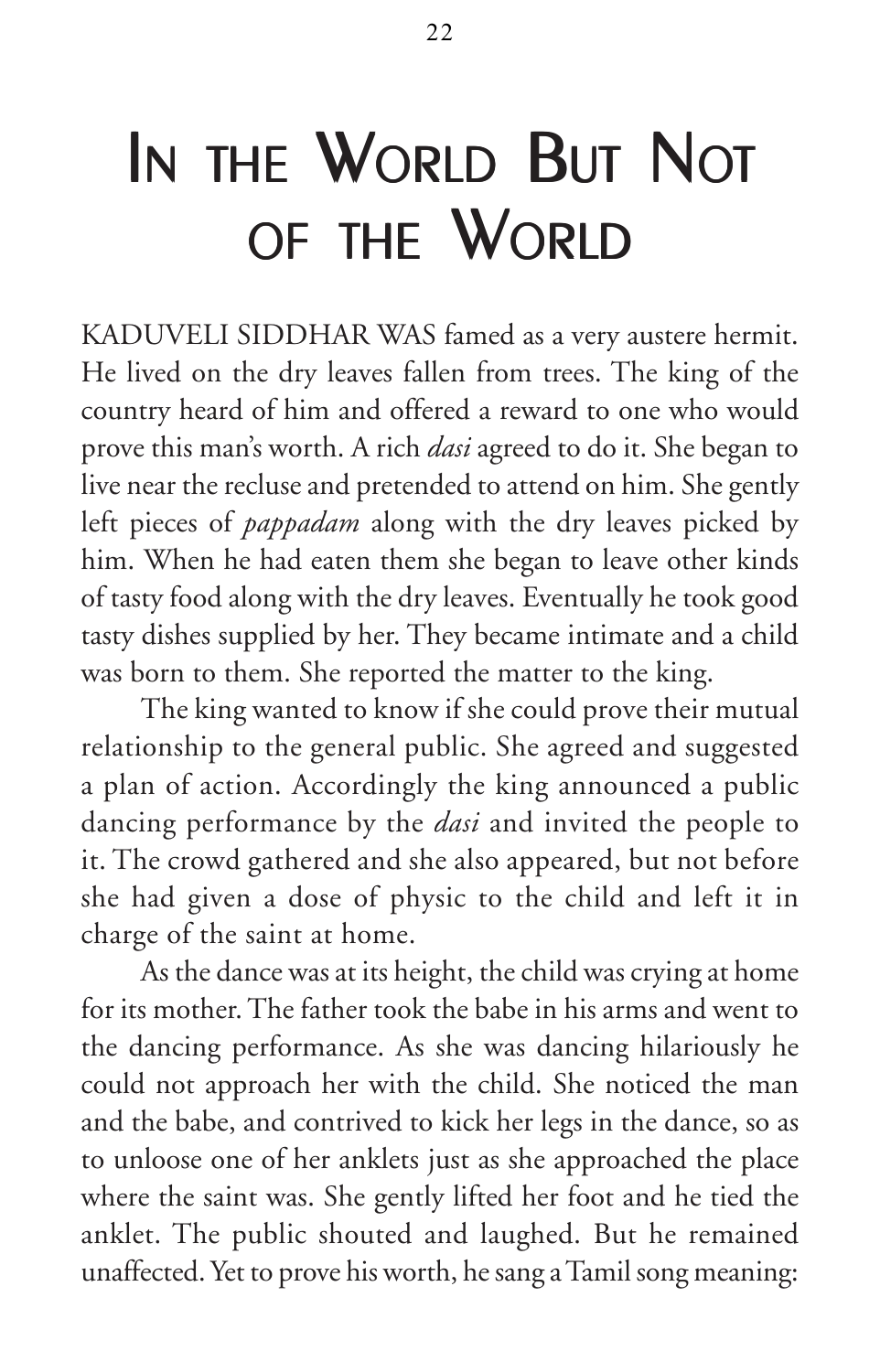## IN THE WORLD BUT NOT OF THE WORLD

KADUVELI SIDDHAR WAS famed as a very austere hermit. He lived on the dry leaves fallen from trees. The king of the country heard of him and offered a reward to one who would prove this man's worth. A rich *dasi* agreed to do it. She began to live near the recluse and pretended to attend on him. She gently left pieces of *pappadam* along with the dry leaves picked by him. When he had eaten them she began to leave other kinds of tasty food along with the dry leaves. Eventually he took good tasty dishes supplied by her. They became intimate and a child was born to them. She reported the matter to the king.

The king wanted to know if she could prove their mutual relationship to the general public. She agreed and suggested a plan of action. Accordingly the king announced a public dancing performance by the *dasi* and invited the people to it. The crowd gathered and she also appeared, but not before she had given a dose of physic to the child and left it in charge of the saint at home.

As the dance was at its height, the child was crying at home for its mother. The father took the babe in his arms and went to the dancing performance. As she was dancing hilariously he could not approach her with the child. She noticed the man and the babe, and contrived to kick her legs in the dance, so as to unloose one of her anklets just as she approached the place where the saint was. She gently lifted her foot and he tied the anklet. The public shouted and laughed. But he remained unaffected. Yet to prove his worth, he sang a Tamil song meaning: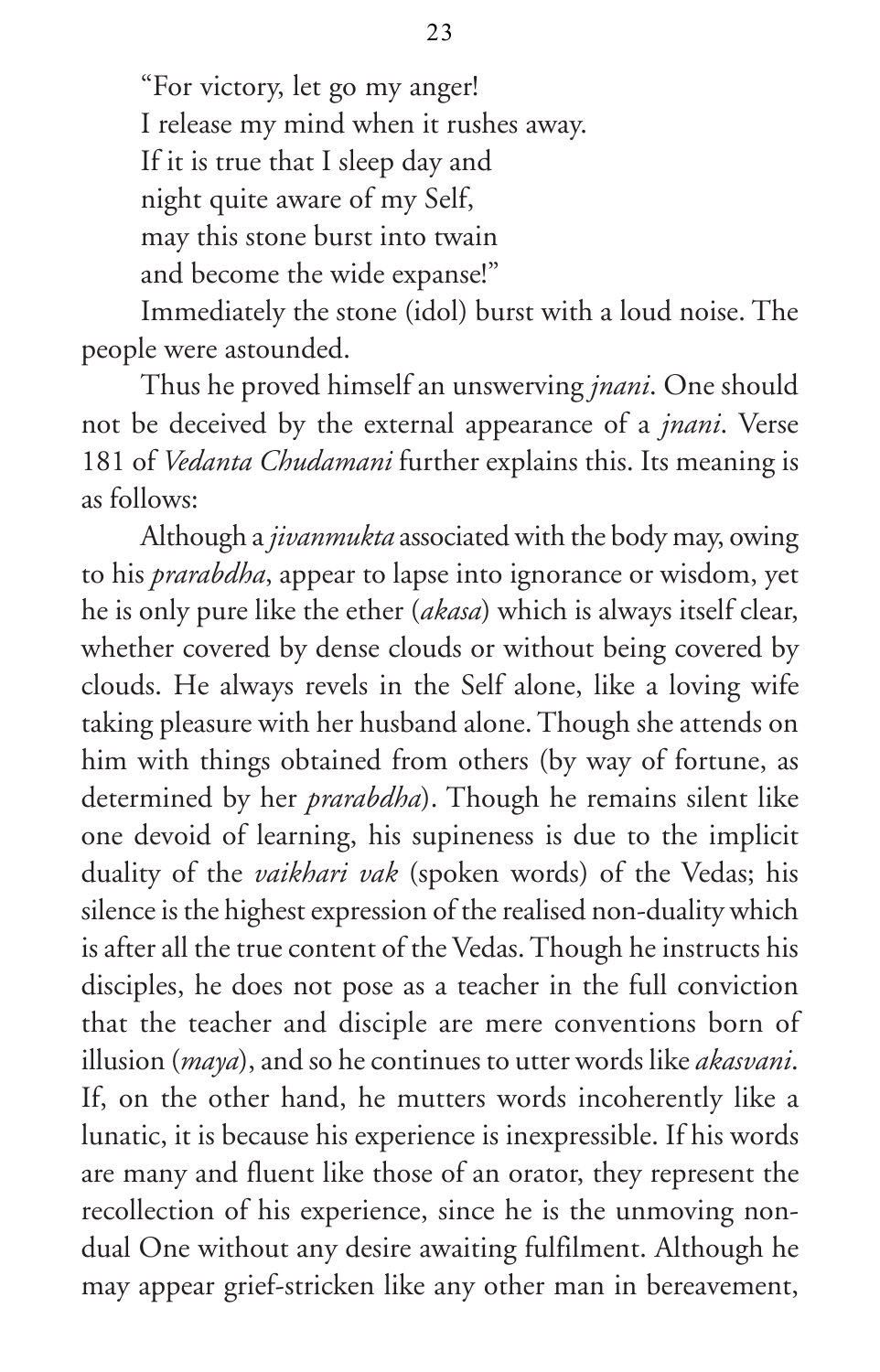"For victory, let go my anger! I release my mind when it rushes away. If it is true that I sleep day and night quite aware of my Self, may this stone burst into twain and become the wide expanse!"

Immediately the stone (idol) burst with a loud noise. The people were astounded.

Thus he proved himself an unswerving *jnani*. One should not be deceived by the external appearance of a *jnani*. Verse 181 of *Vedanta Chudamani* further explains this. Its meaning is as follows:

Although a *jivanmukta* associated with the body may, owing to his *prarabdha*, appear to lapse into ignorance or wisdom, yet he is only pure like the ether (*akasa*) which is always itself clear, whether covered by dense clouds or without being covered by clouds. He always revels in the Self alone, like a loving wife taking pleasure with her husband alone. Though she attends on him with things obtained from others (by way of fortune, as determined by her *prarabdha*). Though he remains silent like one devoid of learning, his supineness is due to the implicit duality of the *vaikhari vak* (spoken words) of the Vedas; his silence is the highest expression of the realised non-duality which is after all the true content of the Vedas. Though he instructs his disciples, he does not pose as a teacher in the full conviction that the teacher and disciple are mere conventions born of illusion (*maya*), and so he continues to utter words like *akasvani*. If, on the other hand, he mutters words incoherently like a lunatic, it is because his experience is inexpressible. If his words are many and fluent like those of an orator, they represent the recollection of his experience, since he is the unmoving nondual One without any desire awaiting fulfilment. Although he may appear grief-stricken like any other man in bereavement,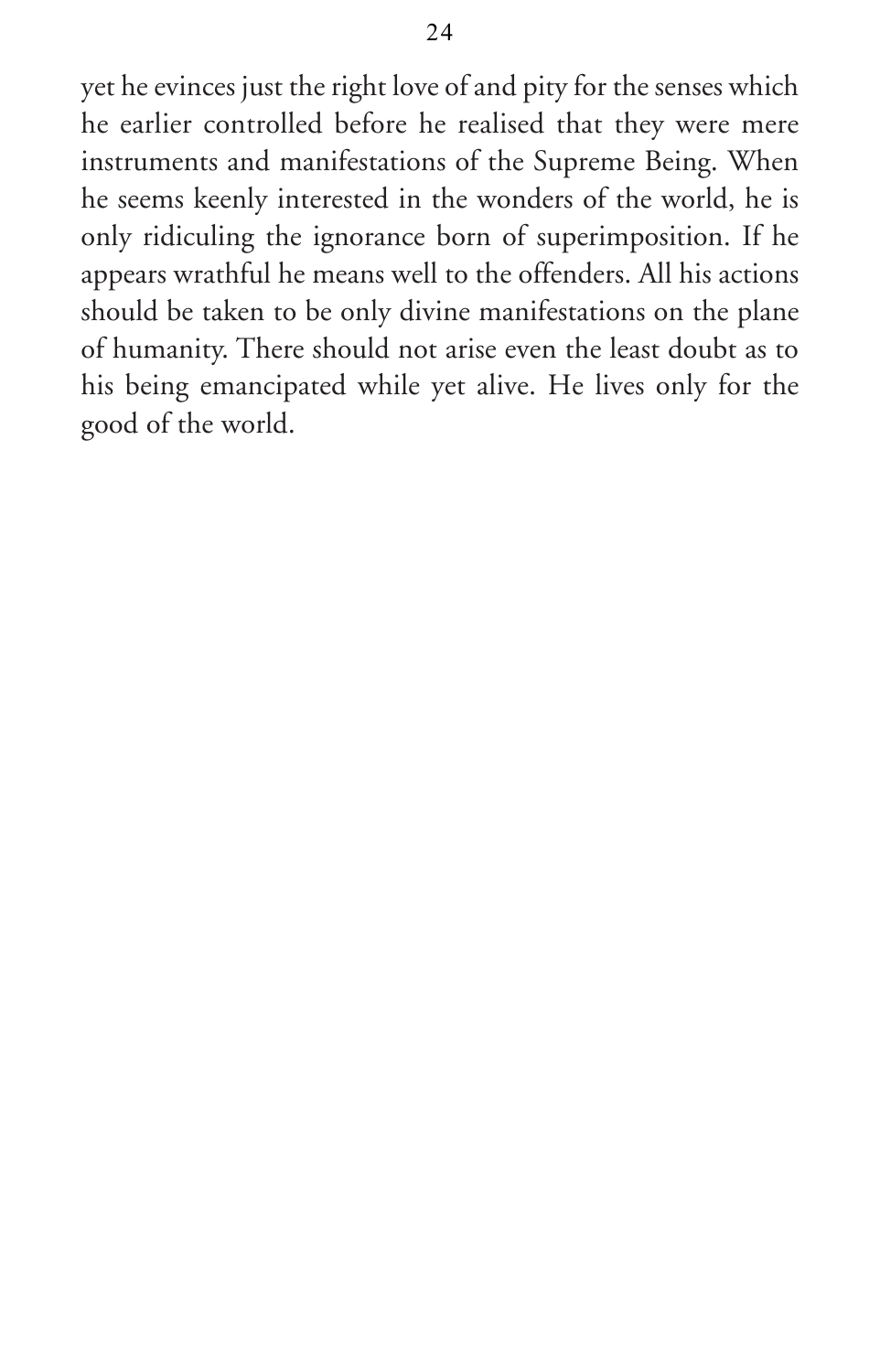yet he evinces just the right love of and pity for the senses which he earlier controlled before he realised that they were mere instruments and manifestations of the Supreme Being. When he seems keenly interested in the wonders of the world, he is only ridiculing the ignorance born of superimposition. If he appears wrathful he means well to the offenders. All his actions should be taken to be only divine manifestations on the plane of humanity. There should not arise even the least doubt as to his being emancipated while yet alive. He lives only for the good of the world.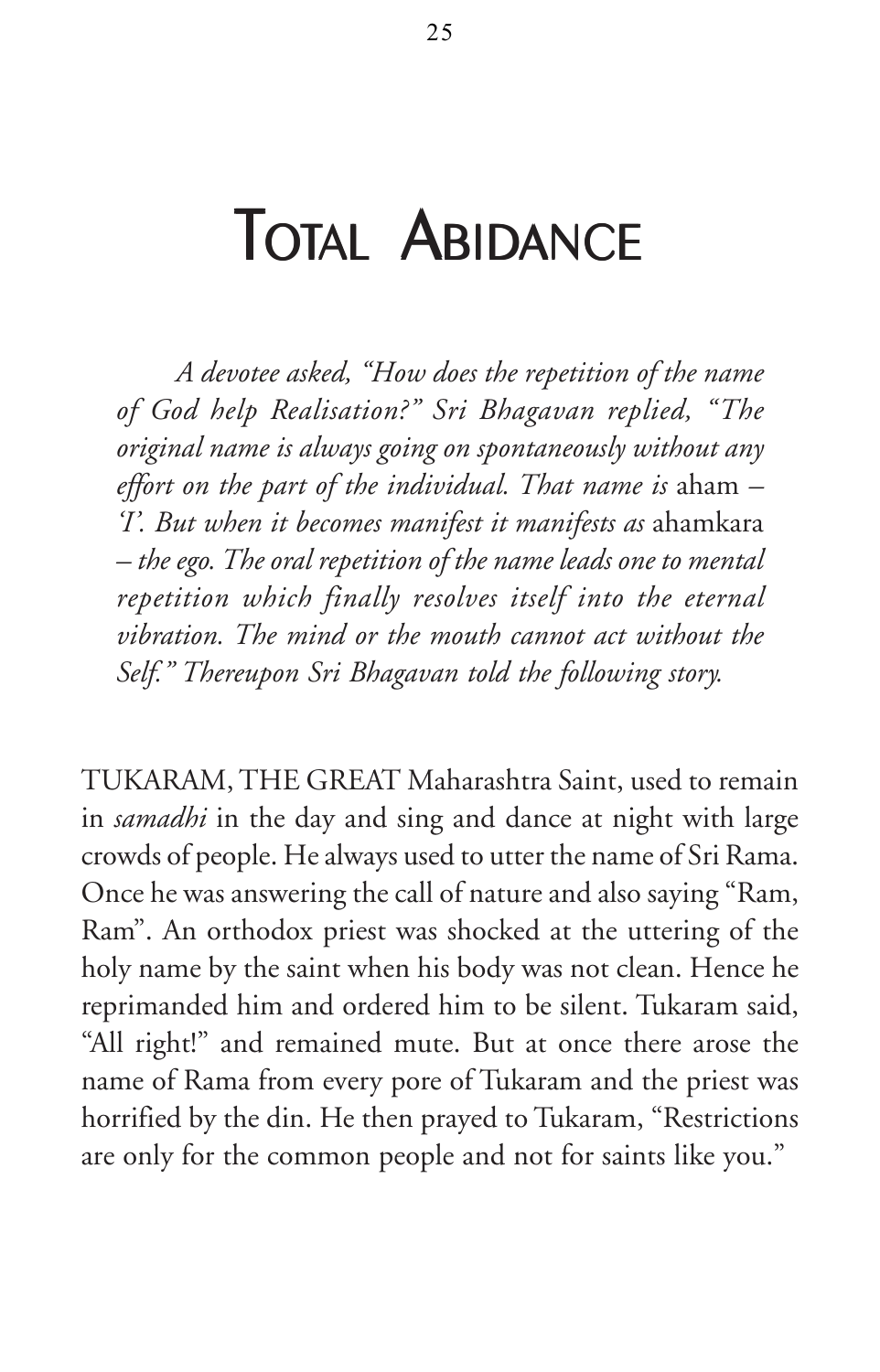#### **TOTAL ABIDANCE**

*A devotee asked, "How does the repetition of the name of God help Realisation?" Sri Bhagavan replied, "The original name is always going on spontaneously without any effort on the part of the individual. That name is* aham *– 'I'. But when it becomes manifest it manifests as* ahamkara *– the ego. The oral repetition of the name leads one to mental repetition which finally resolves itself into the eternal vibration. The mind or the mouth cannot act without the Self." Thereupon Sri Bhagavan told the following story.*

TUKARAM, THE GREAT Maharashtra Saint, used to remain in *samadhi* in the day and sing and dance at night with large crowds of people. He always used to utter the name of Sri Rama. Once he was answering the call of nature and also saying "Ram, Ram". An orthodox priest was shocked at the uttering of the holy name by the saint when his body was not clean. Hence he reprimanded him and ordered him to be silent. Tukaram said, "All right!" and remained mute. But at once there arose the name of Rama from every pore of Tukaram and the priest was horrified by the din. He then prayed to Tukaram, "Restrictions are only for the common people and not for saints like you."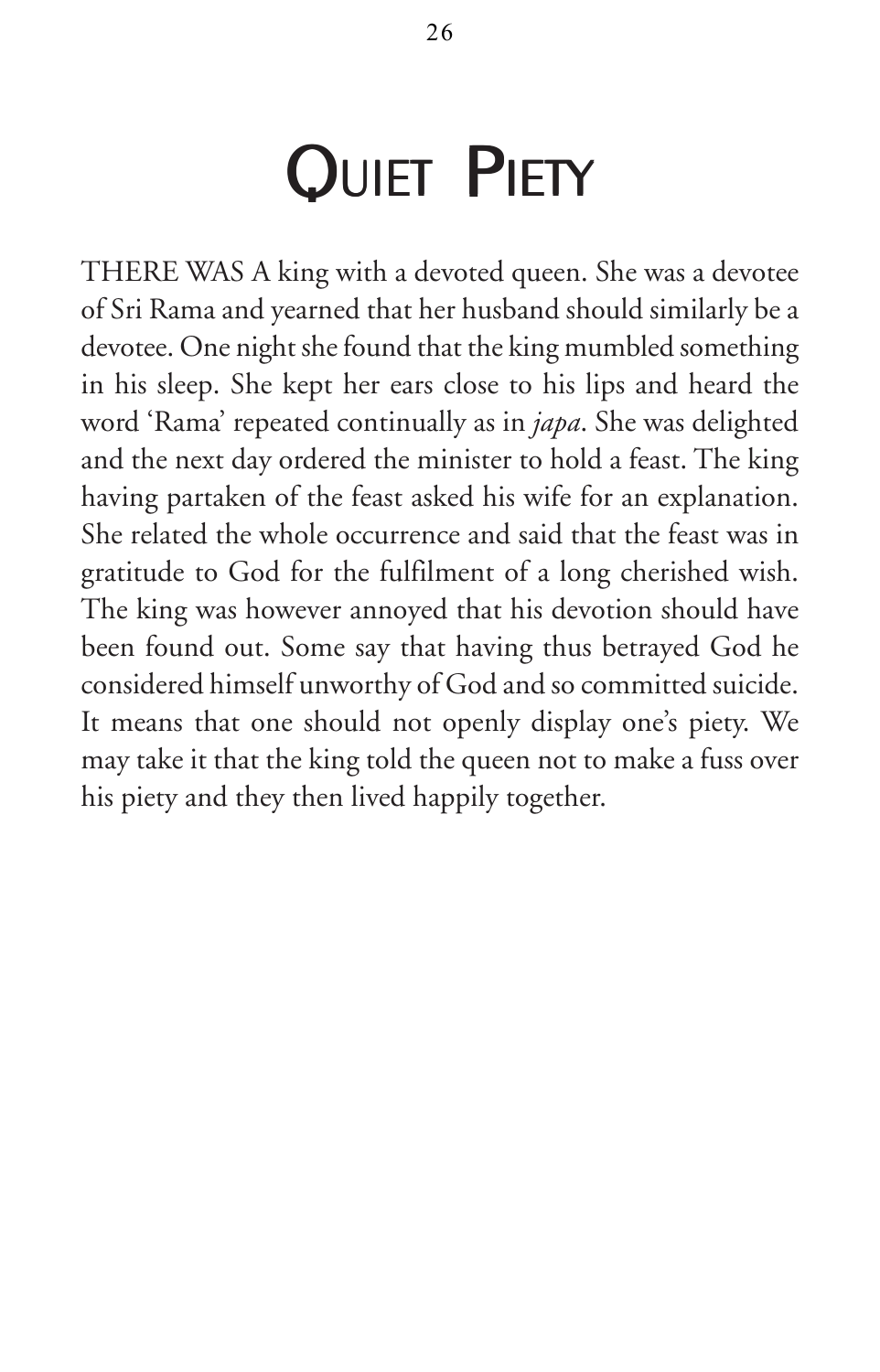## **QUIET PIETY**

THERE WAS A king with a devoted queen. She was a devotee of Sri Rama and yearned that her husband should similarly be a devotee. One night she found that the king mumbled something in his sleep. She kept her ears close to his lips and heard the word 'Rama' repeated continually as in *japa*. She was delighted and the next day ordered the minister to hold a feast. The king having partaken of the feast asked his wife for an explanation. She related the whole occurrence and said that the feast was in gratitude to God for the fulfilment of a long cherished wish. The king was however annoyed that his devotion should have been found out. Some say that having thus betrayed God he considered himself unworthy of God and so committed suicide. It means that one should not openly display one's piety. We may take it that the king told the queen not to make a fuss over his piety and they then lived happily together.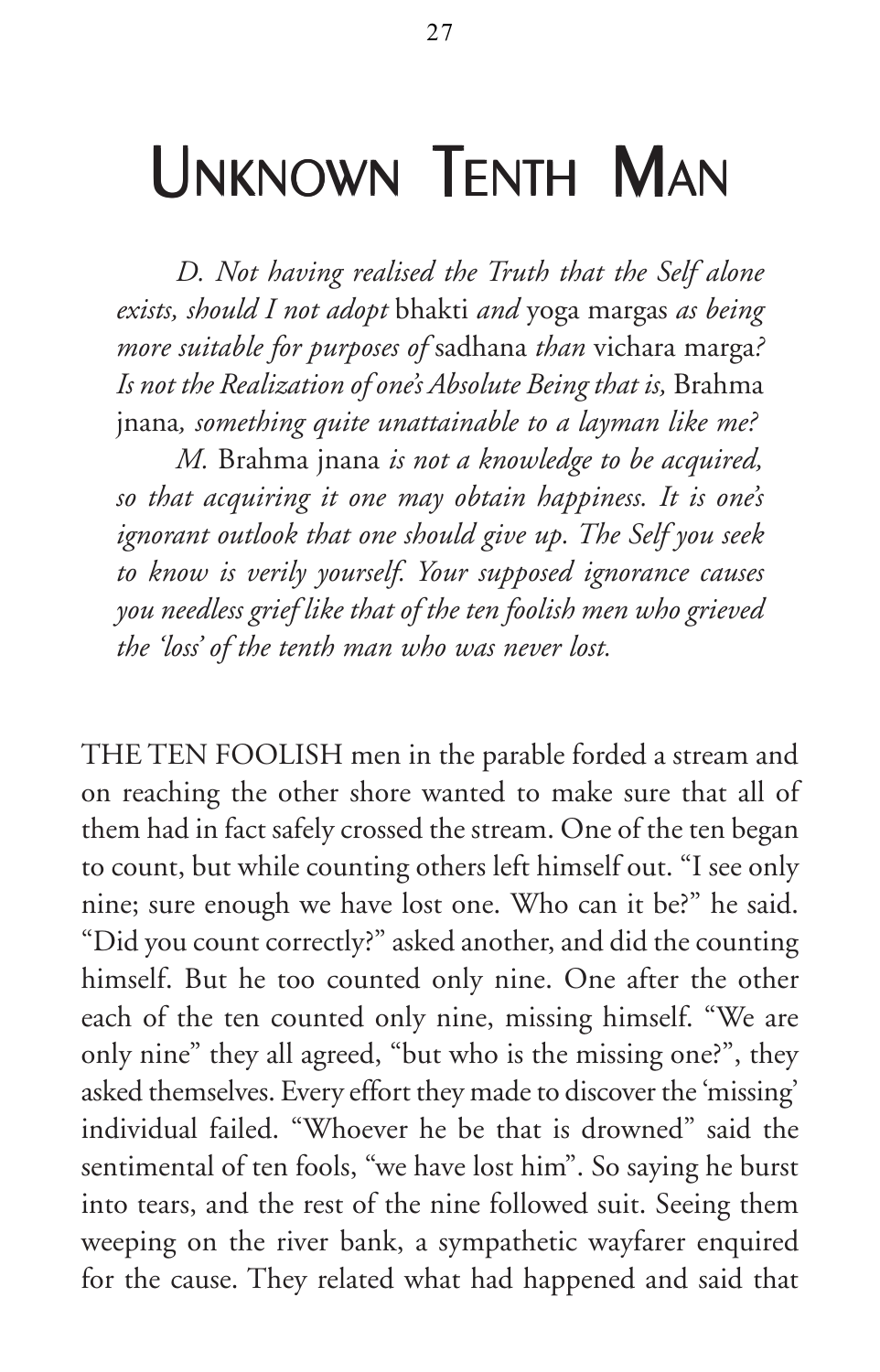### UNKNOWN TENTH MAN

*D. Not having realised the Truth that the Self alone exists, should I not adopt* bhakti *and* yoga margas *as being more suitable for purposes of* sadhana *than* vichara marga*? Is not the Realization of one's Absolute Being that is,* Brahma jnana*, something quite unattainable to a layman like me?*

*M.* Brahma jnana *is not a knowledge to be acquired, so that acquiring it one may obtain happiness. It is one's ignorant outlook that one should give up. The Self you seek to know is verily yourself. Your supposed ignorance causes you needless grief like that of the ten foolish men who grieved the 'loss' of the tenth man who was never lost.*

THE TEN FOOLISH men in the parable forded a stream and on reaching the other shore wanted to make sure that all of them had in fact safely crossed the stream. One of the ten began to count, but while counting others left himself out. "I see only nine; sure enough we have lost one. Who can it be?" he said. "Did you count correctly?" asked another, and did the counting himself. But he too counted only nine. One after the other each of the ten counted only nine, missing himself. "We are only nine" they all agreed, "but who is the missing one?", they asked themselves. Every effort they made to discover the 'missing' individual failed. "Whoever he be that is drowned" said the sentimental of ten fools, "we have lost him". So saying he burst into tears, and the rest of the nine followed suit. Seeing them weeping on the river bank, a sympathetic wayfarer enquired for the cause. They related what had happened and said that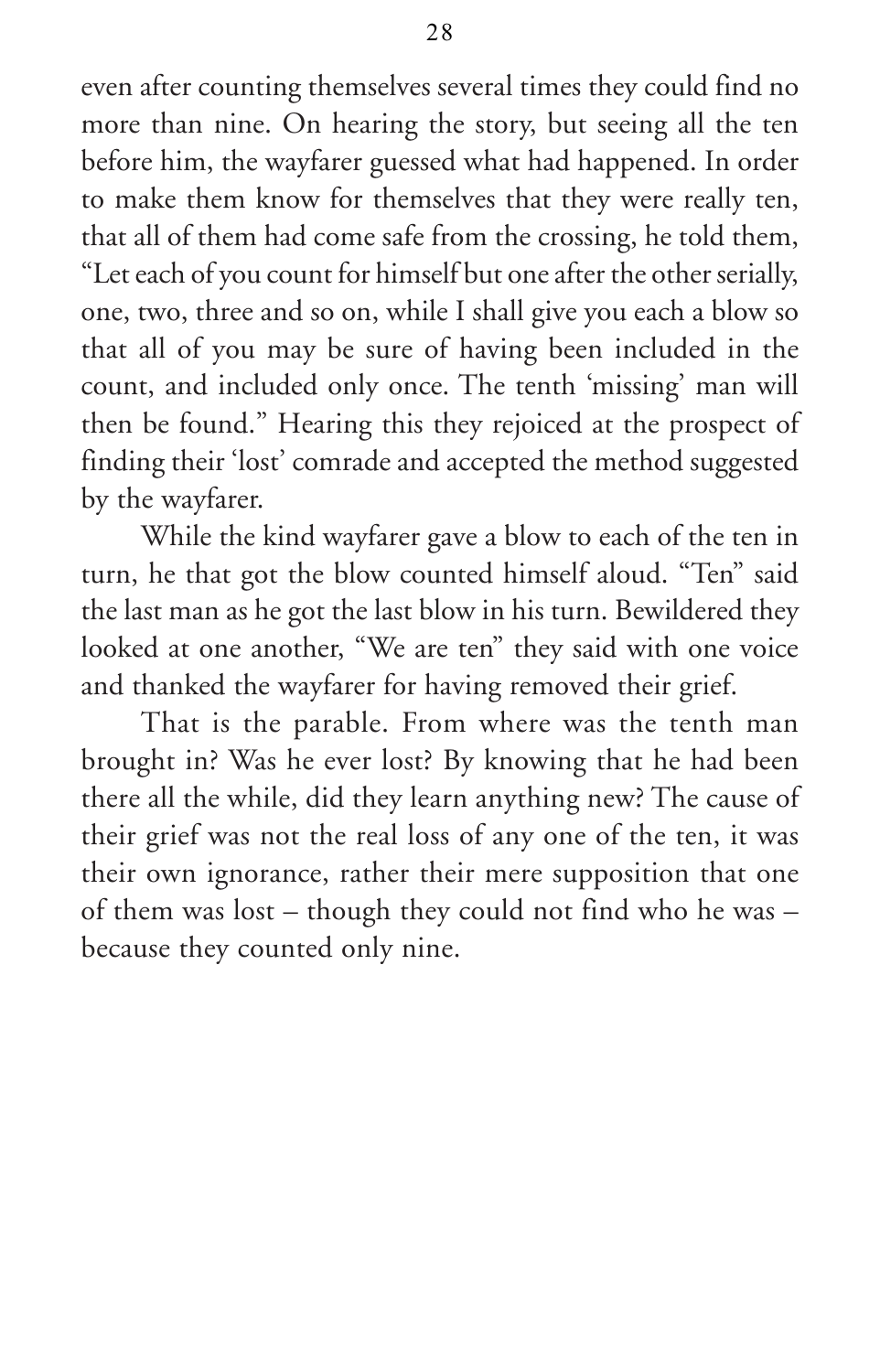even after counting themselves several times they could find no more than nine. On hearing the story, but seeing all the ten before him, the wayfarer guessed what had happened. In order to make them know for themselves that they were really ten, that all of them had come safe from the crossing, he told them, "Let each of you count for himself but one after the other serially, one, two, three and so on, while I shall give you each a blow so that all of you may be sure of having been included in the count, and included only once. The tenth 'missing' man will then be found." Hearing this they rejoiced at the prospect of finding their 'lost' comrade and accepted the method suggested by the wayfarer.

While the kind wayfarer gave a blow to each of the ten in turn, he that got the blow counted himself aloud. "Ten" said the last man as he got the last blow in his turn. Bewildered they looked at one another, "We are ten" they said with one voice and thanked the wayfarer for having removed their grief.

That is the parable. From where was the tenth man brought in? Was he ever lost? By knowing that he had been there all the while, did they learn anything new? The cause of their grief was not the real loss of any one of the ten, it was their own ignorance, rather their mere supposition that one of them was lost – though they could not find who he was – because they counted only nine.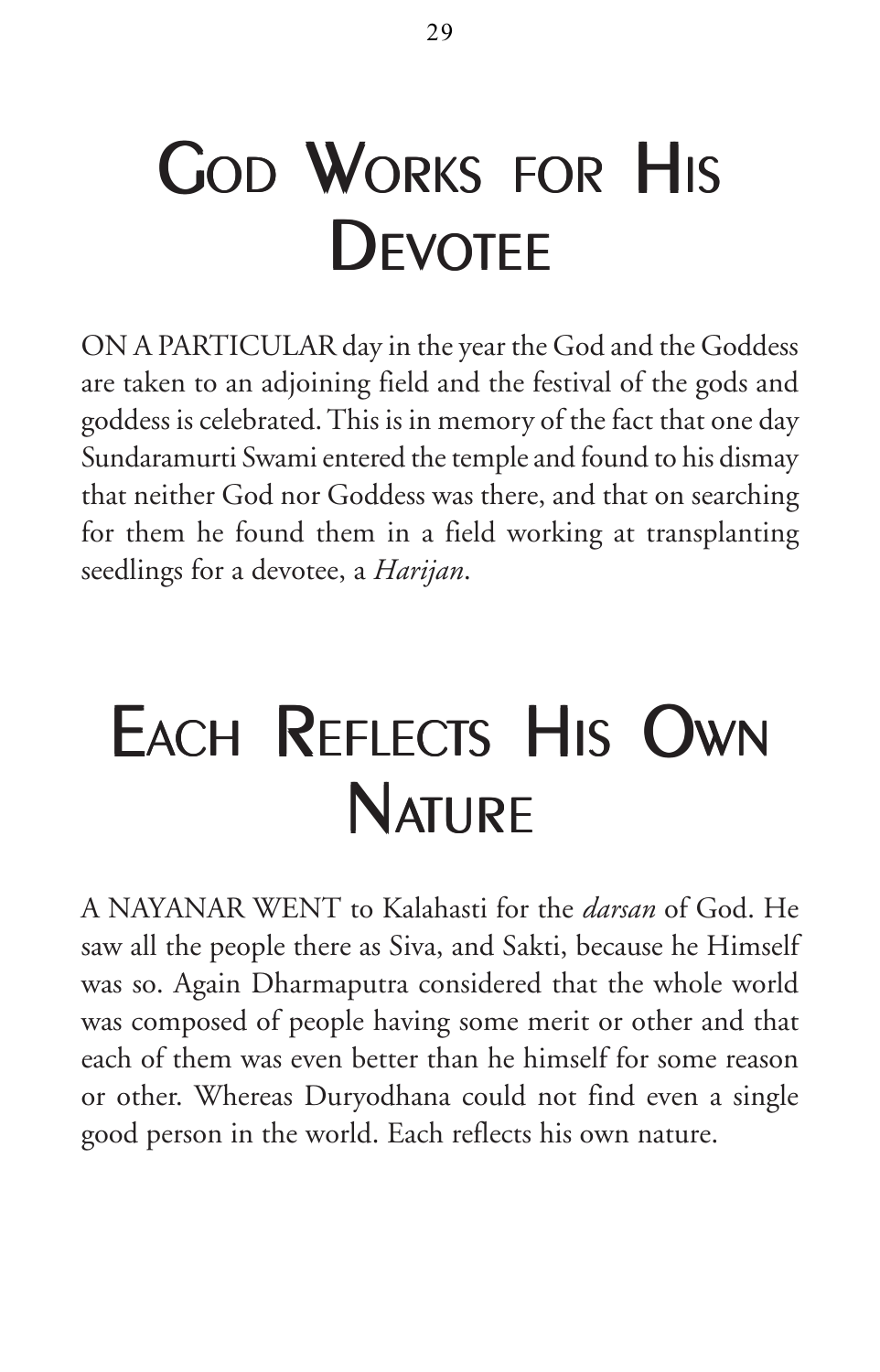# GOD WORKS FOR HIS **DEVOTEE**

ON A PARTICULAR day in the year the God and the Goddess are taken to an adjoining field and the festival of the gods and goddess is celebrated. This is in memory of the fact that one day Sundaramurti Swami entered the temple and found to his dismay that neither God nor Goddess was there, and that on searching for them he found them in a field working at transplanting seedlings for a devotee, a *Harijan*.

# EACH REFLECTS HIS OWN **NATURE**

A NAYANAR WENT to Kalahasti for the *darsan* of God. He saw all the people there as Siva, and Sakti, because he Himself was so. Again Dharmaputra considered that the whole world was composed of people having some merit or other and that each of them was even better than he himself for some reason or other. Whereas Duryodhana could not find even a single good person in the world. Each reflects his own nature.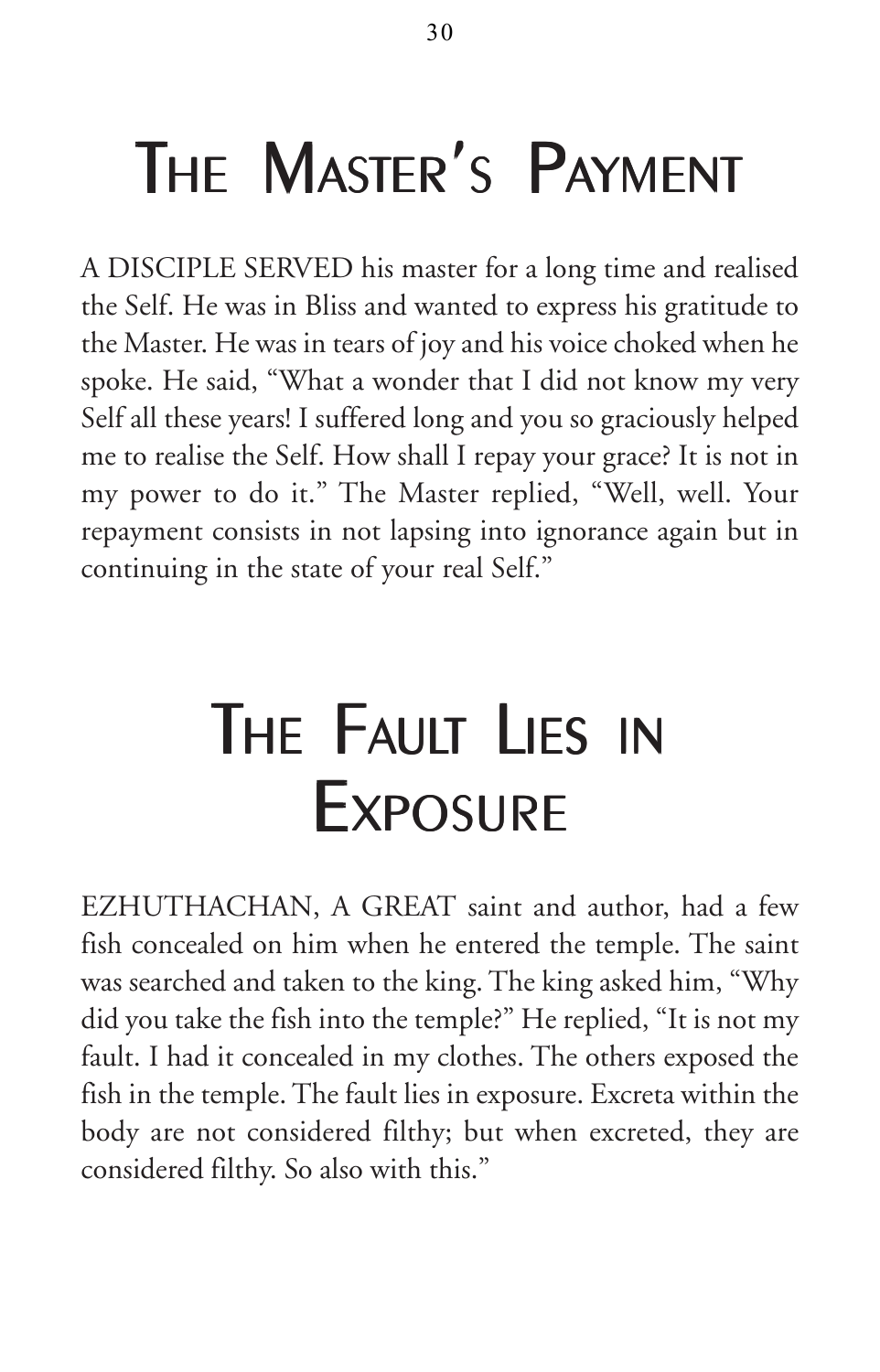# THE MASTER'S PAYMENT

A DISCIPLE SERVED his master for a long time and realised the Self. He was in Bliss and wanted to express his gratitude to the Master. He was in tears of joy and his voice choked when he spoke. He said, "What a wonder that I did not know my very Self all these years! I suffered long and you so graciously helped me to realise the Self. How shall I repay your grace? It is not in my power to do it." The Master replied, "Well, well. Your repayment consists in not lapsing into ignorance again but in continuing in the state of your real Self."

# THE FAULT LIES IN **EXPOSURE**

EZHUTHACHAN, A GREAT saint and author, had a few fish concealed on him when he entered the temple. The saint was searched and taken to the king. The king asked him, "Why did you take the fish into the temple?" He replied, "It is not my fault. I had it concealed in my clothes. The others exposed the fish in the temple. The fault lies in exposure. Excreta within the body are not considered filthy; but when excreted, they are considered filthy. So also with this."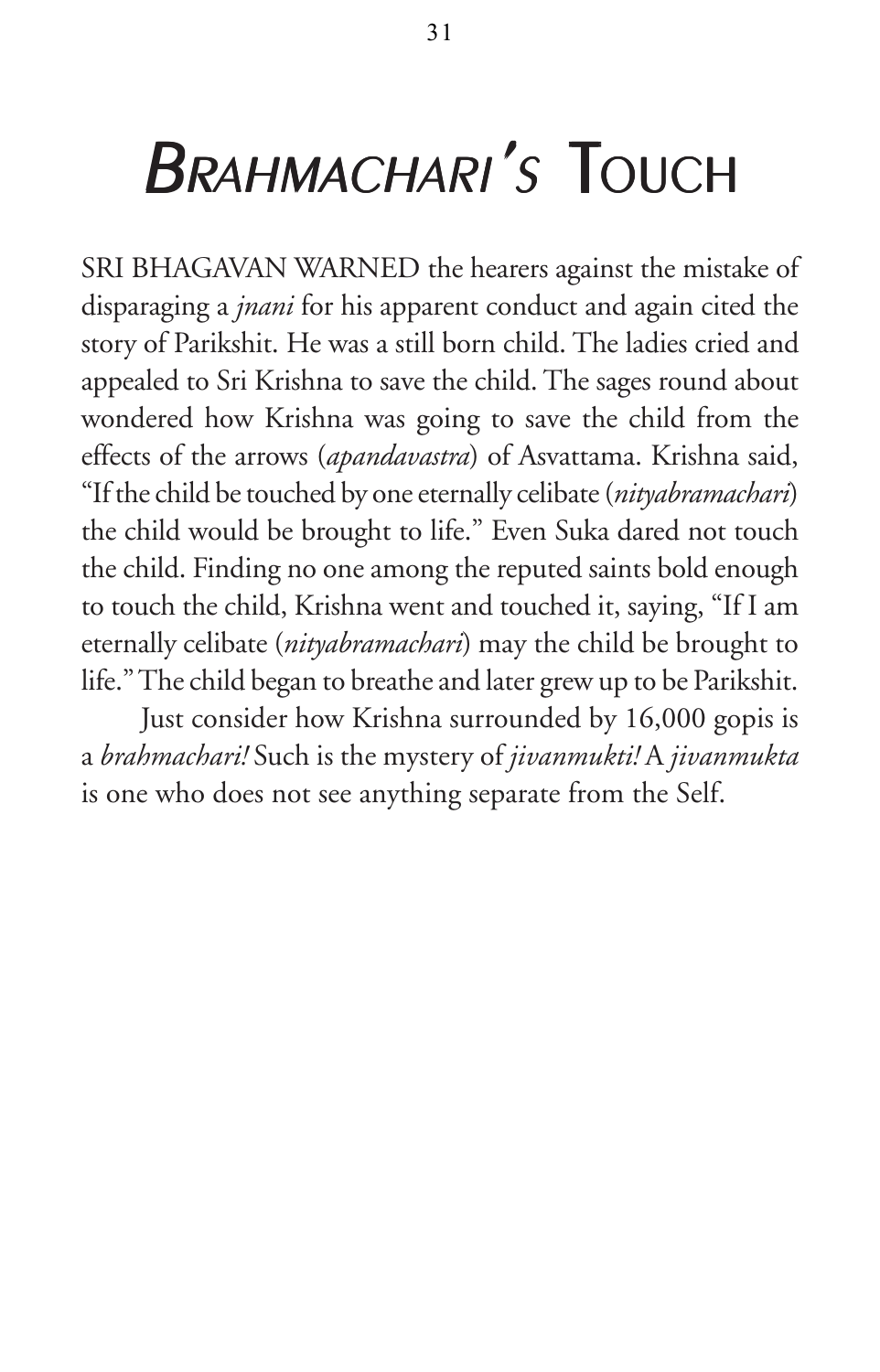# Brahmachari's Touch

SRI BHAGAVAN WARNED the hearers against the mistake of disparaging a *jnani* for his apparent conduct and again cited the story of Parikshit. He was a still born child. The ladies cried and appealed to Sri Krishna to save the child. The sages round about wondered how Krishna was going to save the child from the effects of the arrows (*apandavastra*) of Asvattama. Krishna said, "If the child be touched by one eternally celibate (*nityabramachari*) the child would be brought to life." Even Suka dared not touch the child. Finding no one among the reputed saints bold enough to touch the child, Krishna went and touched it, saying, "If I am eternally celibate (*nityabramachari*) may the child be brought to life." The child began to breathe and later grew up to be Parikshit.

Just consider how Krishna surrounded by 16,000 gopis is a *brahmachari!* Such is the mystery of *jivanmukti!* A *jivanmukta* is one who does not see anything separate from the Self.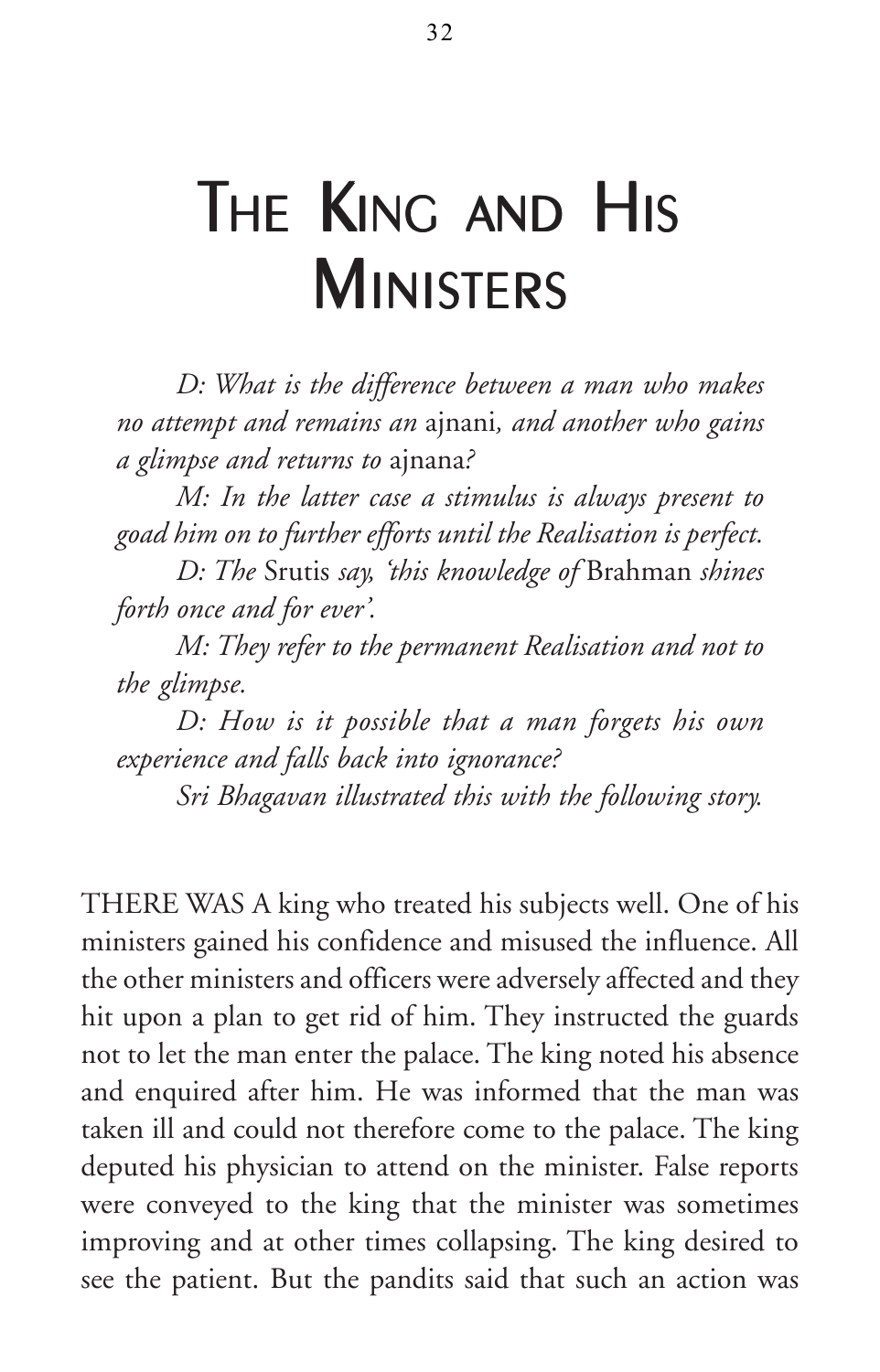# THE KING AND HIS **MINISTERS**

*D: What is the difference between a man who makes no attempt and remains an* ajnani*, and another who gains a glimpse and returns to* ajnana*?*

*M: In the latter case a stimulus is always present to goad him on to further efforts until the Realisation is perfect.*

*D: The* Srutis *say, 'this knowledge of* Brahman *shines forth once and for ever'.*

*M: They refer to the permanent Realisation and not to the glimpse.*

*D: How is it possible that a man forgets his own experience and falls back into ignorance?*

*Sri Bhagavan illustrated this with the following story.*

THERE WAS A king who treated his subjects well. One of his ministers gained his confidence and misused the influence. All the other ministers and officers were adversely affected and they hit upon a plan to get rid of him. They instructed the guards not to let the man enter the palace. The king noted his absence and enquired after him. He was informed that the man was taken ill and could not therefore come to the palace. The king deputed his physician to attend on the minister. False reports were conveyed to the king that the minister was sometimes improving and at other times collapsing. The king desired to see the patient. But the pandits said that such an action was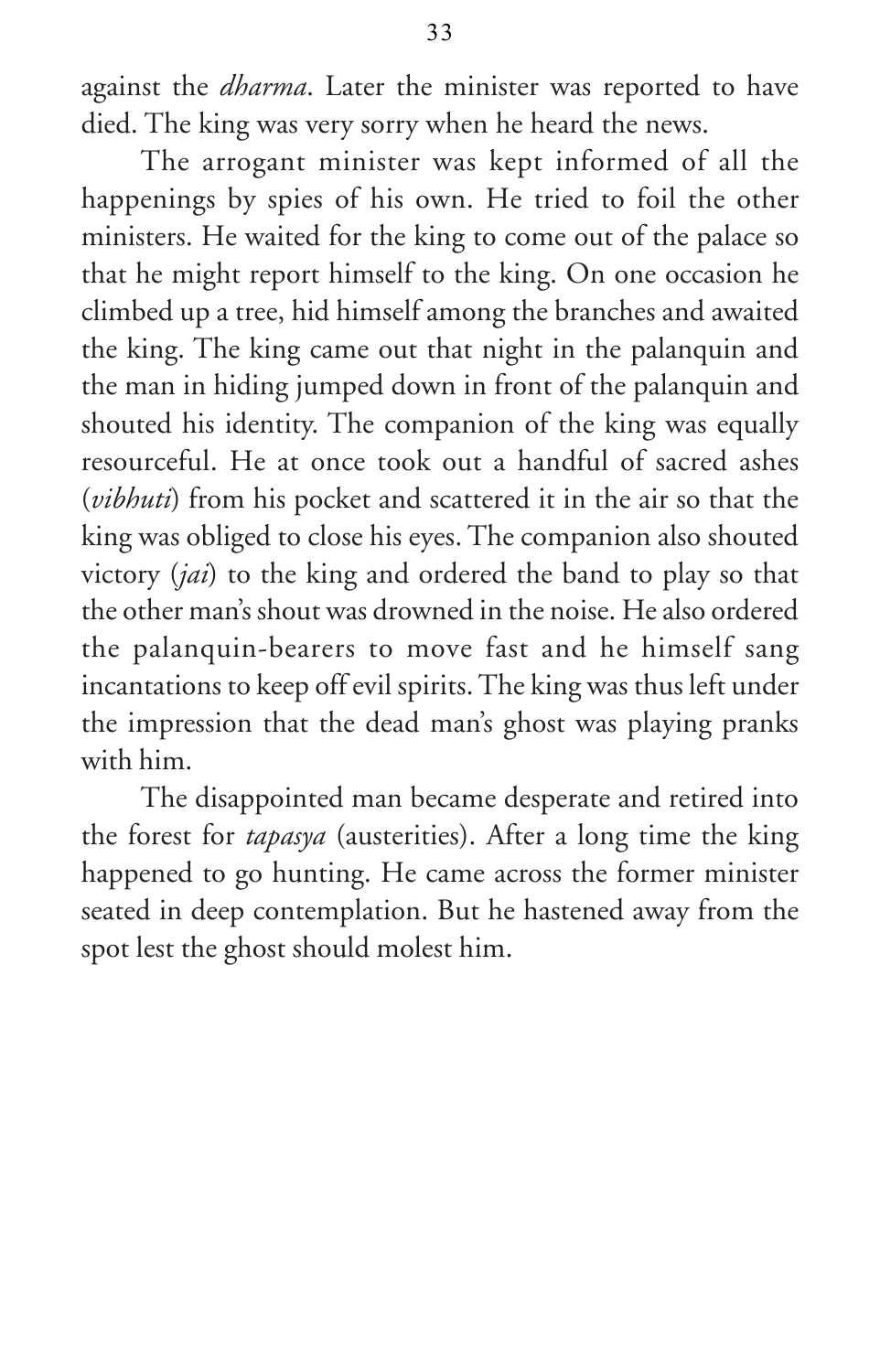against the *dharma*. Later the minister was reported to have died. The king was very sorry when he heard the news.

The arrogant minister was kept informed of all the happenings by spies of his own. He tried to foil the other ministers. He waited for the king to come out of the palace so that he might report himself to the king. On one occasion he climbed up a tree, hid himself among the branches and awaited the king. The king came out that night in the palanquin and the man in hiding jumped down in front of the palanquin and shouted his identity. The companion of the king was equally resourceful. He at once took out a handful of sacred ashes (*vibhuti*) from his pocket and scattered it in the air so that the king was obliged to close his eyes. The companion also shouted victory (*jai*) to the king and ordered the band to play so that the other man's shout was drowned in the noise. He also ordered the palanquin-bearers to move fast and he himself sang incantations to keep off evil spirits. The king was thus left under the impression that the dead man's ghost was playing pranks with him.

The disappointed man became desperate and retired into the forest for *tapasya* (austerities). After a long time the king happened to go hunting. He came across the former minister seated in deep contemplation. But he hastened away from the spot lest the ghost should molest him.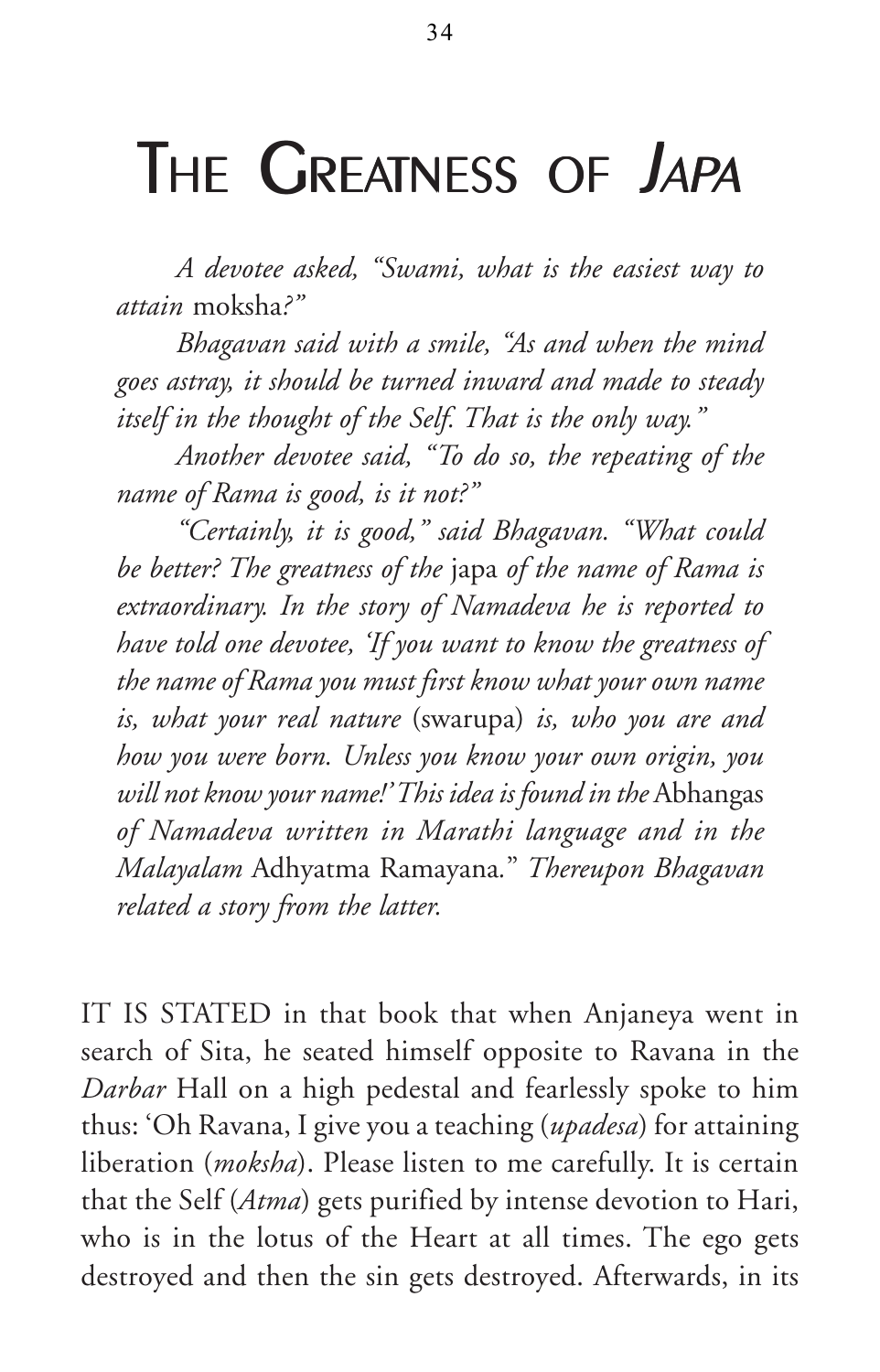### THE GREATNESS OF JAPA

*A devotee asked, "Swami, what is the easiest way to attain* moksha*?"*

*Bhagavan said with a smile, "As and when the mind goes astray, it should be turned inward and made to steady itself in the thought of the Self. That is the only way."*

*Another devotee said, "To do so, the repeating of the name of Rama is good, is it not?"*

*"Certainly, it is good," said Bhagavan. "What could be better? The greatness of the* japa *of the name of Rama is extraordinary. In the story of Namadeva he is reported to have told one devotee, 'If you want to know the greatness of the name of Rama you must first know what your own name is, what your real nature* (swarupa) *is, who you are and how you were born. Unless you know your own origin, you will not know your name!' This idea is found in the* Abhangas *of Namadeva written in Marathi language and in the Malayalam* Adhyatma Ramayana*.*" *Thereupon Bhagavan related a story from the latter.*

IT IS STATED in that book that when Anjaneya went in search of Sita, he seated himself opposite to Ravana in the *Darbar* Hall on a high pedestal and fearlessly spoke to him thus: 'Oh Ravana, I give you a teaching (*upadesa*) for attaining liberation (*moksha*). Please listen to me carefully. It is certain that the Self (*Atma*) gets purified by intense devotion to Hari, who is in the lotus of the Heart at all times. The ego gets destroyed and then the sin gets destroyed. Afterwards, in its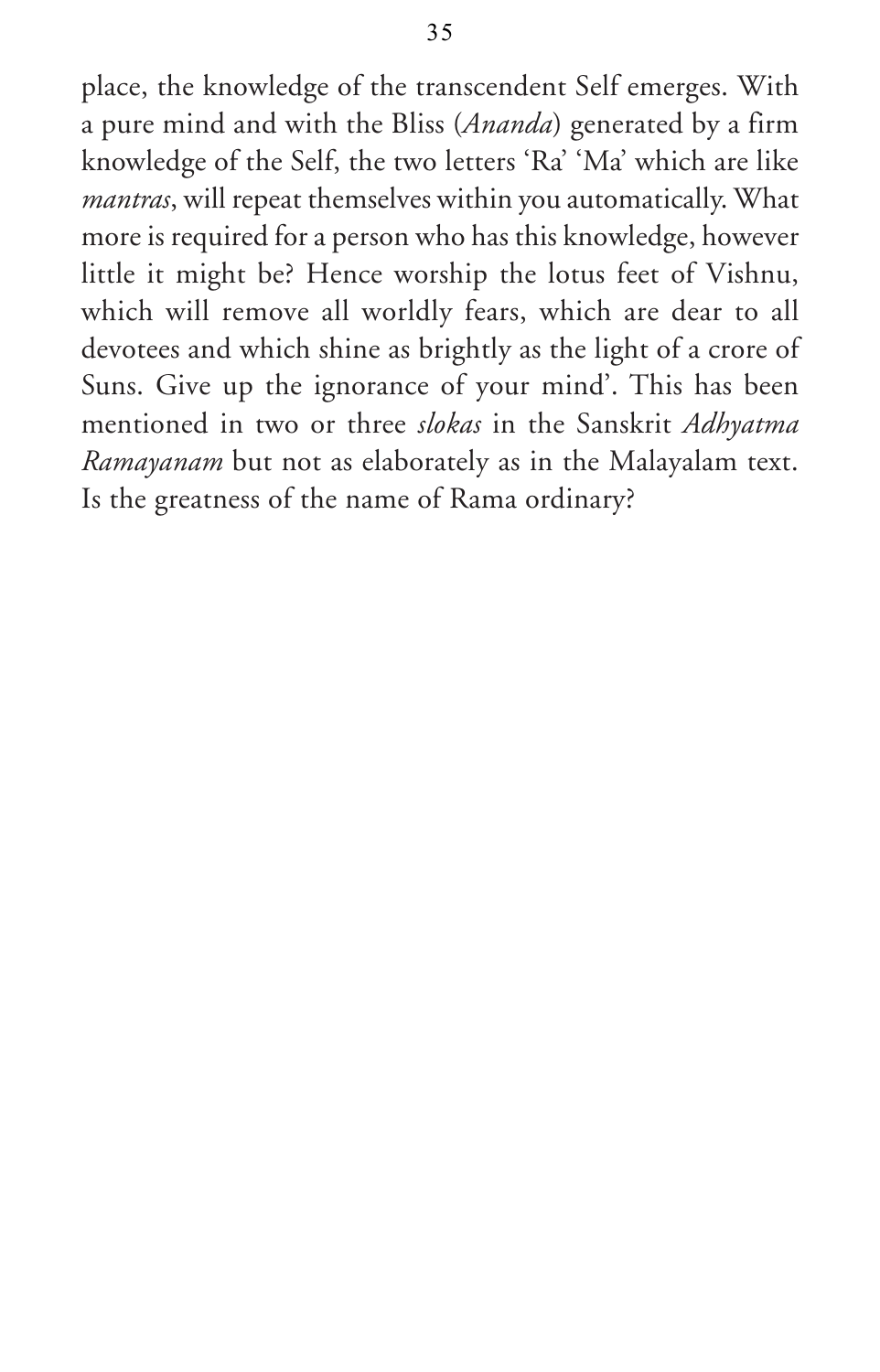place, the knowledge of the transcendent Self emerges. With a pure mind and with the Bliss (*Ananda*) generated by a firm knowledge of the Self, the two letters 'Ra' 'Ma' which are like *mantras*, will repeat themselves within you automatically. What more is required for a person who has this knowledge, however little it might be? Hence worship the lotus feet of Vishnu, which will remove all worldly fears, which are dear to all devotees and which shine as brightly as the light of a crore of Suns. Give up the ignorance of your mind'. This has been mentioned in two or three *slokas* in the Sanskrit *Adhyatma Ramayanam* but not as elaborately as in the Malayalam text. Is the greatness of the name of Rama ordinary?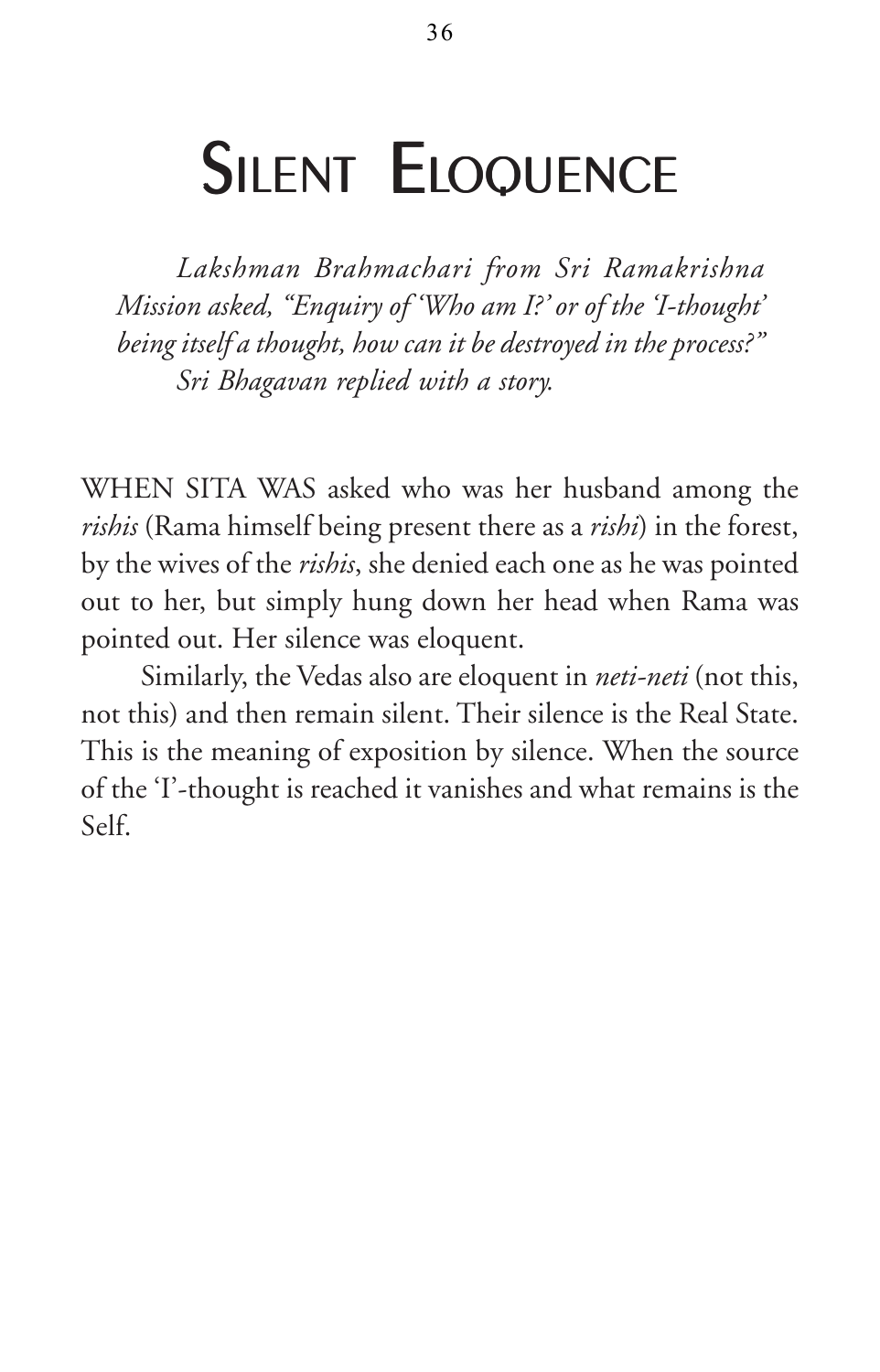### SILENT ELOQUENCE

*Lakshman Brahmachari from Sri Ramakrishna Mission asked, "Enquiry of 'Who am I?' or of the 'I-thought' being itself a thought, how can it be destroyed in the process?" Sri Bhagavan replied with a story.*

WHEN SITA WAS asked who was her husband among the *rishis* (Rama himself being present there as a *rishi*) in the forest, by the wives of the *rishis*, she denied each one as he was pointed out to her, but simply hung down her head when Rama was pointed out. Her silence was eloquent.

Similarly, the Vedas also are eloquent in *neti-neti* (not this, not this) and then remain silent. Their silence is the Real State. This is the meaning of exposition by silence. When the source of the 'I'-thought is reached it vanishes and what remains is the Self.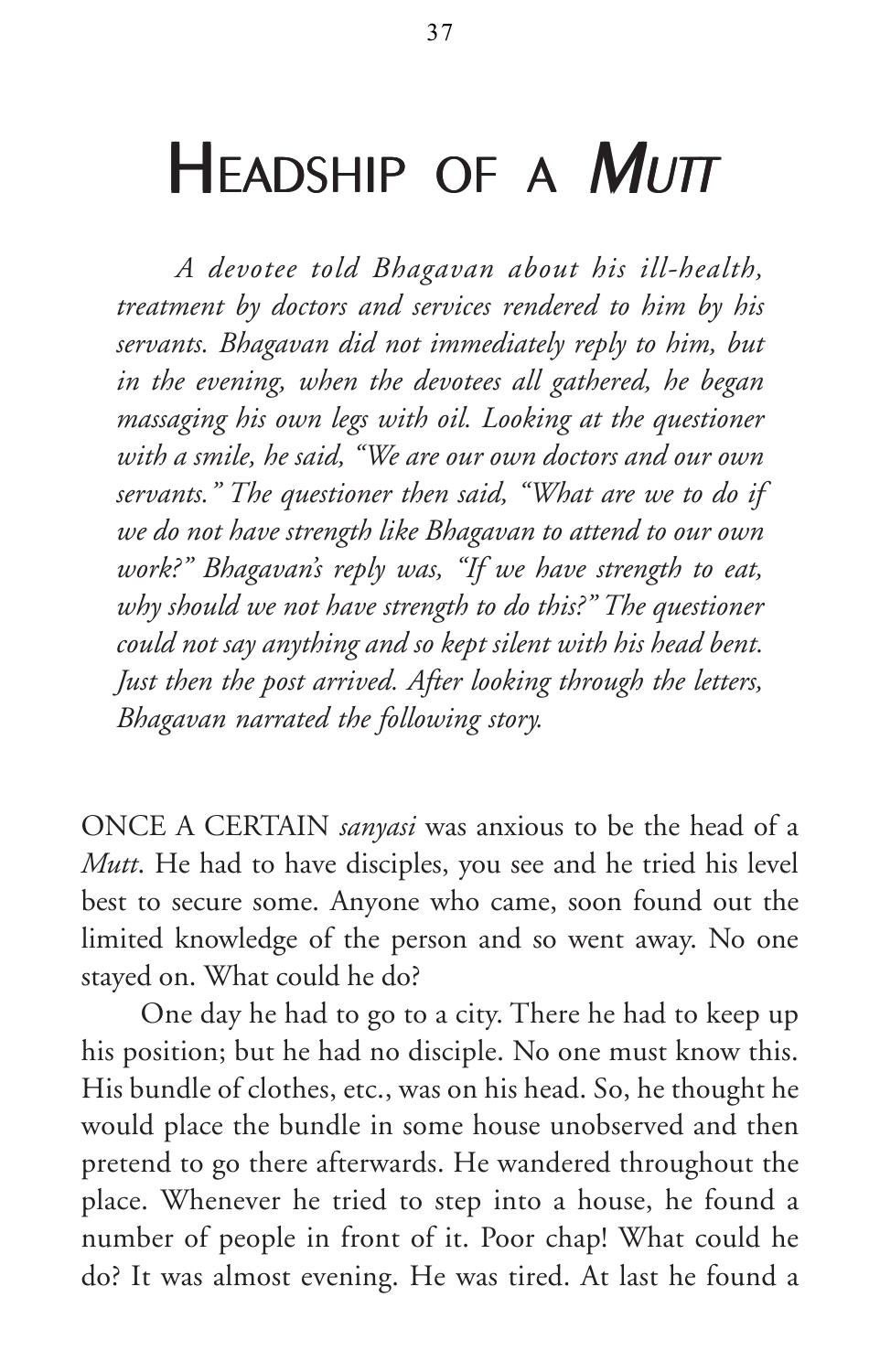#### HEADSHIP OF A MUTT

*A devotee told Bhagavan about his ill-health, treatment by doctors and services rendered to him by his servants. Bhagavan did not immediately reply to him, but in the evening, when the devotees all gathered, he began massaging his own legs with oil. Looking at the questioner with a smile, he said, "We are our own doctors and our own servants." The questioner then said, "What are we to do if we do not have strength like Bhagavan to attend to our own work?" Bhagavan's reply was, "If we have strength to eat, why should we not have strength to do this?" The questioner could not say anything and so kept silent with his head bent. Just then the post arrived. After looking through the letters, Bhagavan narrated the following story.*

ONCE A CERTAIN *sanyasi* was anxious to be the head of a *Mutt*. He had to have disciples, you see and he tried his level best to secure some. Anyone who came, soon found out the limited knowledge of the person and so went away. No one stayed on. What could he do?

One day he had to go to a city. There he had to keep up his position; but he had no disciple. No one must know this. His bundle of clothes, etc., was on his head. So, he thought he would place the bundle in some house unobserved and then pretend to go there afterwards. He wandered throughout the place. Whenever he tried to step into a house, he found a number of people in front of it. Poor chap! What could he do? It was almost evening. He was tired. At last he found a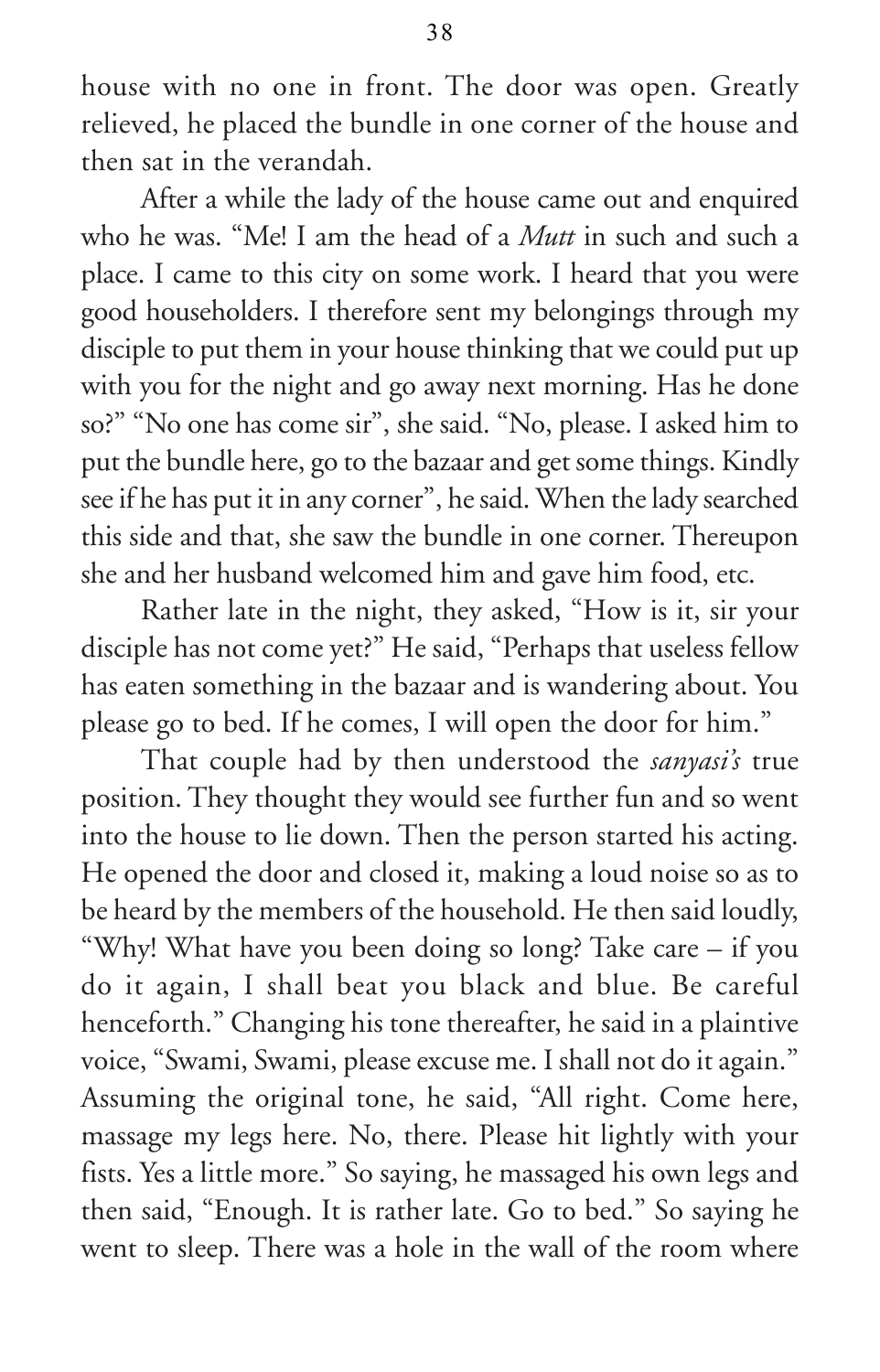house with no one in front. The door was open. Greatly relieved, he placed the bundle in one corner of the house and then sat in the verandah.

After a while the lady of the house came out and enquired who he was. "Me! I am the head of a *Mutt* in such and such a place. I came to this city on some work. I heard that you were good householders. I therefore sent my belongings through my disciple to put them in your house thinking that we could put up with you for the night and go away next morning. Has he done so?" "No one has come sir", she said. "No, please. I asked him to put the bundle here, go to the bazaar and get some things. Kindly see if he has put it in any corner", he said. When the lady searched this side and that, she saw the bundle in one corner. Thereupon she and her husband welcomed him and gave him food, etc.

Rather late in the night, they asked, "How is it, sir your disciple has not come yet?" He said, "Perhaps that useless fellow has eaten something in the bazaar and is wandering about. You please go to bed. If he comes, I will open the door for him."

That couple had by then understood the *sanyasi's* true position. They thought they would see further fun and so went into the house to lie down. Then the person started his acting. He opened the door and closed it, making a loud noise so as to be heard by the members of the household. He then said loudly, "Why! What have you been doing so long? Take care – if you do it again, I shall beat you black and blue. Be careful henceforth." Changing his tone thereafter, he said in a plaintive voice, "Swami, Swami, please excuse me. I shall not do it again." Assuming the original tone, he said, "All right. Come here, massage my legs here. No, there. Please hit lightly with your fists. Yes a little more." So saying, he massaged his own legs and then said, "Enough. It is rather late. Go to bed." So saying he went to sleep. There was a hole in the wall of the room where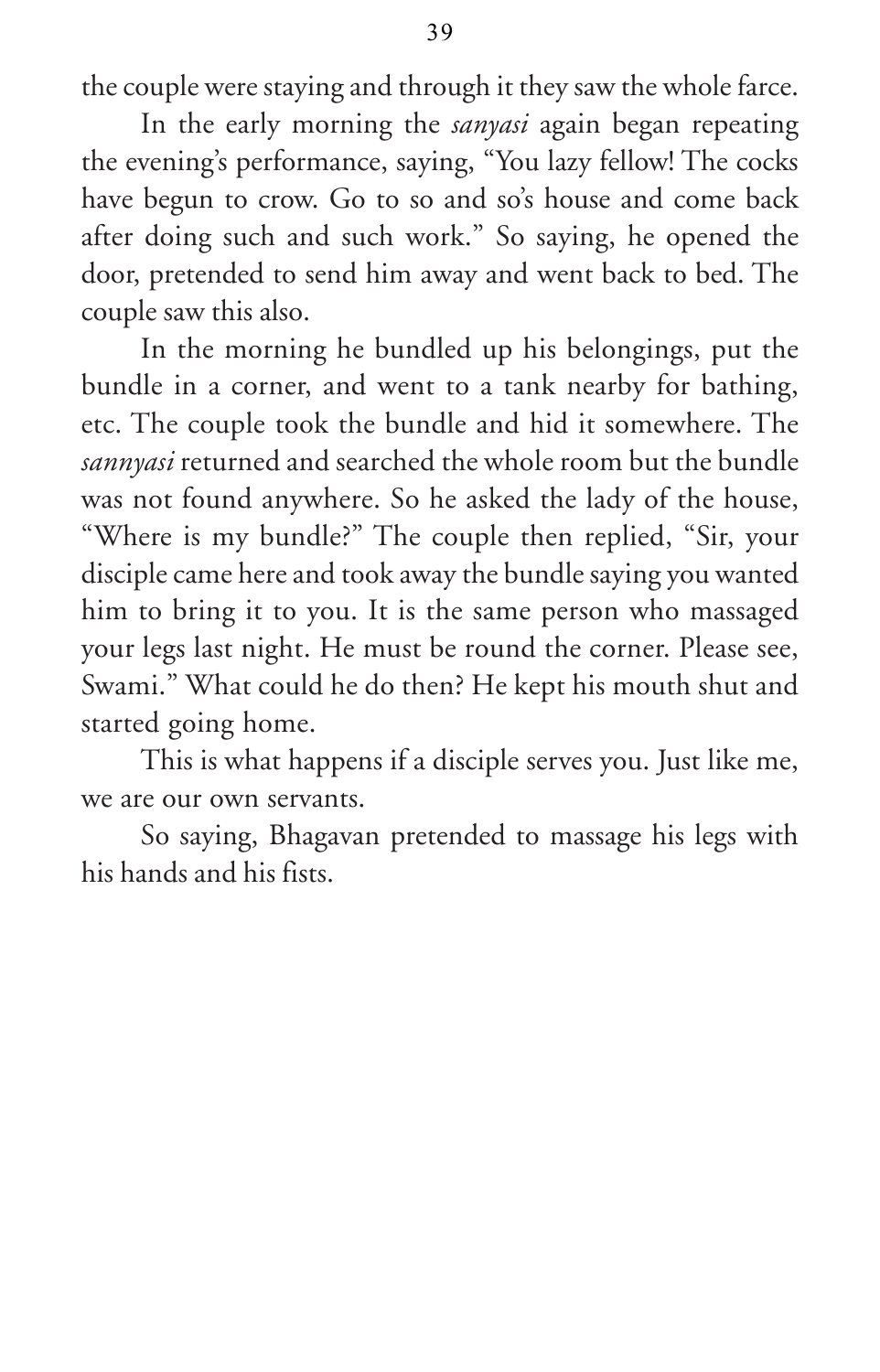the couple were staying and through it they saw the whole farce.

In the early morning the *sanyasi* again began repeating the evening's performance, saying, "You lazy fellow! The cocks have begun to crow. Go to so and so's house and come back after doing such and such work." So saying, he opened the door, pretended to send him away and went back to bed. The couple saw this also.

In the morning he bundled up his belongings, put the bundle in a corner, and went to a tank nearby for bathing, etc. The couple took the bundle and hid it somewhere. The *sannyasi* returned and searched the whole room but the bundle was not found anywhere. So he asked the lady of the house, "Where is my bundle?" The couple then replied, "Sir, your disciple came here and took away the bundle saying you wanted him to bring it to you. It is the same person who massaged your legs last night. He must be round the corner. Please see, Swami." What could he do then? He kept his mouth shut and started going home.

This is what happens if a disciple serves you. Just like me, we are our own servants.

So saying, Bhagavan pretended to massage his legs with his hands and his fists.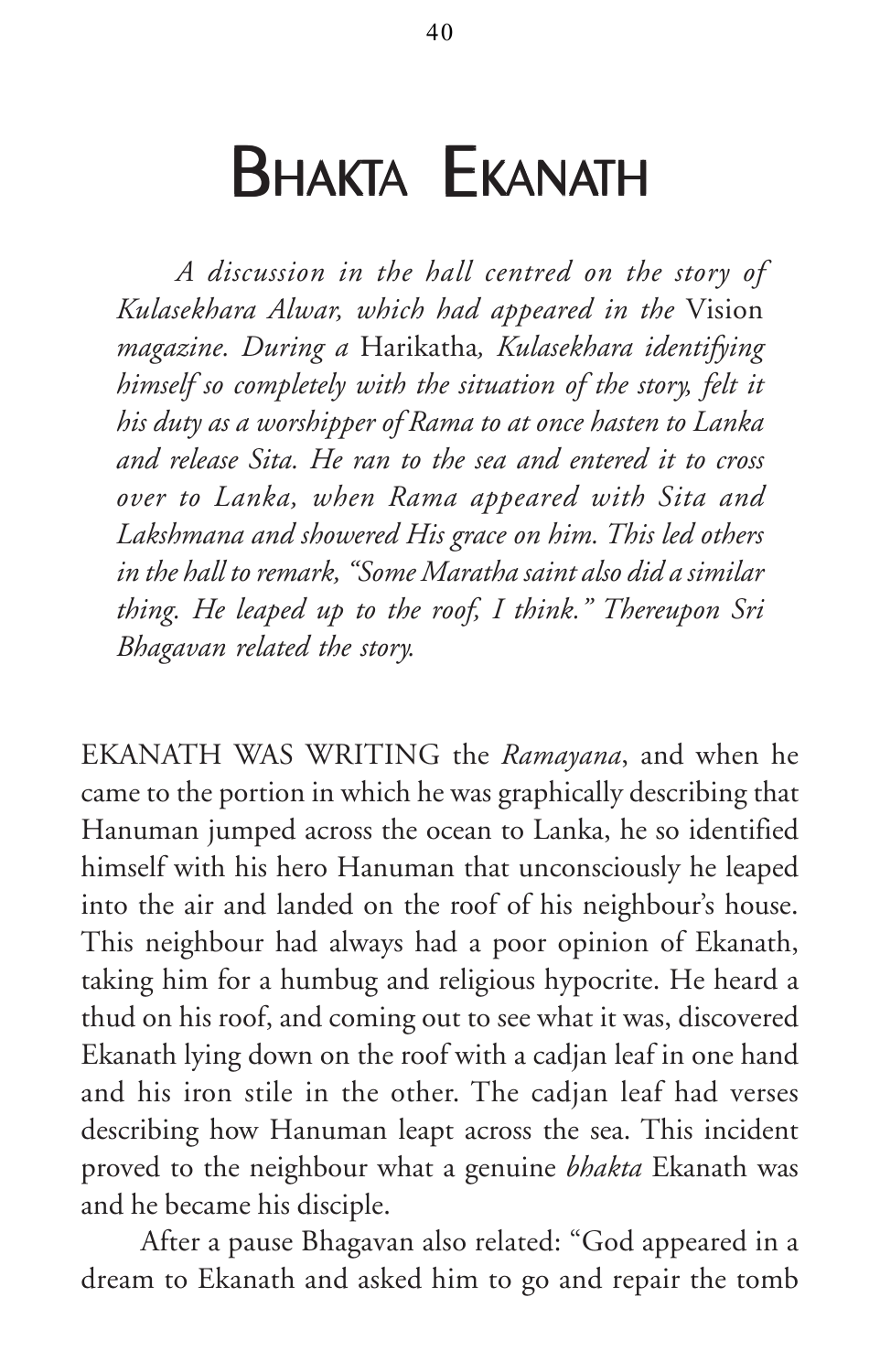#### BHAKTA EKANATH

*A discussion in the hall centred on the story of Kulasekhara Alwar, which had appeared in the* Vision *magazine. During a* Harikatha*, Kulasekhara identifying himself so completely with the situation of the story, felt it his duty as a worshipper of Rama to at once hasten to Lanka and release Sita. He ran to the sea and entered it to cross over to Lanka, when Rama appeared with Sita and Lakshmana and showered His grace on him. This led others in the hall to remark, "Some Maratha saint also did a similar thing. He leaped up to the roof, I think." Thereupon Sri Bhagavan related the story.*

EKANATH WAS WRITING the *Ramayana*, and when he came to the portion in which he was graphically describing that Hanuman jumped across the ocean to Lanka, he so identified himself with his hero Hanuman that unconsciously he leaped into the air and landed on the roof of his neighbour's house. This neighbour had always had a poor opinion of Ekanath, taking him for a humbug and religious hypocrite. He heard a thud on his roof, and coming out to see what it was, discovered Ekanath lying down on the roof with a cadjan leaf in one hand and his iron stile in the other. The cadjan leaf had verses describing how Hanuman leapt across the sea. This incident proved to the neighbour what a genuine *bhakta* Ekanath was and he became his disciple.

After a pause Bhagavan also related: "God appeared in a dream to Ekanath and asked him to go and repair the tomb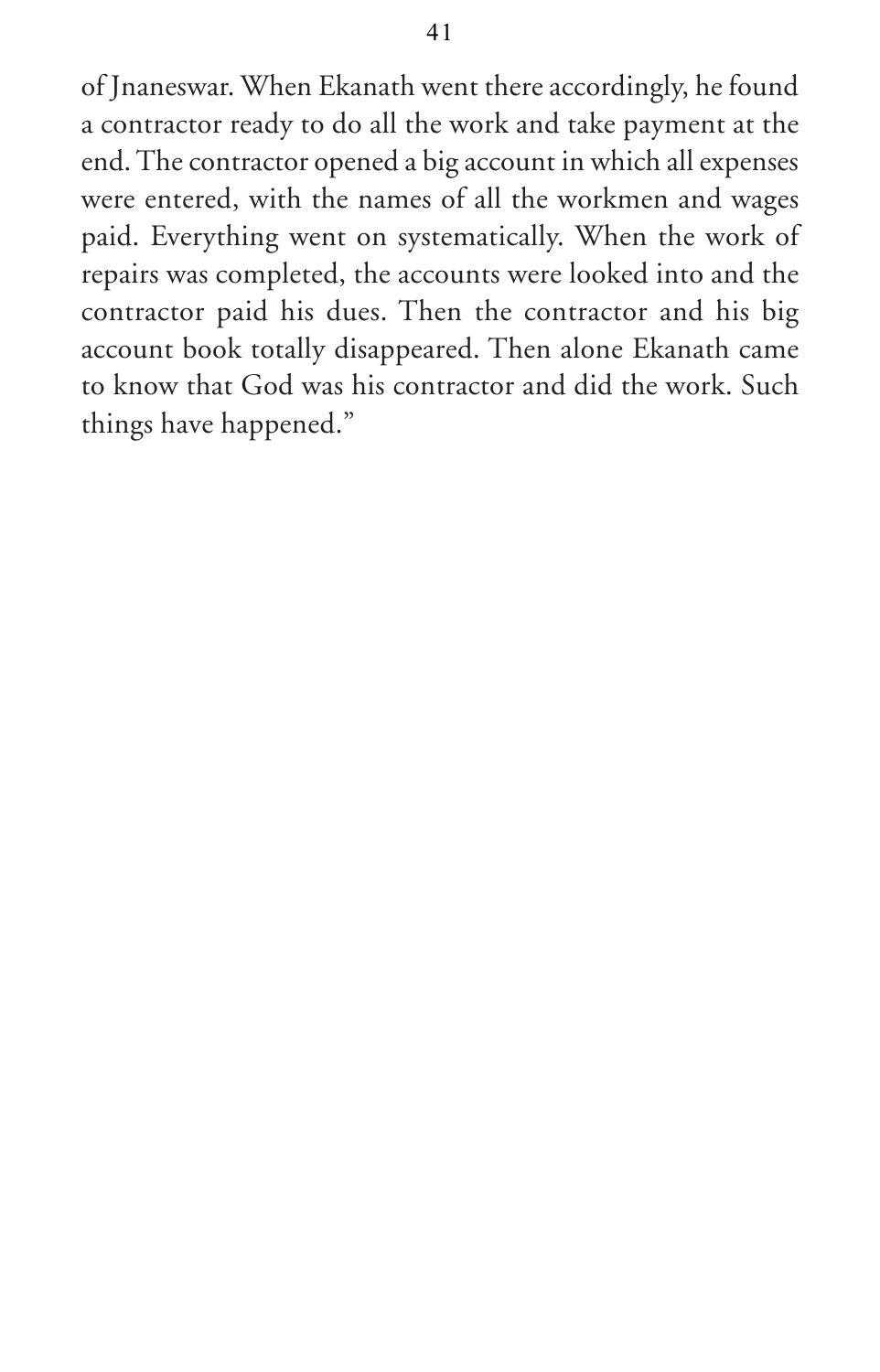of Jnaneswar. When Ekanath went there accordingly, he found a contractor ready to do all the work and take payment at the end. The contractor opened a big account in which all expenses were entered, with the names of all the workmen and wages paid. Everything went on systematically. When the work of repairs was completed, the accounts were looked into and the contractor paid his dues. Then the contractor and his big account book totally disappeared. Then alone Ekanath came to know that God was his contractor and did the work. Such things have happened."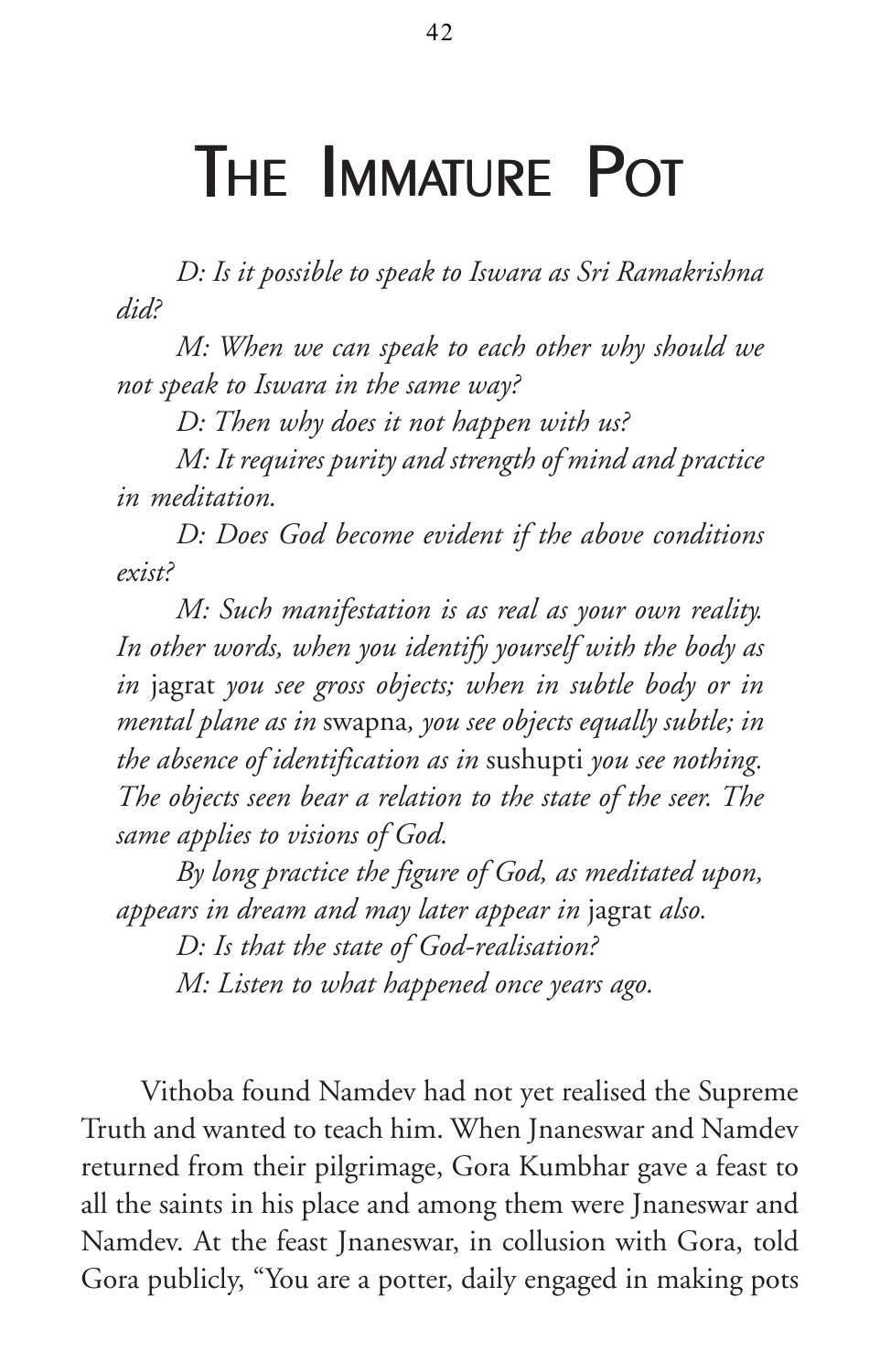#### THE IMMATURE POT

*D: Is it possible to speak to Iswara as Sri Ramakrishna did?*

*M: When we can speak to each other why should we not speak to Iswara in the same way?*

*D: Then why does it not happen with us?*

*M: It requires purity and strength of mind and practice in meditation.*

*D: Does God become evident if the above conditions exist?*

*M: Such manifestation is as real as your own reality. In other words, when you identify yourself with the body as in* jagrat *you see gross objects; when in subtle body or in mental plane as in* swapna*, you see objects equally subtle; in the absence of identification as in* sushupti *you see nothing. The objects seen bear a relation to the state of the seer. The same applies to visions of God.*

*By long practice the figure of God, as meditated upon, appears in dream and may later appear in* jagrat *also.*

*D: Is that the state of God-realisation? M: Listen to what happened once years ago.*

Vithoba found Namdev had not yet realised the Supreme Truth and wanted to teach him. When Jnaneswar and Namdev returned from their pilgrimage, Gora Kumbhar gave a feast to all the saints in his place and among them were Jnaneswar and Namdev. At the feast Jnaneswar, in collusion with Gora, told Gora publicly, "You are a potter, daily engaged in making pots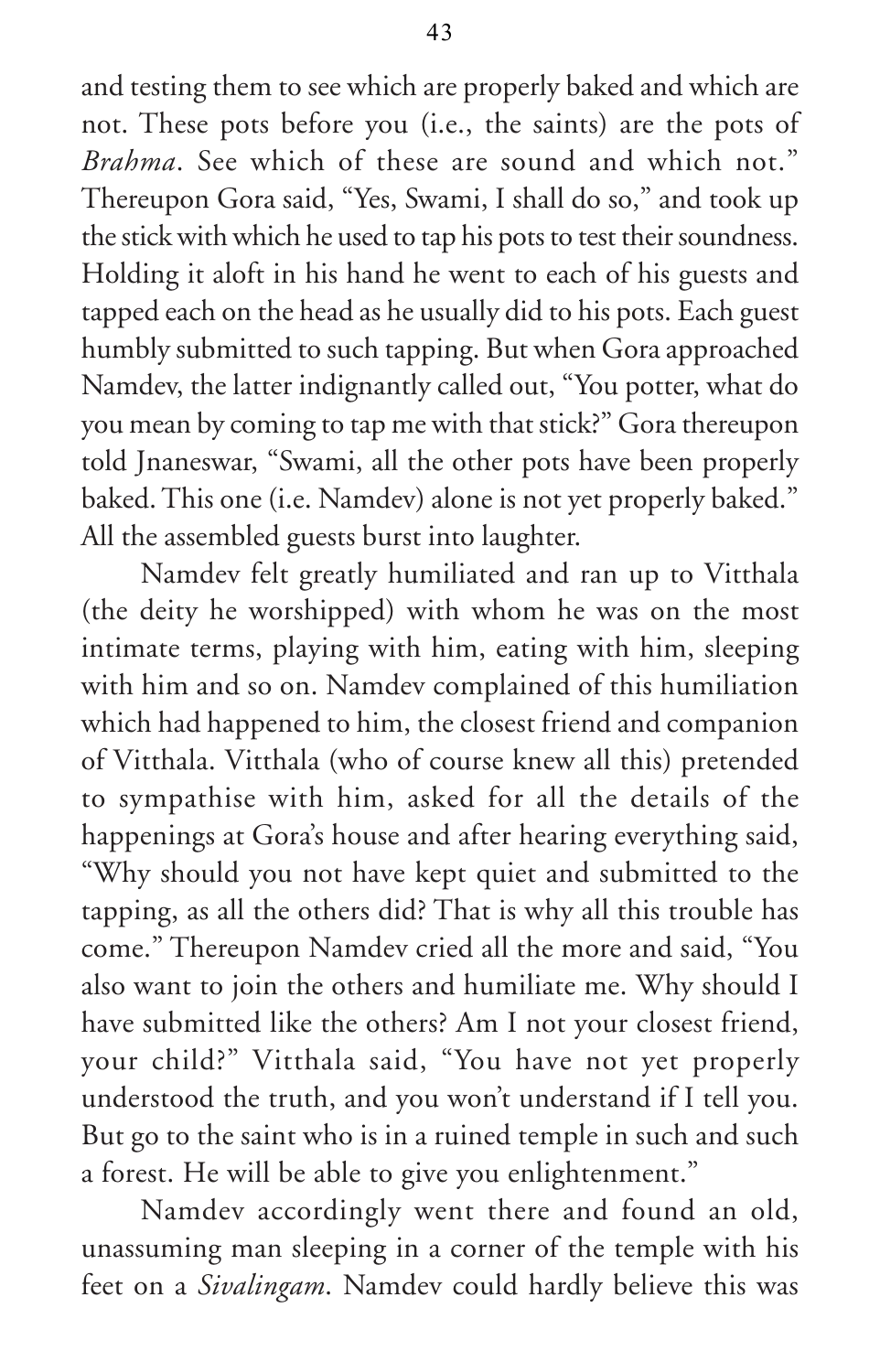and testing them to see which are properly baked and which are not. These pots before you (i.e., the saints) are the pots of *Brahma*. See which of these are sound and which not." Thereupon Gora said, "Yes, Swami, I shall do so," and took up the stick with which he used to tap his pots to test their soundness. Holding it aloft in his hand he went to each of his guests and tapped each on the head as he usually did to his pots. Each guest humbly submitted to such tapping. But when Gora approached Namdev, the latter indignantly called out, "You potter, what do you mean by coming to tap me with that stick?" Gora thereupon told Jnaneswar, "Swami, all the other pots have been properly baked. This one (i.e. Namdev) alone is not yet properly baked." All the assembled guests burst into laughter.

Namdev felt greatly humiliated and ran up to Vitthala (the deity he worshipped) with whom he was on the most intimate terms, playing with him, eating with him, sleeping with him and so on. Namdev complained of this humiliation which had happened to him, the closest friend and companion of Vitthala. Vitthala (who of course knew all this) pretended to sympathise with him, asked for all the details of the happenings at Gora's house and after hearing everything said, "Why should you not have kept quiet and submitted to the tapping, as all the others did? That is why all this trouble has come." Thereupon Namdev cried all the more and said, "You also want to join the others and humiliate me. Why should I have submitted like the others? Am I not your closest friend, your child?" Vitthala said, "You have not yet properly understood the truth, and you won't understand if I tell you. But go to the saint who is in a ruined temple in such and such a forest. He will be able to give you enlightenment."

Namdev accordingly went there and found an old, unassuming man sleeping in a corner of the temple with his feet on a *Sivalingam*. Namdev could hardly believe this was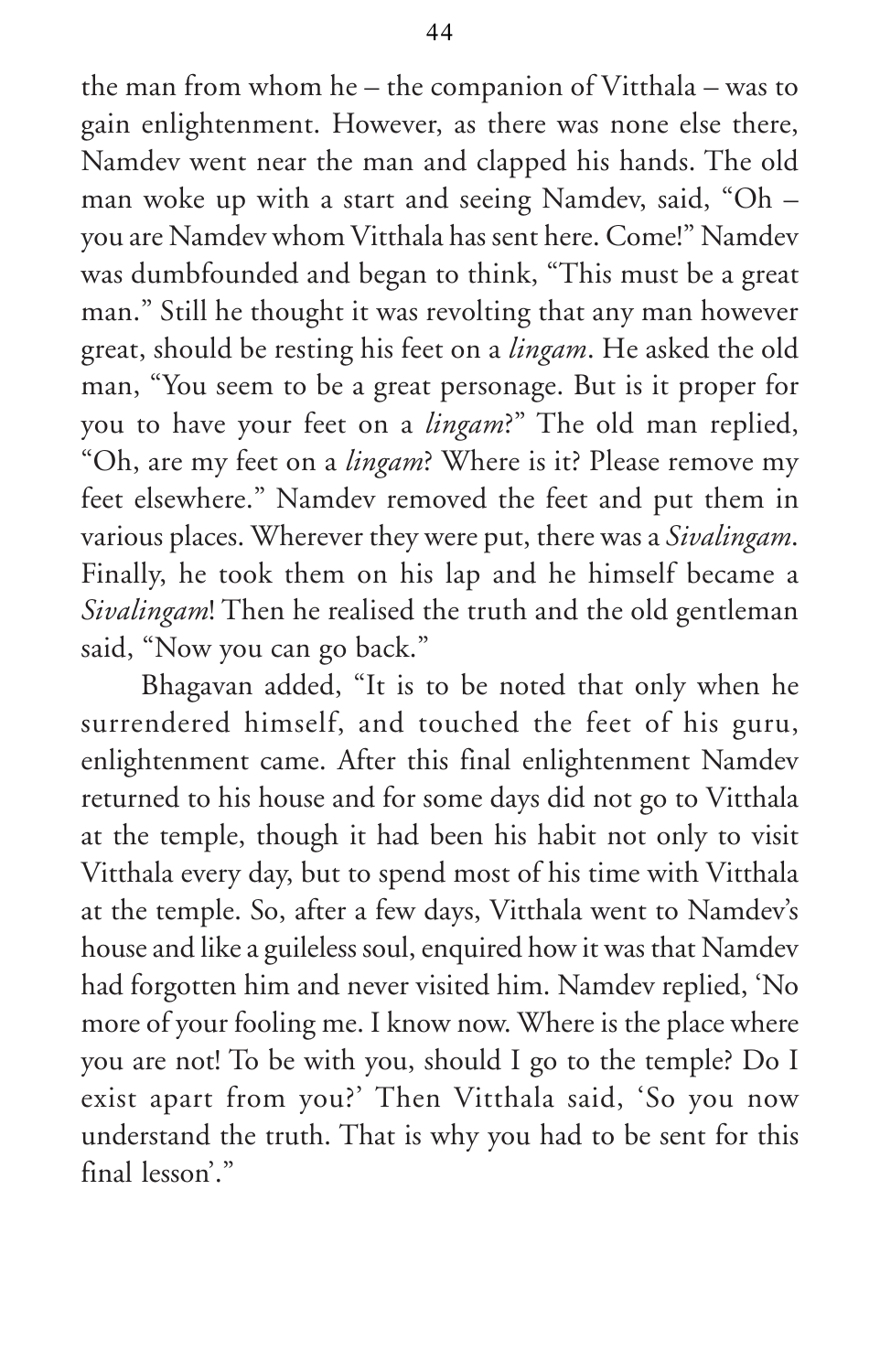the man from whom he – the companion of Vitthala – was to gain enlightenment. However, as there was none else there, Namdev went near the man and clapped his hands. The old man woke up with a start and seeing Namdev, said, "Oh – you are Namdev whom Vitthala has sent here. Come!" Namdev was dumbfounded and began to think, "This must be a great man." Still he thought it was revolting that any man however great, should be resting his feet on a *lingam*. He asked the old man, "You seem to be a great personage. But is it proper for you to have your feet on a *lingam*?" The old man replied, "Oh, are my feet on a *lingam*? Where is it? Please remove my feet elsewhere." Namdev removed the feet and put them in various places. Wherever they were put, there was a *Sivalingam*. Finally, he took them on his lap and he himself became a *Sivalingam*! Then he realised the truth and the old gentleman said, "Now you can go back."

Bhagavan added, "It is to be noted that only when he surrendered himself, and touched the feet of his guru, enlightenment came. After this final enlightenment Namdev returned to his house and for some days did not go to Vitthala at the temple, though it had been his habit not only to visit Vitthala every day, but to spend most of his time with Vitthala at the temple. So, after a few days, Vitthala went to Namdev's house and like a guileless soul, enquired how it was that Namdev had forgotten him and never visited him. Namdev replied, 'No more of your fooling me. I know now. Where is the place where you are not! To be with you, should I go to the temple? Do I exist apart from you?' Then Vitthala said, 'So you now understand the truth. That is why you had to be sent for this final lesson'."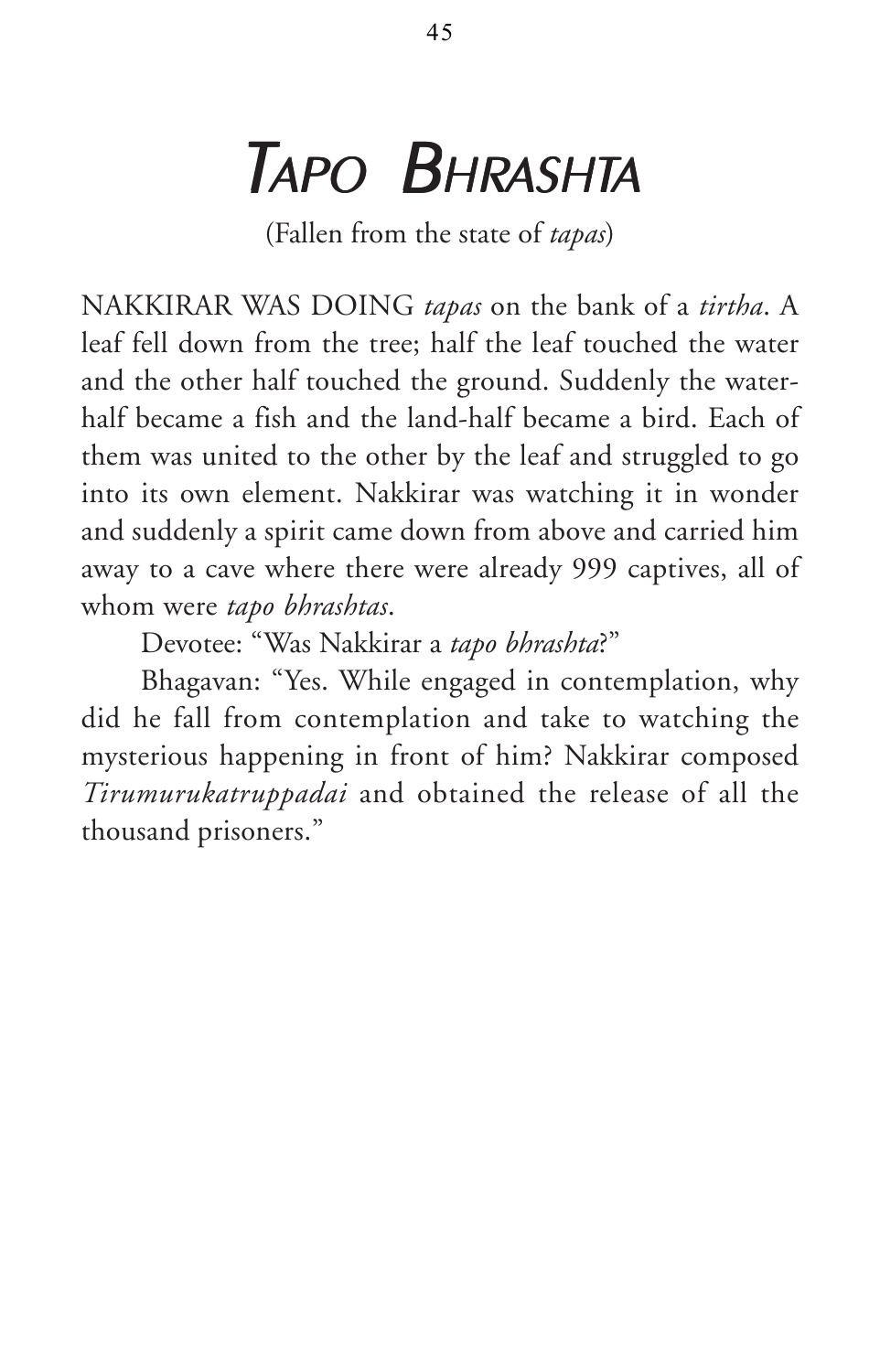## TAPO BHRASHTA

(Fallen from the state of *tapas*)

NAKKIRAR WAS DOING *tapas* on the bank of a *tirtha*. A leaf fell down from the tree; half the leaf touched the water and the other half touched the ground. Suddenly the waterhalf became a fish and the land-half became a bird. Each of them was united to the other by the leaf and struggled to go into its own element. Nakkirar was watching it in wonder and suddenly a spirit came down from above and carried him away to a cave where there were already 999 captives, all of whom were *tapo bhrashtas*.

Devotee: "Was Nakkirar a *tapo bhrashta*?"

Bhagavan: "Yes. While engaged in contemplation, why did he fall from contemplation and take to watching the mysterious happening in front of him? Nakkirar composed *Tirumurukatruppadai* and obtained the release of all the thousand prisoners."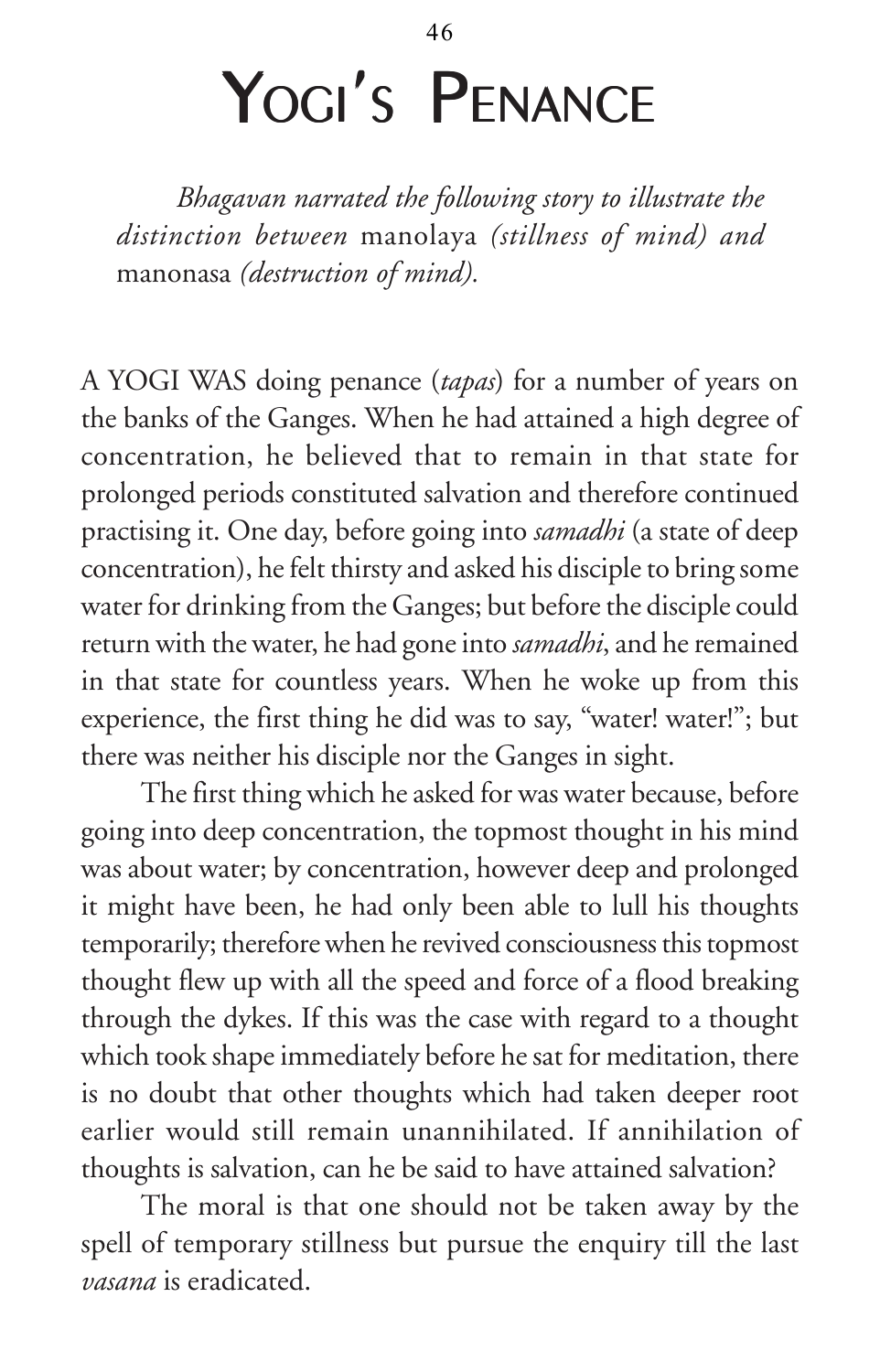# YOGI'S PENANCE

*Bhagavan narrated the following story to illustrate the distinction between* manolaya *(stillness of mind) and* manonasa *(destruction of mind).*

A YOGI WAS doing penance (*tapas*) for a number of years on the banks of the Ganges. When he had attained a high degree of concentration, he believed that to remain in that state for prolonged periods constituted salvation and therefore continued practising it. One day, before going into *samadhi* (a state of deep concentration), he felt thirsty and asked his disciple to bring some water for drinking from the Ganges; but before the disciple could return with the water, he had gone into *samadhi*, and he remained in that state for countless years. When he woke up from this experience, the first thing he did was to say, "water! water!"; but there was neither his disciple nor the Ganges in sight.

The first thing which he asked for was water because, before going into deep concentration, the topmost thought in his mind was about water; by concentration, however deep and prolonged it might have been, he had only been able to lull his thoughts temporarily; therefore when he revived consciousness this topmost thought flew up with all the speed and force of a flood breaking through the dykes. If this was the case with regard to a thought which took shape immediately before he sat for meditation, there is no doubt that other thoughts which had taken deeper root earlier would still remain unannihilated. If annihilation of thoughts is salvation, can he be said to have attained salvation?

The moral is that one should not be taken away by the spell of temporary stillness but pursue the enquiry till the last *vasana* is eradicated.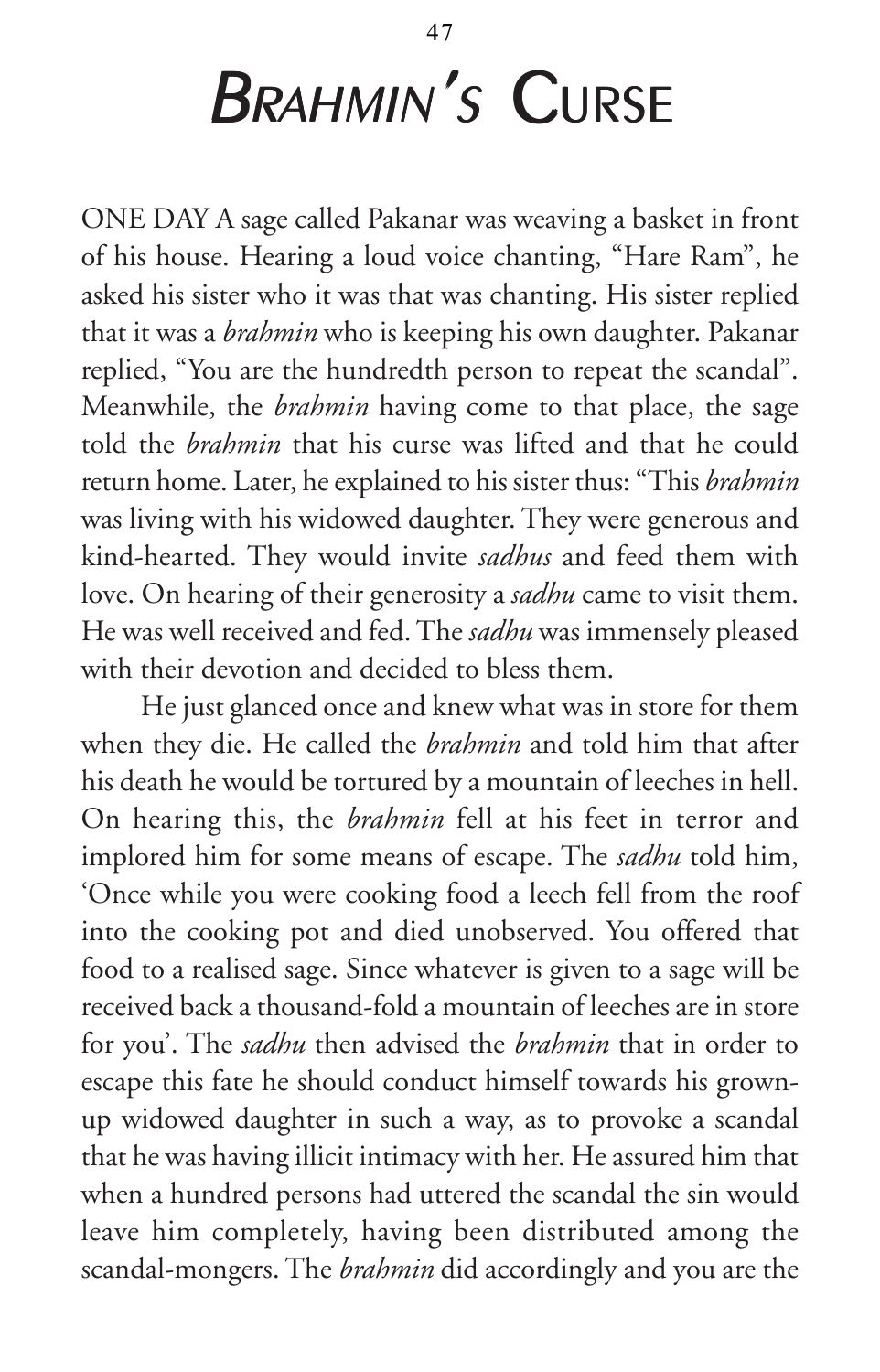# **BRAHMIN'S CURSE**

47

ONE DAY A sage called Pakanar was weaving a basket in front of his house. Hearing a loud voice chanting, "Hare Ram", he asked his sister who it was that was chanting. His sister replied that it was a *brahmin* who is keeping his own daughter. Pakanar replied, "You are the hundredth person to repeat the scandal". Meanwhile, the *brahmin* having come to that place, the sage told the *brahmin* that his curse was lifted and that he could return home. Later, he explained to his sister thus: "This *brahmin* was living with his widowed daughter. They were generous and kind-hearted. They would invite *sadhus* and feed them with love. On hearing of their generosity a *sadhu* came to visit them. He was well received and fed. The *sadhu* was immensely pleased with their devotion and decided to bless them.

He just glanced once and knew what was in store for them when they die. He called the *brahmin* and told him that after his death he would be tortured by a mountain of leeches in hell. On hearing this, the *brahmin* fell at his feet in terror and implored him for some means of escape. The *sadhu* told him, 'Once while you were cooking food a leech fell from the roof into the cooking pot and died unobserved. You offered that food to a realised sage. Since whatever is given to a sage will be received back a thousand-fold a mountain of leeches are in store for you'. The *sadhu* then advised the *brahmin* that in order to escape this fate he should conduct himself towards his grownup widowed daughter in such a way, as to provoke a scandal that he was having illicit intimacy with her. He assured him that when a hundred persons had uttered the scandal the sin would leave him completely, having been distributed among the scandal-mongers. The *brahmin* did accordingly and you are the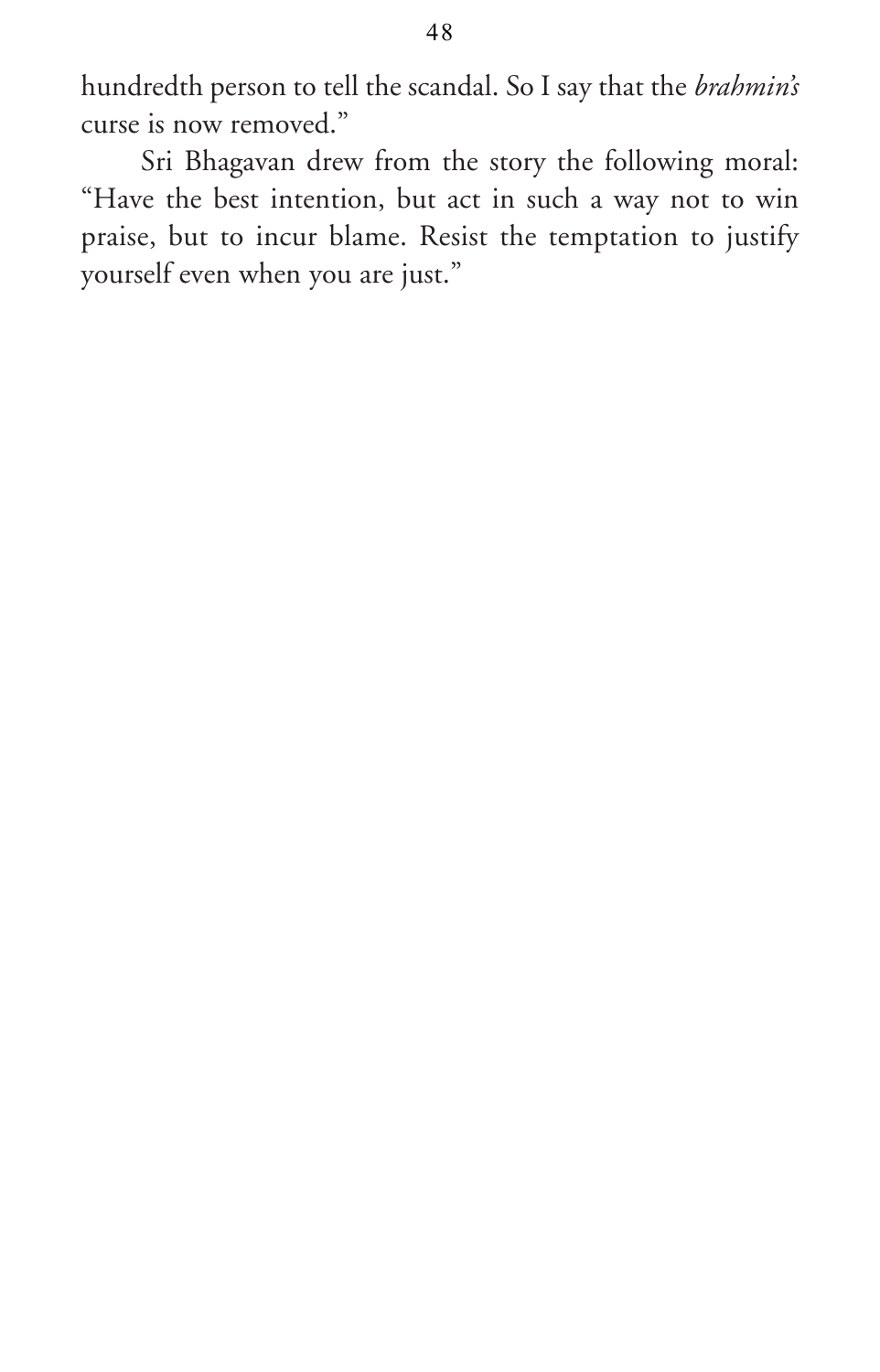hundredth person to tell the scandal. So I say that the *brahmin's* curse is now removed."

Sri Bhagavan drew from the story the following moral: "Have the best intention, but act in such a way not to win praise, but to incur blame. Resist the temptation to justify yourself even when you are just."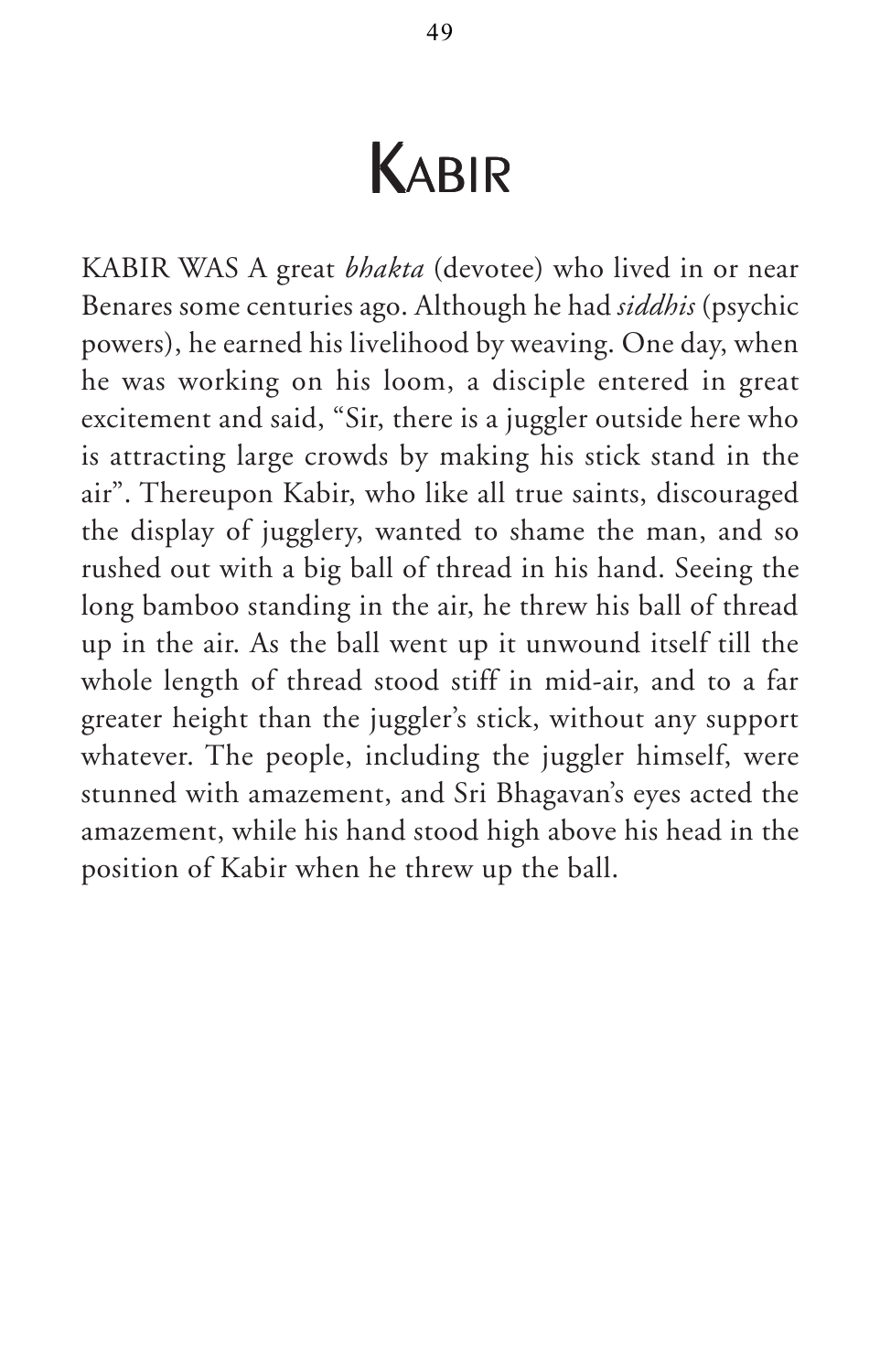#### KABIR

KABIR WAS A great *bhakta* (devotee) who lived in or near Benares some centuries ago. Although he had *siddhis* (psychic powers), he earned his livelihood by weaving. One day, when he was working on his loom, a disciple entered in great excitement and said, "Sir, there is a juggler outside here who is attracting large crowds by making his stick stand in the air". Thereupon Kabir, who like all true saints, discouraged the display of jugglery, wanted to shame the man, and so rushed out with a big ball of thread in his hand. Seeing the long bamboo standing in the air, he threw his ball of thread up in the air. As the ball went up it unwound itself till the whole length of thread stood stiff in mid-air, and to a far greater height than the juggler's stick, without any support whatever. The people, including the juggler himself, were stunned with amazement, and Sri Bhagavan's eyes acted the amazement, while his hand stood high above his head in the position of Kabir when he threw up the ball.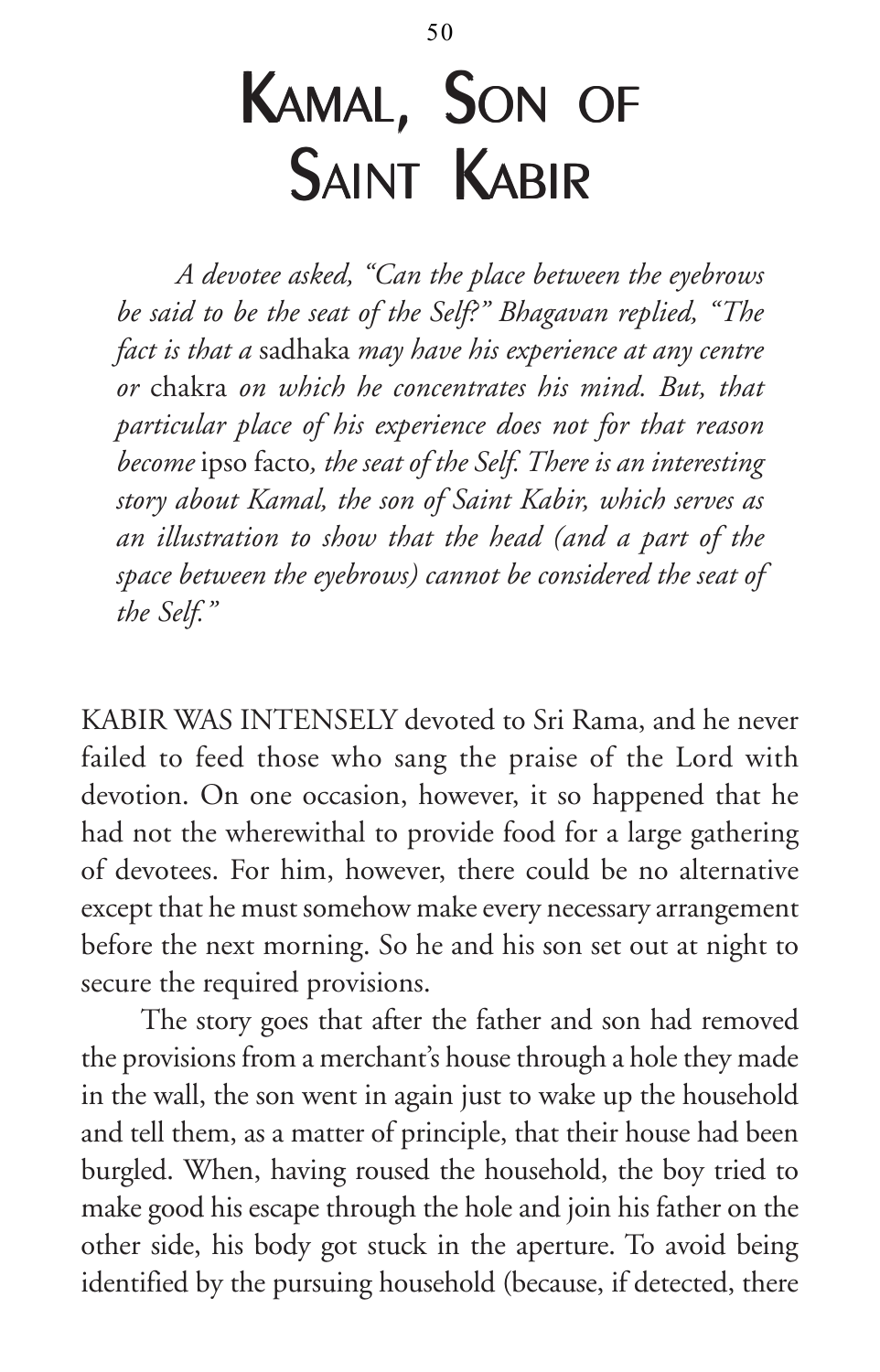# KAMAL, SON OF **SAINT KABIR**

*A devotee asked, "Can the place between the eyebrows be said to be the seat of the Self?" Bhagavan replied, "The fact is that a* sadhaka *may have his experience at any centre or* chakra *on which he concentrates his mind. But, that particular place of his experience does not for that reason become* ipso facto*, the seat of the Self. There is an interesting story about Kamal, the son of Saint Kabir, which serves as an illustration to show that the head (and a part of the space between the eyebrows) cannot be considered the seat of the Self."*

KABIR WAS INTENSELY devoted to Sri Rama, and he never failed to feed those who sang the praise of the Lord with devotion. On one occasion, however, it so happened that he had not the wherewithal to provide food for a large gathering of devotees. For him, however, there could be no alternative except that he must somehow make every necessary arrangement before the next morning. So he and his son set out at night to secure the required provisions.

The story goes that after the father and son had removed the provisions from a merchant's house through a hole they made in the wall, the son went in again just to wake up the household and tell them, as a matter of principle, that their house had been burgled. When, having roused the household, the boy tried to make good his escape through the hole and join his father on the other side, his body got stuck in the aperture. To avoid being identified by the pursuing household (because, if detected, there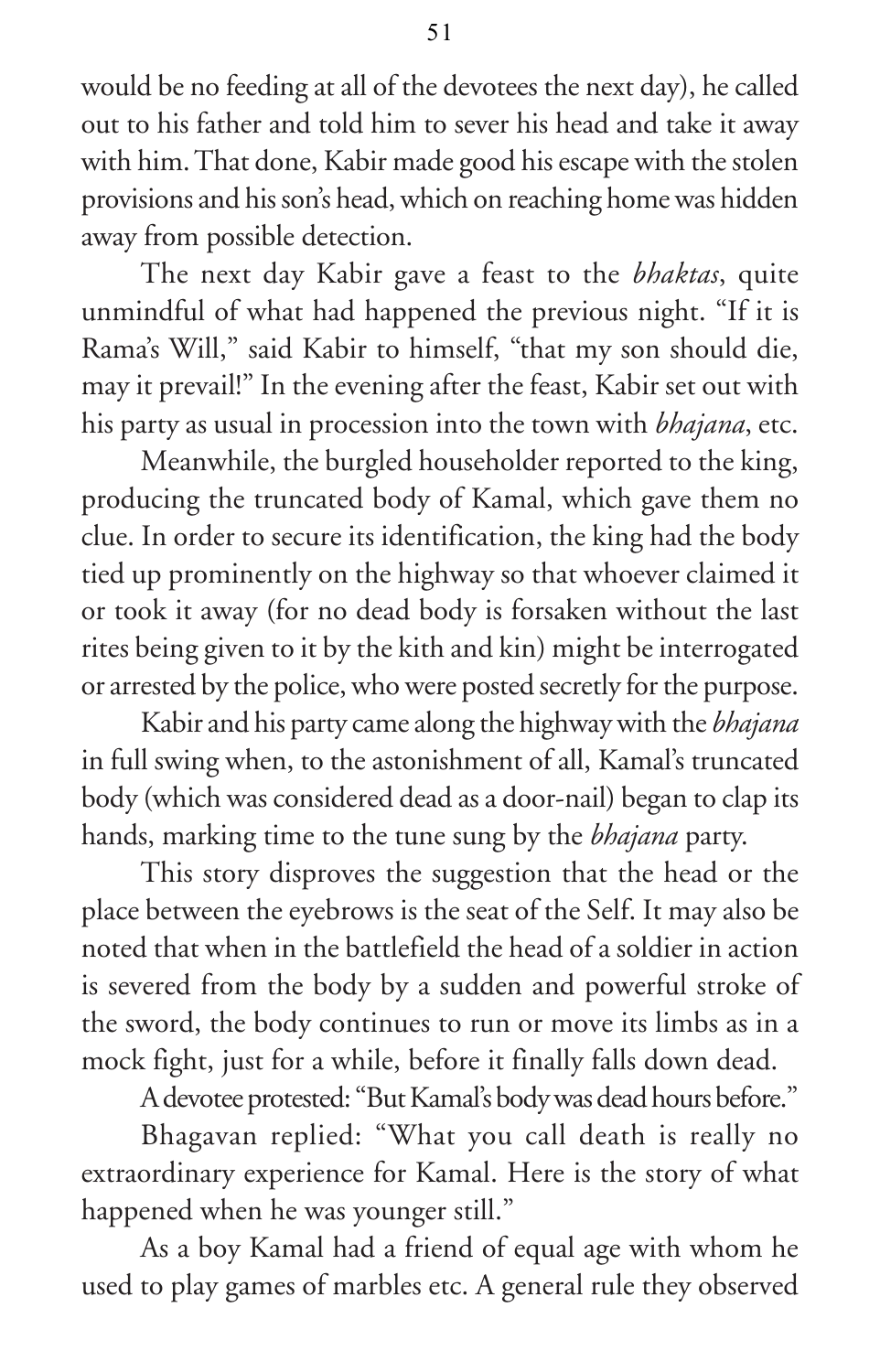would be no feeding at all of the devotees the next day), he called out to his father and told him to sever his head and take it away with him. That done, Kabir made good his escape with the stolen provisions and his son's head, which on reaching home was hidden away from possible detection.

The next day Kabir gave a feast to the *bhaktas*, quite unmindful of what had happened the previous night. "If it is Rama's Will," said Kabir to himself, "that my son should die, may it prevail!" In the evening after the feast, Kabir set out with his party as usual in procession into the town with *bhajana*, etc.

Meanwhile, the burgled householder reported to the king, producing the truncated body of Kamal, which gave them no clue. In order to secure its identification, the king had the body tied up prominently on the highway so that whoever claimed it or took it away (for no dead body is forsaken without the last rites being given to it by the kith and kin) might be interrogated or arrested by the police, who were posted secretly for the purpose.

Kabir and his party came along the highway with the *bhajana* in full swing when, to the astonishment of all, Kamal's truncated body (which was considered dead as a door-nail) began to clap its hands, marking time to the tune sung by the *bhajana* party.

This story disproves the suggestion that the head or the place between the eyebrows is the seat of the Self. It may also be noted that when in the battlefield the head of a soldier in action is severed from the body by a sudden and powerful stroke of the sword, the body continues to run or move its limbs as in a mock fight, just for a while, before it finally falls down dead.

A devotee protested: "But Kamal's body was dead hours before."

Bhagavan replied: "What you call death is really no extraordinary experience for Kamal. Here is the story of what happened when he was younger still."

As a boy Kamal had a friend of equal age with whom he used to play games of marbles etc. A general rule they observed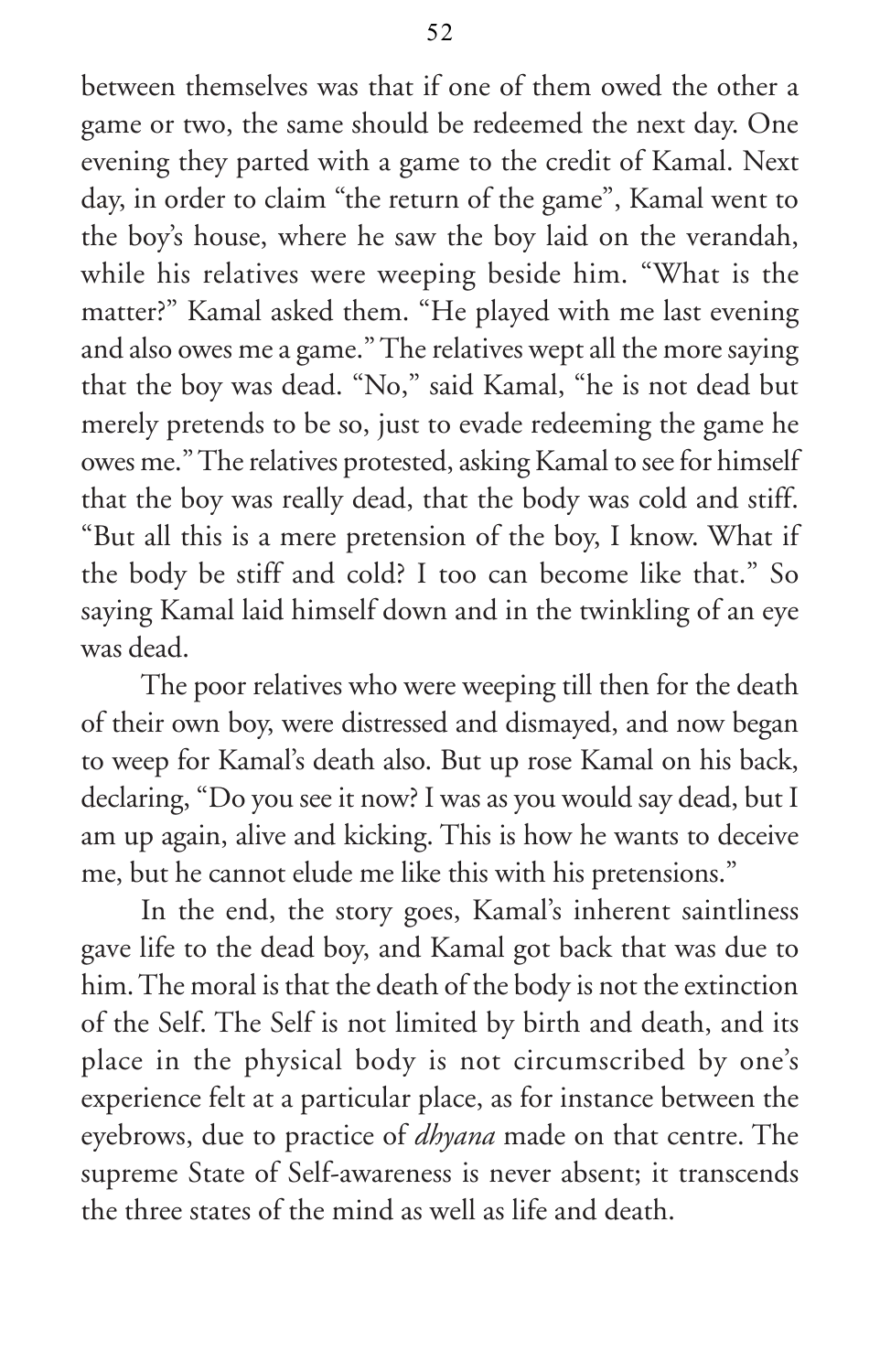between themselves was that if one of them owed the other a game or two, the same should be redeemed the next day. One evening they parted with a game to the credit of Kamal. Next day, in order to claim "the return of the game", Kamal went to the boy's house, where he saw the boy laid on the verandah, while his relatives were weeping beside him. "What is the matter?" Kamal asked them. "He played with me last evening and also owes me a game." The relatives wept all the more saying that the boy was dead. "No," said Kamal, "he is not dead but merely pretends to be so, just to evade redeeming the game he owes me." The relatives protested, asking Kamal to see for himself that the boy was really dead, that the body was cold and stiff. "But all this is a mere pretension of the boy, I know. What if the body be stiff and cold? I too can become like that." So saying Kamal laid himself down and in the twinkling of an eye was dead.

The poor relatives who were weeping till then for the death of their own boy, were distressed and dismayed, and now began to weep for Kamal's death also. But up rose Kamal on his back, declaring, "Do you see it now? I was as you would say dead, but I am up again, alive and kicking. This is how he wants to deceive me, but he cannot elude me like this with his pretensions."

In the end, the story goes, Kamal's inherent saintliness gave life to the dead boy, and Kamal got back that was due to him. The moral is that the death of the body is not the extinction of the Self. The Self is not limited by birth and death, and its place in the physical body is not circumscribed by one's experience felt at a particular place, as for instance between the eyebrows, due to practice of *dhyana* made on that centre. The supreme State of Self-awareness is never absent; it transcends the three states of the mind as well as life and death.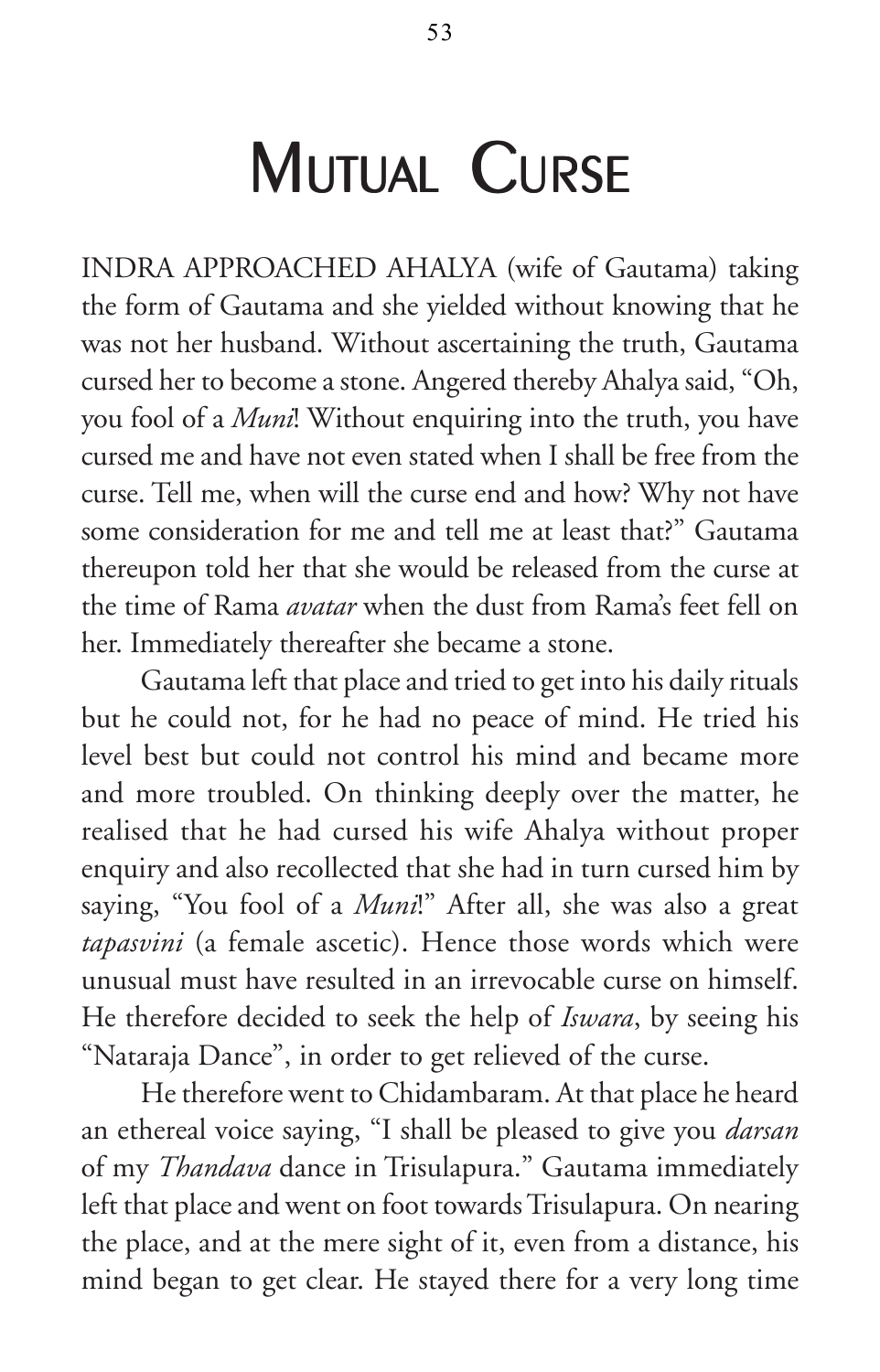# **MUTUAL CURSE**

INDRA APPROACHED AHALYA (wife of Gautama) taking the form of Gautama and she yielded without knowing that he was not her husband. Without ascertaining the truth, Gautama cursed her to become a stone. Angered thereby Ahalya said, "Oh, you fool of a *Muni*! Without enquiring into the truth, you have cursed me and have not even stated when I shall be free from the curse. Tell me, when will the curse end and how? Why not have some consideration for me and tell me at least that?" Gautama thereupon told her that she would be released from the curse at the time of Rama *avatar* when the dust from Rama's feet fell on her. Immediately thereafter she became a stone.

Gautama left that place and tried to get into his daily rituals but he could not, for he had no peace of mind. He tried his level best but could not control his mind and became more and more troubled. On thinking deeply over the matter, he realised that he had cursed his wife Ahalya without proper enquiry and also recollected that she had in turn cursed him by saying, "You fool of a *Muni*!" After all, she was also a great *tapasvini* (a female ascetic). Hence those words which were unusual must have resulted in an irrevocable curse on himself. He therefore decided to seek the help of *Iswara*, by seeing his "Nataraja Dance", in order to get relieved of the curse.

He therefore went to Chidambaram. At that place he heard an ethereal voice saying, "I shall be pleased to give you *darsan* of my *Thandava* dance in Trisulapura." Gautama immediately left that place and went on foot towards Trisulapura. On nearing the place, and at the mere sight of it, even from a distance, his mind began to get clear. He stayed there for a very long time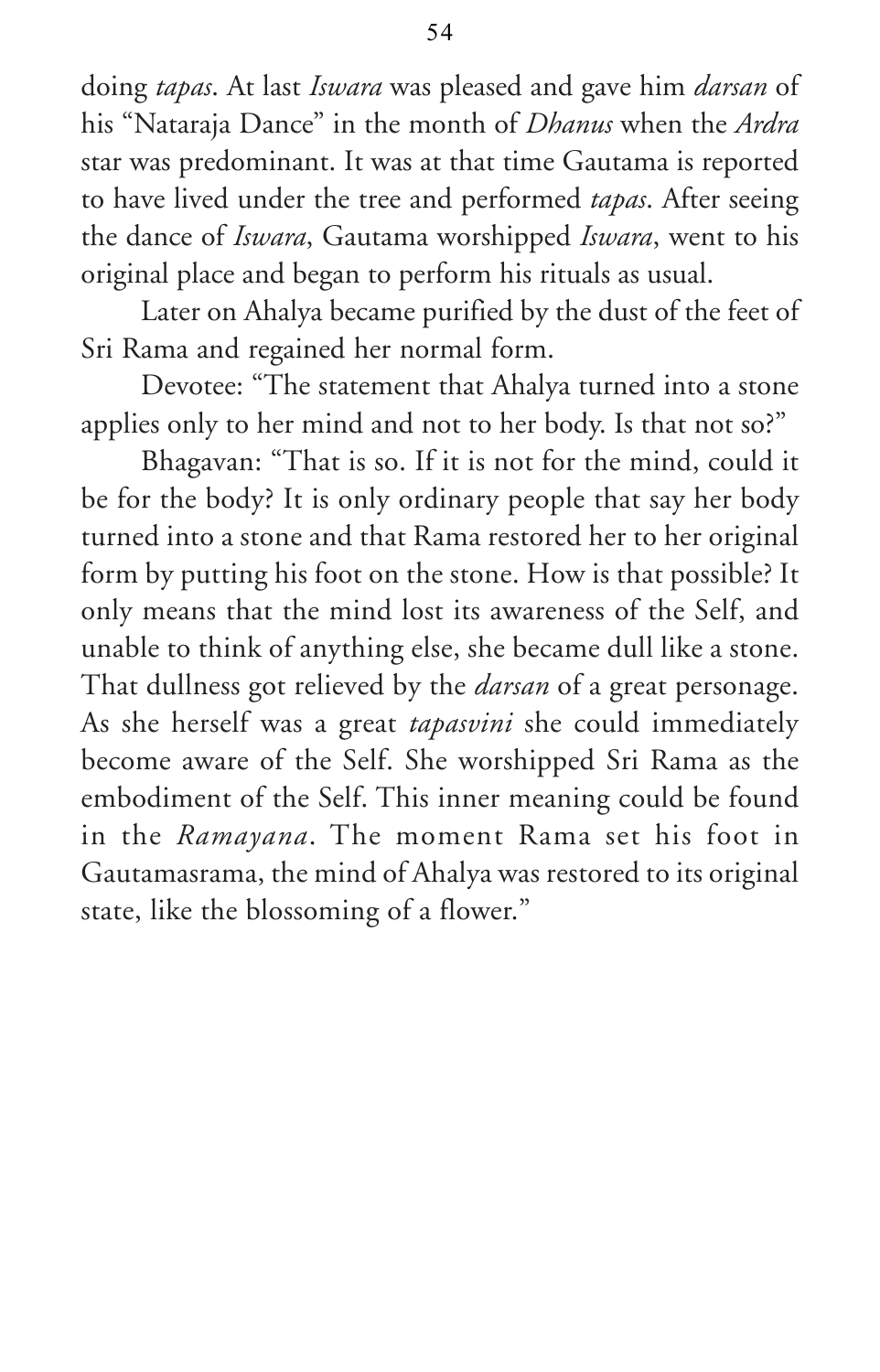doing *tapas*. At last *Iswara* was pleased and gave him *darsan* of his "Nataraja Dance" in the month of *Dhanus* when the *Ardra* star was predominant. It was at that time Gautama is reported to have lived under the tree and performed *tapas*. After seeing the dance of *Iswara*, Gautama worshipped *Iswara*, went to his original place and began to perform his rituals as usual.

Later on Ahalya became purified by the dust of the feet of Sri Rama and regained her normal form.

Devotee: "The statement that Ahalya turned into a stone applies only to her mind and not to her body. Is that not so?"

Bhagavan: "That is so. If it is not for the mind, could it be for the body? It is only ordinary people that say her body turned into a stone and that Rama restored her to her original form by putting his foot on the stone. How is that possible? It only means that the mind lost its awareness of the Self, and unable to think of anything else, she became dull like a stone. That dullness got relieved by the *darsan* of a great personage. As she herself was a great *tapasvini* she could immediately become aware of the Self. She worshipped Sri Rama as the embodiment of the Self. This inner meaning could be found in the *Ramayana*. The moment Rama set his foot in Gautamasrama, the mind of Ahalya was restored to its original state, like the blossoming of a flower."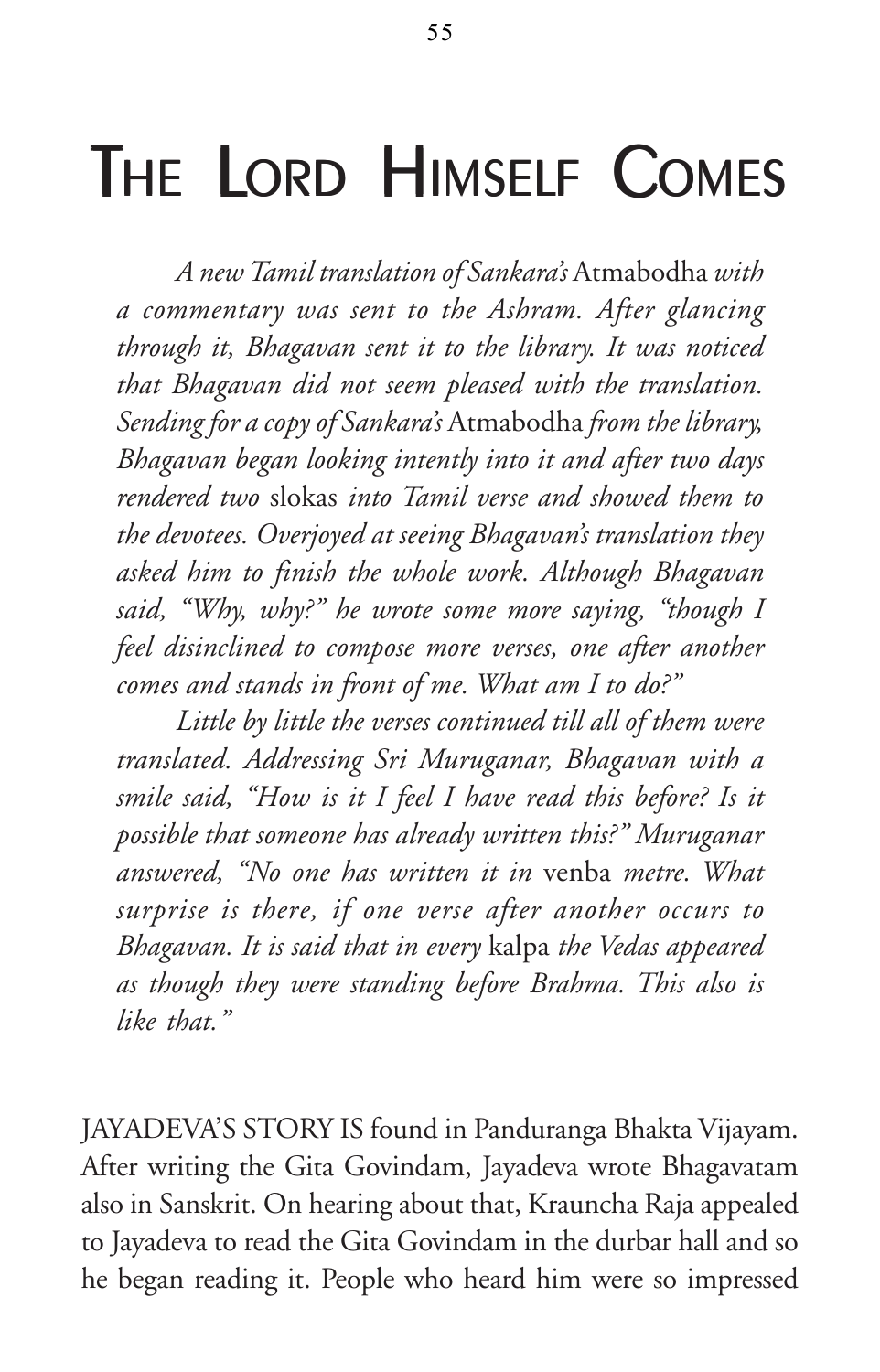# THE LORD HIMSELF COMES

*A new Tamil translation of Sankara's* Atmabodha *with a commentary was sent to the Ashram. After glancing through it, Bhagavan sent it to the library. It was noticed that Bhagavan did not seem pleased with the translation. Sending for a copy of Sankara's* Atmabodha *from the library, Bhagavan began looking intently into it and after two days rendered two* slokas *into Tamil verse and showed them to the devotees. Overjoyed at seeing Bhagavan's translation they asked him to finish the whole work. Although Bhagavan said, "Why, why?" he wrote some more saying, "though I feel disinclined to compose more verses, one after another comes and stands in front of me. What am I to do?"*

*Little by little the verses continued till all of them were translated. Addressing Sri Muruganar, Bhagavan with a smile said, "How is it I feel I have read this before? Is it possible that someone has already written this?" Muruganar answered, "No one has written it in* venba *metre. What surprise is there, if one verse after another occurs to Bhagavan. It is said that in every* kalpa *the Vedas appeared as though they were standing before Brahma. This also is like that."*

JAYADEVA'S STORY IS found in Panduranga Bhakta Vijayam. After writing the Gita Govindam, Jayadeva wrote Bhagavatam also in Sanskrit. On hearing about that, Krauncha Raja appealed to Jayadeva to read the Gita Govindam in the durbar hall and so he began reading it. People who heard him were so impressed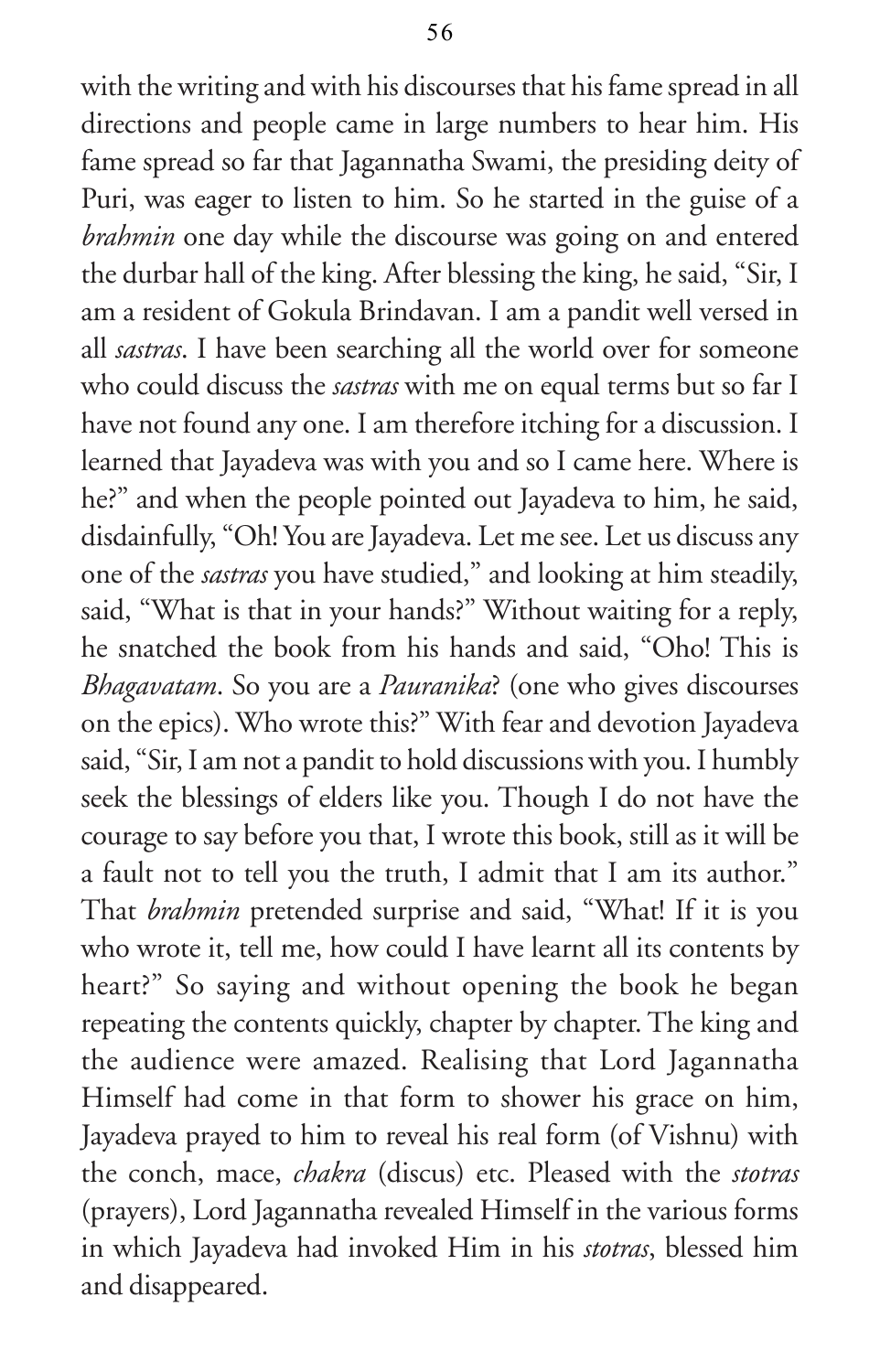with the writing and with his discourses that his fame spread in all directions and people came in large numbers to hear him. His fame spread so far that Jagannatha Swami, the presiding deity of Puri, was eager to listen to him. So he started in the guise of a *brahmin* one day while the discourse was going on and entered the durbar hall of the king. After blessing the king, he said, "Sir, I am a resident of Gokula Brindavan. I am a pandit well versed in all *sastras*. I have been searching all the world over for someone who could discuss the *sastras* with me on equal terms but so far I have not found any one. I am therefore itching for a discussion. I learned that Jayadeva was with you and so I came here. Where is he?" and when the people pointed out Jayadeva to him, he said, disdainfully, "Oh! You are Jayadeva. Let me see. Let us discuss any one of the *sastras* you have studied," and looking at him steadily, said, "What is that in your hands?" Without waiting for a reply, he snatched the book from his hands and said, "Oho! This is *Bhagavatam*. So you are a *Pauranika*? (one who gives discourses on the epics). Who wrote this?" With fear and devotion Jayadeva said, "Sir, I am not a pandit to hold discussions with you. I humbly seek the blessings of elders like you. Though I do not have the courage to say before you that, I wrote this book, still as it will be a fault not to tell you the truth, I admit that I am its author." That *brahmin* pretended surprise and said, "What! If it is you who wrote it, tell me, how could I have learnt all its contents by heart?" So saying and without opening the book he began repeating the contents quickly, chapter by chapter. The king and the audience were amazed. Realising that Lord Jagannatha Himself had come in that form to shower his grace on him, Jayadeva prayed to him to reveal his real form (of Vishnu) with the conch, mace, *chakra* (discus) etc. Pleased with the *stotras* (prayers), Lord Jagannatha revealed Himself in the various forms in which Jayadeva had invoked Him in his *stotras*, blessed him and disappeared.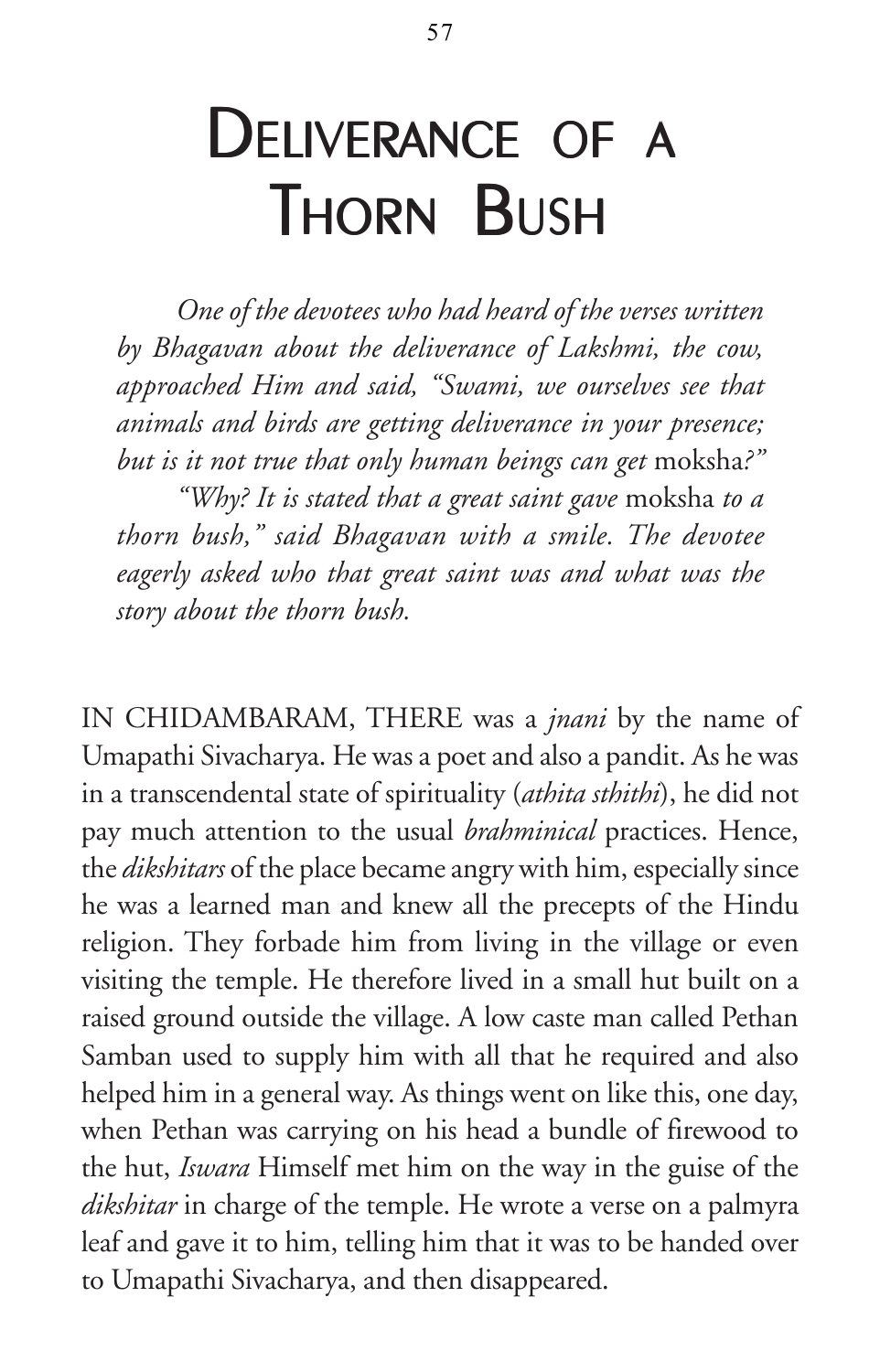## DELIVERANCE OF <sup>A</sup> **THORN BUSH**

*One of the devotees who had heard of the verses written by Bhagavan about the deliverance of Lakshmi, the cow, approached Him and said, "Swami, we ourselves see that animals and birds are getting deliverance in your presence; but is it not true that only human beings can get* moksha*?"*

*"Why? It is stated that a great saint gave* moksha *to a thorn bush," said Bhagavan with a smile. The devotee eagerly asked who that great saint was and what was the story about the thorn bush.*

IN CHIDAMBARAM, THERE was a *jnani* by the name of Umapathi Sivacharya. He was a poet and also a pandit. As he was in a transcendental state of spirituality (*athita sthithi*), he did not pay much attention to the usual *brahminical* practices. Hence, the *dikshitars* of the place became angry with him, especially since he was a learned man and knew all the precepts of the Hindu religion. They forbade him from living in the village or even visiting the temple. He therefore lived in a small hut built on a raised ground outside the village. A low caste man called Pethan Samban used to supply him with all that he required and also helped him in a general way. As things went on like this, one day, when Pethan was carrying on his head a bundle of firewood to the hut, *Iswara* Himself met him on the way in the guise of the *dikshitar* in charge of the temple. He wrote a verse on a palmyra leaf and gave it to him, telling him that it was to be handed over to Umapathi Sivacharya, and then disappeared.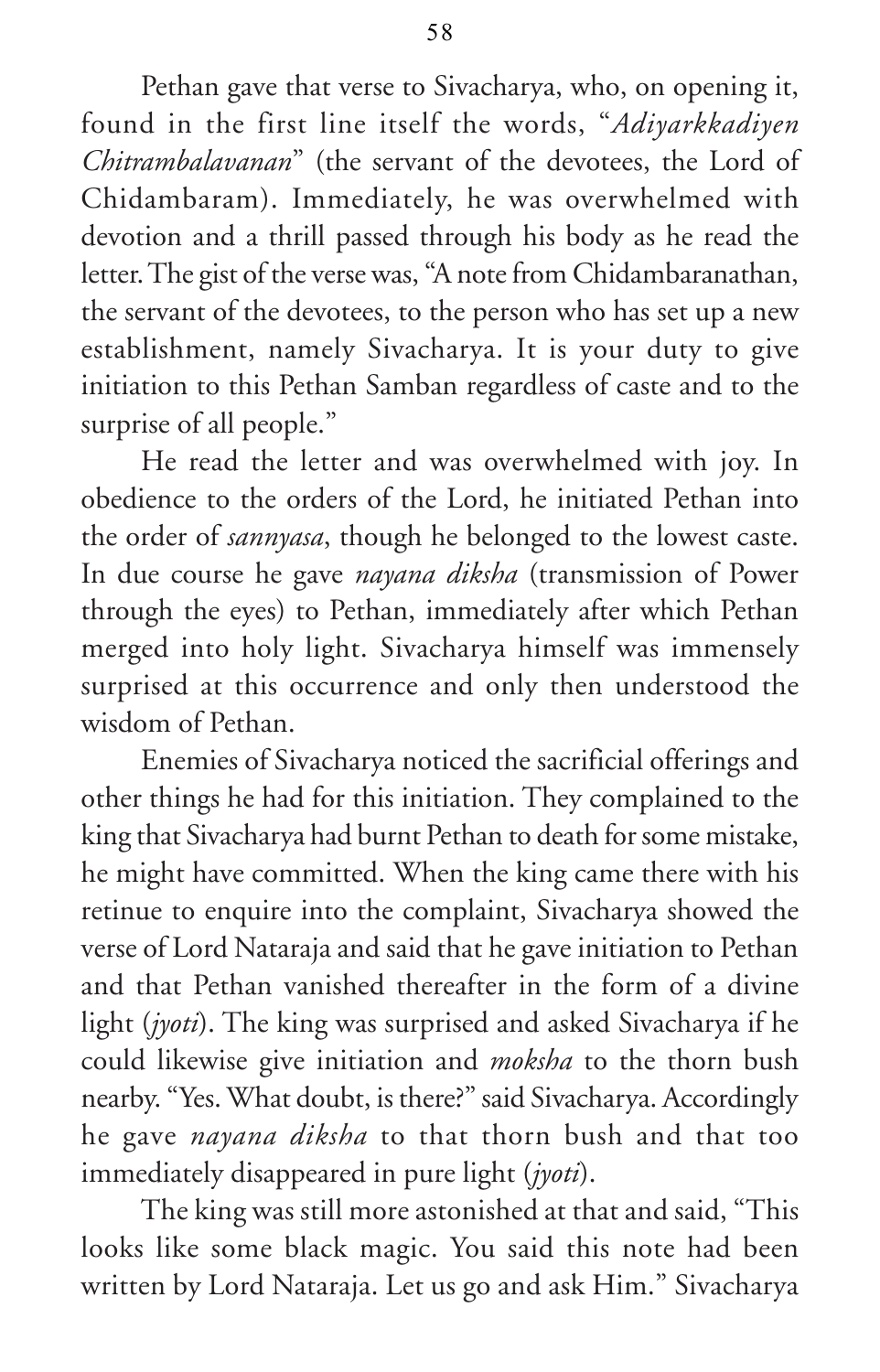Pethan gave that verse to Sivacharya, who, on opening it, found in the first line itself the words, "*Adiyarkkadiyen Chitrambalavanan*" (the servant of the devotees, the Lord of Chidambaram). Immediately, he was overwhelmed with devotion and a thrill passed through his body as he read the letter. The gist of the verse was, "A note from Chidambaranathan, the servant of the devotees, to the person who has set up a new establishment, namely Sivacharya. It is your duty to give initiation to this Pethan Samban regardless of caste and to the surprise of all people."

He read the letter and was overwhelmed with joy. In obedience to the orders of the Lord, he initiated Pethan into the order of *sannyasa*, though he belonged to the lowest caste. In due course he gave *nayana diksha* (transmission of Power through the eyes) to Pethan, immediately after which Pethan merged into holy light. Sivacharya himself was immensely surprised at this occurrence and only then understood the wisdom of Pethan.

Enemies of Sivacharya noticed the sacrificial offerings and other things he had for this initiation. They complained to the king that Sivacharya had burnt Pethan to death for some mistake, he might have committed. When the king came there with his retinue to enquire into the complaint, Sivacharya showed the verse of Lord Nataraja and said that he gave initiation to Pethan and that Pethan vanished thereafter in the form of a divine light (*jyoti*). The king was surprised and asked Sivacharya if he could likewise give initiation and *moksha* to the thorn bush nearby. "Yes. What doubt, is there?" said Sivacharya. Accordingly he gave *nayana diksha* to that thorn bush and that too immediately disappeared in pure light (*jyoti*).

The king was still more astonished at that and said, "This looks like some black magic. You said this note had been written by Lord Nataraja. Let us go and ask Him." Sivacharya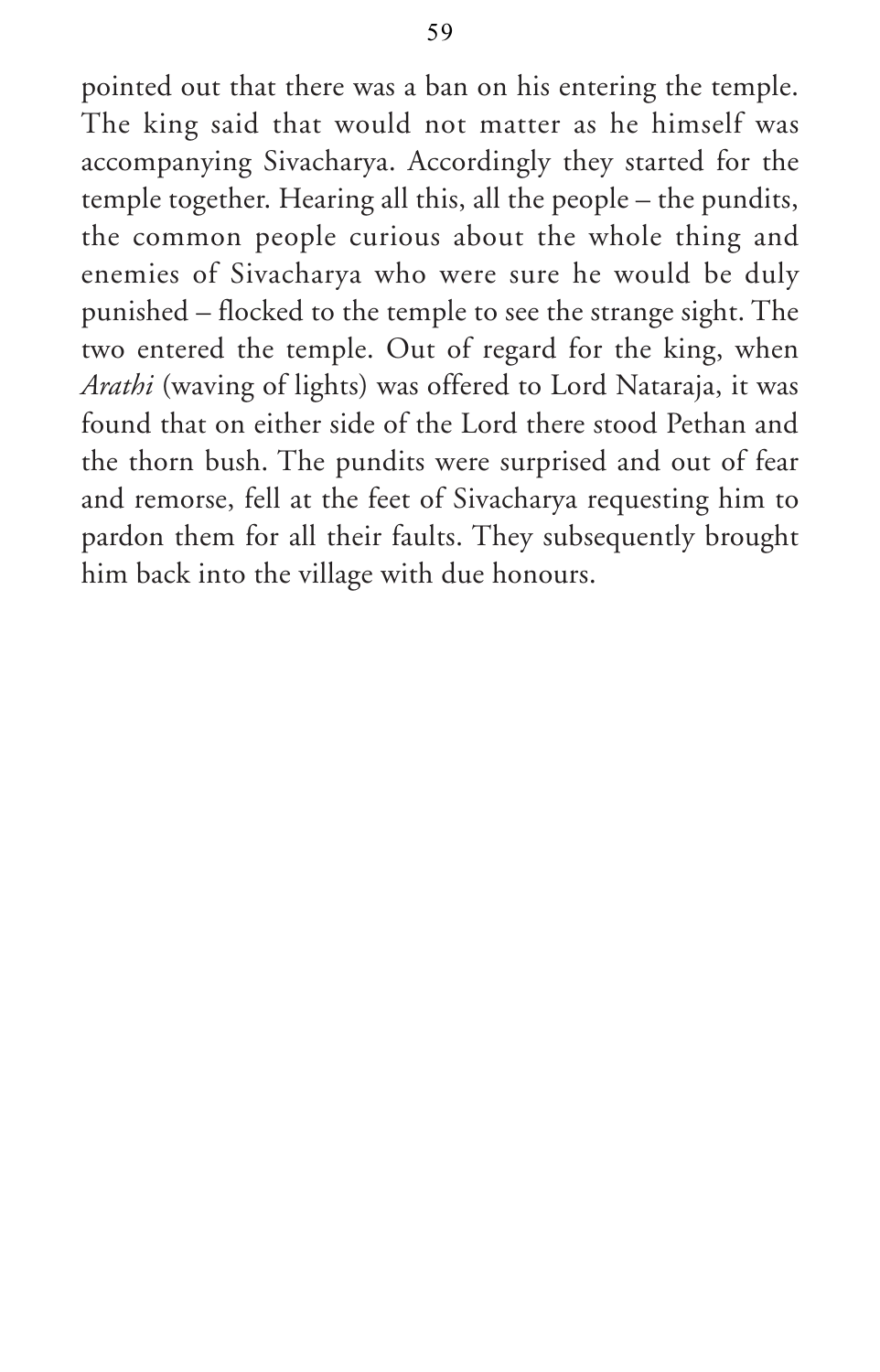pointed out that there was a ban on his entering the temple. The king said that would not matter as he himself was accompanying Sivacharya. Accordingly they started for the temple together. Hearing all this, all the people – the pundits, the common people curious about the whole thing and enemies of Sivacharya who were sure he would be duly punished – flocked to the temple to see the strange sight. The two entered the temple. Out of regard for the king, when *Arathi* (waving of lights) was offered to Lord Nataraja, it was found that on either side of the Lord there stood Pethan and the thorn bush. The pundits were surprised and out of fear and remorse, fell at the feet of Sivacharya requesting him to pardon them for all their faults. They subsequently brought him back into the village with due honours.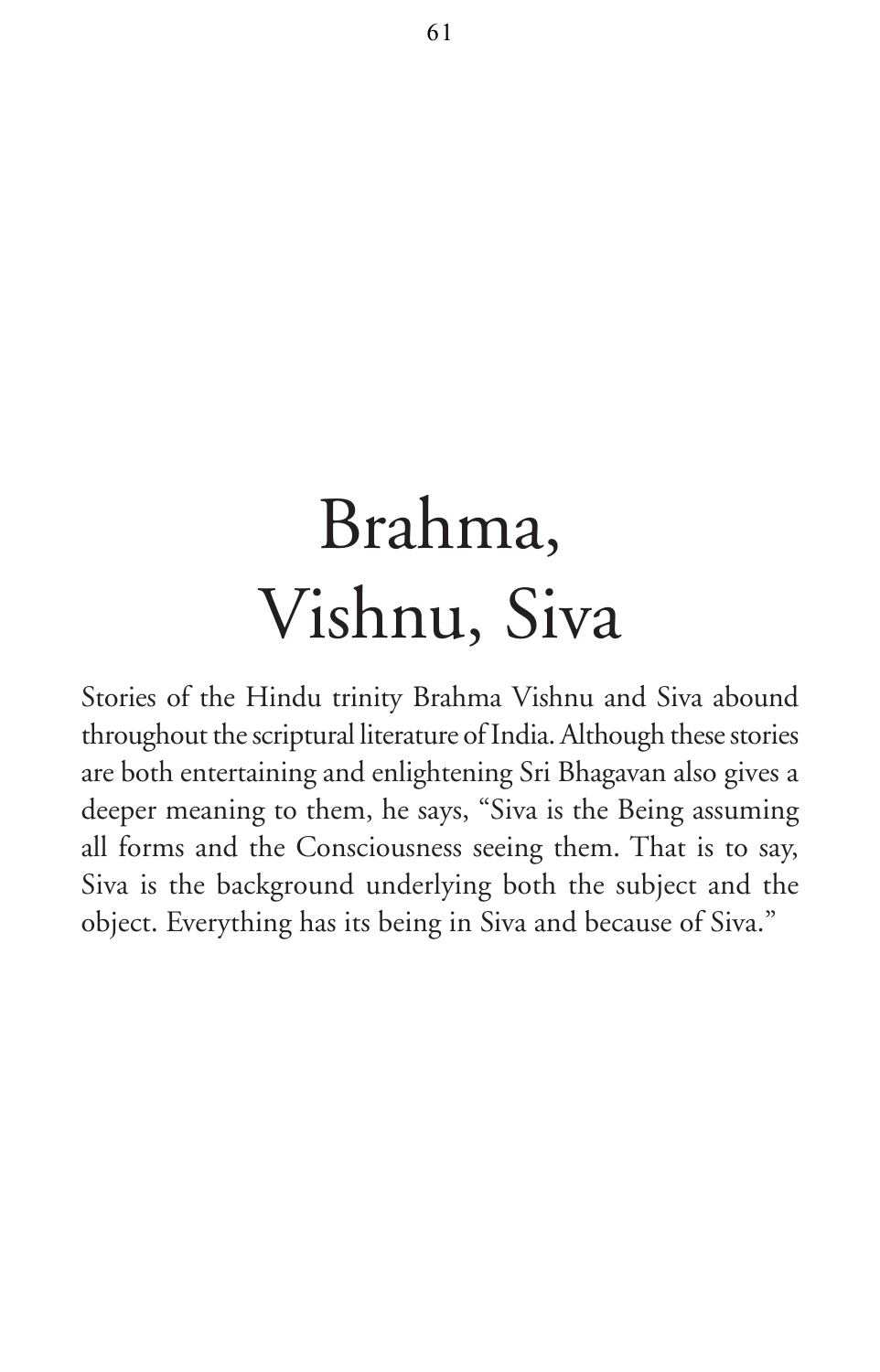# Brahma, Vishnu, Siva

Stories of the Hindu trinity Brahma Vishnu and Siva abound throughout the scriptural literature of India. Although these stories are both entertaining and enlightening Sri Bhagavan also gives a deeper meaning to them, he says, "Siva is the Being assuming all forms and the Consciousness seeing them. That is to say, Siva is the background underlying both the subject and the object. Everything has its being in Siva and because of Siva."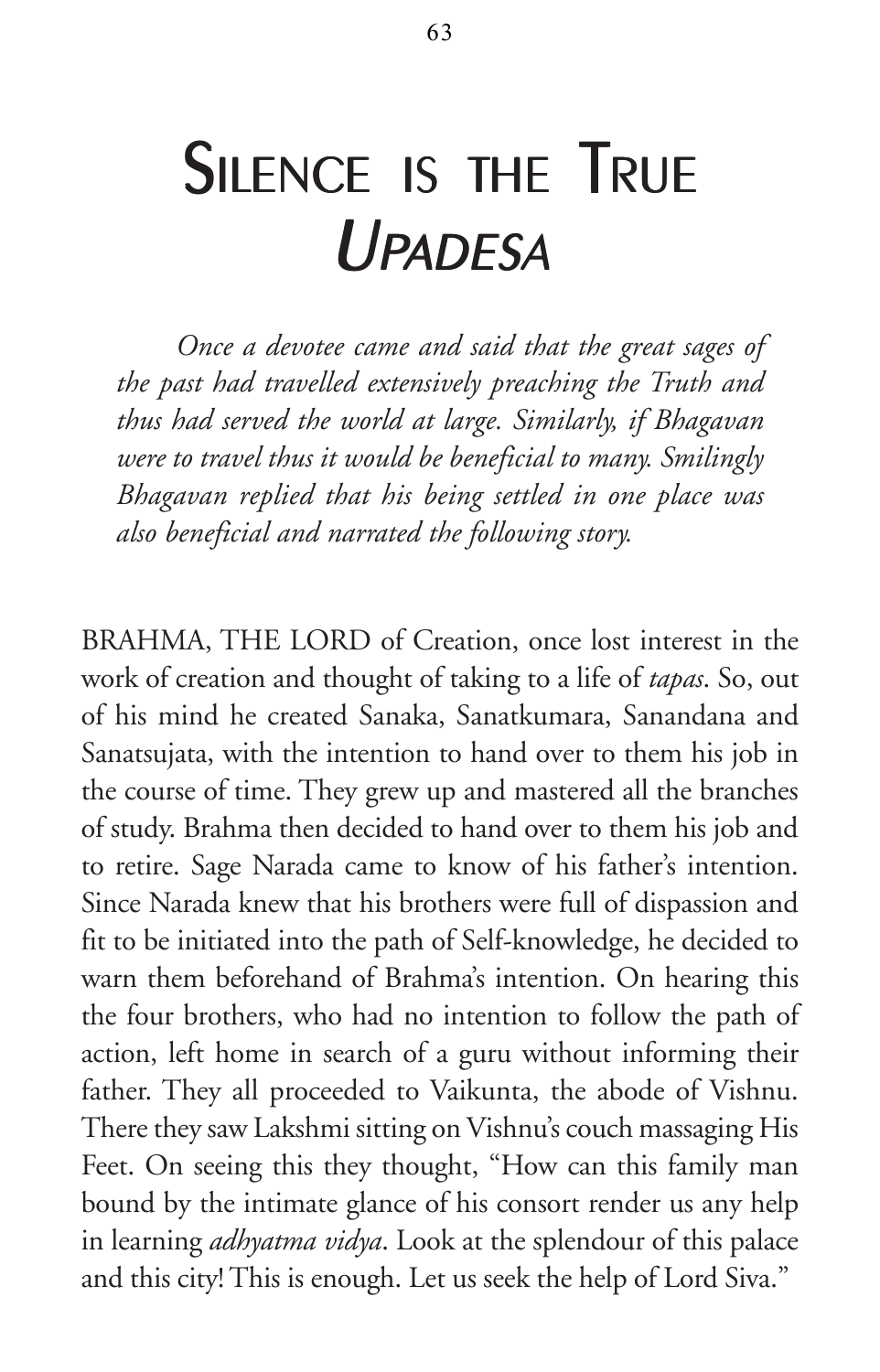## SILENCE IS THE TRUE UPADESA

*Once a devotee came and said that the great sages of the past had travelled extensively preaching the Truth and thus had served the world at large. Similarly, if Bhagavan were to travel thus it would be beneficial to many. Smilingly Bhagavan replied that his being settled in one place was also beneficial and narrated the following story.*

BRAHMA, THE LORD of Creation, once lost interest in the work of creation and thought of taking to a life of *tapas*. So, out of his mind he created Sanaka, Sanatkumara, Sanandana and Sanatsujata, with the intention to hand over to them his job in the course of time. They grew up and mastered all the branches of study. Brahma then decided to hand over to them his job and to retire. Sage Narada came to know of his father's intention. Since Narada knew that his brothers were full of dispassion and fit to be initiated into the path of Self-knowledge, he decided to warn them beforehand of Brahma's intention. On hearing this the four brothers, who had no intention to follow the path of action, left home in search of a guru without informing their father. They all proceeded to Vaikunta, the abode of Vishnu. There they saw Lakshmi sitting on Vishnu's couch massaging His Feet. On seeing this they thought, "How can this family man bound by the intimate glance of his consort render us any help in learning *adhyatma vidya*. Look at the splendour of this palace and this city! This is enough. Let us seek the help of Lord Siva."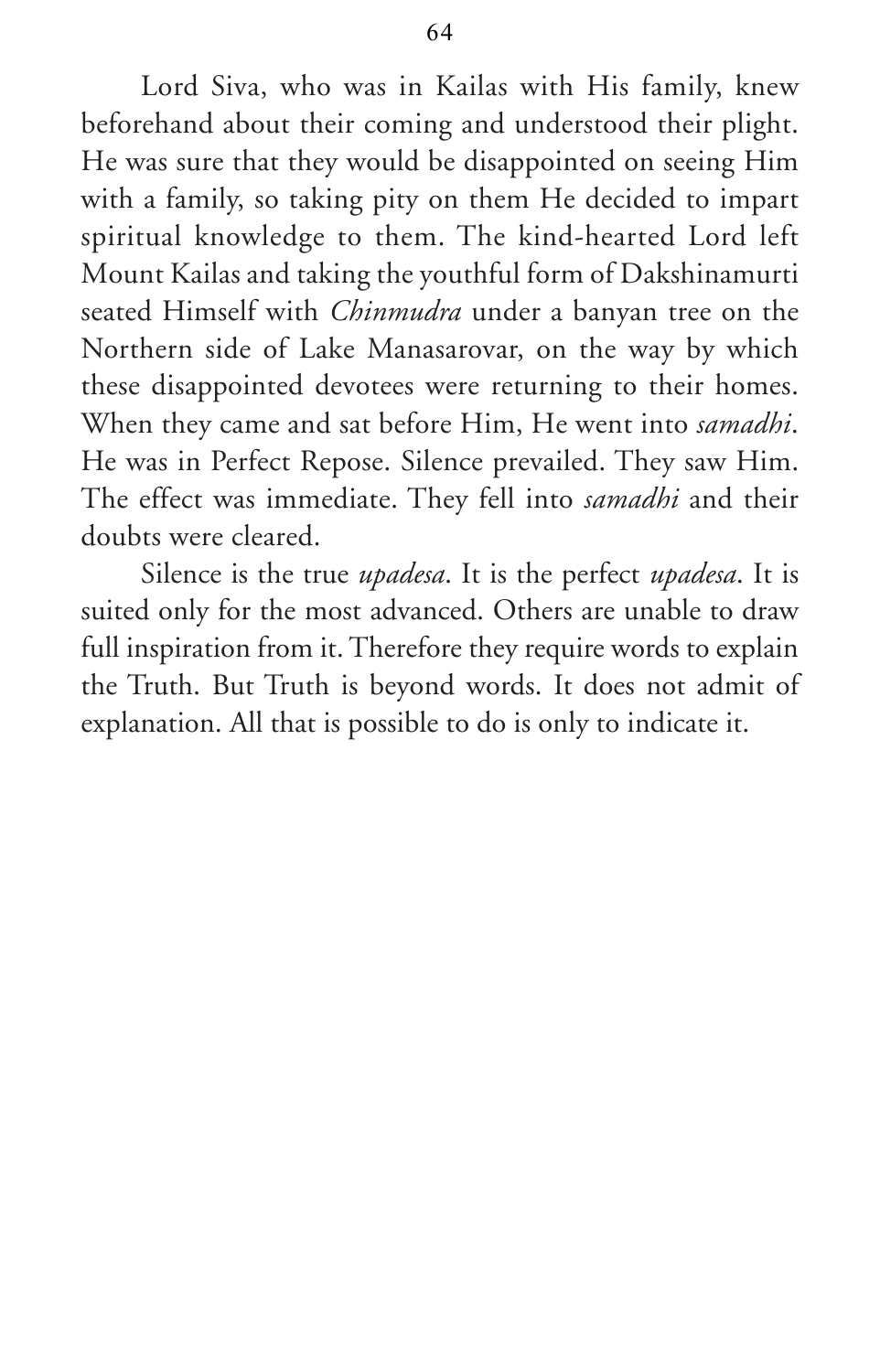Lord Siva, who was in Kailas with His family, knew beforehand about their coming and understood their plight. He was sure that they would be disappointed on seeing Him with a family, so taking pity on them He decided to impart spiritual knowledge to them. The kind-hearted Lord left Mount Kailas and taking the youthful form of Dakshinamurti seated Himself with *Chinmudra* under a banyan tree on the Northern side of Lake Manasarovar, on the way by which these disappointed devotees were returning to their homes. When they came and sat before Him, He went into *samadhi*. He was in Perfect Repose. Silence prevailed. They saw Him. The effect was immediate. They fell into *samadhi* and their doubts were cleared.

Silence is the true *upadesa*. It is the perfect *upadesa*. It is suited only for the most advanced. Others are unable to draw full inspiration from it. Therefore they require words to explain the Truth. But Truth is beyond words. It does not admit of explanation. All that is possible to do is only to indicate it.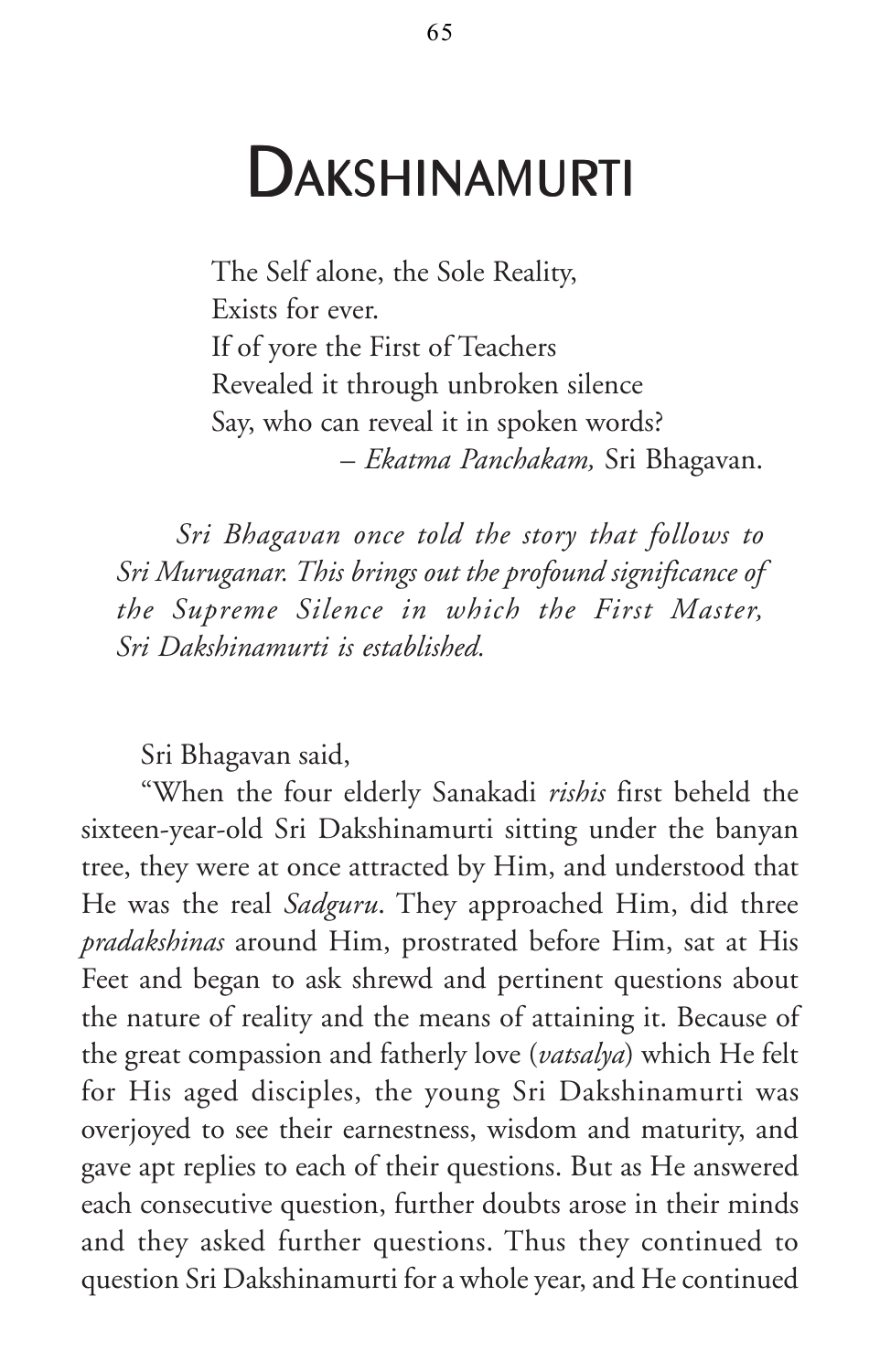#### DAKSHINAMURTI

The Self alone, the Sole Reality, Exists for ever. If of yore the First of Teachers Revealed it through unbroken silence Say, who can reveal it in spoken words? – *Ekatma Panchakam,* Sri Bhagavan.

*Sri Bhagavan once told the story that follows to Sri Muruganar. This brings out the profound significance of the Supreme Silence in which the First Master, Sri Dakshinamurti is established.*

Sri Bhagavan said,

"When the four elderly Sanakadi *rishis* first beheld the sixteen-year-old Sri Dakshinamurti sitting under the banyan tree, they were at once attracted by Him, and understood that He was the real *Sadguru*. They approached Him, did three *pradakshinas* around Him, prostrated before Him, sat at His Feet and began to ask shrewd and pertinent questions about the nature of reality and the means of attaining it. Because of the great compassion and fatherly love (*vatsalya*) which He felt for His aged disciples, the young Sri Dakshinamurti was overjoyed to see their earnestness, wisdom and maturity, and gave apt replies to each of their questions. But as He answered each consecutive question, further doubts arose in their minds and they asked further questions. Thus they continued to question Sri Dakshinamurti for a whole year, and He continued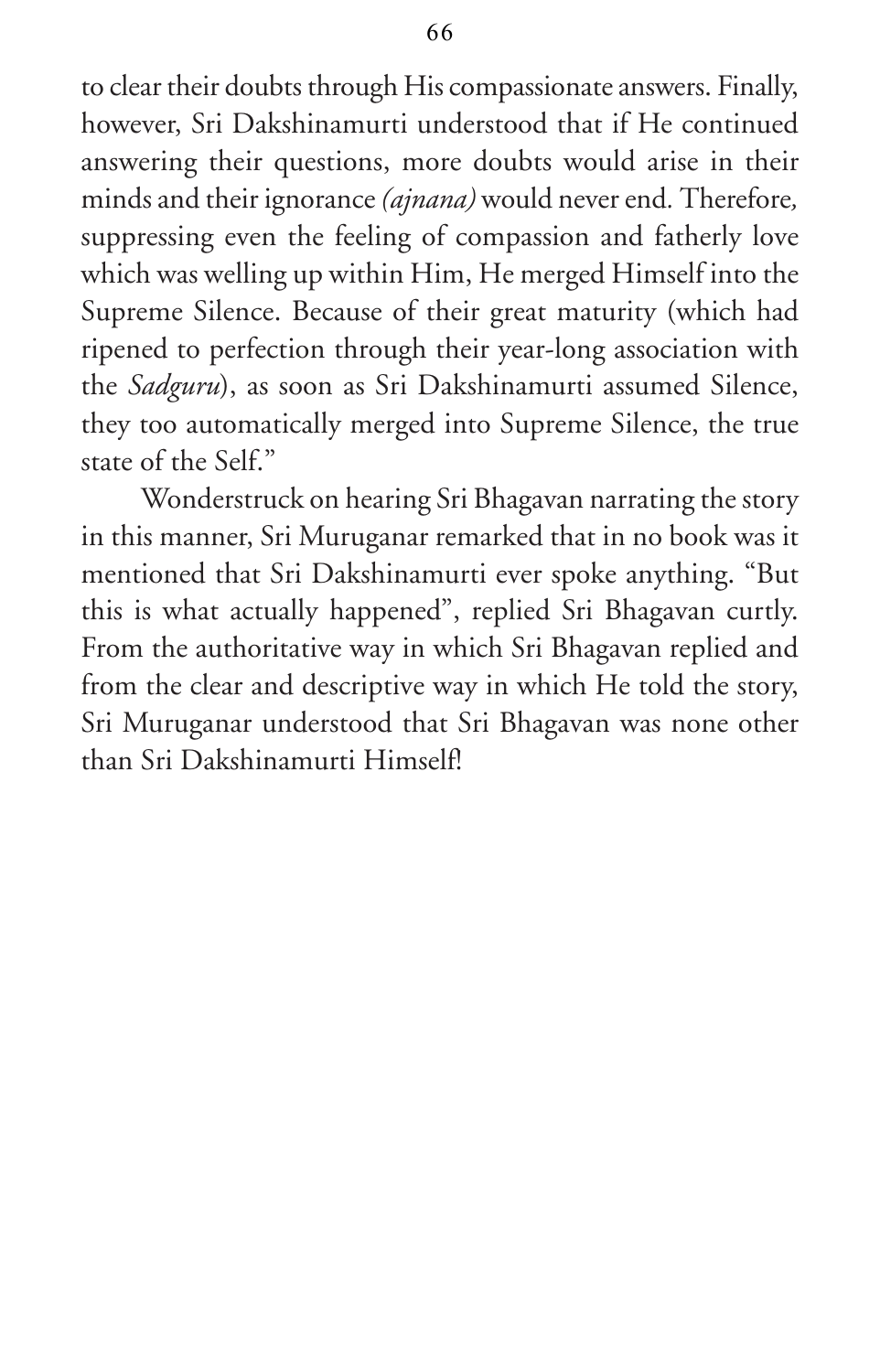to clear their doubts through His compassionate answers. Finally, however, Sri Dakshinamurti understood that if He continued answering their questions, more doubts would arise in their minds and their ignorance *(ajnana)* would never end*.* Therefore*,* suppressing even the feeling of compassion and fatherly love which was welling up within Him, He merged Himself into the Supreme Silence. Because of their great maturity (which had ripened to perfection through their year-long association with the *Sadguru*), as soon as Sri Dakshinamurti assumed Silence, they too automatically merged into Supreme Silence, the true state of the Self."

Wonderstruck on hearing Sri Bhagavan narrating the story in this manner, Sri Muruganar remarked that in no book was it mentioned that Sri Dakshinamurti ever spoke anything. "But this is what actually happened", replied Sri Bhagavan curtly. From the authoritative way in which Sri Bhagavan replied and from the clear and descriptive way in which He told the story, Sri Muruganar understood that Sri Bhagavan was none other than Sri Dakshinamurti Himself!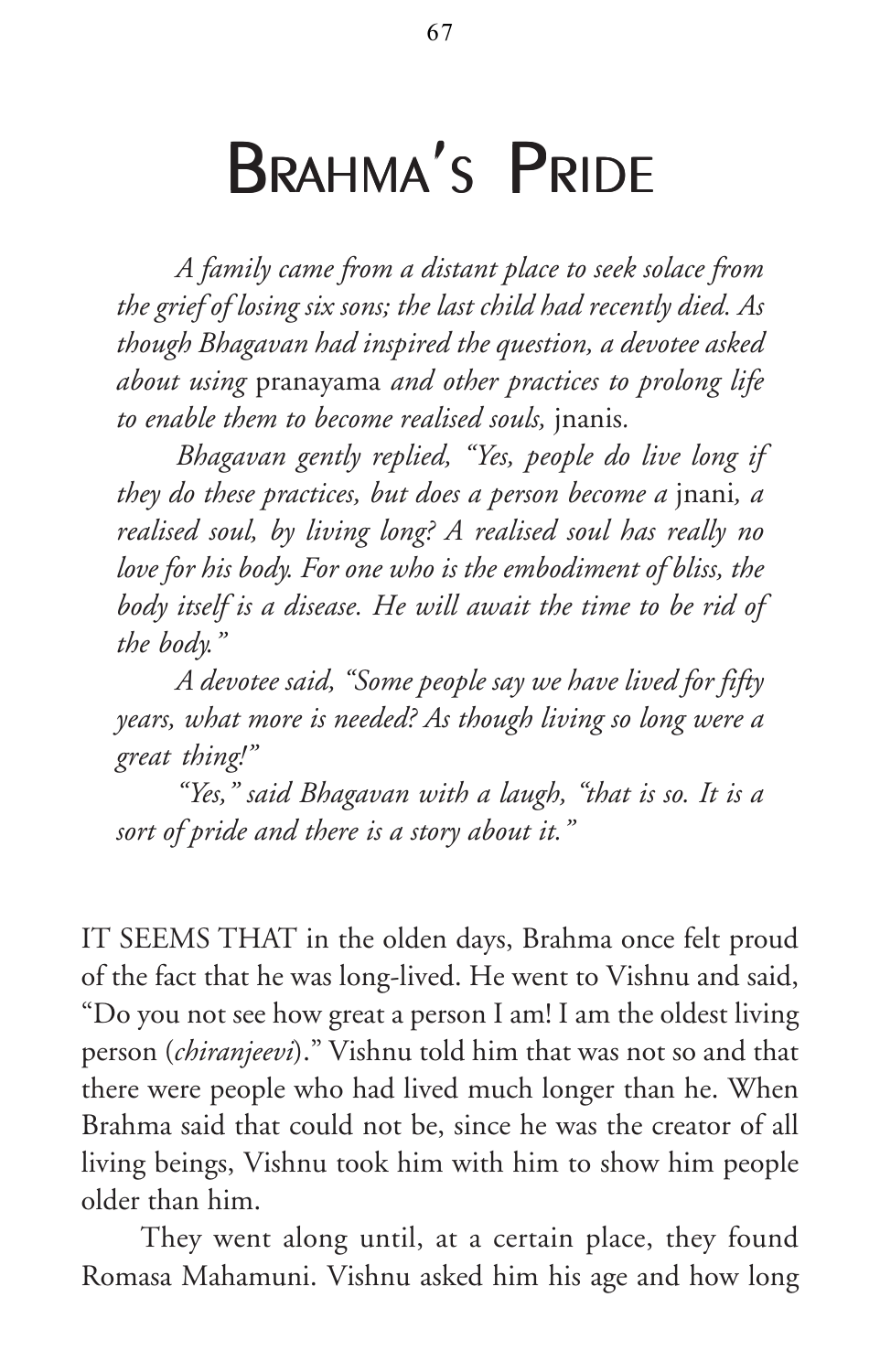#### BRAHMA'S PRIDE

*A family came from a distant place to seek solace from the grief of losing six sons; the last child had recently died. As though Bhagavan had inspired the question, a devotee asked about using* pranayama *and other practices to prolong life to enable them to become realised souls,* jnanis*.*

*Bhagavan gently replied, "Yes, people do live long if they do these practices, but does a person become a* jnani*, a realised soul, by living long? A realised soul has really no love for his body. For one who is the embodiment of bliss, the body itself is a disease. He will await the time to be rid of the body."*

*A devotee said, "Some people say we have lived for fifty years, what more is needed? As though living so long were a great thing!"*

*"Yes," said Bhagavan with a laugh, "that is so. It is a sort of pride and there is a story about it."*

IT SEEMS THAT in the olden days, Brahma once felt proud of the fact that he was long-lived. He went to Vishnu and said, "Do you not see how great a person I am! I am the oldest living person (*chiranjeevi*)." Vishnu told him that was not so and that there were people who had lived much longer than he. When Brahma said that could not be, since he was the creator of all living beings, Vishnu took him with him to show him people older than him.

They went along until, at a certain place, they found Romasa Mahamuni. Vishnu asked him his age and how long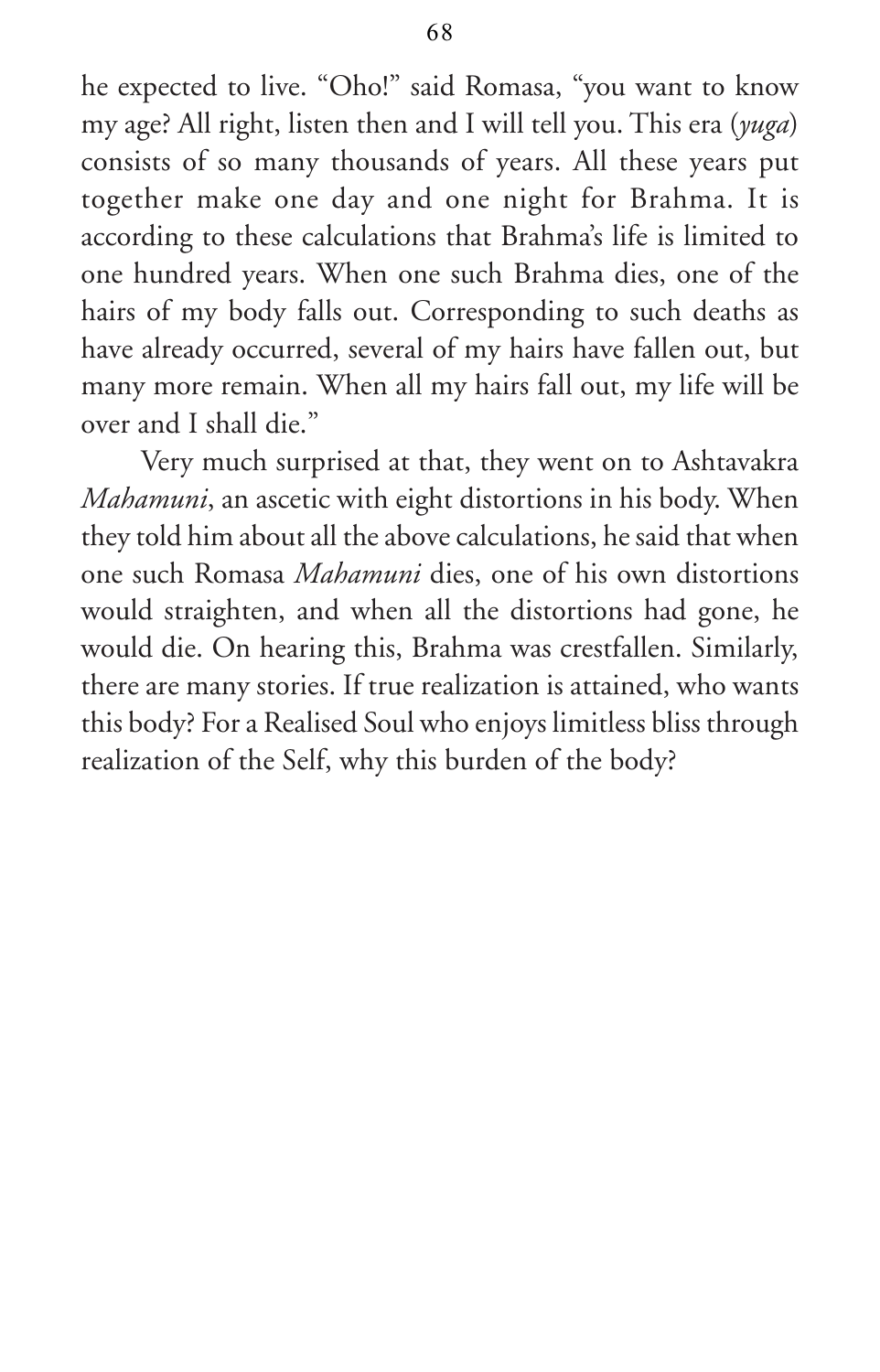he expected to live. "Oho!" said Romasa, "you want to know my age? All right, listen then and I will tell you. This era (*yuga*) consists of so many thousands of years. All these years put together make one day and one night for Brahma. It is according to these calculations that Brahma's life is limited to one hundred years. When one such Brahma dies, one of the hairs of my body falls out. Corresponding to such deaths as have already occurred, several of my hairs have fallen out, but many more remain. When all my hairs fall out, my life will be over and I shall die."

Very much surprised at that, they went on to Ashtavakra *Mahamuni*, an ascetic with eight distortions in his body. When they told him about all the above calculations, he said that when one such Romasa *Mahamuni* dies, one of his own distortions would straighten, and when all the distortions had gone, he would die. On hearing this, Brahma was crestfallen. Similarly, there are many stories. If true realization is attained, who wants this body? For a Realised Soul who enjoys limitless bliss through realization of the Self, why this burden of the body?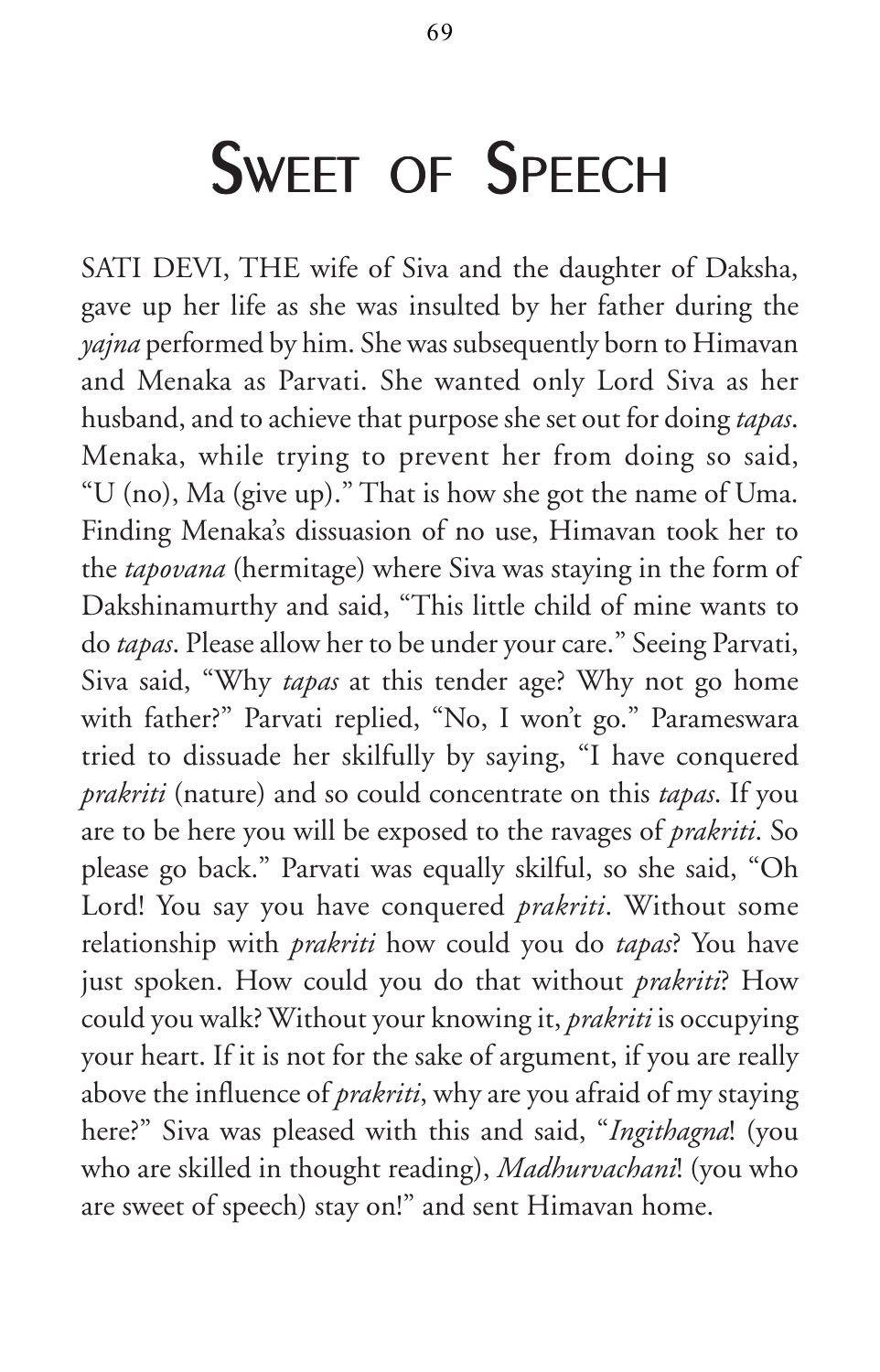#### SWEET OF SPEECH

SATI DEVI, THE wife of Siva and the daughter of Daksha, gave up her life as she was insulted by her father during the *yajna* performed by him. She was subsequently born to Himavan and Menaka as Parvati. She wanted only Lord Siva as her husband, and to achieve that purpose she set out for doing *tapas*. Menaka, while trying to prevent her from doing so said, "U (no), Ma (give up)." That is how she got the name of Uma. Finding Menaka's dissuasion of no use, Himavan took her to the *tapovana* (hermitage) where Siva was staying in the form of Dakshinamurthy and said, "This little child of mine wants to do *tapas*. Please allow her to be under your care." Seeing Parvati, Siva said, "Why *tapas* at this tender age? Why not go home with father?" Parvati replied, "No, I won't go." Parameswara tried to dissuade her skilfully by saying, "I have conquered *prakriti* (nature) and so could concentrate on this *tapas*. If you are to be here you will be exposed to the ravages of *prakriti*. So please go back." Parvati was equally skilful, so she said, "Oh Lord! You say you have conquered *prakriti*. Without some relationship with *prakriti* how could you do *tapas*? You have just spoken. How could you do that without *prakriti*? How could you walk? Without your knowing it, *prakriti* is occupying your heart. If it is not for the sake of argument, if you are really above the influence of *prakriti*, why are you afraid of my staying here?" Siva was pleased with this and said, "*Ingithagna*! (you who are skilled in thought reading), *Madhurvachani*! (you who are sweet of speech) stay on!" and sent Himavan home.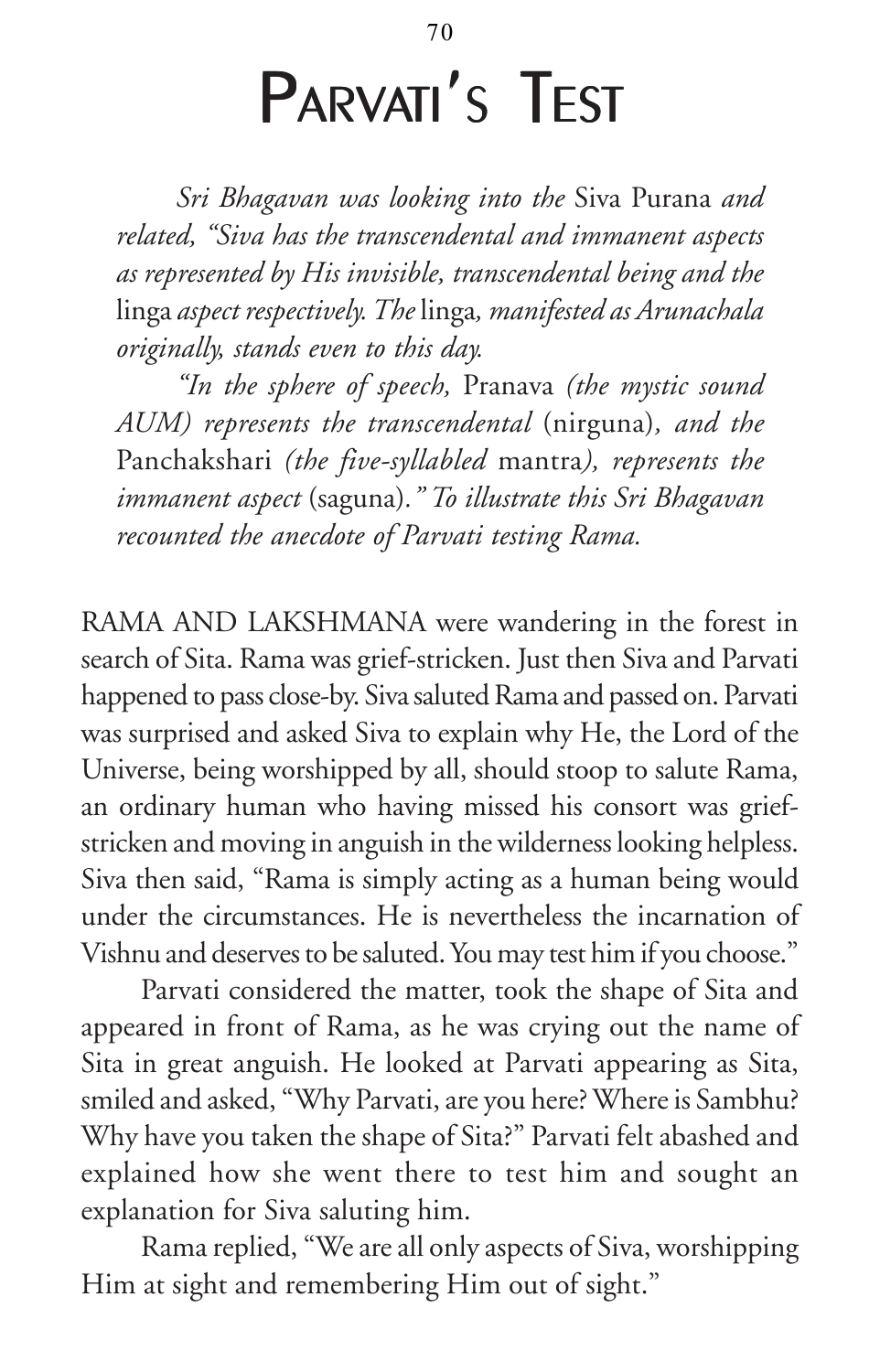# PARVATI'S TEST

70

*Sri Bhagavan was looking into the* Siva Purana *and related, "Siva has the transcendental and immanent aspects as represented by His invisible, transcendental being and the* linga *aspect respectively. The* linga*, manifested as Arunachala originally, stands even to this day.*

*"In the sphere of speech,* Pranava *(the mystic sound AUM) represents the transcendental* (nirguna)*, and the* Panchakshari *(the five-syllabled* mantra*), represents the immanent aspect* (saguna)*." To illustrate this Sri Bhagavan recounted the anecdote of Parvati testing Rama.*

RAMA AND LAKSHMANA were wandering in the forest in search of Sita. Rama was grief-stricken. Just then Siva and Parvati happened to pass close-by. Siva saluted Rama and passed on. Parvati was surprised and asked Siva to explain why He, the Lord of the Universe, being worshipped by all, should stoop to salute Rama, an ordinary human who having missed his consort was griefstricken and moving in anguish in the wilderness looking helpless. Siva then said, "Rama is simply acting as a human being would under the circumstances. He is nevertheless the incarnation of Vishnu and deserves to be saluted. You may test him if you choose."

Parvati considered the matter, took the shape of Sita and appeared in front of Rama, as he was crying out the name of Sita in great anguish. He looked at Parvati appearing as Sita, smiled and asked, "Why Parvati, are you here? Where is Sambhu? Why have you taken the shape of Sita?" Parvati felt abashed and explained how she went there to test him and sought an explanation for Siva saluting him.

Rama replied, "We are all only aspects of Siva, worshipping Him at sight and remembering Him out of sight."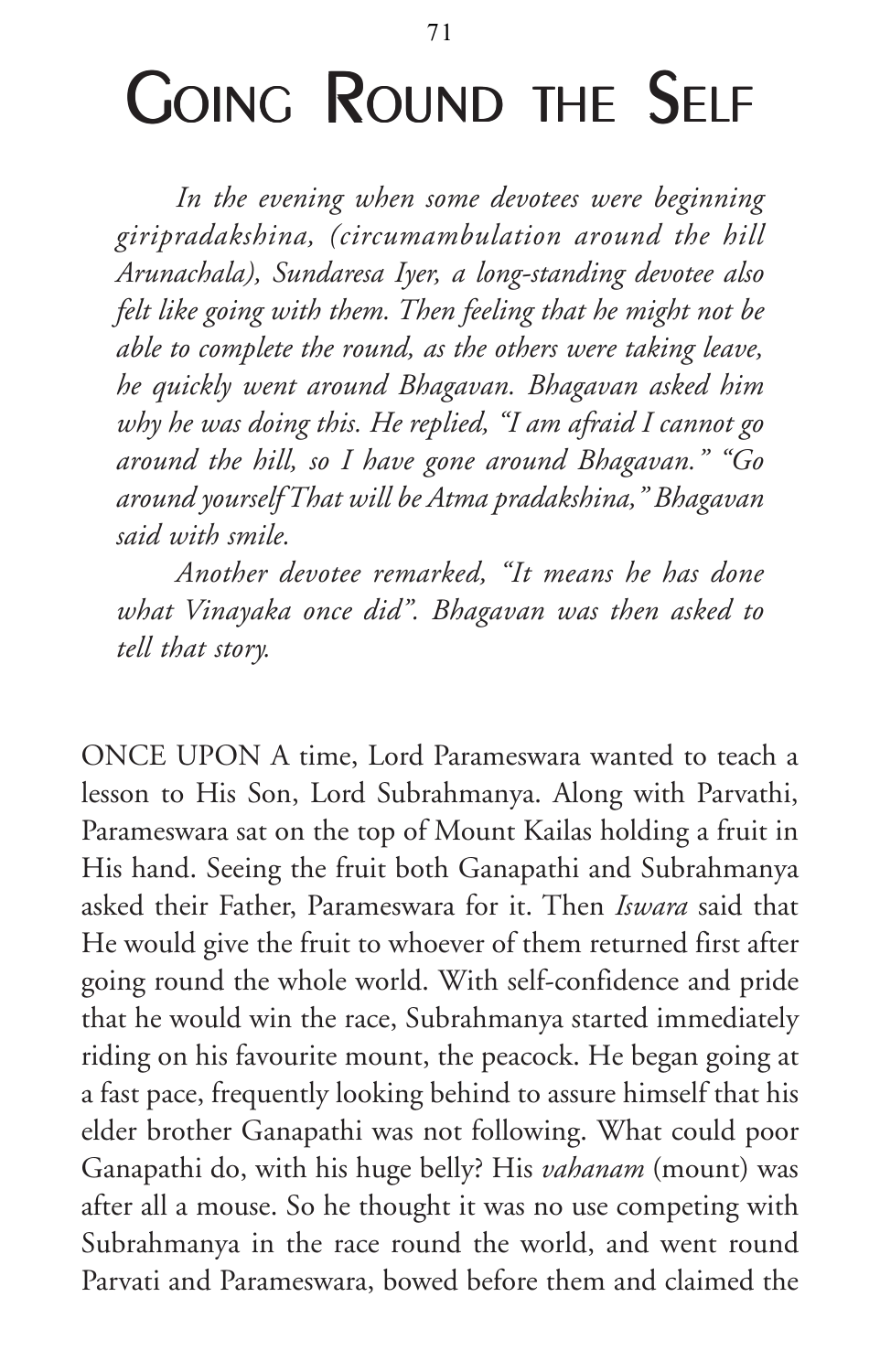# GOING ROUND THE SELF

*In the evening when some devotees were beginning giripradakshina, (circumambulation around the hill Arunachala), Sundaresa Iyer, a long-standing devotee also felt like going with them. Then feeling that he might not be able to complete the round, as the others were taking leave, he quickly went around Bhagavan. Bhagavan asked him why he was doing this. He replied, "I am afraid I cannot go around the hill, so I have gone around Bhagavan." "Go around yourself That will be Atma pradakshina," Bhagavan said with smile.*

*Another devotee remarked, "It means he has done what Vinayaka once did". Bhagavan was then asked to tell that story.*

ONCE UPON A time, Lord Parameswara wanted to teach a lesson to His Son, Lord Subrahmanya. Along with Parvathi, Parameswara sat on the top of Mount Kailas holding a fruit in His hand. Seeing the fruit both Ganapathi and Subrahmanya asked their Father, Parameswara for it. Then *Iswara* said that He would give the fruit to whoever of them returned first after going round the whole world. With self-confidence and pride that he would win the race, Subrahmanya started immediately riding on his favourite mount, the peacock. He began going at a fast pace, frequently looking behind to assure himself that his elder brother Ganapathi was not following. What could poor Ganapathi do, with his huge belly? His *vahanam* (mount) was after all a mouse. So he thought it was no use competing with Subrahmanya in the race round the world, and went round Parvati and Parameswara, bowed before them and claimed the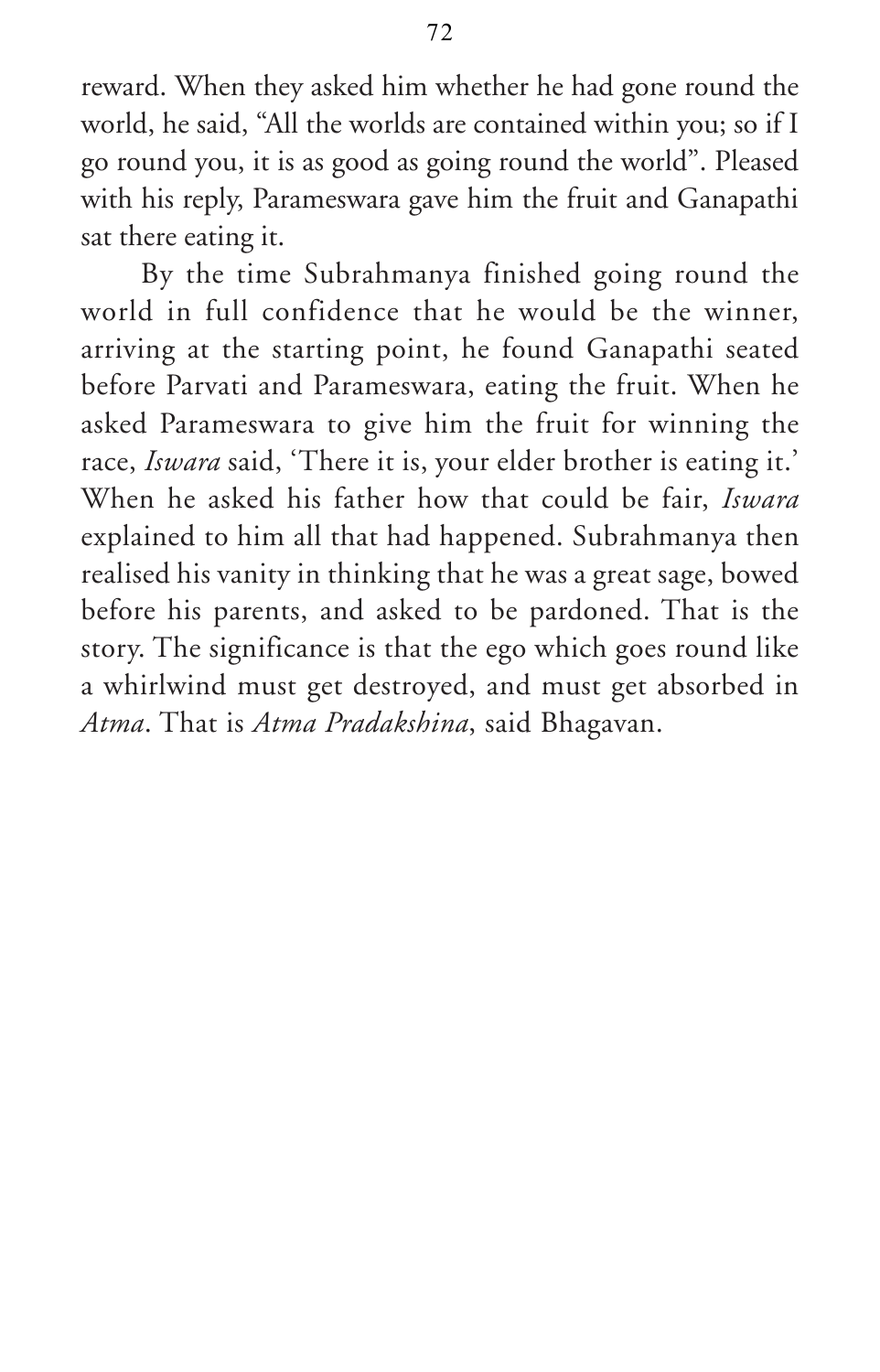reward. When they asked him whether he had gone round the world, he said, "All the worlds are contained within you; so if I go round you, it is as good as going round the world". Pleased with his reply, Parameswara gave him the fruit and Ganapathi sat there eating it.

By the time Subrahmanya finished going round the world in full confidence that he would be the winner, arriving at the starting point, he found Ganapathi seated before Parvati and Parameswara, eating the fruit. When he asked Parameswara to give him the fruit for winning the race, *Iswara* said, 'There it is, your elder brother is eating it.' When he asked his father how that could be fair, *Iswara* explained to him all that had happened. Subrahmanya then realised his vanity in thinking that he was a great sage, bowed before his parents, and asked to be pardoned. That is the story. The significance is that the ego which goes round like a whirlwind must get destroyed, and must get absorbed in *Atma*. That is *Atma Pradakshina*, said Bhagavan.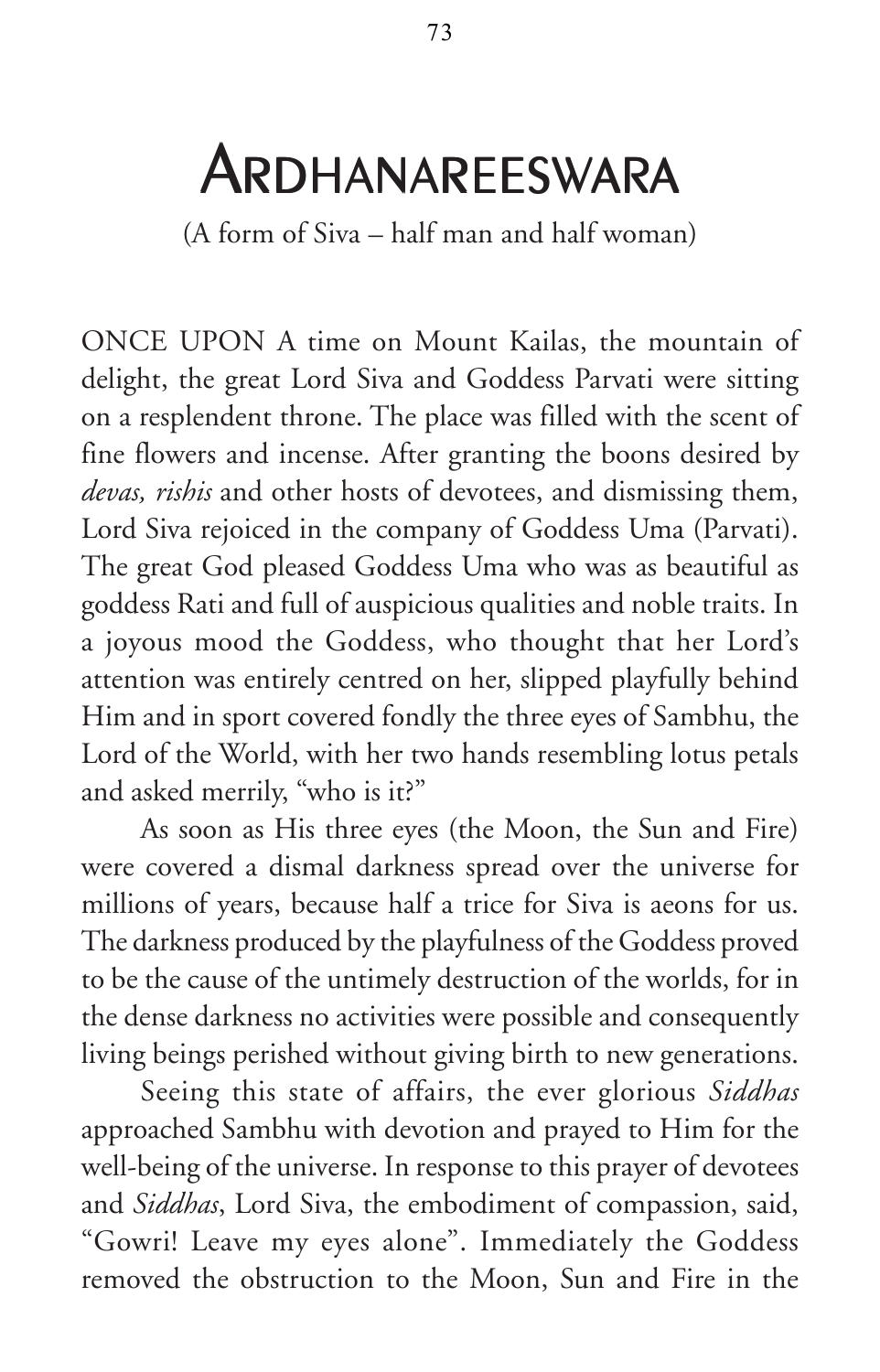#### ARDHANAREESWARA

(A form of Siva – half man and half woman)

ONCE UPON A time on Mount Kailas, the mountain of delight, the great Lord Siva and Goddess Parvati were sitting on a resplendent throne. The place was filled with the scent of fine flowers and incense. After granting the boons desired by *devas, rishis* and other hosts of devotees, and dismissing them, Lord Siva rejoiced in the company of Goddess Uma (Parvati). The great God pleased Goddess Uma who was as beautiful as goddess Rati and full of auspicious qualities and noble traits. In a joyous mood the Goddess, who thought that her Lord's attention was entirely centred on her, slipped playfully behind Him and in sport covered fondly the three eyes of Sambhu, the Lord of the World, with her two hands resembling lotus petals and asked merrily, "who is it?"

As soon as His three eyes (the Moon, the Sun and Fire) were covered a dismal darkness spread over the universe for millions of years, because half a trice for Siva is aeons for us. The darkness produced by the playfulness of the Goddess proved to be the cause of the untimely destruction of the worlds, for in the dense darkness no activities were possible and consequently living beings perished without giving birth to new generations.

Seeing this state of affairs, the ever glorious *Siddhas* approached Sambhu with devotion and prayed to Him for the well-being of the universe. In response to this prayer of devotees and *Siddhas*, Lord Siva, the embodiment of compassion, said, "Gowri! Leave my eyes alone". Immediately the Goddess removed the obstruction to the Moon, Sun and Fire in the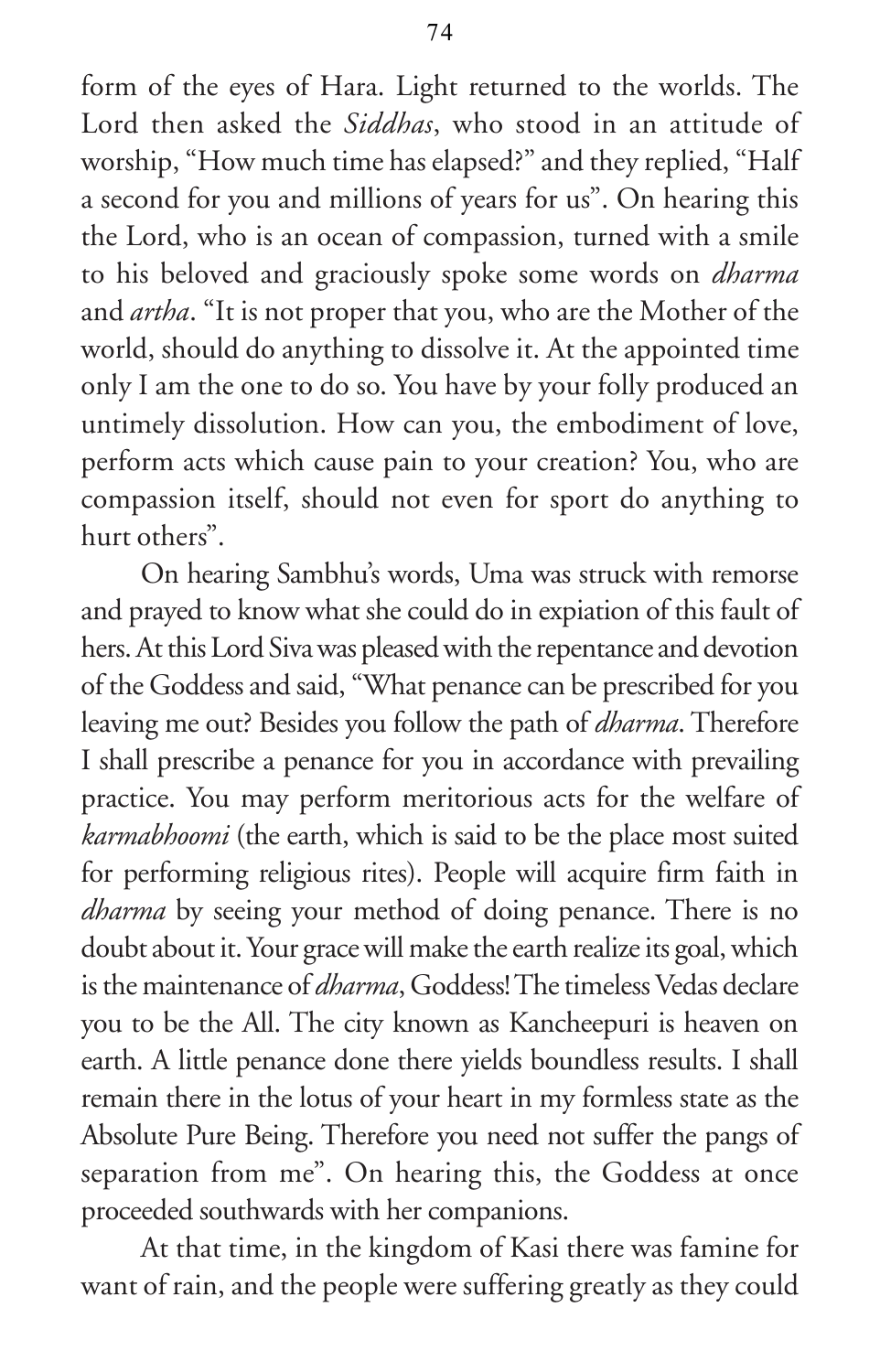form of the eyes of Hara. Light returned to the worlds. The Lord then asked the *Siddhas*, who stood in an attitude of worship, "How much time has elapsed?" and they replied, "Half a second for you and millions of years for us". On hearing this the Lord, who is an ocean of compassion, turned with a smile to his beloved and graciously spoke some words on *dharma* and *artha*. "It is not proper that you, who are the Mother of the world, should do anything to dissolve it. At the appointed time only I am the one to do so. You have by your folly produced an untimely dissolution. How can you, the embodiment of love, perform acts which cause pain to your creation? You, who are compassion itself, should not even for sport do anything to hurt others".

On hearing Sambhu's words, Uma was struck with remorse and prayed to know what she could do in expiation of this fault of hers. At this Lord Siva was pleased with the repentance and devotion of the Goddess and said, "What penance can be prescribed for you leaving me out? Besides you follow the path of *dharma*. Therefore I shall prescribe a penance for you in accordance with prevailing practice. You may perform meritorious acts for the welfare of *karmabhoomi* (the earth, which is said to be the place most suited for performing religious rites). People will acquire firm faith in *dharma* by seeing your method of doing penance. There is no doubt about it. Your grace will make the earth realize its goal, which is the maintenance of *dharma*, Goddess! The timeless Vedas declare you to be the All. The city known as Kancheepuri is heaven on earth. A little penance done there yields boundless results. I shall remain there in the lotus of your heart in my formless state as the Absolute Pure Being. Therefore you need not suffer the pangs of separation from me". On hearing this, the Goddess at once proceeded southwards with her companions.

At that time, in the kingdom of Kasi there was famine for want of rain, and the people were suffering greatly as they could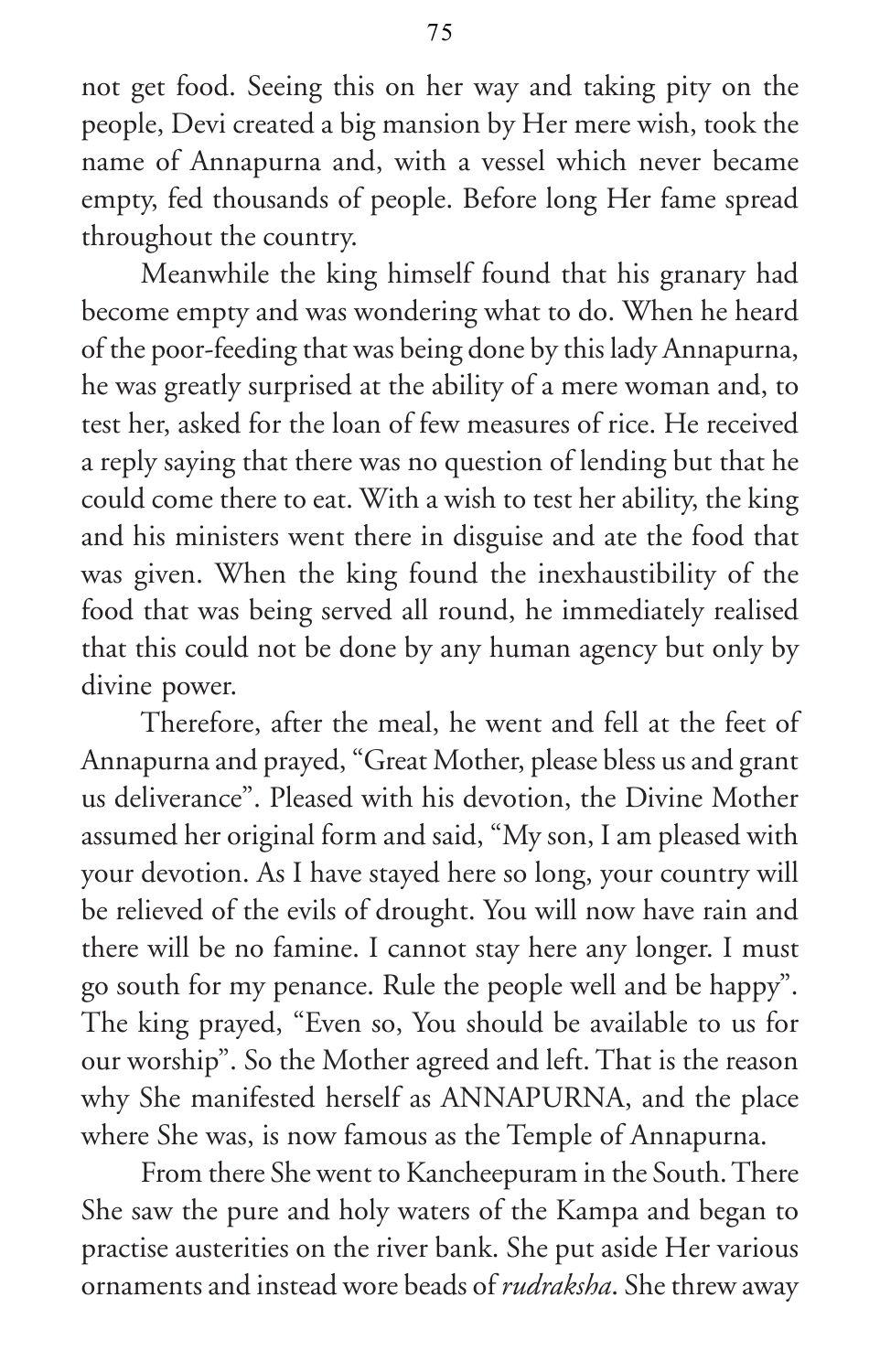not get food. Seeing this on her way and taking pity on the people, Devi created a big mansion by Her mere wish, took the name of Annapurna and, with a vessel which never became empty, fed thousands of people. Before long Her fame spread throughout the country.

Meanwhile the king himself found that his granary had become empty and was wondering what to do. When he heard of the poor-feeding that was being done by this lady Annapurna, he was greatly surprised at the ability of a mere woman and, to test her, asked for the loan of few measures of rice. He received a reply saying that there was no question of lending but that he could come there to eat. With a wish to test her ability, the king and his ministers went there in disguise and ate the food that was given. When the king found the inexhaustibility of the food that was being served all round, he immediately realised that this could not be done by any human agency but only by divine power.

Therefore, after the meal, he went and fell at the feet of Annapurna and prayed, "Great Mother, please bless us and grant us deliverance". Pleased with his devotion, the Divine Mother assumed her original form and said, "My son, I am pleased with your devotion. As I have stayed here so long, your country will be relieved of the evils of drought. You will now have rain and there will be no famine. I cannot stay here any longer. I must go south for my penance. Rule the people well and be happy". The king prayed, "Even so, You should be available to us for our worship". So the Mother agreed and left. That is the reason why She manifested herself as ANNAPURNA, and the place where She was, is now famous as the Temple of Annapurna.

From there She went to Kancheepuram in the South. There She saw the pure and holy waters of the Kampa and began to practise austerities on the river bank. She put aside Her various ornaments and instead wore beads of *rudraksha*. She threw away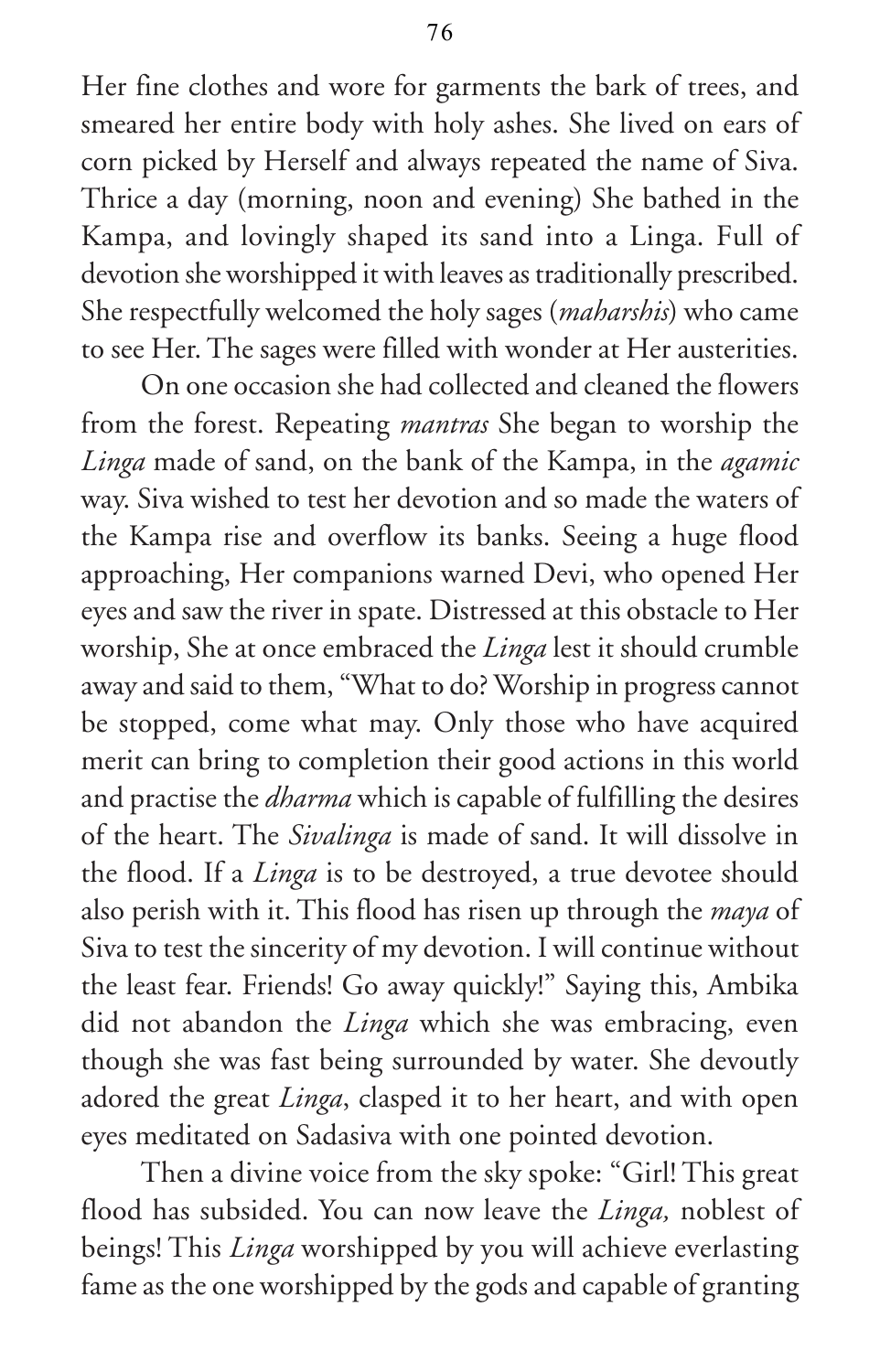Her fine clothes and wore for garments the bark of trees, and smeared her entire body with holy ashes. She lived on ears of corn picked by Herself and always repeated the name of Siva. Thrice a day (morning, noon and evening) She bathed in the Kampa, and lovingly shaped its sand into a Linga. Full of devotion she worshipped it with leaves as traditionally prescribed. She respectfully welcomed the holy sages (*maharshis*) who came to see Her. The sages were filled with wonder at Her austerities.

On one occasion she had collected and cleaned the flowers from the forest. Repeating *mantras* She began to worship the *Linga* made of sand, on the bank of the Kampa, in the *agamic* way. Siva wished to test her devotion and so made the waters of the Kampa rise and overflow its banks. Seeing a huge flood approaching, Her companions warned Devi, who opened Her eyes and saw the river in spate. Distressed at this obstacle to Her worship, She at once embraced the *Linga* lest it should crumble away and said to them, "What to do? Worship in progress cannot be stopped, come what may. Only those who have acquired merit can bring to completion their good actions in this world and practise the *dharma* which is capable of fulfilling the desires of the heart. The *Sivalinga* is made of sand. It will dissolve in the flood. If a *Linga* is to be destroyed, a true devotee should also perish with it. This flood has risen up through the *maya* of Siva to test the sincerity of my devotion. I will continue without the least fear. Friends! Go away quickly!" Saying this, Ambika did not abandon the *Linga* which she was embracing, even though she was fast being surrounded by water. She devoutly adored the great *Linga*, clasped it to her heart, and with open eyes meditated on Sadasiva with one pointed devotion.

Then a divine voice from the sky spoke: "Girl! This great flood has subsided. You can now leave the *Linga,* noblest of beings! This *Linga* worshipped by you will achieve everlasting fame as the one worshipped by the gods and capable of granting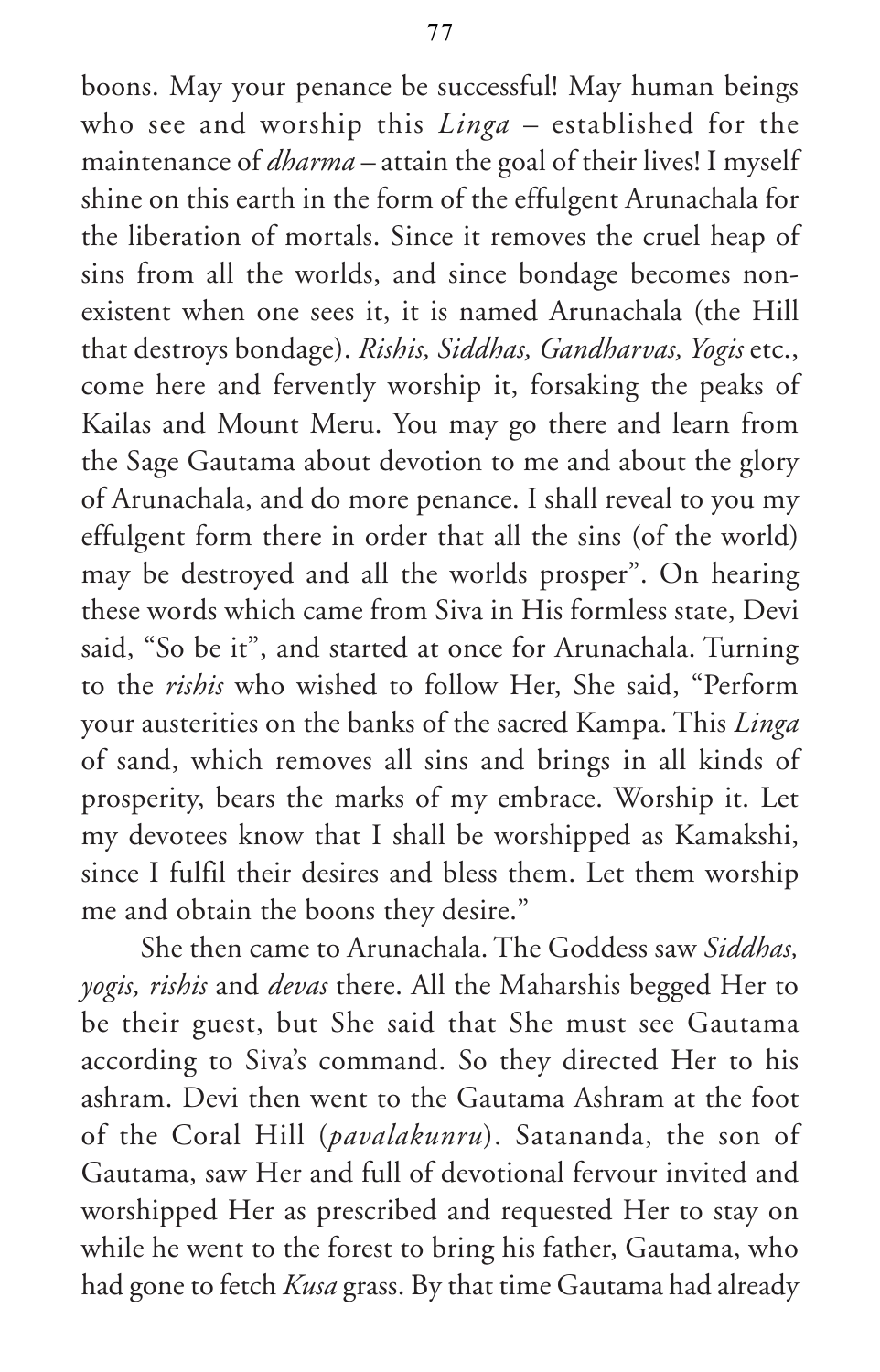boons. May your penance be successful! May human beings who see and worship this *Linga* – established for the maintenance of *dharma* – attain the goal of their lives! I myself shine on this earth in the form of the effulgent Arunachala for the liberation of mortals. Since it removes the cruel heap of sins from all the worlds, and since bondage becomes nonexistent when one sees it, it is named Arunachala (the Hill that destroys bondage). *Rishis, Siddhas, Gandharvas, Yogis* etc., come here and fervently worship it, forsaking the peaks of Kailas and Mount Meru. You may go there and learn from the Sage Gautama about devotion to me and about the glory of Arunachala, and do more penance. I shall reveal to you my effulgent form there in order that all the sins (of the world) may be destroyed and all the worlds prosper". On hearing these words which came from Siva in His formless state, Devi said, "So be it", and started at once for Arunachala. Turning to the *rishis* who wished to follow Her, She said, "Perform your austerities on the banks of the sacred Kampa. This *Linga* of sand, which removes all sins and brings in all kinds of prosperity, bears the marks of my embrace. Worship it. Let my devotees know that I shall be worshipped as Kamakshi, since I fulfil their desires and bless them. Let them worship me and obtain the boons they desire."

She then came to Arunachala. The Goddess saw *Siddhas, yogis, rishis* and *devas* there. All the Maharshis begged Her to be their guest, but She said that She must see Gautama according to Siva's command. So they directed Her to his ashram. Devi then went to the Gautama Ashram at the foot of the Coral Hill (*pavalakunru*). Satananda, the son of Gautama, saw Her and full of devotional fervour invited and worshipped Her as prescribed and requested Her to stay on while he went to the forest to bring his father, Gautama, who had gone to fetch *Kusa* grass. By that time Gautama had already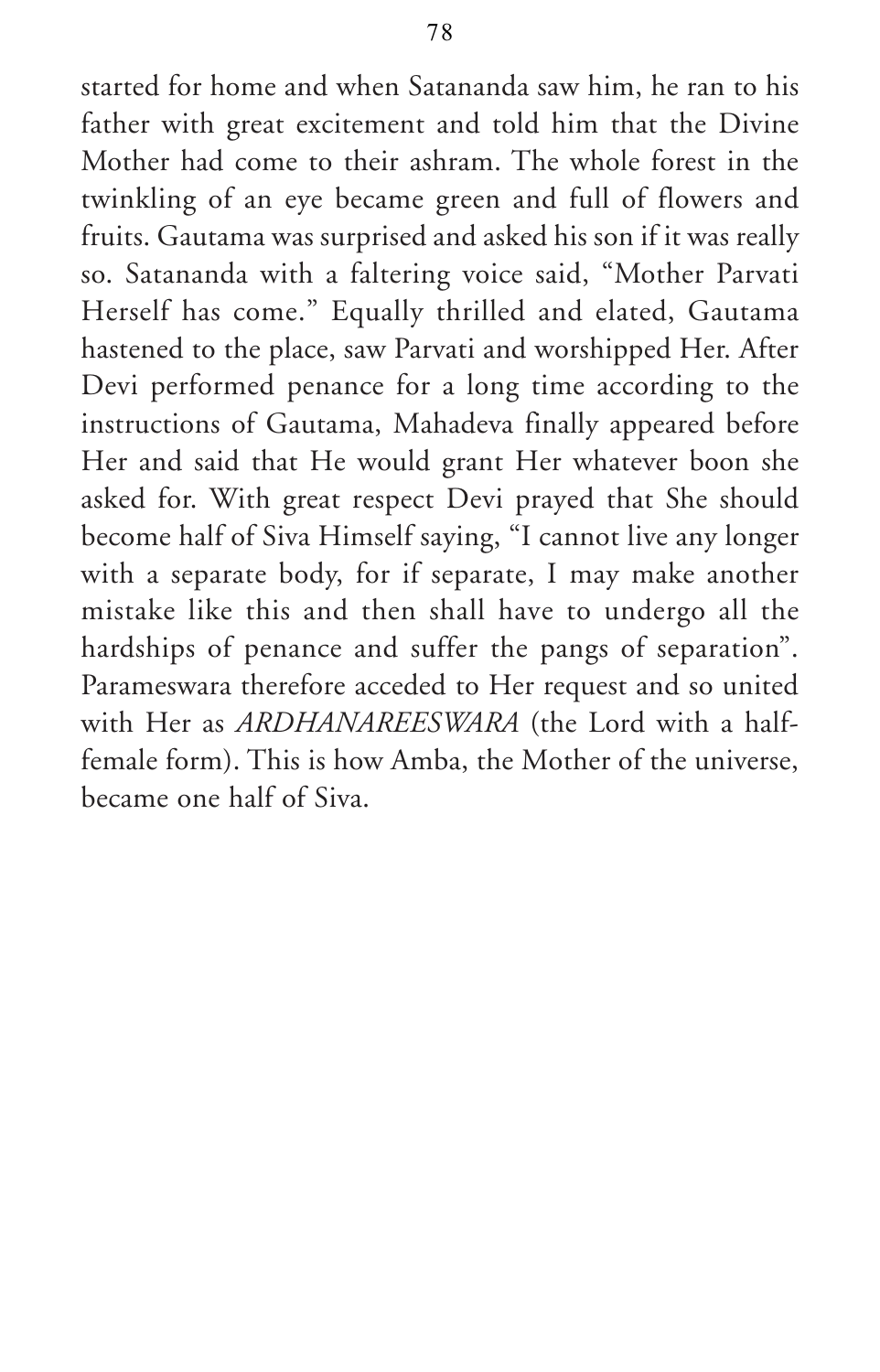started for home and when Satananda saw him, he ran to his father with great excitement and told him that the Divine Mother had come to their ashram. The whole forest in the twinkling of an eye became green and full of flowers and fruits. Gautama was surprised and asked his son if it was really so. Satananda with a faltering voice said, "Mother Parvati Herself has come." Equally thrilled and elated, Gautama hastened to the place, saw Parvati and worshipped Her. After Devi performed penance for a long time according to the instructions of Gautama, Mahadeva finally appeared before Her and said that He would grant Her whatever boon she asked for. With great respect Devi prayed that She should become half of Siva Himself saying, "I cannot live any longer with a separate body, for if separate, I may make another mistake like this and then shall have to undergo all the hardships of penance and suffer the pangs of separation". Parameswara therefore acceded to Her request and so united with Her as *ARDHANAREESWARA* (the Lord with a halffemale form). This is how Amba, the Mother of the universe, became one half of Siva.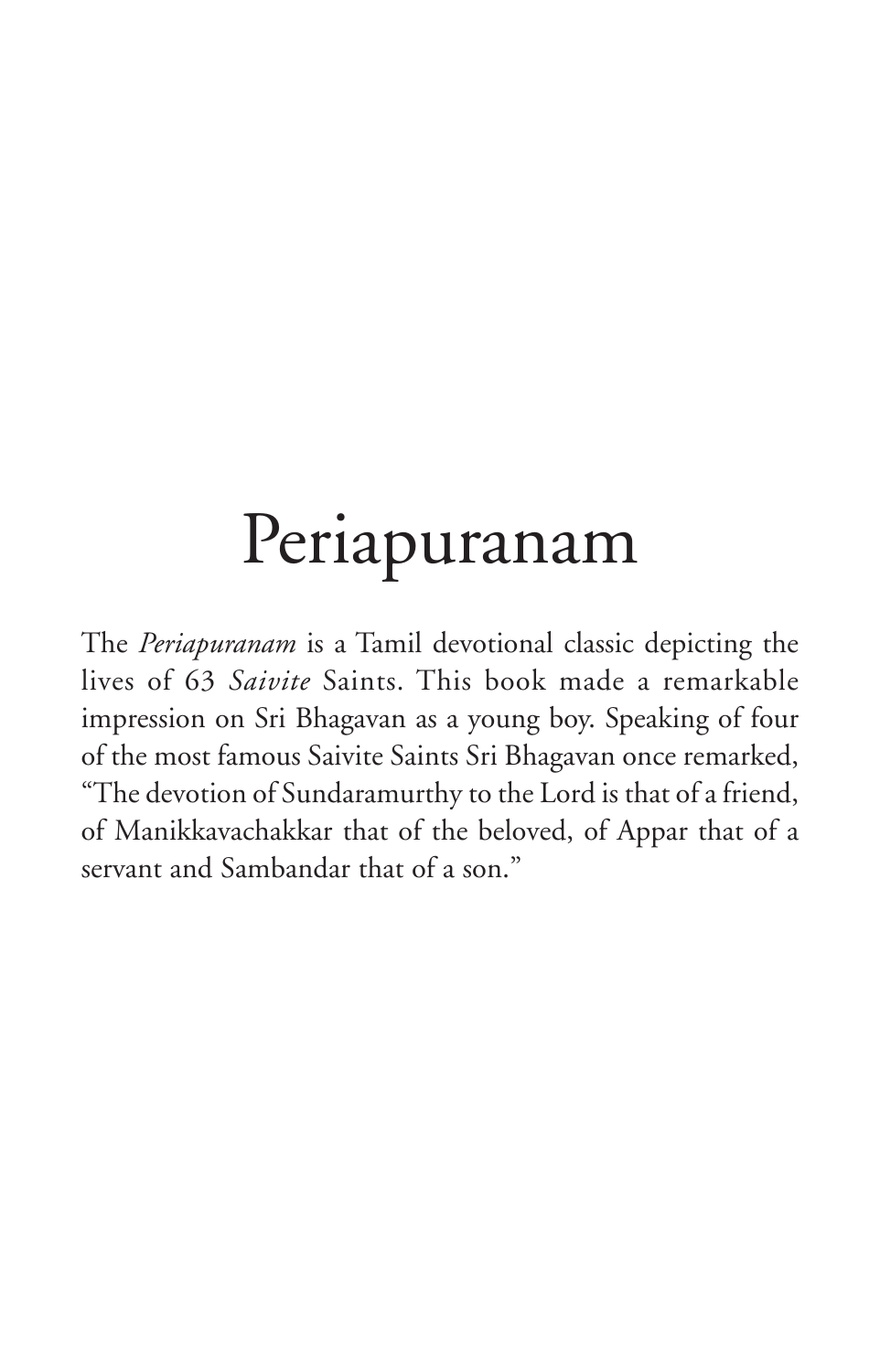# Periapuranam

The *Periapuranam* is a Tamil devotional classic depicting the lives of 63 *Saivite* Saints. This book made a remarkable impression on Sri Bhagavan as a young boy. Speaking of four of the most famous Saivite Saints Sri Bhagavan once remarked, "The devotion of Sundaramurthy to the Lord is that of a friend, of Manikkavachakkar that of the beloved, of Appar that of a servant and Sambandar that of a son."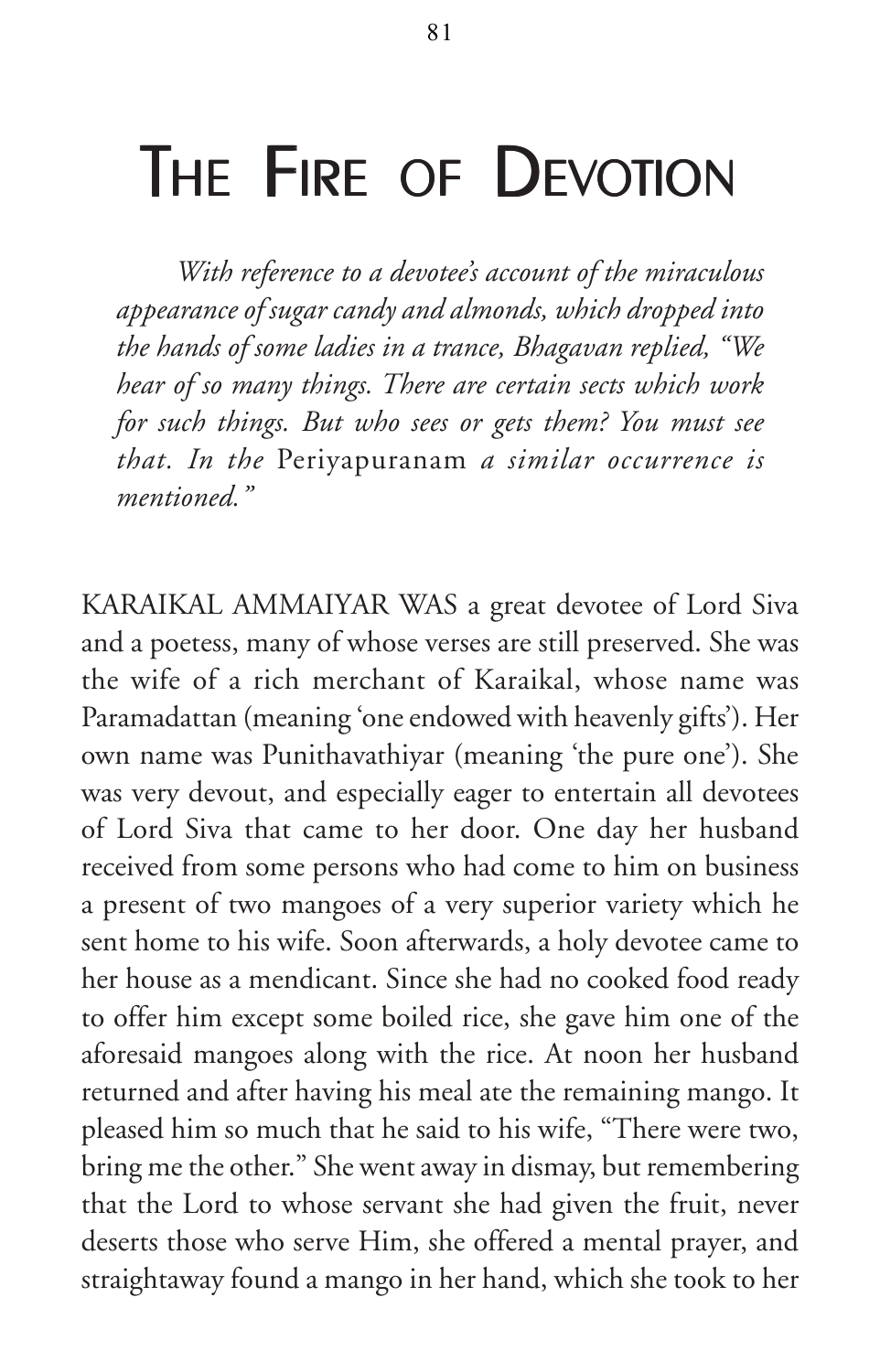#### THE FIRE OF DEVOTION

*With reference to a devotee's account of the miraculous appearance of sugar candy and almonds, which dropped into the hands of some ladies in a trance, Bhagavan replied, "We hear of so many things. There are certain sects which work for such things. But who sees or gets them? You must see that. In the* Periyapuranam *a similar occurrence is mentioned."*

KARAIKAL AMMAIYAR WAS a great devotee of Lord Siva and a poetess, many of whose verses are still preserved. She was the wife of a rich merchant of Karaikal, whose name was Paramadattan (meaning 'one endowed with heavenly gifts'). Her own name was Punithavathiyar (meaning 'the pure one'). She was very devout, and especially eager to entertain all devotees of Lord Siva that came to her door. One day her husband received from some persons who had come to him on business a present of two mangoes of a very superior variety which he sent home to his wife. Soon afterwards, a holy devotee came to her house as a mendicant. Since she had no cooked food ready to offer him except some boiled rice, she gave him one of the aforesaid mangoes along with the rice. At noon her husband returned and after having his meal ate the remaining mango. It pleased him so much that he said to his wife, "There were two, bring me the other." She went away in dismay, but remembering that the Lord to whose servant she had given the fruit, never deserts those who serve Him, she offered a mental prayer, and straightaway found a mango in her hand, which she took to her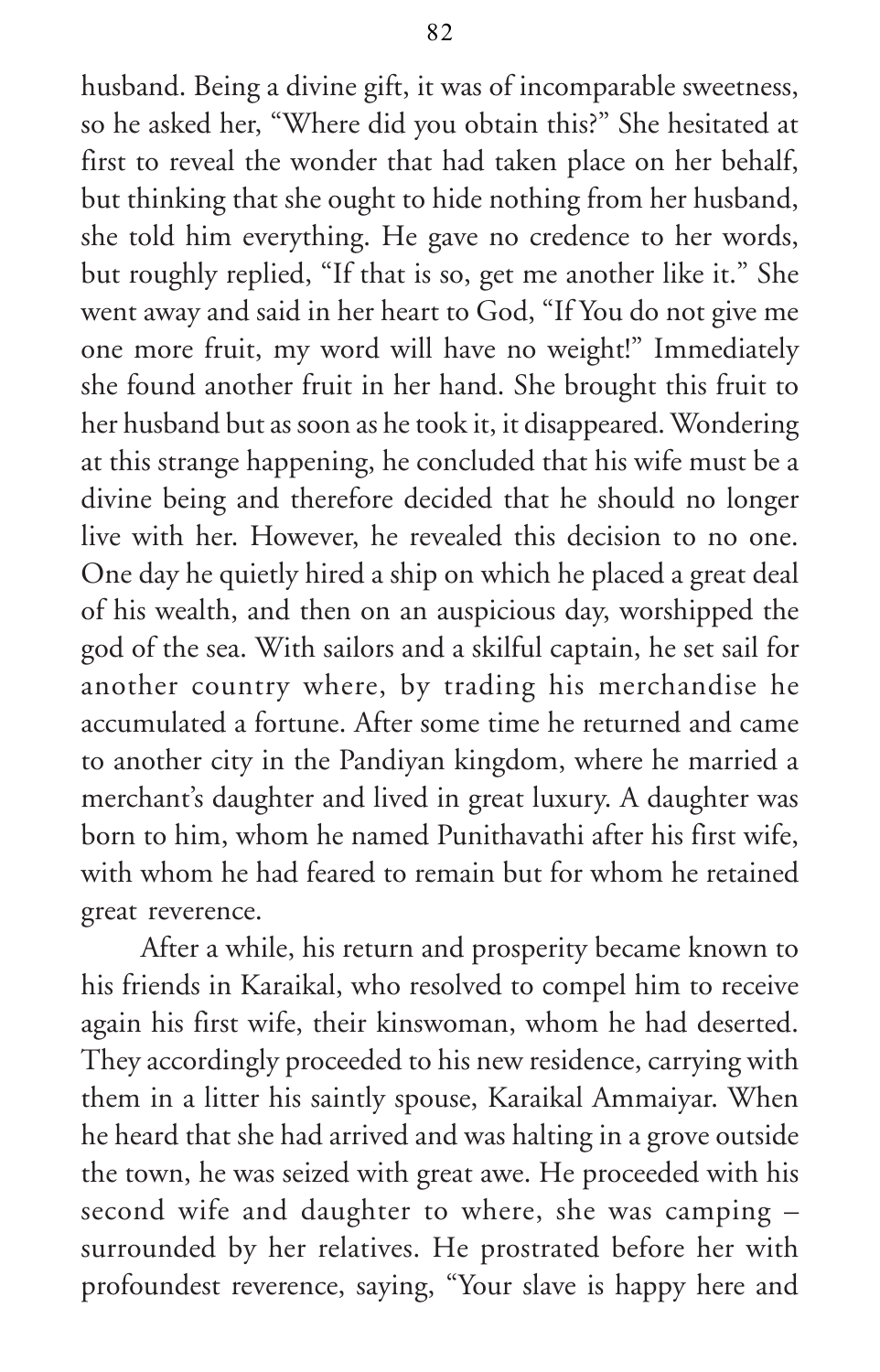husband. Being a divine gift, it was of incomparable sweetness, so he asked her, "Where did you obtain this?" She hesitated at first to reveal the wonder that had taken place on her behalf, but thinking that she ought to hide nothing from her husband, she told him everything. He gave no credence to her words, but roughly replied, "If that is so, get me another like it." She went away and said in her heart to God, "If You do not give me one more fruit, my word will have no weight!" Immediately she found another fruit in her hand. She brought this fruit to her husband but as soon as he took it, it disappeared. Wondering at this strange happening, he concluded that his wife must be a divine being and therefore decided that he should no longer live with her. However, he revealed this decision to no one. One day he quietly hired a ship on which he placed a great deal of his wealth, and then on an auspicious day, worshipped the god of the sea. With sailors and a skilful captain, he set sail for another country where, by trading his merchandise he accumulated a fortune. After some time he returned and came to another city in the Pandiyan kingdom, where he married a merchant's daughter and lived in great luxury. A daughter was born to him, whom he named Punithavathi after his first wife, with whom he had feared to remain but for whom he retained great reverence.

After a while, his return and prosperity became known to his friends in Karaikal, who resolved to compel him to receive again his first wife, their kinswoman, whom he had deserted. They accordingly proceeded to his new residence, carrying with them in a litter his saintly spouse, Karaikal Ammaiyar. When he heard that she had arrived and was halting in a grove outside the town, he was seized with great awe. He proceeded with his second wife and daughter to where, she was camping – surrounded by her relatives. He prostrated before her with profoundest reverence, saying, "Your slave is happy here and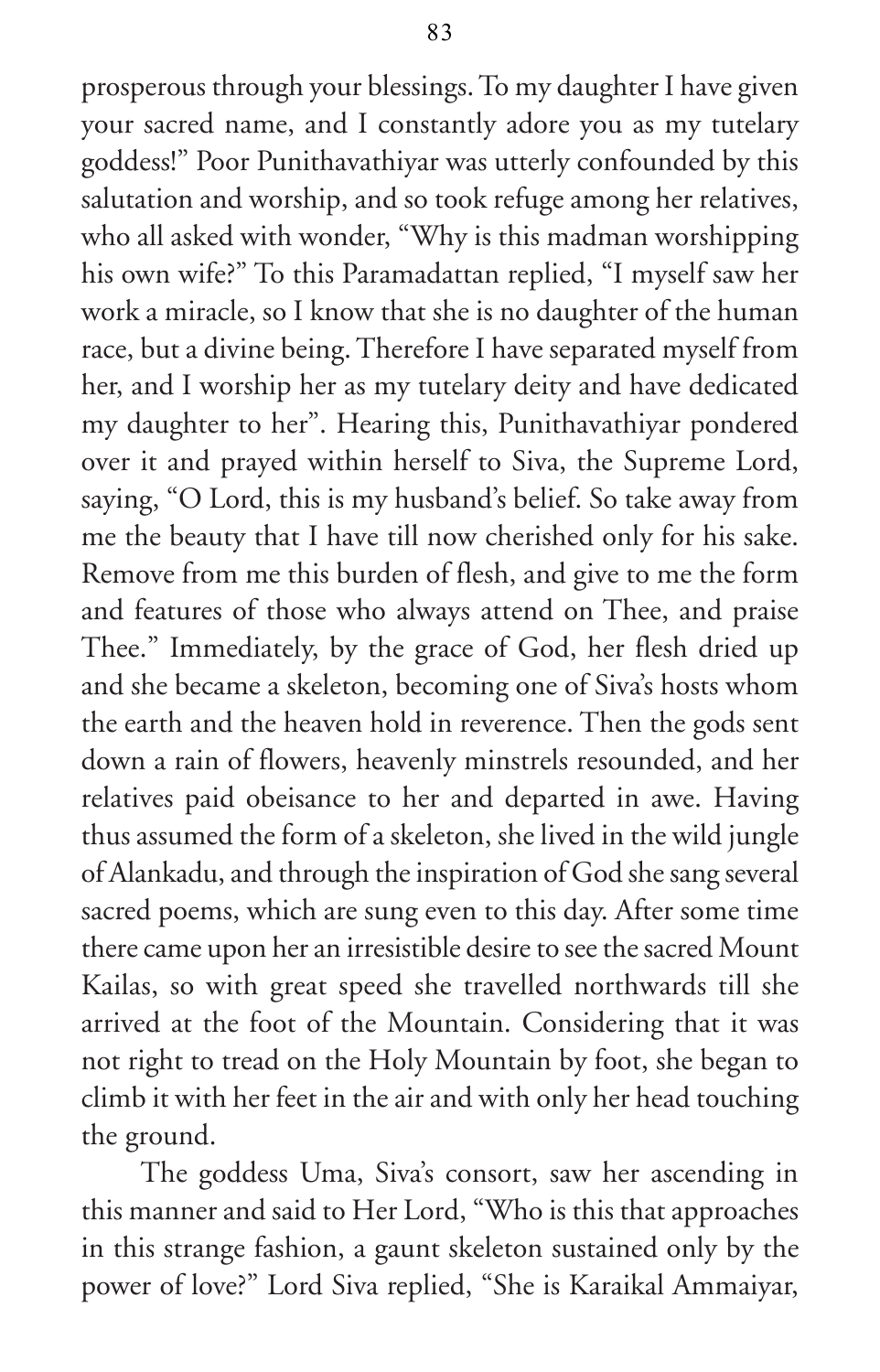prosperous through your blessings. To my daughter I have given your sacred name, and I constantly adore you as my tutelary goddess!" Poor Punithavathiyar was utterly confounded by this salutation and worship, and so took refuge among her relatives, who all asked with wonder, "Why is this madman worshipping his own wife?" To this Paramadattan replied, "I myself saw her work a miracle, so I know that she is no daughter of the human race, but a divine being. Therefore I have separated myself from her, and I worship her as my tutelary deity and have dedicated my daughter to her". Hearing this, Punithavathiyar pondered over it and prayed within herself to Siva, the Supreme Lord, saying, "O Lord, this is my husband's belief. So take away from me the beauty that I have till now cherished only for his sake. Remove from me this burden of flesh, and give to me the form and features of those who always attend on Thee, and praise Thee." Immediately, by the grace of God, her flesh dried up and she became a skeleton, becoming one of Siva's hosts whom the earth and the heaven hold in reverence. Then the gods sent down a rain of flowers, heavenly minstrels resounded, and her relatives paid obeisance to her and departed in awe. Having thus assumed the form of a skeleton, she lived in the wild jungle of Alankadu, and through the inspiration of God she sang several sacred poems, which are sung even to this day. After some time there came upon her an irresistible desire to see the sacred Mount Kailas, so with great speed she travelled northwards till she arrived at the foot of the Mountain. Considering that it was not right to tread on the Holy Mountain by foot, she began to climb it with her feet in the air and with only her head touching the ground.

The goddess Uma, Siva's consort, saw her ascending in this manner and said to Her Lord, "Who is this that approaches in this strange fashion, a gaunt skeleton sustained only by the power of love?" Lord Siva replied, "She is Karaikal Ammaiyar,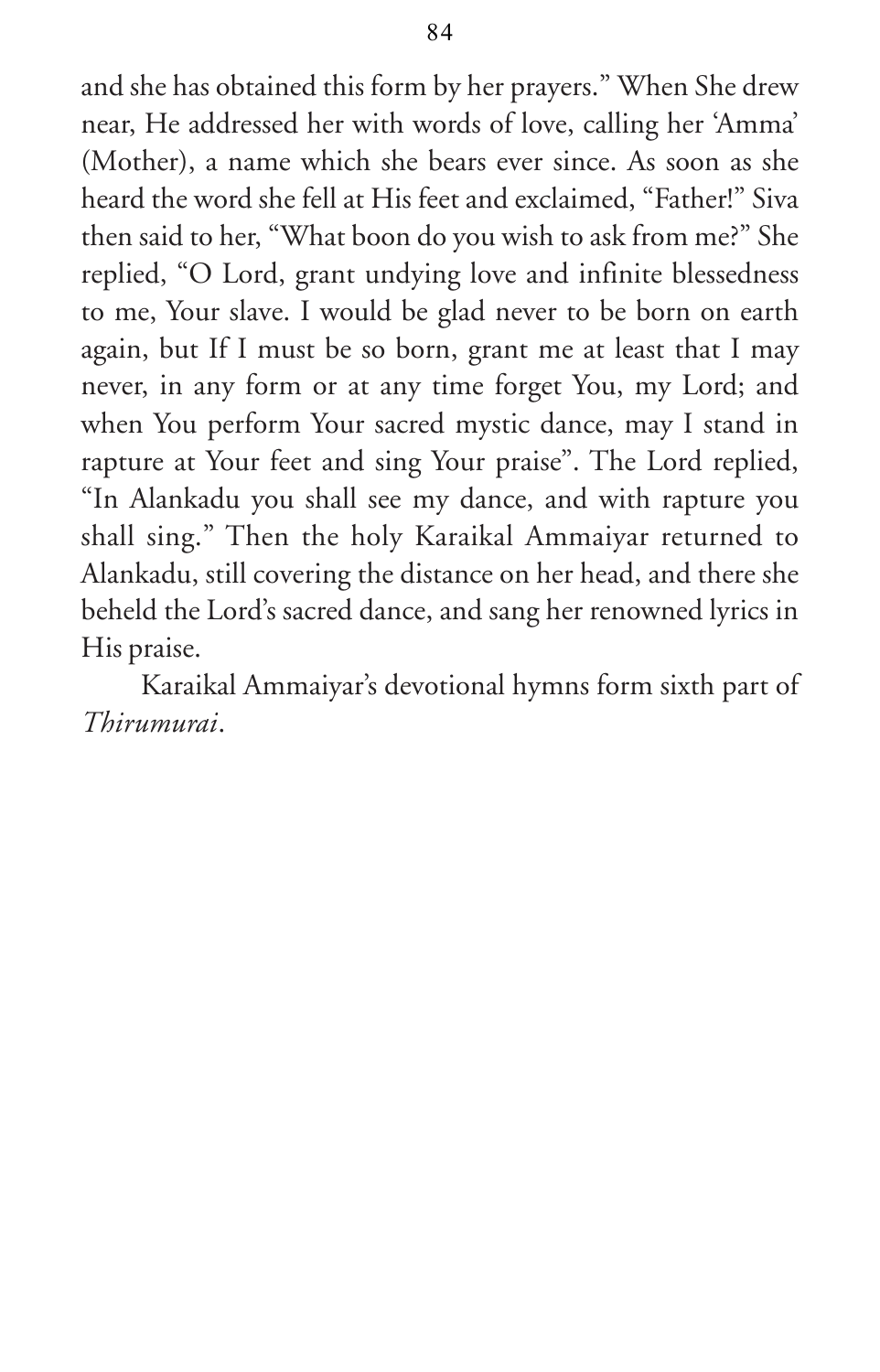and she has obtained this form by her prayers." When She drew near, He addressed her with words of love, calling her 'Amma' (Mother), a name which she bears ever since. As soon as she heard the word she fell at His feet and exclaimed, "Father!" Siva then said to her, "What boon do you wish to ask from me?" She replied, "O Lord, grant undying love and infinite blessedness to me, Your slave. I would be glad never to be born on earth again, but If I must be so born, grant me at least that I may never, in any form or at any time forget You, my Lord; and when You perform Your sacred mystic dance, may I stand in rapture at Your feet and sing Your praise". The Lord replied, "In Alankadu you shall see my dance, and with rapture you shall sing." Then the holy Karaikal Ammaiyar returned to Alankadu, still covering the distance on her head, and there she beheld the Lord's sacred dance, and sang her renowned lyrics in His praise.

Karaikal Ammaiyar's devotional hymns form sixth part of *Thirumurai*.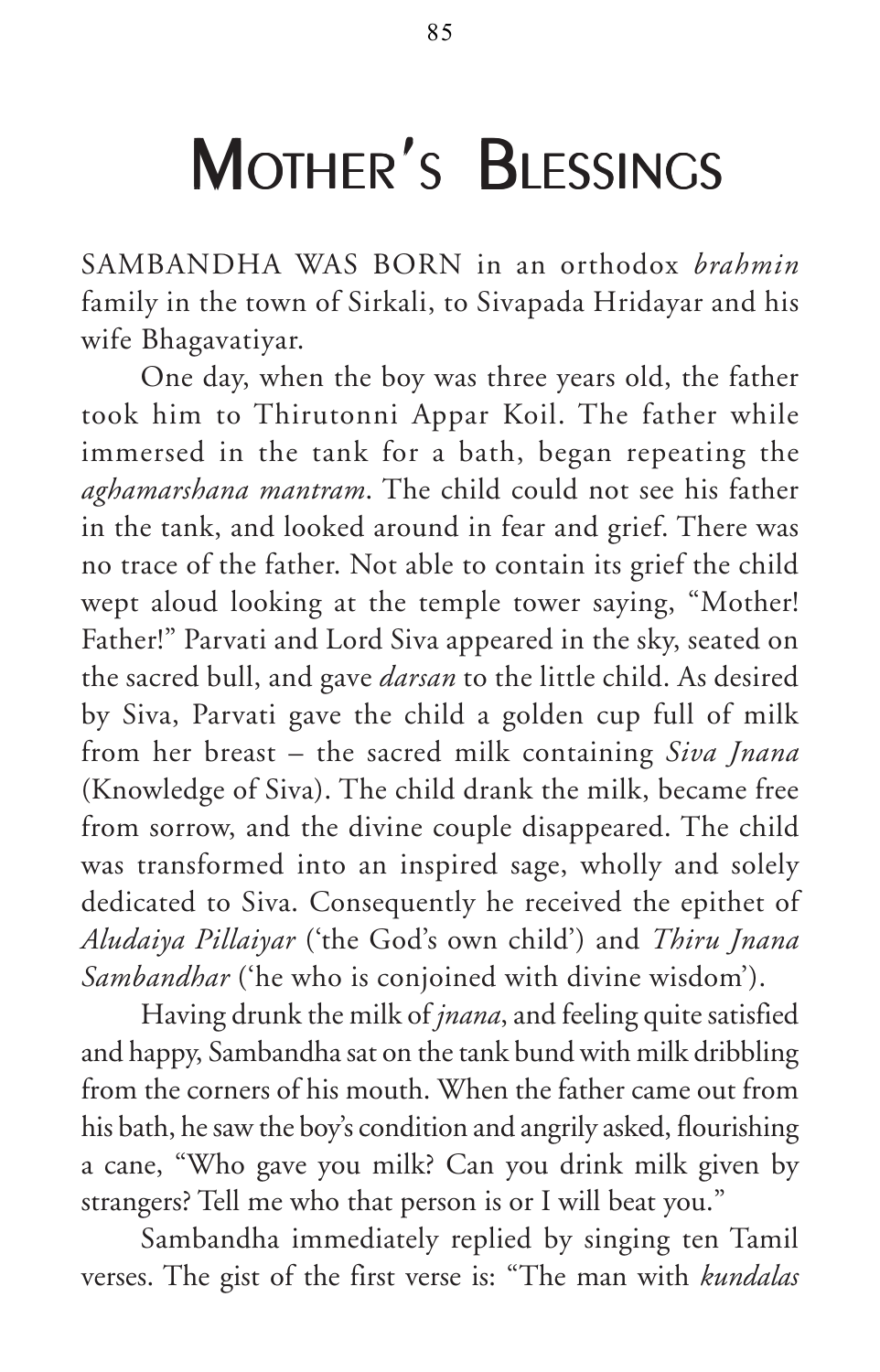# **MOTHER'S BLESSINGS**

SAMBANDHA WAS BORN in an orthodox *brahmin* family in the town of Sirkali, to Sivapada Hridayar and his wife Bhagavatiyar.

One day, when the boy was three years old, the father took him to Thirutonni Appar Koil. The father while immersed in the tank for a bath, began repeating the *aghamarshana mantram*. The child could not see his father in the tank, and looked around in fear and grief. There was no trace of the father. Not able to contain its grief the child wept aloud looking at the temple tower saying, "Mother! Father!" Parvati and Lord Siva appeared in the sky, seated on the sacred bull, and gave *darsan* to the little child. As desired by Siva, Parvati gave the child a golden cup full of milk from her breast – the sacred milk containing *Siva Jnana* (Knowledge of Siva). The child drank the milk, became free from sorrow, and the divine couple disappeared. The child was transformed into an inspired sage, wholly and solely dedicated to Siva. Consequently he received the epithet of *Aludaiya Pillaiyar* ('the God's own child') and *Thiru Jnana Sambandhar* ('he who is conjoined with divine wisdom').

Having drunk the milk of *jnana*, and feeling quite satisfied and happy, Sambandha sat on the tank bund with milk dribbling from the corners of his mouth. When the father came out from his bath, he saw the boy's condition and angrily asked, flourishing a cane, "Who gave you milk? Can you drink milk given by strangers? Tell me who that person is or I will beat you."

Sambandha immediately replied by singing ten Tamil verses. The gist of the first verse is: "The man with *kundalas*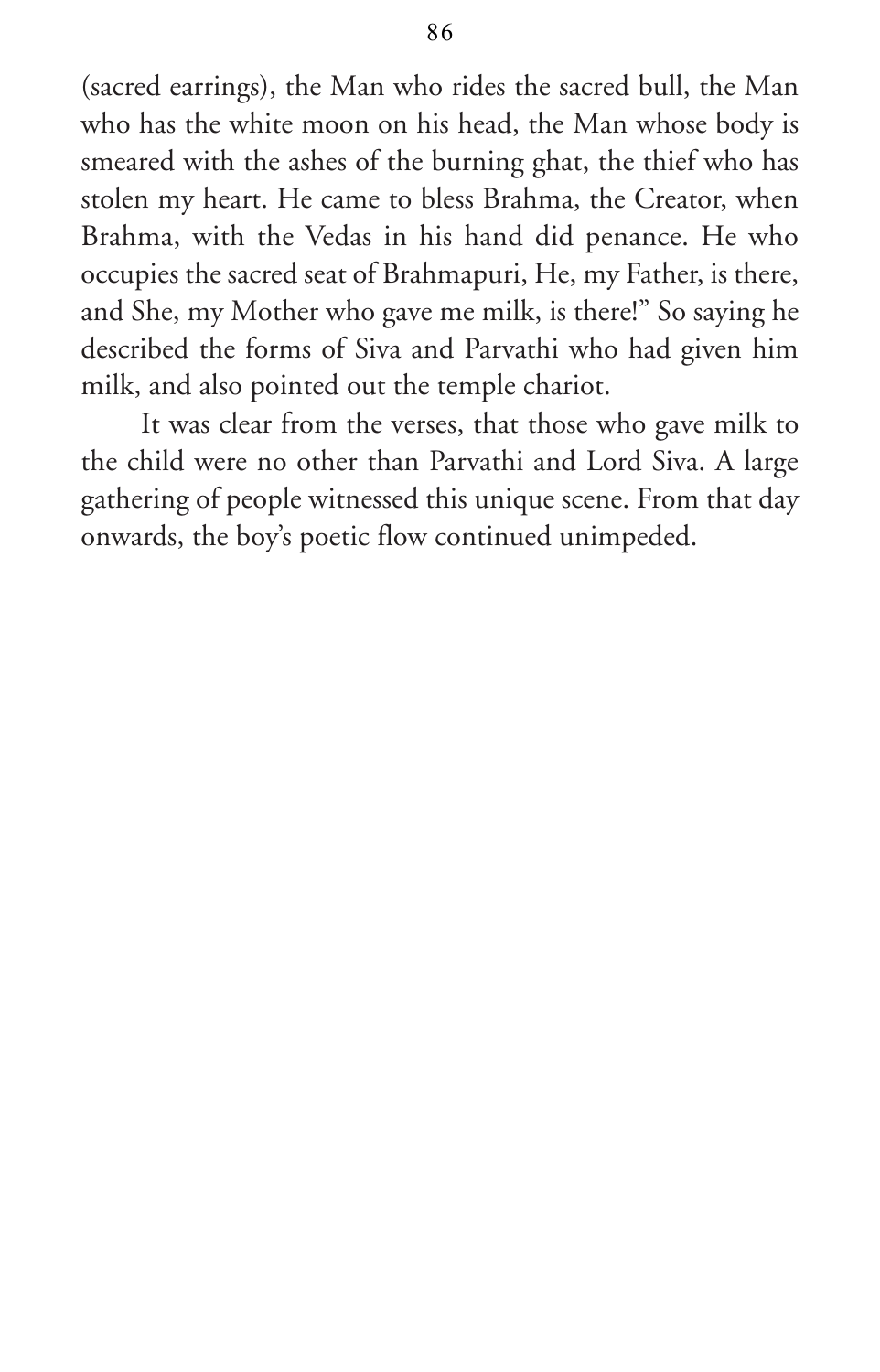(sacred earrings), the Man who rides the sacred bull, the Man who has the white moon on his head, the Man whose body is smeared with the ashes of the burning ghat, the thief who has stolen my heart. He came to bless Brahma, the Creator, when Brahma, with the Vedas in his hand did penance. He who occupies the sacred seat of Brahmapuri, He, my Father, is there, and She, my Mother who gave me milk, is there!" So saying he described the forms of Siva and Parvathi who had given him milk, and also pointed out the temple chariot.

It was clear from the verses, that those who gave milk to the child were no other than Parvathi and Lord Siva. A large gathering of people witnessed this unique scene. From that day onwards, the boy's poetic flow continued unimpeded.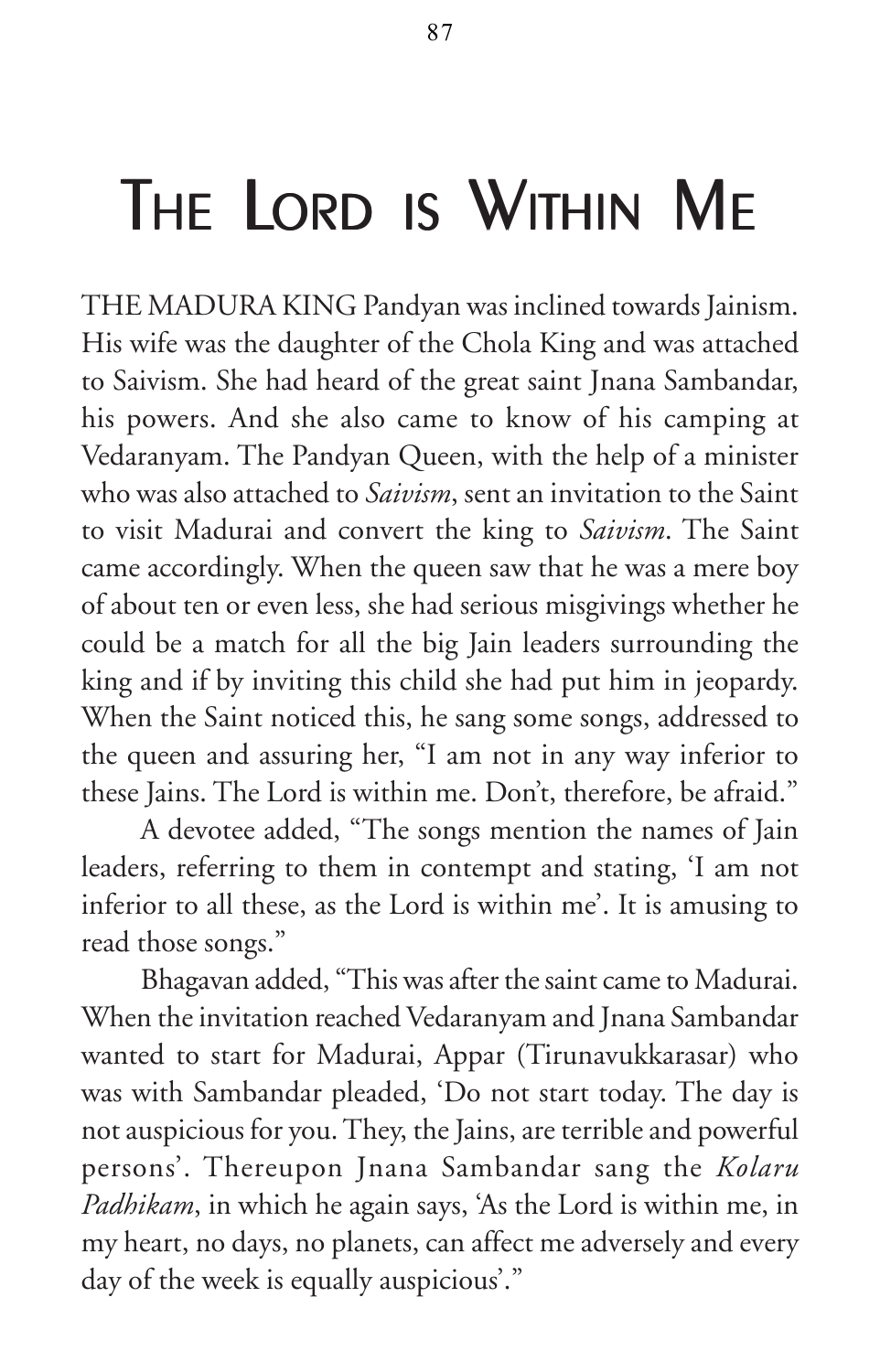# THE LORD IS WITHIN ME

THE MADURA KING Pandyan was inclined towards Jainism. His wife was the daughter of the Chola King and was attached to Saivism. She had heard of the great saint Jnana Sambandar, his powers. And she also came to know of his camping at Vedaranyam. The Pandyan Queen, with the help of a minister who was also attached to *Saivism*, sent an invitation to the Saint to visit Madurai and convert the king to *Saivism*. The Saint came accordingly. When the queen saw that he was a mere boy of about ten or even less, she had serious misgivings whether he could be a match for all the big Jain leaders surrounding the king and if by inviting this child she had put him in jeopardy. When the Saint noticed this, he sang some songs, addressed to the queen and assuring her, "I am not in any way inferior to these Jains. The Lord is within me. Don't, therefore, be afraid."

A devotee added, "The songs mention the names of Jain leaders, referring to them in contempt and stating, 'I am not inferior to all these, as the Lord is within me'. It is amusing to read those songs."

Bhagavan added, "This was after the saint came to Madurai. When the invitation reached Vedaranyam and Jnana Sambandar wanted to start for Madurai, Appar (Tirunavukkarasar) who was with Sambandar pleaded, 'Do not start today. The day is not auspicious for you. They, the Jains, are terrible and powerful persons'. Thereupon Jnana Sambandar sang the *Kolaru Padhikam*, in which he again says, 'As the Lord is within me, in my heart, no days, no planets, can affect me adversely and every day of the week is equally auspicious'."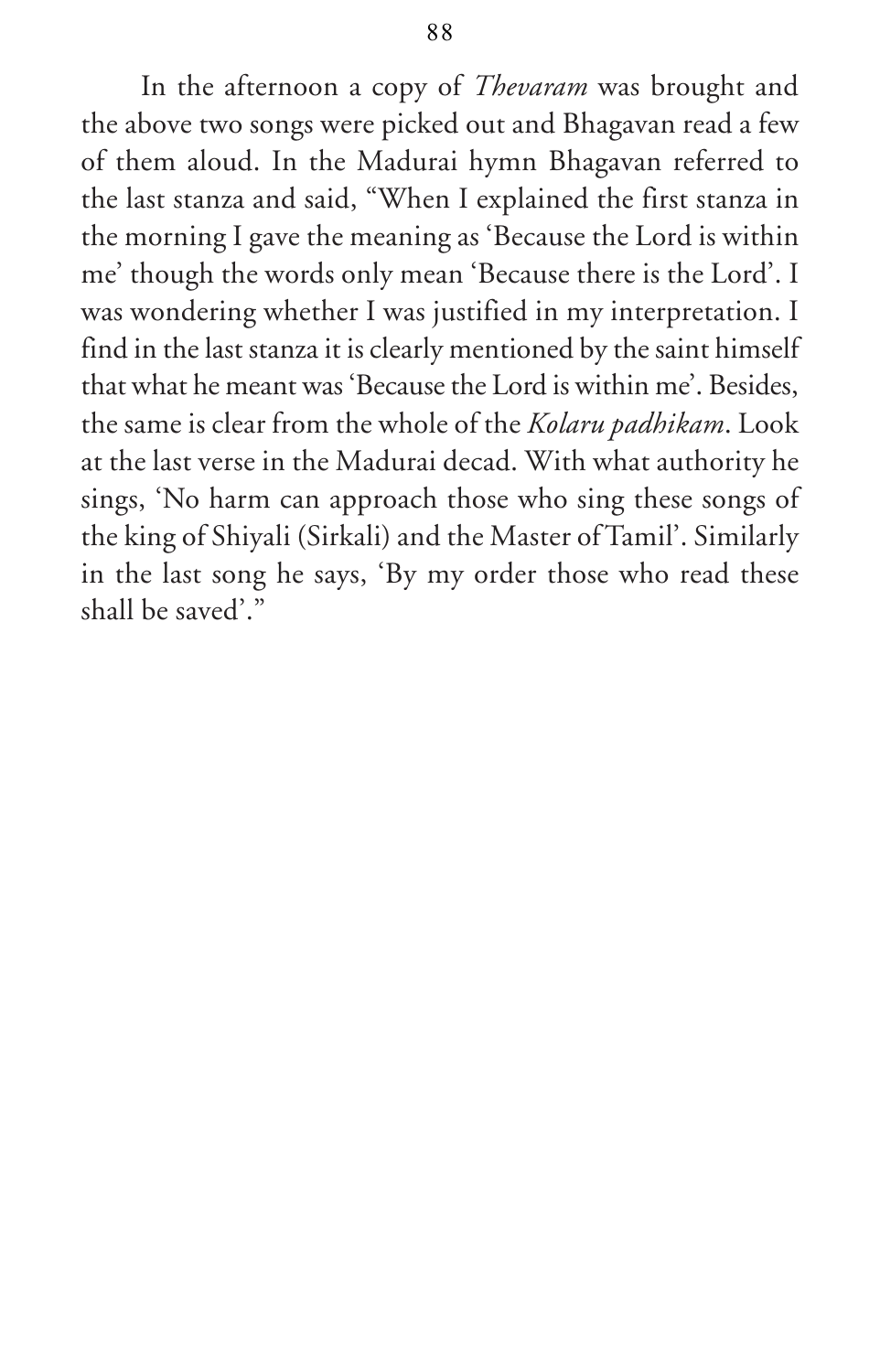In the afternoon a copy of *Thevaram* was brought and the above two songs were picked out and Bhagavan read a few of them aloud. In the Madurai hymn Bhagavan referred to the last stanza and said, "When I explained the first stanza in the morning I gave the meaning as 'Because the Lord is within me' though the words only mean 'Because there is the Lord'. I was wondering whether I was justified in my interpretation. I find in the last stanza it is clearly mentioned by the saint himself that what he meant was 'Because the Lord is within me'. Besides, the same is clear from the whole of the *Kolaru padhikam*. Look at the last verse in the Madurai decad. With what authority he sings, 'No harm can approach those who sing these songs of the king of Shiyali (Sirkali) and the Master of Tamil'. Similarly in the last song he says, 'By my order those who read these shall be saved'."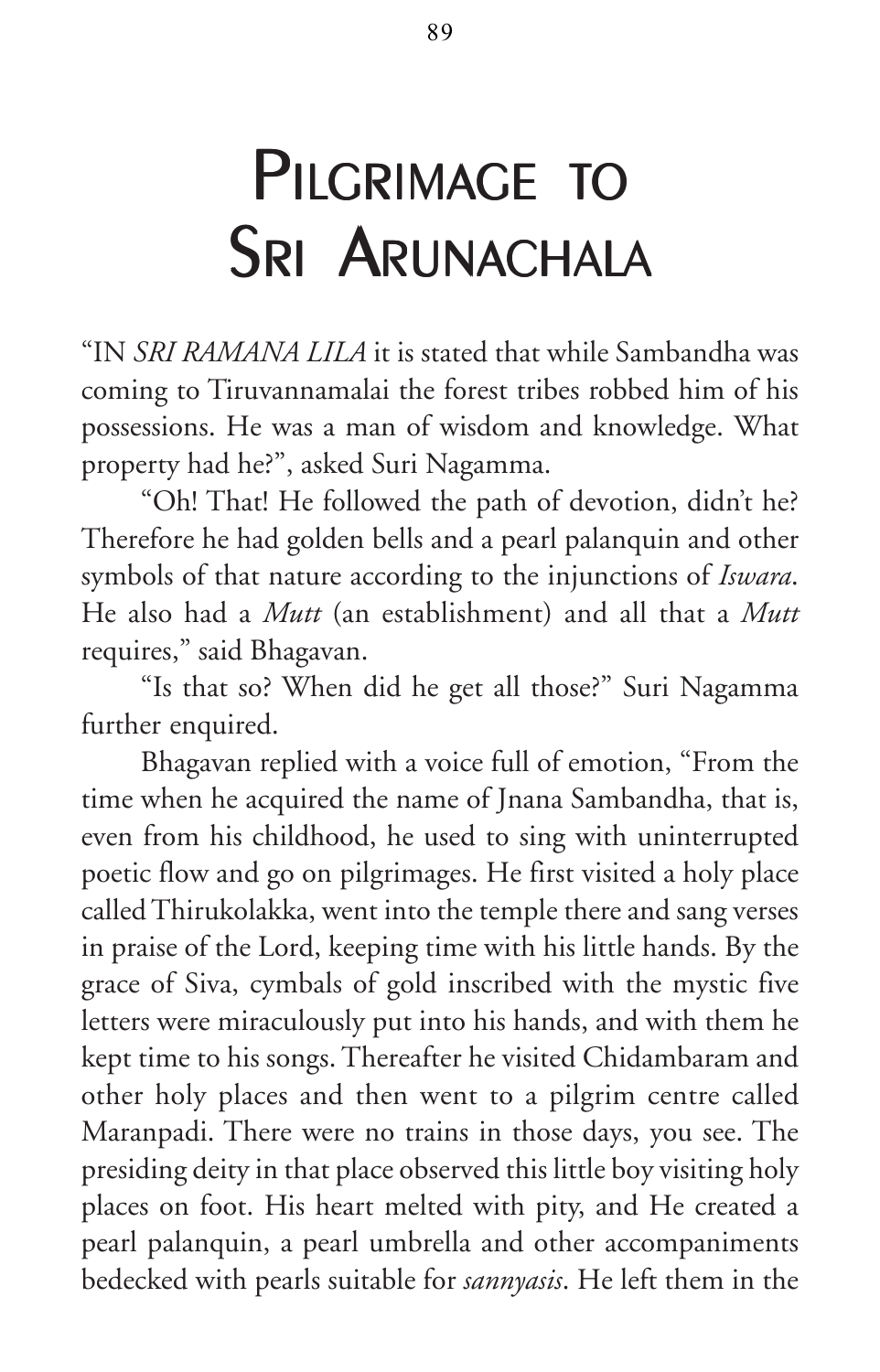### PILGRIMAGE TO SRI ARUNACHALA

"IN *SRI RAMANA LILA* it is stated that while Sambandha was coming to Tiruvannamalai the forest tribes robbed him of his possessions. He was a man of wisdom and knowledge. What property had he?", asked Suri Nagamma.

"Oh! That! He followed the path of devotion, didn't he? Therefore he had golden bells and a pearl palanquin and other symbols of that nature according to the injunctions of *Iswara*. He also had a *Mutt* (an establishment) and all that a *Mutt* requires," said Bhagavan.

"Is that so? When did he get all those?" Suri Nagamma further enquired.

Bhagavan replied with a voice full of emotion, "From the time when he acquired the name of Jnana Sambandha, that is, even from his childhood, he used to sing with uninterrupted poetic flow and go on pilgrimages. He first visited a holy place called Thirukolakka, went into the temple there and sang verses in praise of the Lord, keeping time with his little hands. By the grace of Siva, cymbals of gold inscribed with the mystic five letters were miraculously put into his hands, and with them he kept time to his songs. Thereafter he visited Chidambaram and other holy places and then went to a pilgrim centre called Maranpadi. There were no trains in those days, you see. The presiding deity in that place observed this little boy visiting holy places on foot. His heart melted with pity, and He created a pearl palanquin, a pearl umbrella and other accompaniments bedecked with pearls suitable for *sannyasis*. He left them in the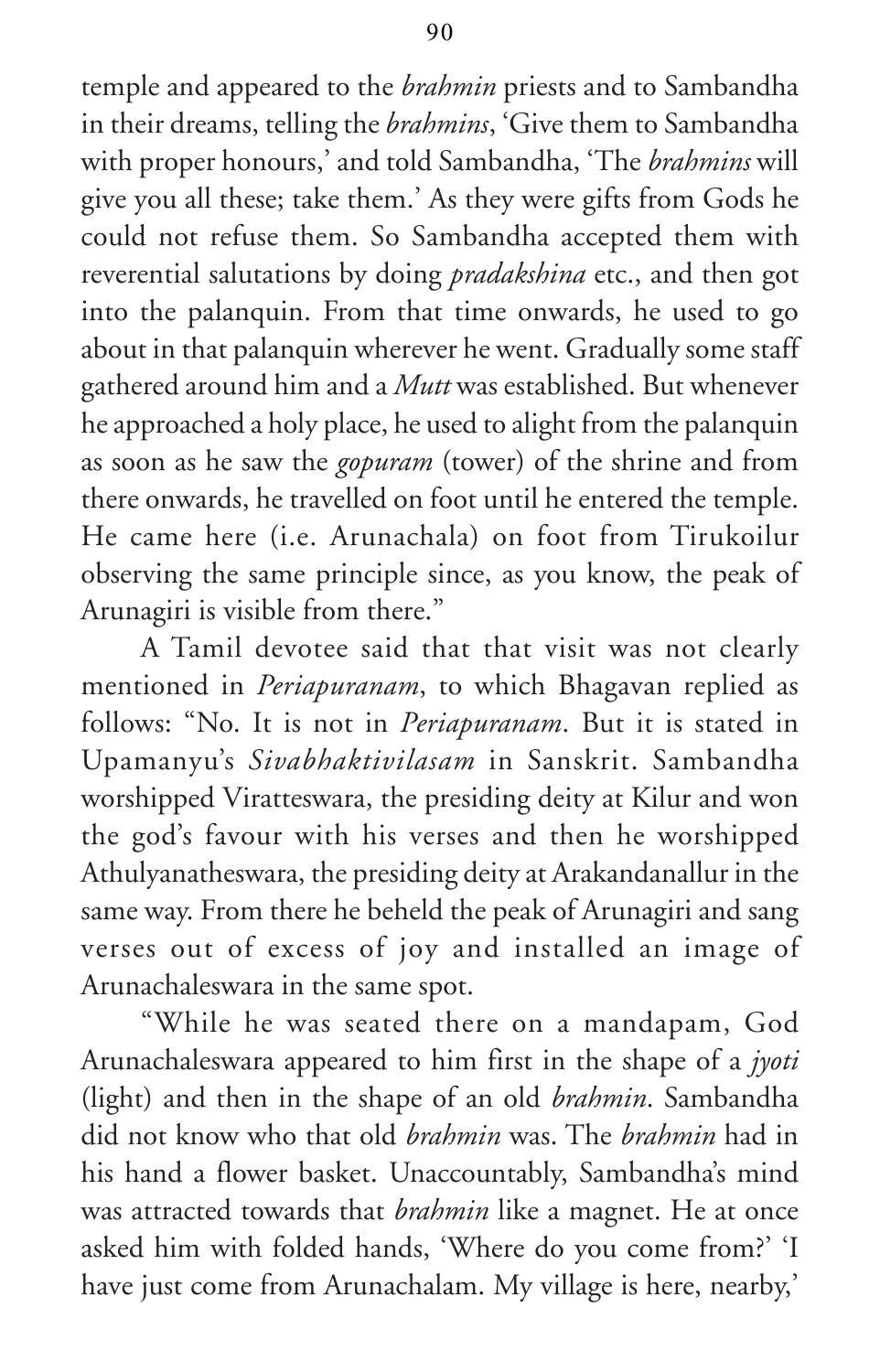temple and appeared to the *brahmin* priests and to Sambandha in their dreams, telling the *brahmins*, 'Give them to Sambandha with proper honours,' and told Sambandha, 'The *brahmins* will give you all these; take them.' As they were gifts from Gods he could not refuse them. So Sambandha accepted them with reverential salutations by doing *pradakshina* etc., and then got into the palanquin. From that time onwards, he used to go about in that palanquin wherever he went. Gradually some staff gathered around him and a *Mutt* was established. But whenever he approached a holy place, he used to alight from the palanquin as soon as he saw the *gopuram* (tower) of the shrine and from there onwards, he travelled on foot until he entered the temple. He came here (i.e. Arunachala) on foot from Tirukoilur observing the same principle since, as you know, the peak of Arunagiri is visible from there."

A Tamil devotee said that that visit was not clearly mentioned in *Periapuranam*, to which Bhagavan replied as follows: "No. It is not in *Periapuranam*. But it is stated in Upamanyu's *Sivabhaktivilasam* in Sanskrit. Sambandha worshipped Viratteswara, the presiding deity at Kilur and won the god's favour with his verses and then he worshipped Athulyanatheswara, the presiding deity at Arakandanallur in the same way. From there he beheld the peak of Arunagiri and sang verses out of excess of joy and installed an image of Arunachaleswara in the same spot.

"While he was seated there on a mandapam, God Arunachaleswara appeared to him first in the shape of a *jyoti* (light) and then in the shape of an old *brahmin*. Sambandha did not know who that old *brahmin* was. The *brahmin* had in his hand a flower basket. Unaccountably, Sambandha's mind was attracted towards that *brahmin* like a magnet. He at once asked him with folded hands, 'Where do you come from?' 'I have just come from Arunachalam. My village is here, nearby,'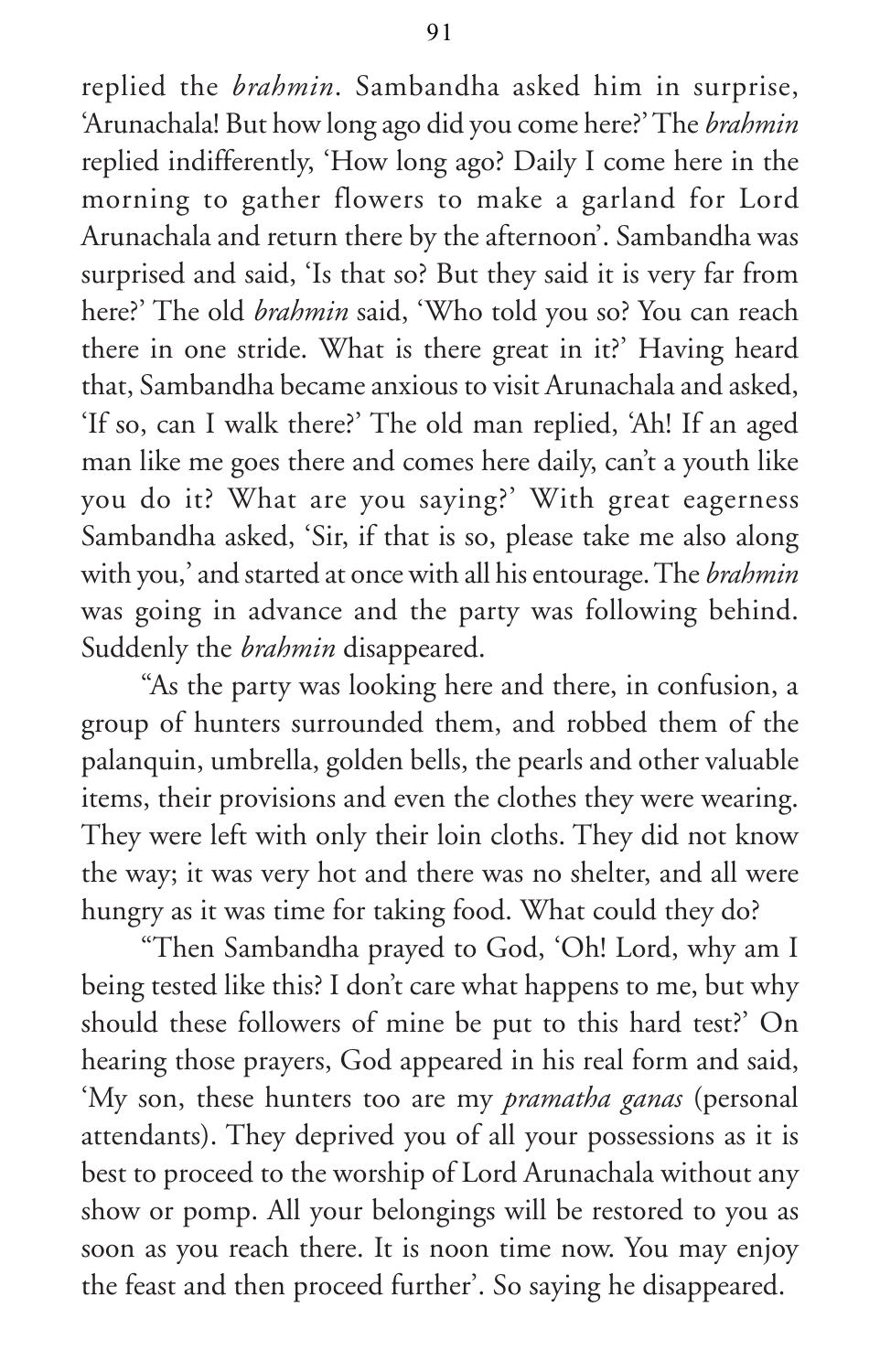replied the *brahmin*. Sambandha asked him in surprise, 'Arunachala! But how long ago did you come here?' The *brahmin* replied indifferently, 'How long ago? Daily I come here in the morning to gather flowers to make a garland for Lord Arunachala and return there by the afternoon'. Sambandha was surprised and said, 'Is that so? But they said it is very far from here?' The old *brahmin* said, 'Who told you so? You can reach there in one stride. What is there great in it?' Having heard that, Sambandha became anxious to visit Arunachala and asked, 'If so, can I walk there?' The old man replied, 'Ah! If an aged man like me goes there and comes here daily, can't a youth like you do it? What are you saying?' With great eagerness Sambandha asked, 'Sir, if that is so, please take me also along with you,' and started at once with all his entourage. The *brahmin* was going in advance and the party was following behind. Suddenly the *brahmin* disappeared.

"As the party was looking here and there, in confusion, a group of hunters surrounded them, and robbed them of the palanquin, umbrella, golden bells, the pearls and other valuable items, their provisions and even the clothes they were wearing. They were left with only their loin cloths. They did not know the way; it was very hot and there was no shelter, and all were hungry as it was time for taking food. What could they do?

"Then Sambandha prayed to God, 'Oh! Lord, why am I being tested like this? I don't care what happens to me, but why should these followers of mine be put to this hard test?' On hearing those prayers, God appeared in his real form and said, 'My son, these hunters too are my *pramatha ganas* (personal attendants). They deprived you of all your possessions as it is best to proceed to the worship of Lord Arunachala without any show or pomp. All your belongings will be restored to you as soon as you reach there. It is noon time now. You may enjoy the feast and then proceed further'. So saying he disappeared.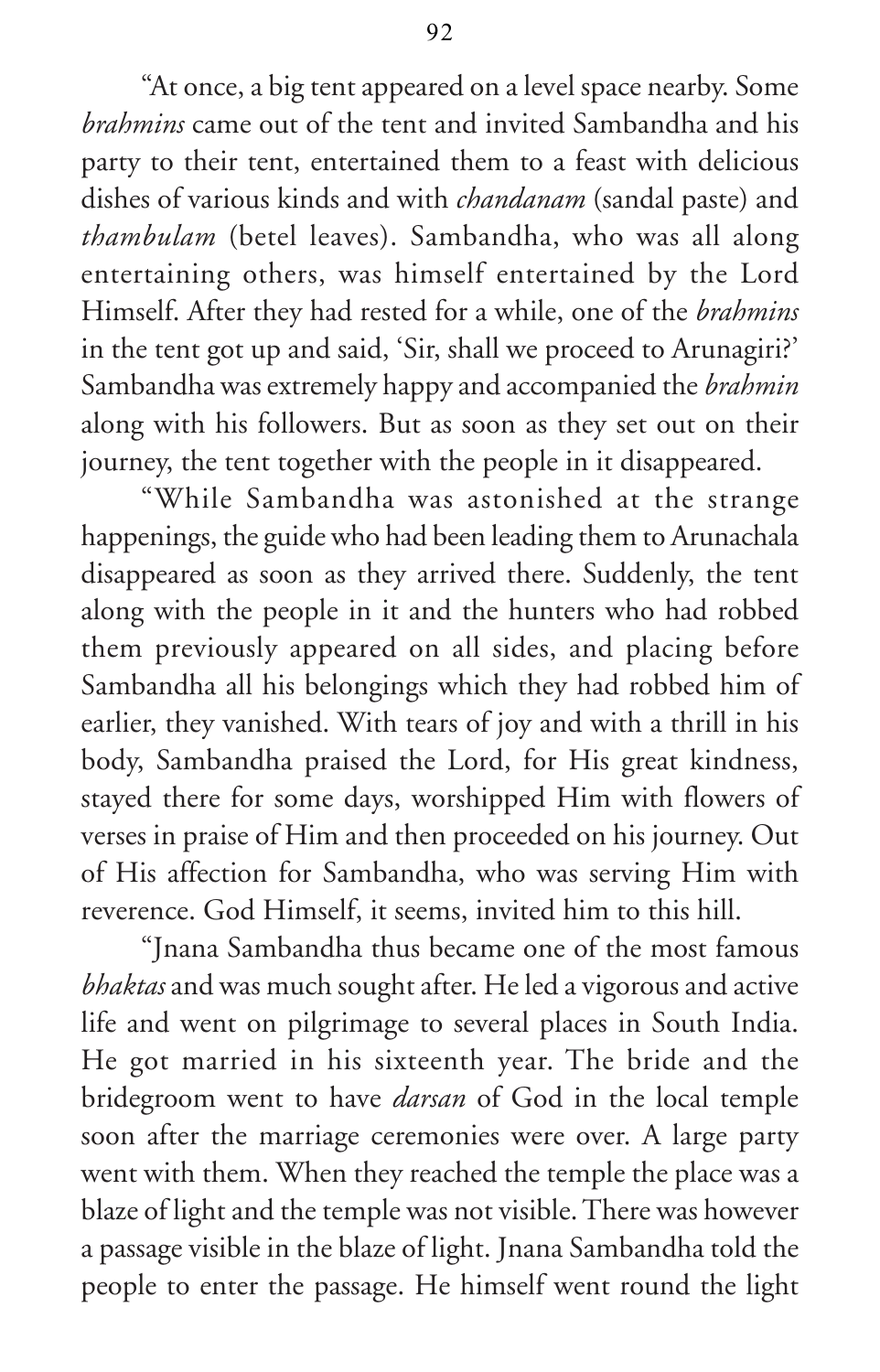"At once, a big tent appeared on a level space nearby. Some *brahmins* came out of the tent and invited Sambandha and his party to their tent, entertained them to a feast with delicious dishes of various kinds and with *chandanam* (sandal paste) and *thambulam* (betel leaves). Sambandha, who was all along entertaining others, was himself entertained by the Lord Himself. After they had rested for a while, one of the *brahmins* in the tent got up and said, 'Sir, shall we proceed to Arunagiri?' Sambandha was extremely happy and accompanied the *brahmin* along with his followers. But as soon as they set out on their journey, the tent together with the people in it disappeared.

"While Sambandha was astonished at the strange happenings, the guide who had been leading them to Arunachala disappeared as soon as they arrived there. Suddenly, the tent along with the people in it and the hunters who had robbed them previously appeared on all sides, and placing before Sambandha all his belongings which they had robbed him of earlier, they vanished. With tears of joy and with a thrill in his body, Sambandha praised the Lord, for His great kindness, stayed there for some days, worshipped Him with flowers of verses in praise of Him and then proceeded on his journey. Out of His affection for Sambandha, who was serving Him with reverence. God Himself, it seems, invited him to this hill.

"Jnana Sambandha thus became one of the most famous *bhaktas* and was much sought after. He led a vigorous and active life and went on pilgrimage to several places in South India. He got married in his sixteenth year. The bride and the bridegroom went to have *darsan* of God in the local temple soon after the marriage ceremonies were over. A large party went with them. When they reached the temple the place was a blaze of light and the temple was not visible. There was however a passage visible in the blaze of light. Jnana Sambandha told the people to enter the passage. He himself went round the light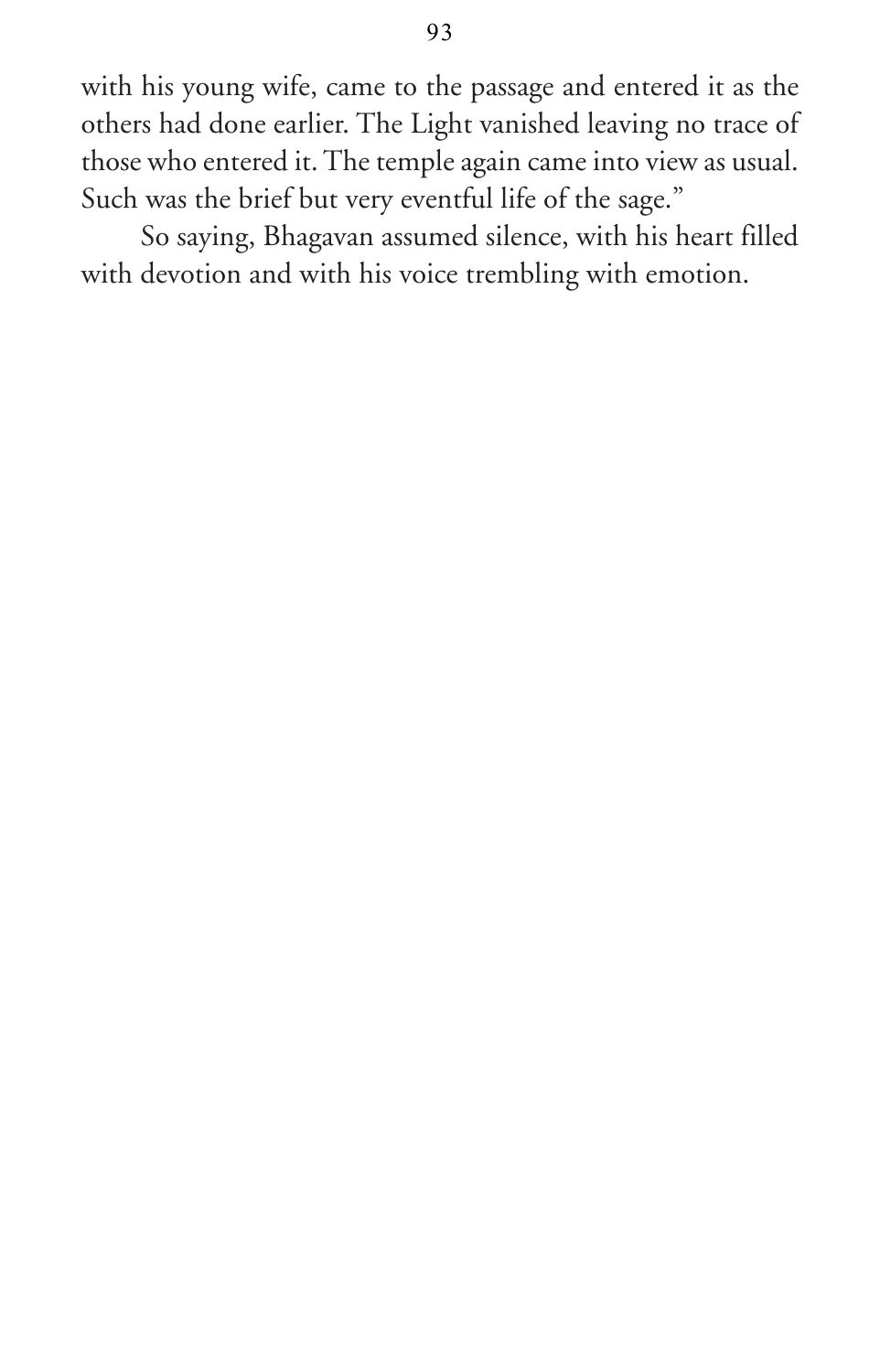with his young wife, came to the passage and entered it as the others had done earlier. The Light vanished leaving no trace of those who entered it. The temple again came into view as usual. Such was the brief but very eventful life of the sage."

So saying, Bhagavan assumed silence, with his heart filled with devotion and with his voice trembling with emotion.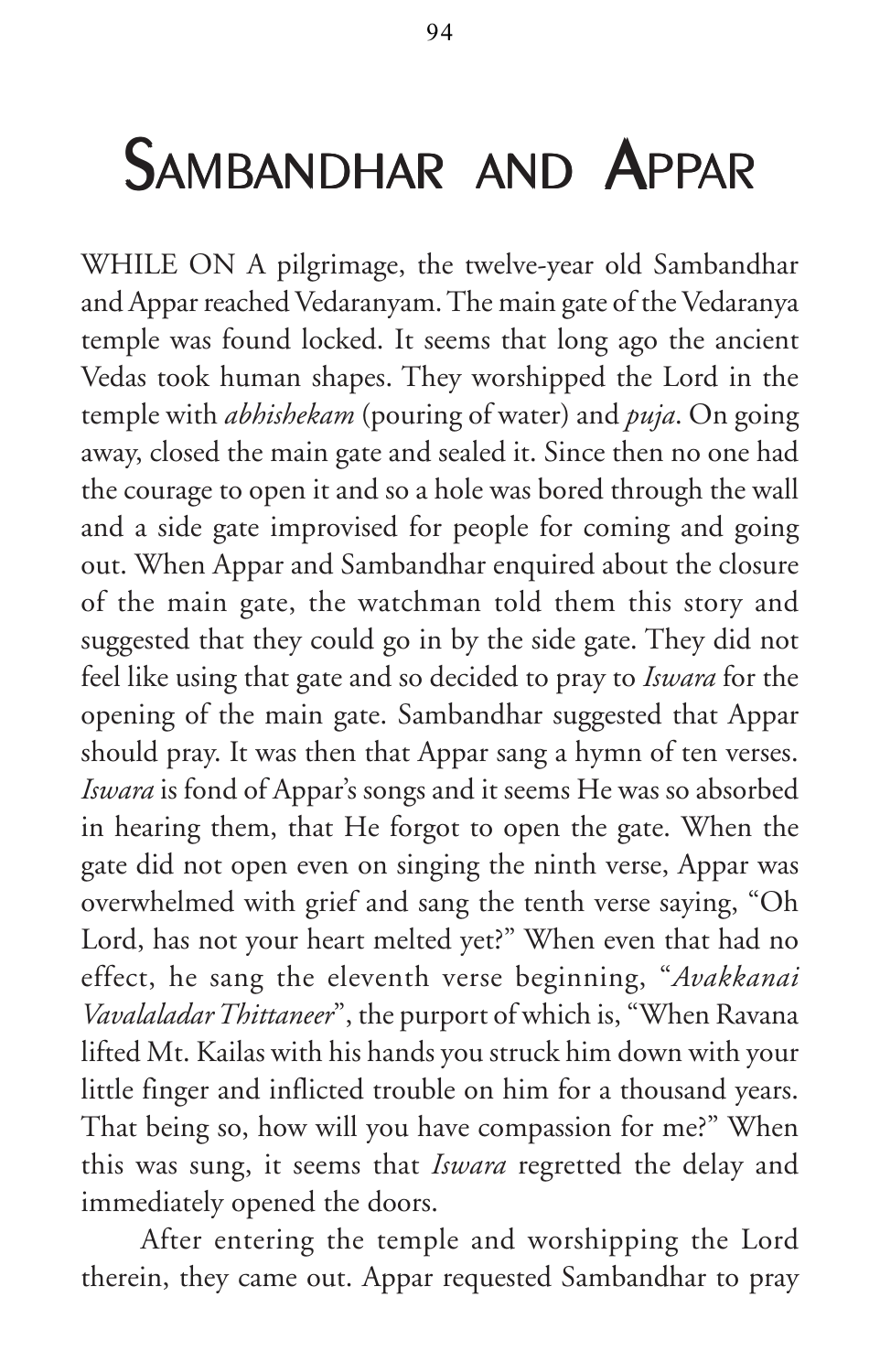#### SAMBANDHAR AND APPAR

WHILE ON A pilgrimage, the twelve-year old Sambandhar and Appar reached Vedaranyam. The main gate of the Vedaranya temple was found locked. It seems that long ago the ancient Vedas took human shapes. They worshipped the Lord in the temple with *abhishekam* (pouring of water) and *puja*. On going away, closed the main gate and sealed it. Since then no one had the courage to open it and so a hole was bored through the wall and a side gate improvised for people for coming and going out. When Appar and Sambandhar enquired about the closure of the main gate, the watchman told them this story and suggested that they could go in by the side gate. They did not feel like using that gate and so decided to pray to *Iswara* for the opening of the main gate. Sambandhar suggested that Appar should pray. It was then that Appar sang a hymn of ten verses. *Iswara* is fond of Appar's songs and it seems He was so absorbed in hearing them, that He forgot to open the gate. When the gate did not open even on singing the ninth verse, Appar was overwhelmed with grief and sang the tenth verse saying, "Oh Lord, has not your heart melted yet?" When even that had no effect, he sang the eleventh verse beginning, "*Avakkanai Vavalaladar Thittaneer*", the purport of which is, "When Ravana lifted Mt. Kailas with his hands you struck him down with your little finger and inflicted trouble on him for a thousand years. That being so, how will you have compassion for me?" When this was sung, it seems that *Iswara* regretted the delay and immediately opened the doors.

After entering the temple and worshipping the Lord therein, they came out. Appar requested Sambandhar to pray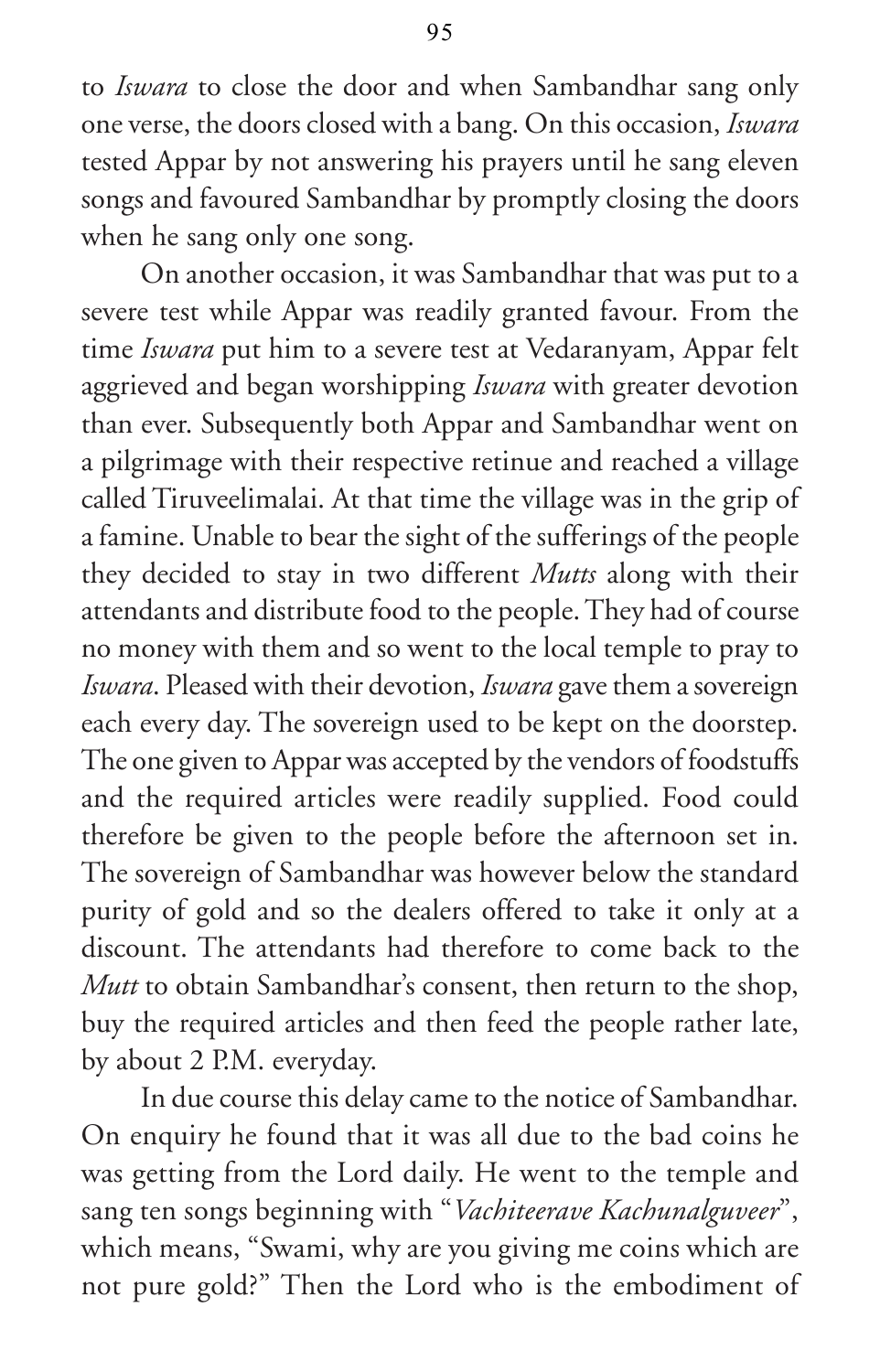to *Iswara* to close the door and when Sambandhar sang only one verse, the doors closed with a bang. On this occasion, *Iswara* tested Appar by not answering his prayers until he sang eleven songs and favoured Sambandhar by promptly closing the doors when he sang only one song.

On another occasion, it was Sambandhar that was put to a severe test while Appar was readily granted favour. From the time *Iswara* put him to a severe test at Vedaranyam, Appar felt aggrieved and began worshipping *Iswara* with greater devotion than ever. Subsequently both Appar and Sambandhar went on a pilgrimage with their respective retinue and reached a village called Tiruveelimalai. At that time the village was in the grip of a famine. Unable to bear the sight of the sufferings of the people they decided to stay in two different *Mutts* along with their attendants and distribute food to the people. They had of course no money with them and so went to the local temple to pray to *Iswara*. Pleased with their devotion, *Iswara* gave them a sovereign each every day. The sovereign used to be kept on the doorstep. The one given to Appar was accepted by the vendors of foodstuffs and the required articles were readily supplied. Food could therefore be given to the people before the afternoon set in. The sovereign of Sambandhar was however below the standard purity of gold and so the dealers offered to take it only at a discount. The attendants had therefore to come back to the *Mutt* to obtain Sambandhar's consent, then return to the shop, buy the required articles and then feed the people rather late, by about 2 P.M. everyday.

In due course this delay came to the notice of Sambandhar. On enquiry he found that it was all due to the bad coins he was getting from the Lord daily. He went to the temple and sang ten songs beginning with "*Vachiteerave Kachunalguveer*", which means, "Swami, why are you giving me coins which are not pure gold?" Then the Lord who is the embodiment of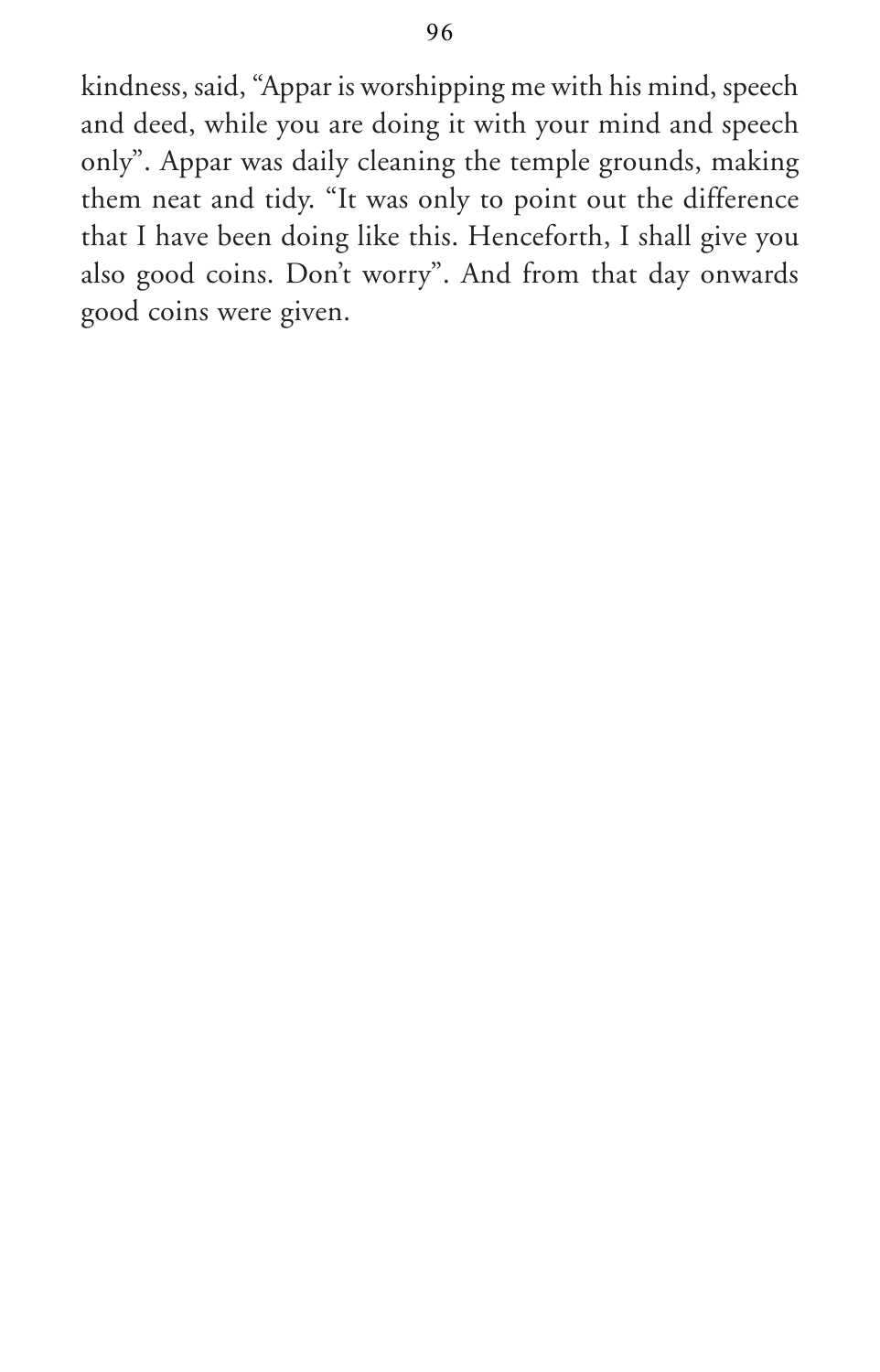kindness, said, "Appar is worshipping me with his mind, speech and deed, while you are doing it with your mind and speech only". Appar was daily cleaning the temple grounds, making them neat and tidy. "It was only to point out the difference that I have been doing like this. Henceforth, I shall give you also good coins. Don't worry". And from that day onwards good coins were given.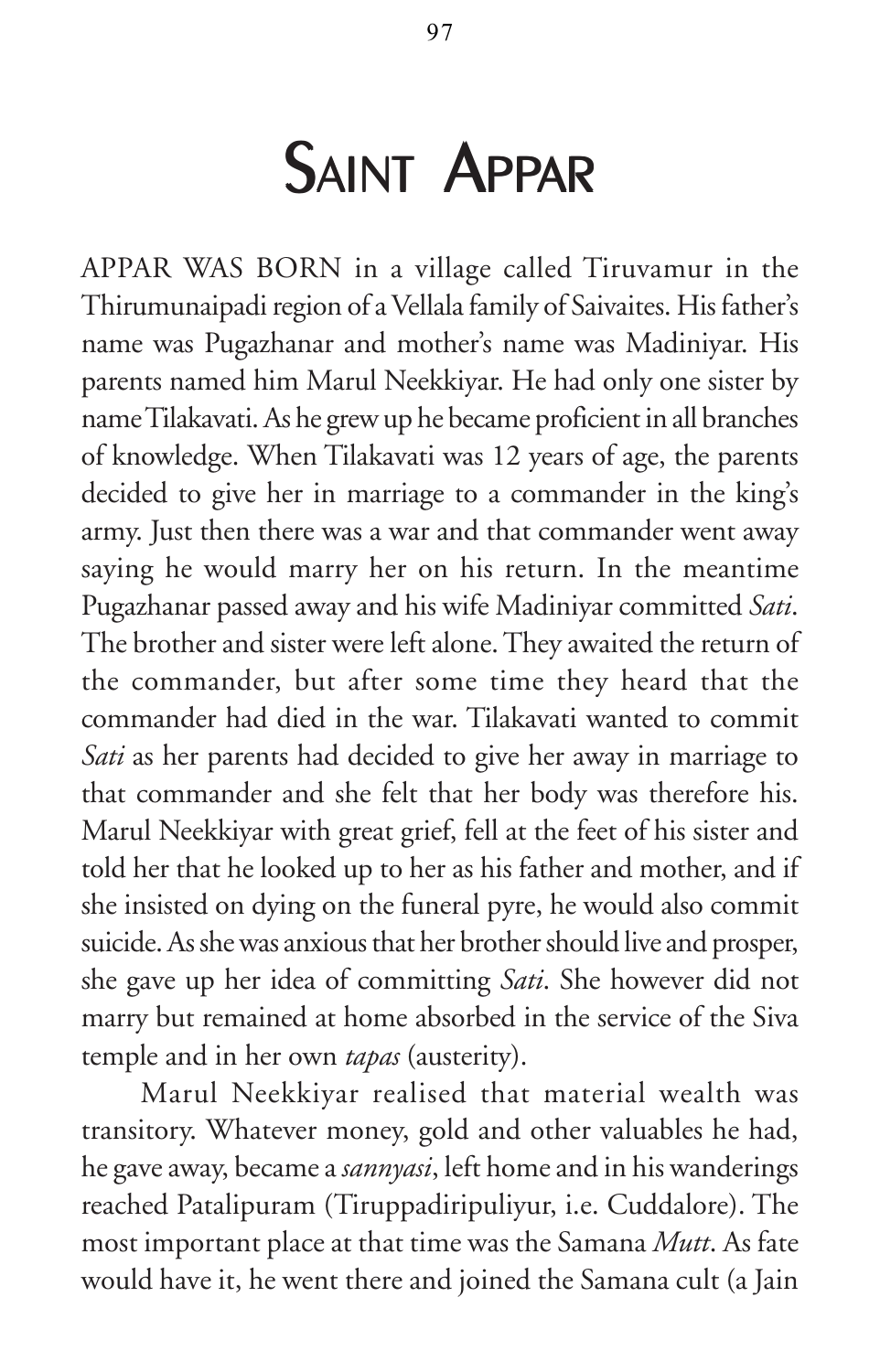#### SAINT APPAR

APPAR WAS BORN in a village called Tiruvamur in the Thirumunaipadi region of a Vellala family of Saivaites. His father's name was Pugazhanar and mother's name was Madiniyar. His parents named him Marul Neekkiyar. He had only one sister by name Tilakavati. As he grew up he became proficient in all branches of knowledge. When Tilakavati was 12 years of age, the parents decided to give her in marriage to a commander in the king's army. Just then there was a war and that commander went away saying he would marry her on his return. In the meantime Pugazhanar passed away and his wife Madiniyar committed *Sati*. The brother and sister were left alone. They awaited the return of the commander, but after some time they heard that the commander had died in the war. Tilakavati wanted to commit *Sati* as her parents had decided to give her away in marriage to that commander and she felt that her body was therefore his. Marul Neekkiyar with great grief, fell at the feet of his sister and told her that he looked up to her as his father and mother, and if she insisted on dying on the funeral pyre, he would also commit suicide. As she was anxious that her brother should live and prosper, she gave up her idea of committing *Sati*. She however did not marry but remained at home absorbed in the service of the Siva temple and in her own *tapas* (austerity).

Marul Neekkiyar realised that material wealth was transitory. Whatever money, gold and other valuables he had, he gave away, became a *sannyasi*, left home and in his wanderings reached Patalipuram (Tiruppadiripuliyur, i.e. Cuddalore). The most important place at that time was the Samana *Mutt*. As fate would have it, he went there and joined the Samana cult (a Jain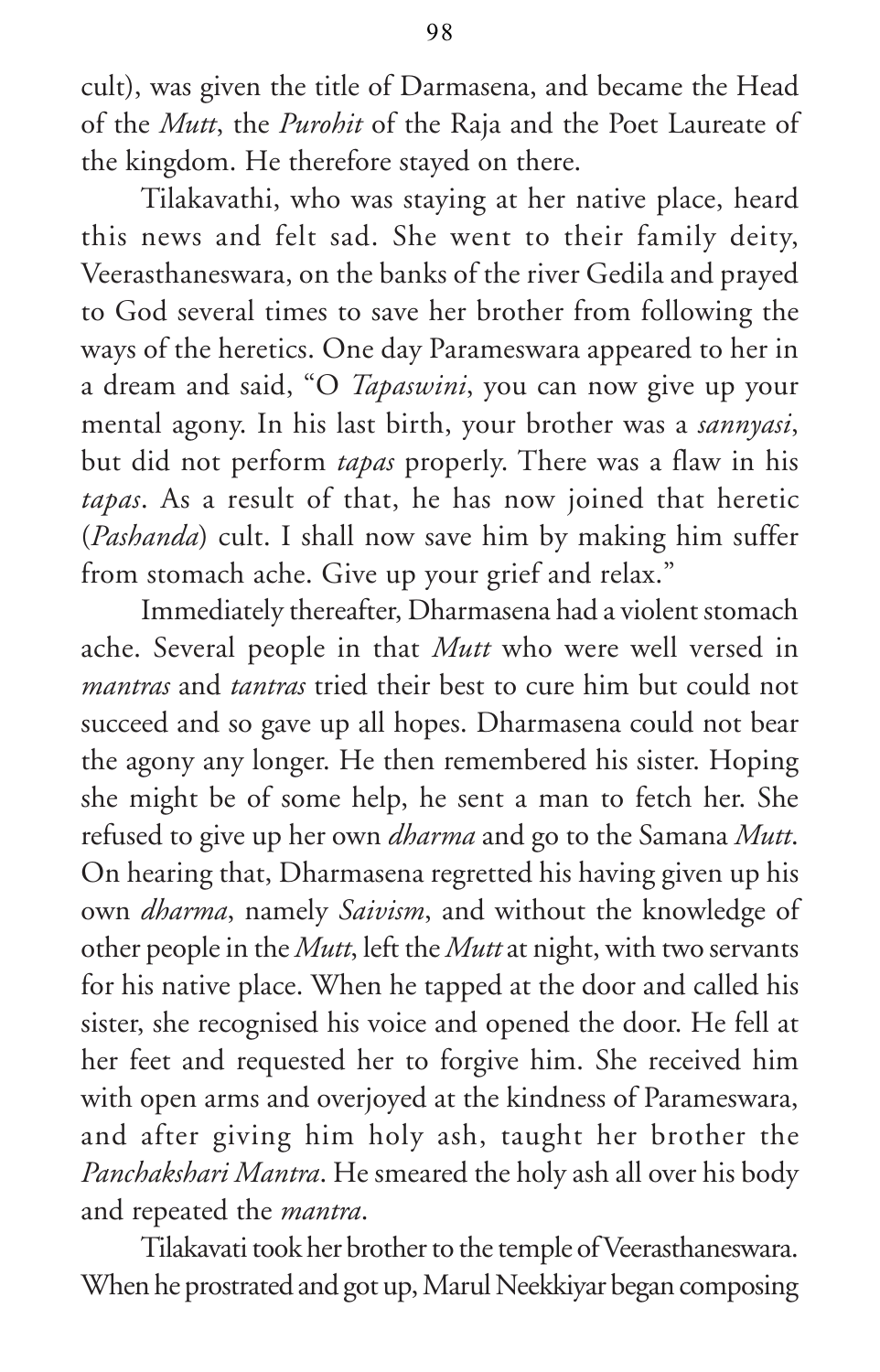cult), was given the title of Darmasena, and became the Head of the *Mutt*, the *Purohit* of the Raja and the Poet Laureate of the kingdom. He therefore stayed on there.

Tilakavathi, who was staying at her native place, heard this news and felt sad. She went to their family deity, Veerasthaneswara, on the banks of the river Gedila and prayed to God several times to save her brother from following the ways of the heretics. One day Parameswara appeared to her in a dream and said, "O *Tapaswini*, you can now give up your mental agony. In his last birth, your brother was a *sannyasi*, but did not perform *tapas* properly. There was a flaw in his *tapas*. As a result of that, he has now joined that heretic (*Pashanda*) cult. I shall now save him by making him suffer from stomach ache. Give up your grief and relax."

Immediately thereafter, Dharmasena had a violent stomach ache. Several people in that *Mutt* who were well versed in *mantras* and *tantras* tried their best to cure him but could not succeed and so gave up all hopes. Dharmasena could not bear the agony any longer. He then remembered his sister. Hoping she might be of some help, he sent a man to fetch her. She refused to give up her own *dharma* and go to the Samana *Mutt*. On hearing that, Dharmasena regretted his having given up his own *dharma*, namely *Saivism*, and without the knowledge of other people in the *Mutt*, left the *Mutt* at night, with two servants for his native place. When he tapped at the door and called his sister, she recognised his voice and opened the door. He fell at her feet and requested her to forgive him. She received him with open arms and overjoyed at the kindness of Parameswara, and after giving him holy ash, taught her brother the *Panchakshari Mantra*. He smeared the holy ash all over his body and repeated the *mantra*.

Tilakavati took her brother to the temple of Veerasthaneswara. When he prostrated and got up, Marul Neekkiyar began composing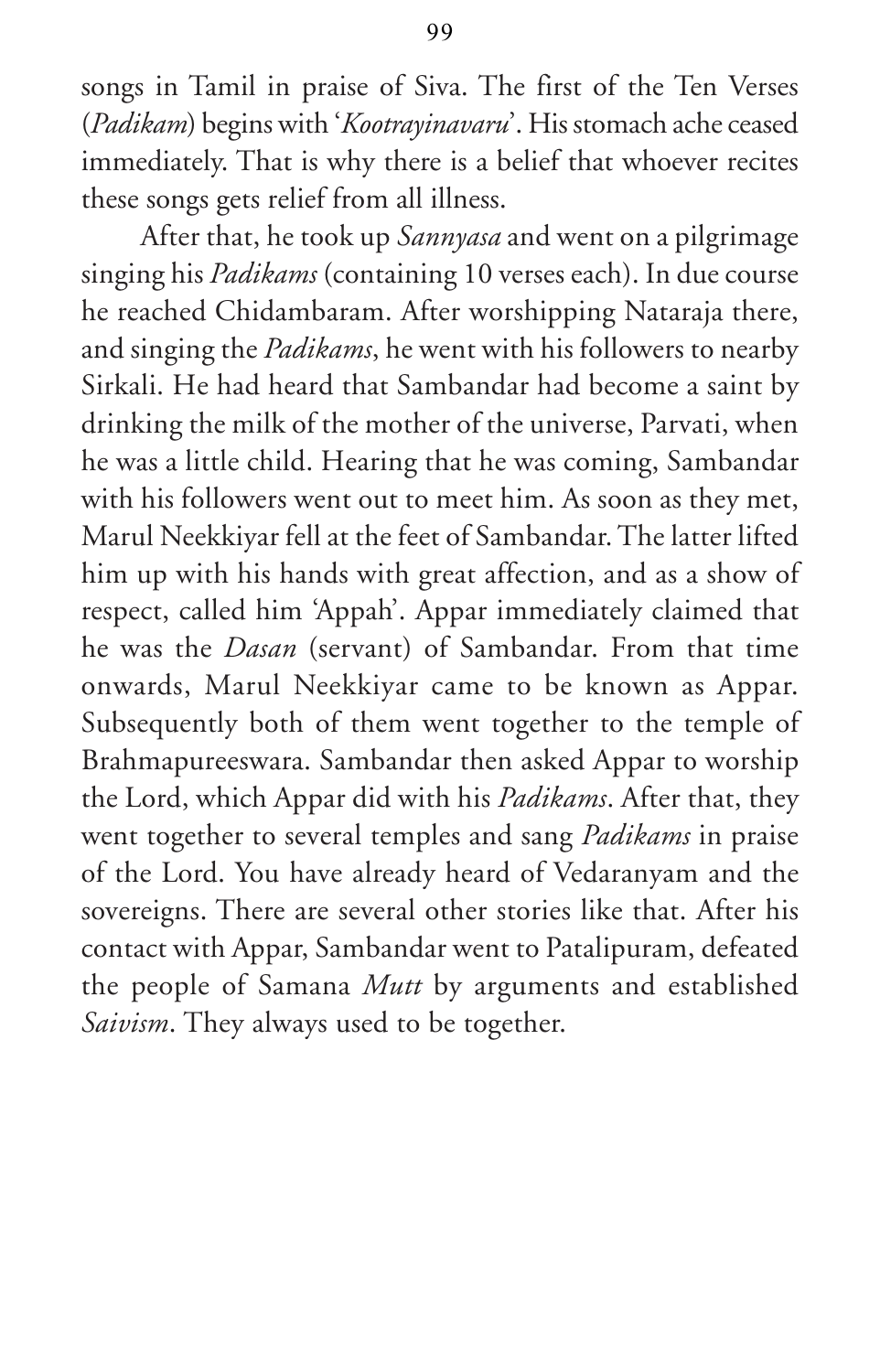songs in Tamil in praise of Siva. The first of the Ten Verses (*Padikam*) begins with '*Kootrayinavaru*'. His stomach ache ceased immediately. That is why there is a belief that whoever recites these songs gets relief from all illness.

After that, he took up *Sannyasa* and went on a pilgrimage singing his *Padikams* (containing 10 verses each). In due course he reached Chidambaram. After worshipping Nataraja there, and singing the *Padikams*, he went with his followers to nearby Sirkali. He had heard that Sambandar had become a saint by drinking the milk of the mother of the universe, Parvati, when he was a little child. Hearing that he was coming, Sambandar with his followers went out to meet him. As soon as they met, Marul Neekkiyar fell at the feet of Sambandar. The latter lifted him up with his hands with great affection, and as a show of respect, called him 'Appah'. Appar immediately claimed that he was the *Dasan* (servant) of Sambandar. From that time onwards, Marul Neekkiyar came to be known as Appar. Subsequently both of them went together to the temple of Brahmapureeswara. Sambandar then asked Appar to worship the Lord, which Appar did with his *Padikams*. After that, they went together to several temples and sang *Padikams* in praise of the Lord. You have already heard of Vedaranyam and the sovereigns. There are several other stories like that. After his contact with Appar, Sambandar went to Patalipuram, defeated the people of Samana *Mutt* by arguments and established *Saivism*. They always used to be together.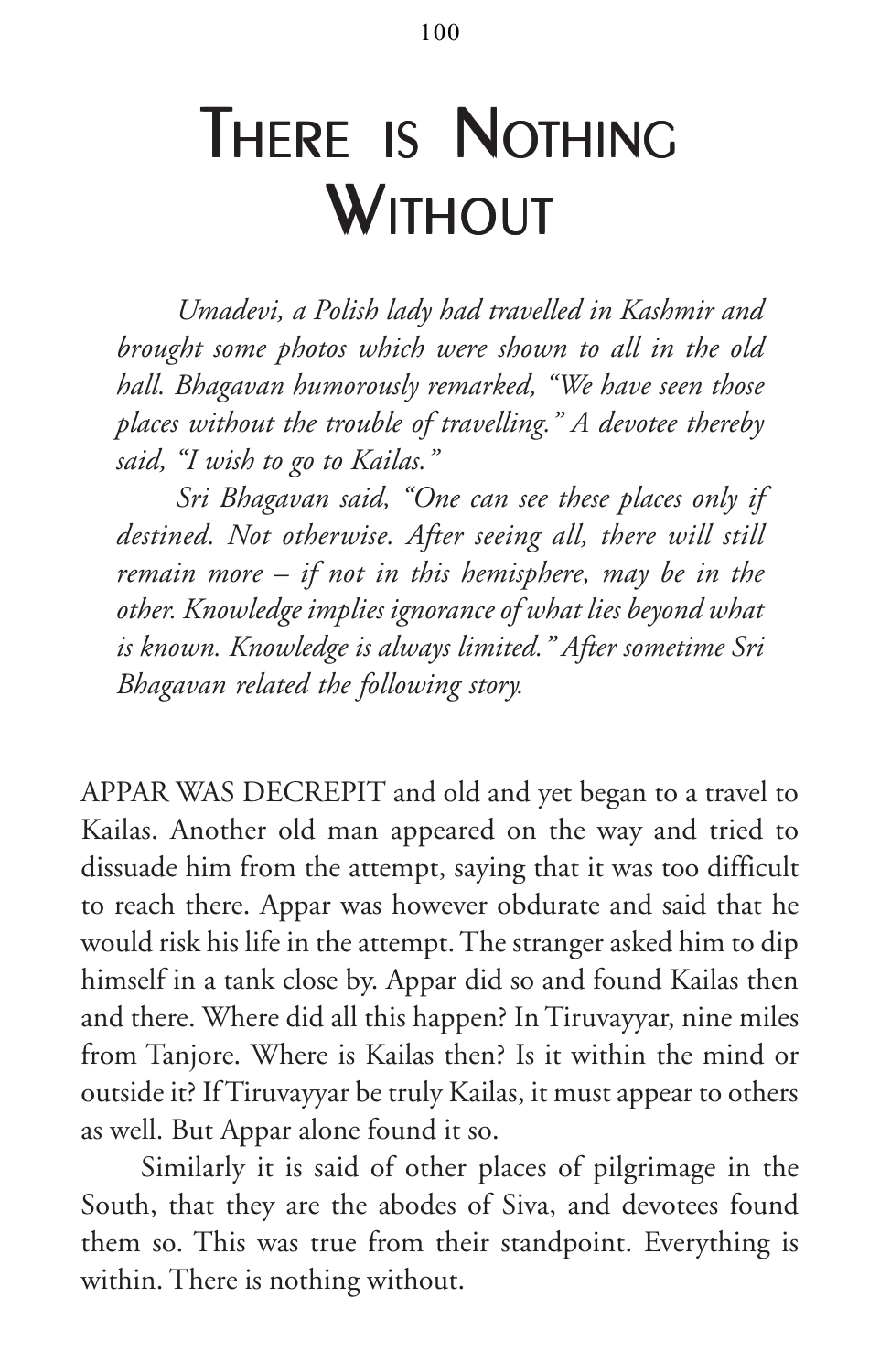### THERE IS NOTHING **WITHOUT**

*Umadevi, a Polish lady had travelled in Kashmir and brought some photos which were shown to all in the old hall. Bhagavan humorously remarked, "We have seen those places without the trouble of travelling." A devotee thereby said, "I wish to go to Kailas."*

*Sri Bhagavan said, "One can see these places only if destined. Not otherwise. After seeing all, there will still remain more – if not in this hemisphere, may be in the other. Knowledge implies ignorance of what lies beyond what is known. Knowledge is always limited." After sometime Sri Bhagavan related the following story.*

APPAR WAS DECREPIT and old and yet began to a travel to Kailas. Another old man appeared on the way and tried to dissuade him from the attempt, saying that it was too difficult to reach there. Appar was however obdurate and said that he would risk his life in the attempt. The stranger asked him to dip himself in a tank close by. Appar did so and found Kailas then and there. Where did all this happen? In Tiruvayyar, nine miles from Tanjore. Where is Kailas then? Is it within the mind or outside it? If Tiruvayyar be truly Kailas, it must appear to others as well. But Appar alone found it so.

Similarly it is said of other places of pilgrimage in the South, that they are the abodes of Siva, and devotees found them so. This was true from their standpoint. Everything is within. There is nothing without.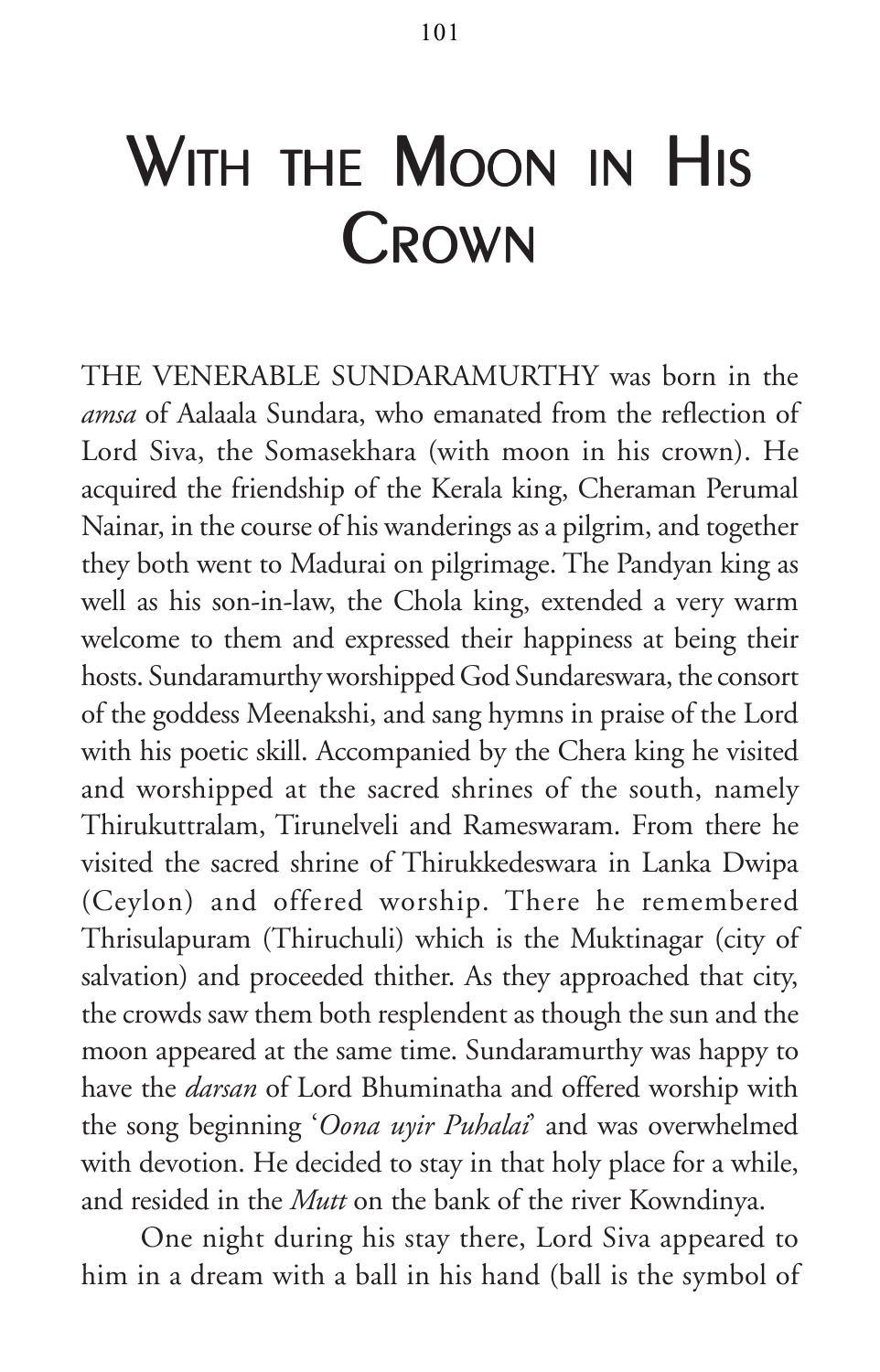# WITH THE MOON IN HIS **CROWN**

THE VENERABLE SUNDARAMURTHY was born in the *amsa* of Aalaala Sundara, who emanated from the reflection of Lord Siva, the Somasekhara (with moon in his crown). He acquired the friendship of the Kerala king, Cheraman Perumal Nainar, in the course of his wanderings as a pilgrim, and together they both went to Madurai on pilgrimage. The Pandyan king as well as his son-in-law, the Chola king, extended a very warm welcome to them and expressed their happiness at being their hosts. Sundaramurthy worshipped God Sundareswara, the consort of the goddess Meenakshi, and sang hymns in praise of the Lord with his poetic skill. Accompanied by the Chera king he visited and worshipped at the sacred shrines of the south, namely Thirukuttralam, Tirunelveli and Rameswaram. From there he visited the sacred shrine of Thirukkedeswara in Lanka Dwipa (Ceylon) and offered worship. There he remembered Thrisulapuram (Thiruchuli) which is the Muktinagar (city of salvation) and proceeded thither. As they approached that city, the crowds saw them both resplendent as though the sun and the moon appeared at the same time. Sundaramurthy was happy to have the *darsan* of Lord Bhuminatha and offered worship with the song beginning '*Oona uyir Puhalai*' and was overwhelmed with devotion. He decided to stay in that holy place for a while, and resided in the *Mutt* on the bank of the river Kowndinya.

One night during his stay there, Lord Siva appeared to him in a dream with a ball in his hand (ball is the symbol of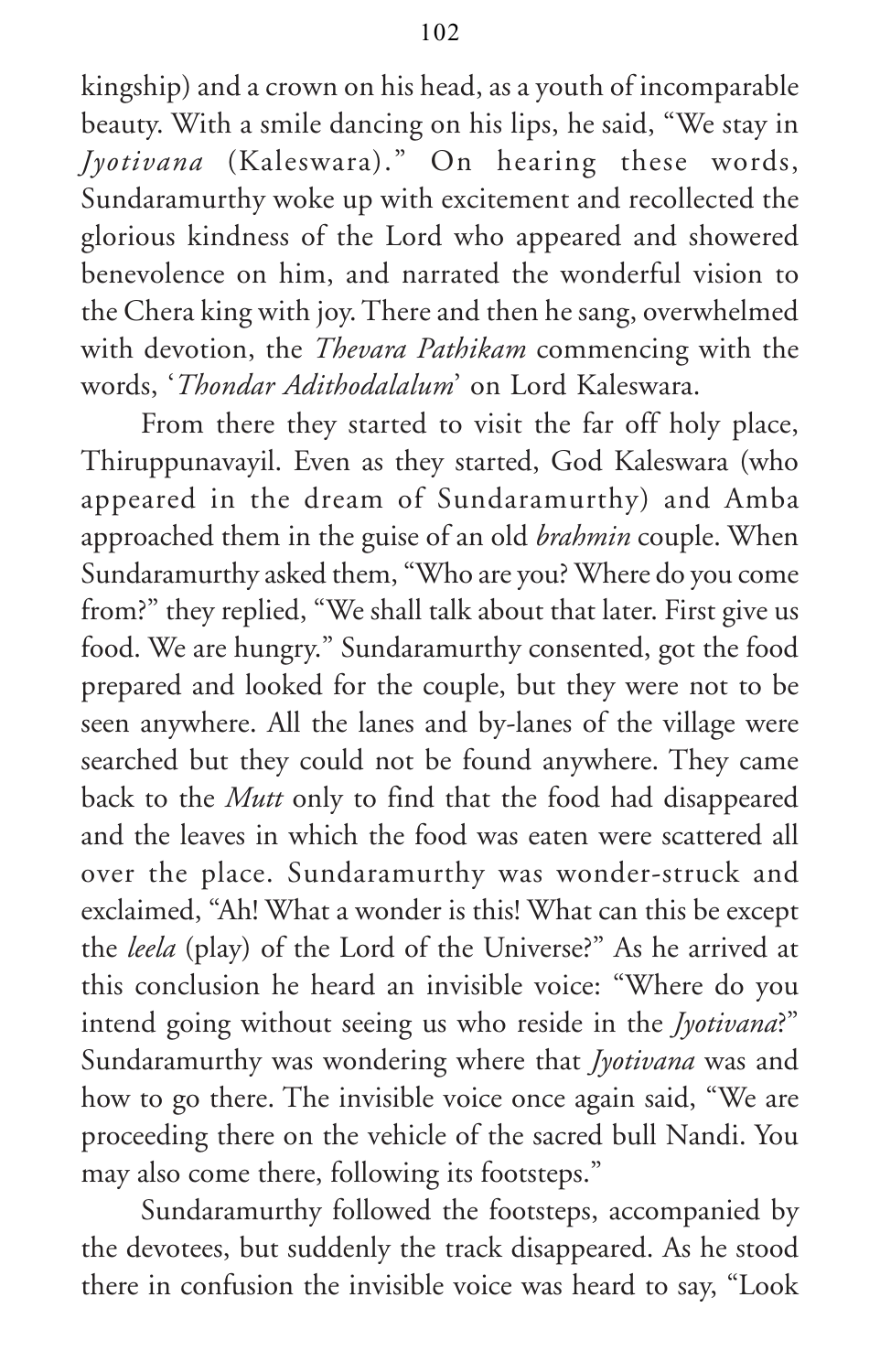kingship) and a crown on his head, as a youth of incomparable beauty. With a smile dancing on his lips, he said, "We stay in *Jyotivana* (Kaleswara)." On hearing these words, Sundaramurthy woke up with excitement and recollected the glorious kindness of the Lord who appeared and showered benevolence on him, and narrated the wonderful vision to the Chera king with joy. There and then he sang, overwhelmed with devotion, the *Thevara Pathikam* commencing with the words, '*Thondar Adithodalalum*' on Lord Kaleswara.

From there they started to visit the far off holy place, Thiruppunavayil. Even as they started, God Kaleswara (who appeared in the dream of Sundaramurthy) and Amba approached them in the guise of an old *brahmin* couple. When Sundaramurthy asked them, "Who are you? Where do you come from?" they replied, "We shall talk about that later. First give us food. We are hungry." Sundaramurthy consented, got the food prepared and looked for the couple, but they were not to be seen anywhere. All the lanes and by-lanes of the village were searched but they could not be found anywhere. They came back to the *Mutt* only to find that the food had disappeared and the leaves in which the food was eaten were scattered all over the place. Sundaramurthy was wonder-struck and exclaimed, "Ah! What a wonder is this! What can this be except the *leela* (play) of the Lord of the Universe?" As he arrived at this conclusion he heard an invisible voice: "Where do you intend going without seeing us who reside in the *Jyotivana*?" Sundaramurthy was wondering where that *Jyotivana* was and how to go there. The invisible voice once again said, "We are proceeding there on the vehicle of the sacred bull Nandi. You may also come there, following its footsteps."

Sundaramurthy followed the footsteps, accompanied by the devotees, but suddenly the track disappeared. As he stood there in confusion the invisible voice was heard to say, "Look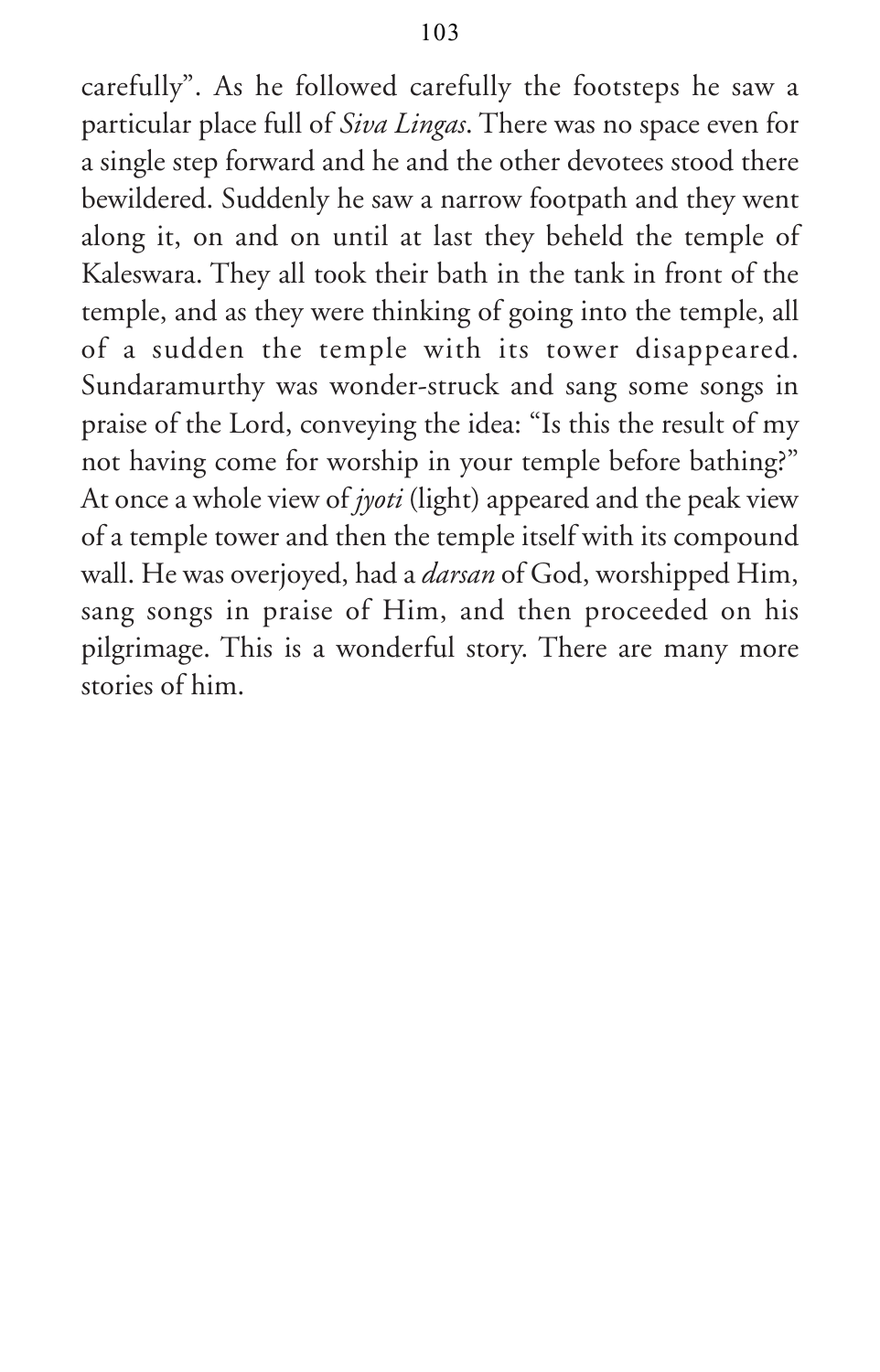103

carefully". As he followed carefully the footsteps he saw a particular place full of *Siva Lingas*. There was no space even for a single step forward and he and the other devotees stood there bewildered. Suddenly he saw a narrow footpath and they went along it, on and on until at last they beheld the temple of Kaleswara. They all took their bath in the tank in front of the temple, and as they were thinking of going into the temple, all of a sudden the temple with its tower disappeared. Sundaramurthy was wonder-struck and sang some songs in praise of the Lord, conveying the idea: "Is this the result of my not having come for worship in your temple before bathing?" At once a whole view of *jyoti* (light) appeared and the peak view of a temple tower and then the temple itself with its compound wall. He was overjoyed, had a *darsan* of God, worshipped Him, sang songs in praise of Him, and then proceeded on his pilgrimage. This is a wonderful story. There are many more stories of him.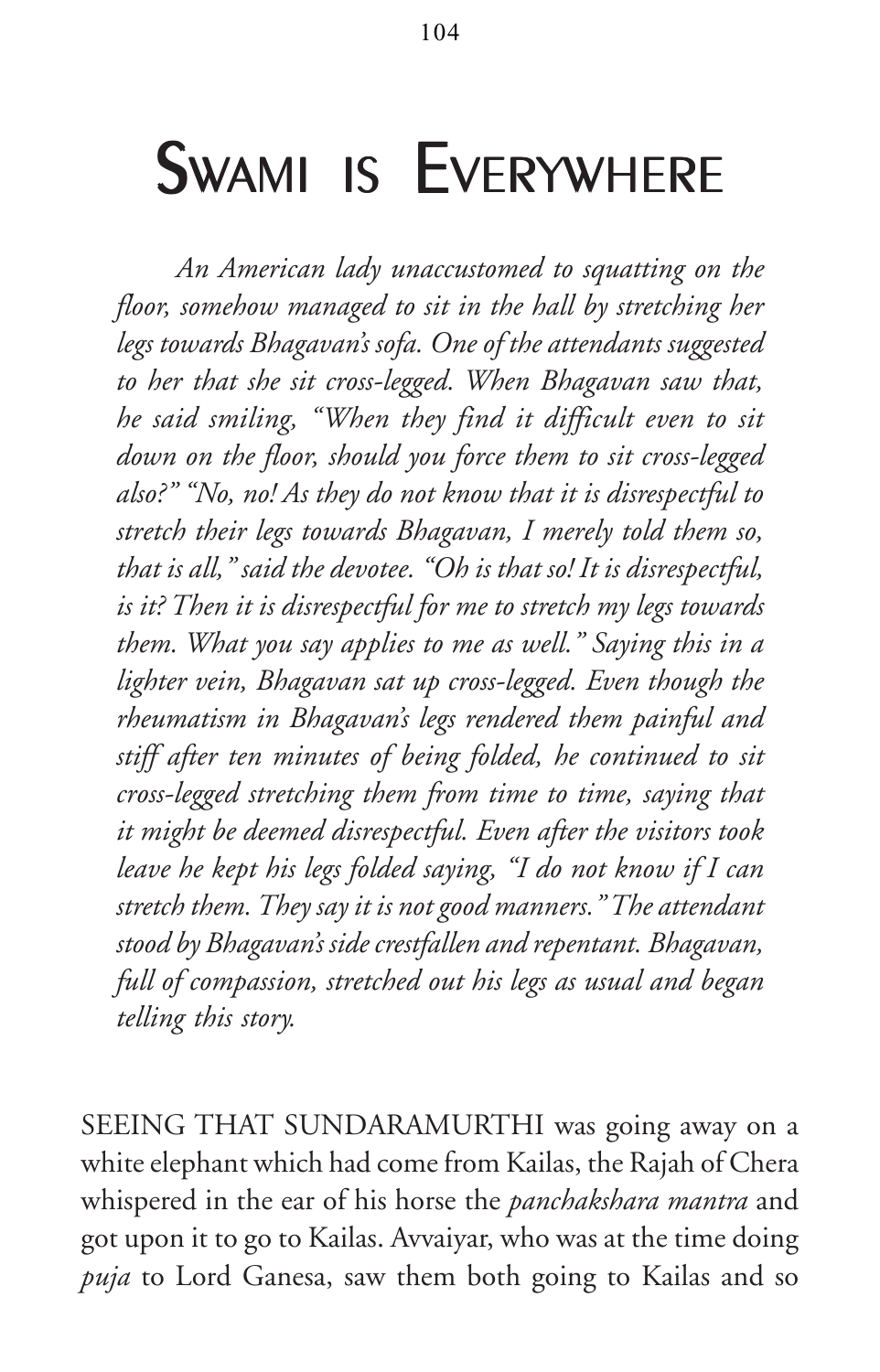## SWAMI IS EVERYWHERE

*An American lady unaccustomed to squatting on the floor, somehow managed to sit in the hall by stretching her legs towards Bhagavan's sofa. One of the attendants suggested to her that she sit cross-legged. When Bhagavan saw that, he said smiling, "When they find it difficult even to sit down on the floor, should you force them to sit cross-legged also?" "No, no! As they do not know that it is disrespectful to stretch their legs towards Bhagavan, I merely told them so, that is all," said the devotee. "Oh is that so! It is disrespectful, is it? Then it is disrespectful for me to stretch my legs towards them. What you say applies to me as well." Saying this in a lighter vein, Bhagavan sat up cross-legged. Even though the rheumatism in Bhagavan's legs rendered them painful and stiff after ten minutes of being folded, he continued to sit cross-legged stretching them from time to time, saying that it might be deemed disrespectful. Even after the visitors took leave he kept his legs folded saying, "I do not know if I can stretch them. They say it is not good manners." The attendant stood by Bhagavan's side crestfallen and repentant. Bhagavan, full of compassion, stretched out his legs as usual and began telling this story.*

SEEING THAT SUNDARAMURTHI was going away on a white elephant which had come from Kailas, the Rajah of Chera whispered in the ear of his horse the *panchakshara mantra* and got upon it to go to Kailas. Avvaiyar, who was at the time doing *puja* to Lord Ganesa, saw them both going to Kailas and so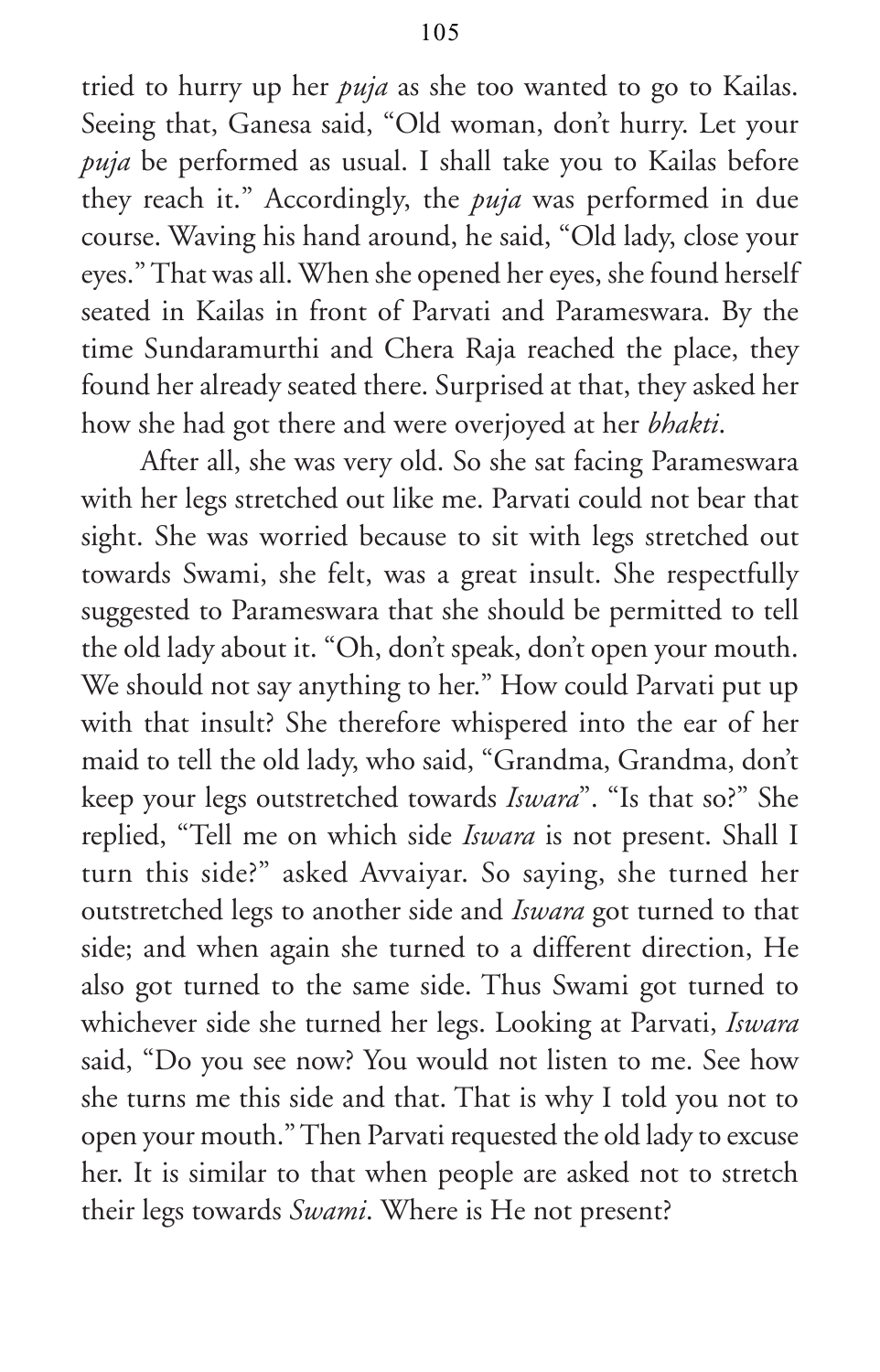tried to hurry up her *puja* as she too wanted to go to Kailas. Seeing that, Ganesa said, "Old woman, don't hurry. Let your *puja* be performed as usual. I shall take you to Kailas before they reach it." Accordingly, the *puja* was performed in due course. Waving his hand around, he said, "Old lady, close your eyes." That was all. When she opened her eyes, she found herself seated in Kailas in front of Parvati and Parameswara. By the time Sundaramurthi and Chera Raja reached the place, they found her already seated there. Surprised at that, they asked her how she had got there and were overjoyed at her *bhakti*.

After all, she was very old. So she sat facing Parameswara with her legs stretched out like me. Parvati could not bear that sight. She was worried because to sit with legs stretched out towards Swami, she felt, was a great insult. She respectfully suggested to Parameswara that she should be permitted to tell the old lady about it. "Oh, don't speak, don't open your mouth. We should not say anything to her." How could Parvati put up with that insult? She therefore whispered into the ear of her maid to tell the old lady, who said, "Grandma, Grandma, don't keep your legs outstretched towards *Iswara*". "Is that so?" She replied, "Tell me on which side *Iswara* is not present. Shall I turn this side?" asked Avvaiyar. So saying, she turned her outstretched legs to another side and *Iswara* got turned to that side; and when again she turned to a different direction, He also got turned to the same side. Thus Swami got turned to whichever side she turned her legs. Looking at Parvati, *Iswara* said, "Do you see now? You would not listen to me. See how she turns me this side and that. That is why I told you not to open your mouth." Then Parvati requested the old lady to excuse her. It is similar to that when people are asked not to stretch their legs towards *Swami*. Where is He not present?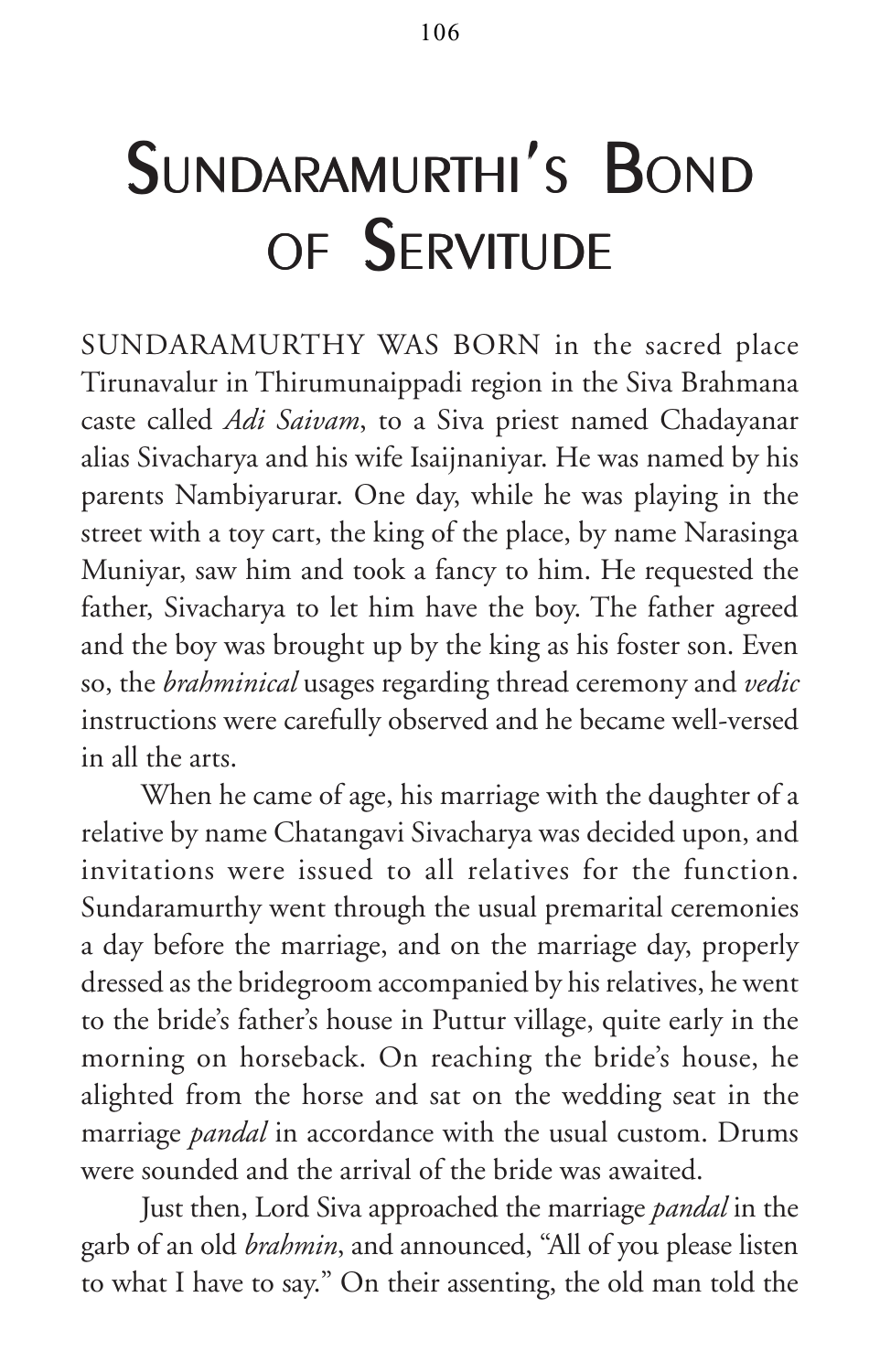# SUNDARAMURTHI'S BOND OF SERVITUDE

SUNDARAMURTHY WAS BORN in the sacred place Tirunavalur in Thirumunaippadi region in the Siva Brahmana caste called *Adi Saivam*, to a Siva priest named Chadayanar alias Sivacharya and his wife Isaijnaniyar. He was named by his parents Nambiyarurar. One day, while he was playing in the street with a toy cart, the king of the place, by name Narasinga Muniyar, saw him and took a fancy to him. He requested the father, Sivacharya to let him have the boy. The father agreed and the boy was brought up by the king as his foster son. Even so, the *brahminical* usages regarding thread ceremony and *vedic* instructions were carefully observed and he became well-versed in all the arts.

When he came of age, his marriage with the daughter of a relative by name Chatangavi Sivacharya was decided upon, and invitations were issued to all relatives for the function. Sundaramurthy went through the usual premarital ceremonies a day before the marriage, and on the marriage day, properly dressed as the bridegroom accompanied by his relatives, he went to the bride's father's house in Puttur village, quite early in the morning on horseback. On reaching the bride's house, he alighted from the horse and sat on the wedding seat in the marriage *pandal* in accordance with the usual custom. Drums were sounded and the arrival of the bride was awaited.

Just then, Lord Siva approached the marriage *pandal* in the garb of an old *brahmin*, and announced, "All of you please listen to what I have to say." On their assenting, the old man told the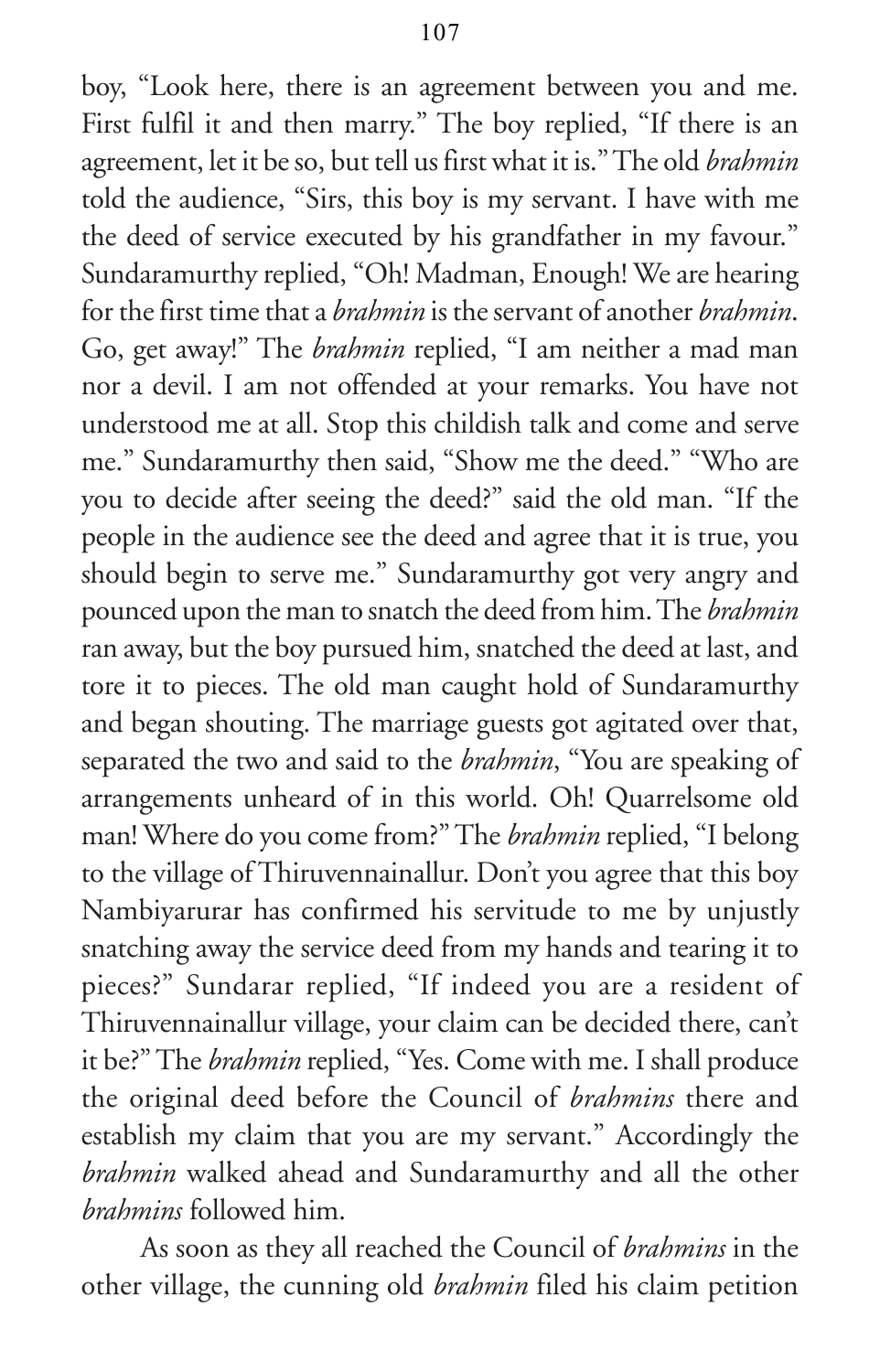boy, "Look here, there is an agreement between you and me. First fulfil it and then marry." The boy replied, "If there is an agreement, let it be so, but tell us first what it is." The old *brahmin* told the audience, "Sirs, this boy is my servant. I have with me the deed of service executed by his grandfather in my favour." Sundaramurthy replied, "Oh! Madman, Enough! We are hearing for the first time that a *brahmin* is the servant of another *brahmin*. Go, get away!" The *brahmin* replied, "I am neither a mad man nor a devil. I am not offended at your remarks. You have not understood me at all. Stop this childish talk and come and serve me." Sundaramurthy then said, "Show me the deed." "Who are you to decide after seeing the deed?" said the old man. "If the people in the audience see the deed and agree that it is true, you should begin to serve me." Sundaramurthy got very angry and pounced upon the man to snatch the deed from him. The *brahmin* ran away, but the boy pursued him, snatched the deed at last, and tore it to pieces. The old man caught hold of Sundaramurthy and began shouting. The marriage guests got agitated over that, separated the two and said to the *brahmin*, "You are speaking of arrangements unheard of in this world. Oh! Quarrelsome old man! Where do you come from?" The *brahmin* replied, "I belong to the village of Thiruvennainallur. Don't you agree that this boy Nambiyarurar has confirmed his servitude to me by unjustly snatching away the service deed from my hands and tearing it to pieces?" Sundarar replied, "If indeed you are a resident of Thiruvennainallur village, your claim can be decided there, can't it be?" The *brahmin* replied, "Yes. Come with me. I shall produce the original deed before the Council of *brahmins* there and establish my claim that you are my servant." Accordingly the *brahmin* walked ahead and Sundaramurthy and all the other *brahmins* followed him.

As soon as they all reached the Council of *brahmins* in the other village, the cunning old *brahmin* filed his claim petition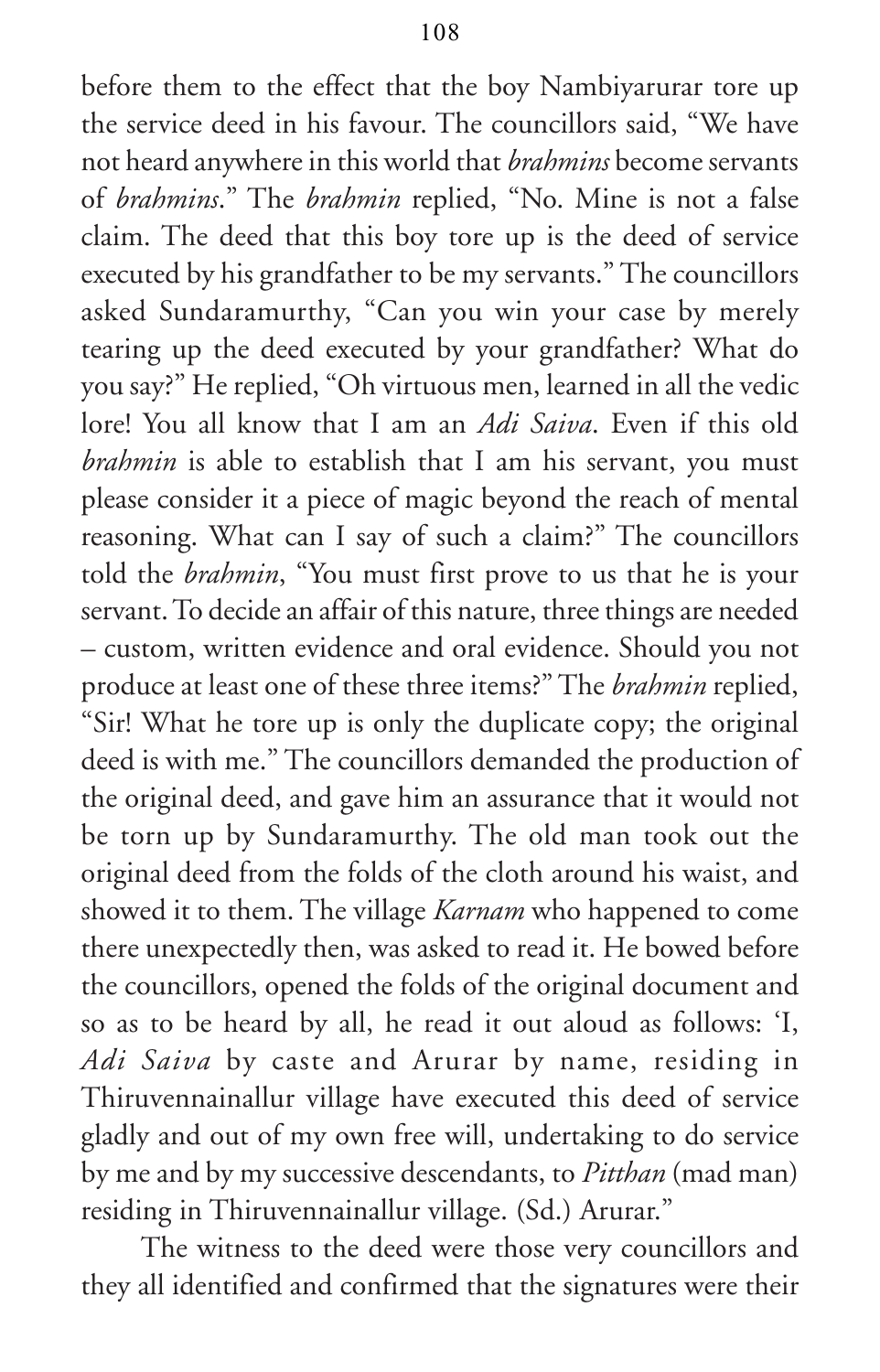before them to the effect that the boy Nambiyarurar tore up the service deed in his favour. The councillors said, "We have not heard anywhere in this world that *brahmins* become servants of *brahmins*." The *brahmin* replied, "No. Mine is not a false claim. The deed that this boy tore up is the deed of service executed by his grandfather to be my servants." The councillors asked Sundaramurthy, "Can you win your case by merely tearing up the deed executed by your grandfather? What do you say?" He replied, "Oh virtuous men, learned in all the vedic lore! You all know that I am an *Adi Saiva*. Even if this old *brahmin* is able to establish that I am his servant, you must please consider it a piece of magic beyond the reach of mental reasoning. What can I say of such a claim?" The councillors told the *brahmin*, "You must first prove to us that he is your servant. To decide an affair of this nature, three things are needed – custom, written evidence and oral evidence. Should you not produce at least one of these three items?" The *brahmin* replied, "Sir! What he tore up is only the duplicate copy; the original deed is with me." The councillors demanded the production of the original deed, and gave him an assurance that it would not be torn up by Sundaramurthy. The old man took out the original deed from the folds of the cloth around his waist, and showed it to them. The village *Karnam* who happened to come there unexpectedly then, was asked to read it. He bowed before the councillors, opened the folds of the original document and so as to be heard by all, he read it out aloud as follows: 'I, *Adi Saiva* by caste and Arurar by name, residing in Thiruvennainallur village have executed this deed of service gladly and out of my own free will, undertaking to do service by me and by my successive descendants, to *Pitthan* (mad man) residing in Thiruvennainallur village. (Sd.) Arurar."

The witness to the deed were those very councillors and they all identified and confirmed that the signatures were their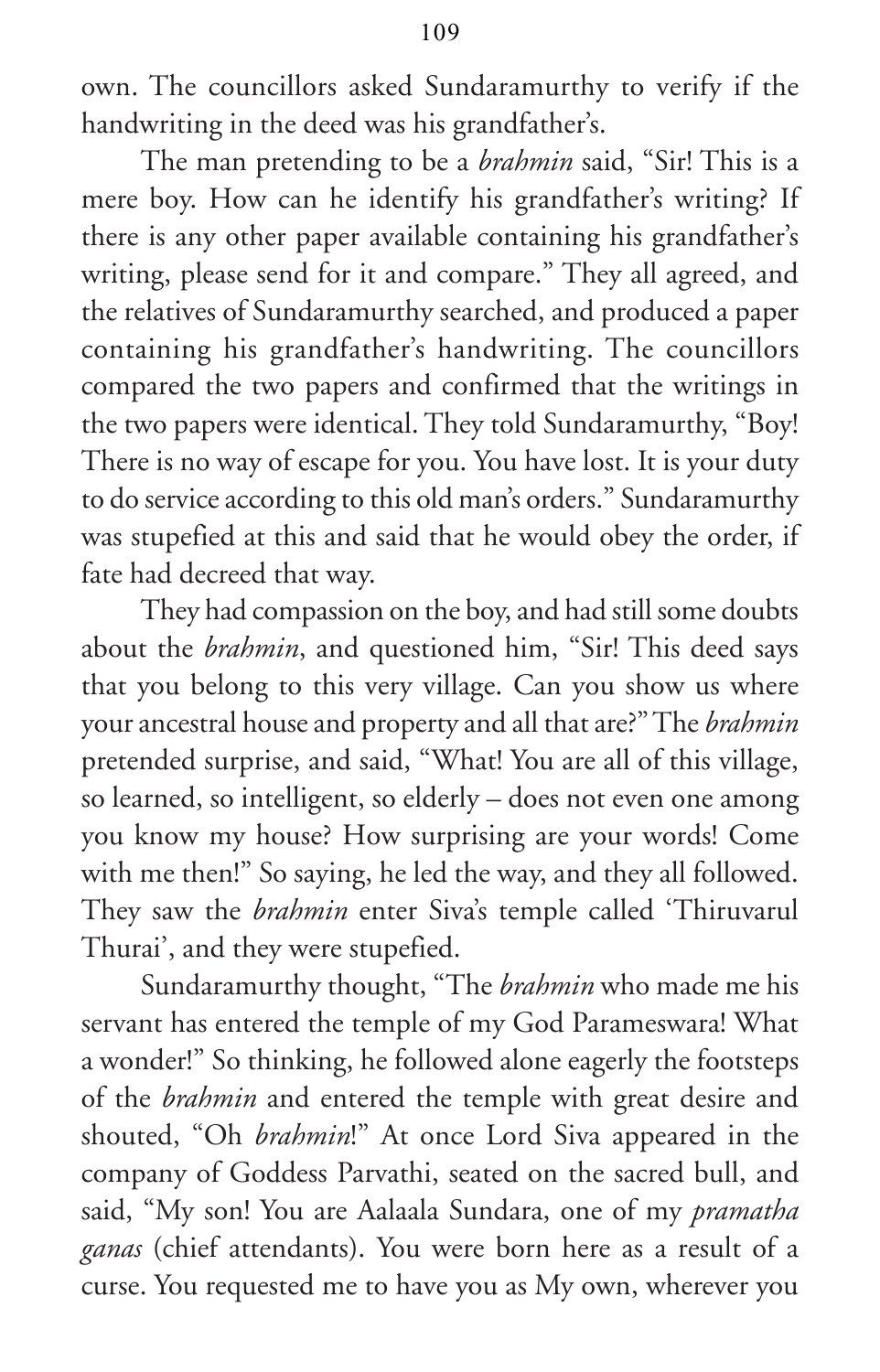own. The councillors asked Sundaramurthy to verify if the handwriting in the deed was his grandfather's.

The man pretending to be a *brahmin* said, "Sir! This is a mere boy. How can he identify his grandfather's writing? If there is any other paper available containing his grandfather's writing, please send for it and compare." They all agreed, and the relatives of Sundaramurthy searched, and produced a paper containing his grandfather's handwriting. The councillors compared the two papers and confirmed that the writings in the two papers were identical. They told Sundaramurthy, "Boy! There is no way of escape for you. You have lost. It is your duty to do service according to this old man's orders." Sundaramurthy was stupefied at this and said that he would obey the order, if fate had decreed that way.

They had compassion on the boy, and had still some doubts about the *brahmin*, and questioned him, "Sir! This deed says that you belong to this very village. Can you show us where your ancestral house and property and all that are?" The *brahmin* pretended surprise, and said, "What! You are all of this village, so learned, so intelligent, so elderly – does not even one among you know my house? How surprising are your words! Come with me then!" So saying, he led the way, and they all followed. They saw the *brahmin* enter Siva's temple called 'Thiruvarul Thurai', and they were stupefied.

Sundaramurthy thought, "The *brahmin* who made me his servant has entered the temple of my God Parameswara! What a wonder!" So thinking, he followed alone eagerly the footsteps of the *brahmin* and entered the temple with great desire and shouted, "Oh *brahmin*!" At once Lord Siva appeared in the company of Goddess Parvathi, seated on the sacred bull, and said, "My son! You are Aalaala Sundara, one of my *pramatha ganas* (chief attendants). You were born here as a result of a curse. You requested me to have you as My own, wherever you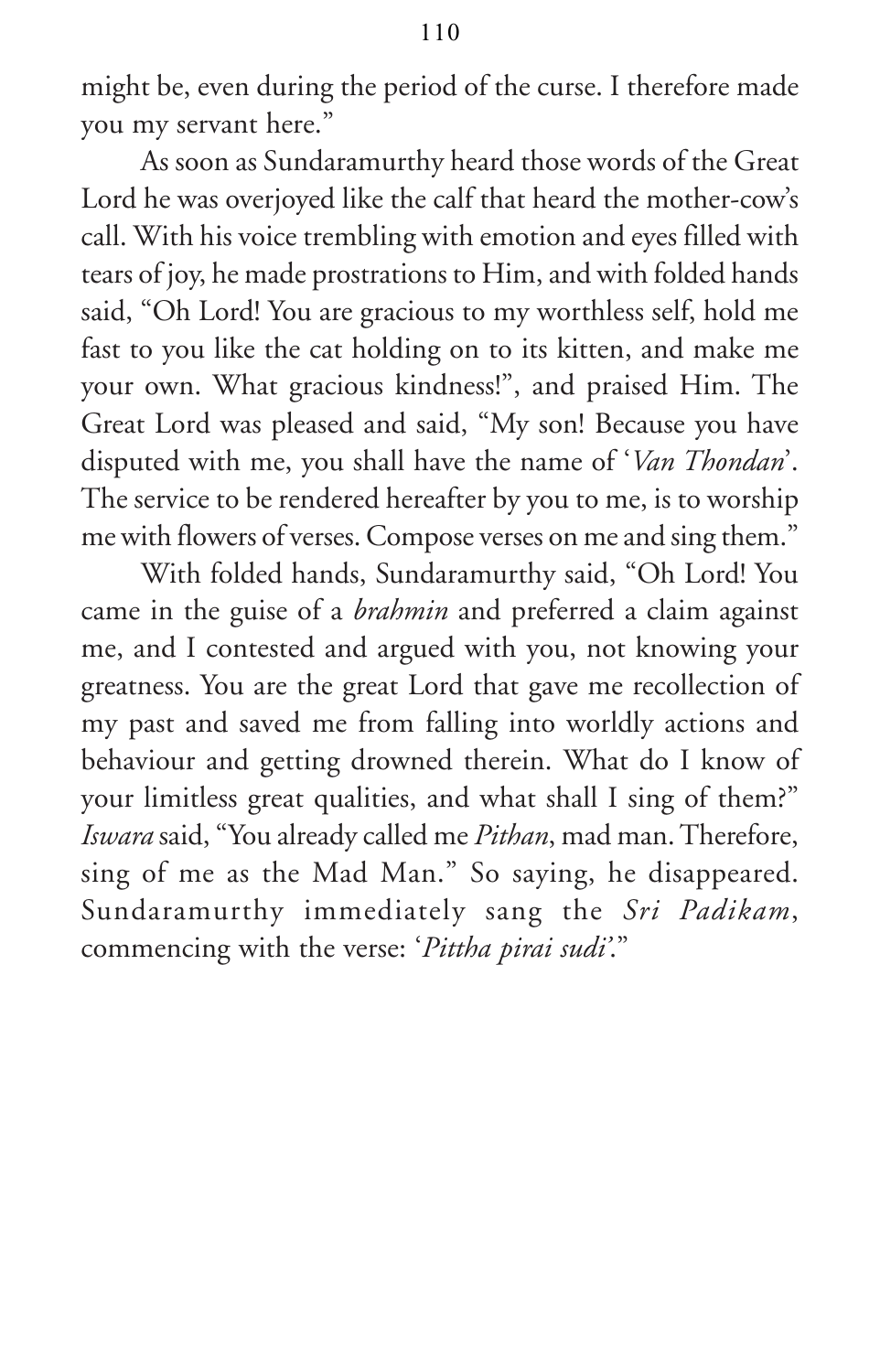might be, even during the period of the curse. I therefore made you my servant here."

As soon as Sundaramurthy heard those words of the Great Lord he was overjoyed like the calf that heard the mother-cow's call. With his voice trembling with emotion and eyes filled with tears of joy, he made prostrations to Him, and with folded hands said, "Oh Lord! You are gracious to my worthless self, hold me fast to you like the cat holding on to its kitten, and make me your own. What gracious kindness!", and praised Him. The Great Lord was pleased and said, "My son! Because you have disputed with me, you shall have the name of '*Van Thondan*'. The service to be rendered hereafter by you to me, is to worship me with flowers of verses. Compose verses on me and sing them."

With folded hands, Sundaramurthy said, "Oh Lord! You came in the guise of a *brahmin* and preferred a claim against me, and I contested and argued with you, not knowing your greatness. You are the great Lord that gave me recollection of my past and saved me from falling into worldly actions and behaviour and getting drowned therein. What do I know of your limitless great qualities, and what shall I sing of them?" *Iswara* said, "You already called me *Pithan*, mad man. Therefore, sing of me as the Mad Man." So saying, he disappeared. Sundaramurthy immediately sang the *Sri Padikam*, commencing with the verse: '*Pittha pirai sudi'*."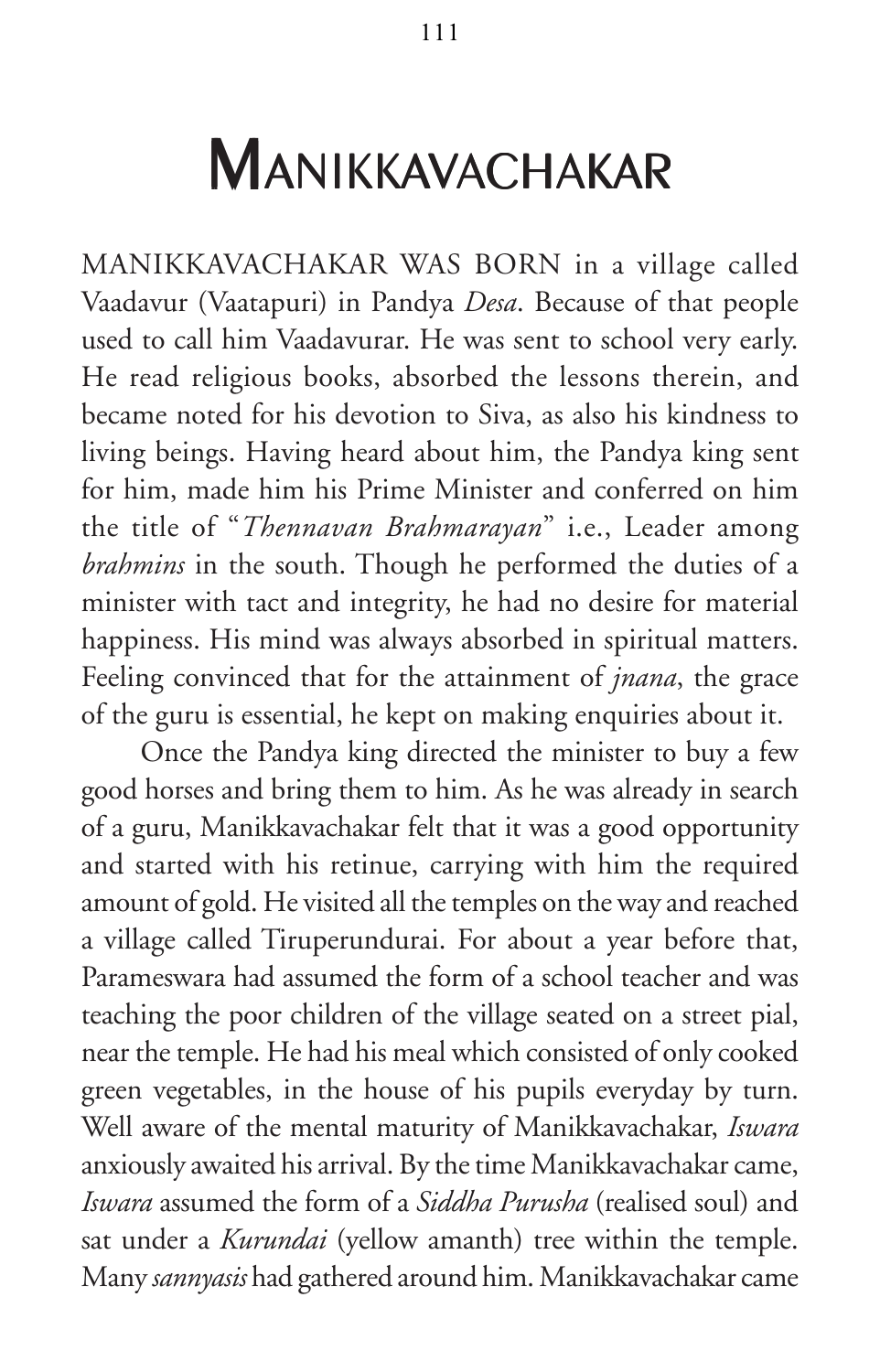## **MANIKKAVACHAKAR**

MANIKKAVACHAKAR WAS BORN in a village called Vaadavur (Vaatapuri) in Pandya *Desa*. Because of that people used to call him Vaadavurar. He was sent to school very early. He read religious books, absorbed the lessons therein, and became noted for his devotion to Siva, as also his kindness to living beings. Having heard about him, the Pandya king sent for him, made him his Prime Minister and conferred on him the title of "*Thennavan Brahmarayan*" i.e., Leader among *brahmins* in the south. Though he performed the duties of a minister with tact and integrity, he had no desire for material happiness. His mind was always absorbed in spiritual matters. Feeling convinced that for the attainment of *jnana*, the grace of the guru is essential, he kept on making enquiries about it.

Once the Pandya king directed the minister to buy a few good horses and bring them to him. As he was already in search of a guru, Manikkavachakar felt that it was a good opportunity and started with his retinue, carrying with him the required amount of gold. He visited all the temples on the way and reached a village called Tiruperundurai. For about a year before that, Parameswara had assumed the form of a school teacher and was teaching the poor children of the village seated on a street pial, near the temple. He had his meal which consisted of only cooked green vegetables, in the house of his pupils everyday by turn. Well aware of the mental maturity of Manikkavachakar, *Iswara* anxiously awaited his arrival. By the time Manikkavachakar came, *Iswara* assumed the form of a *Siddha Purusha* (realised soul) and sat under a *Kurundai* (yellow amanth) tree within the temple. Many *sannyasis* had gathered around him. Manikkavachakar came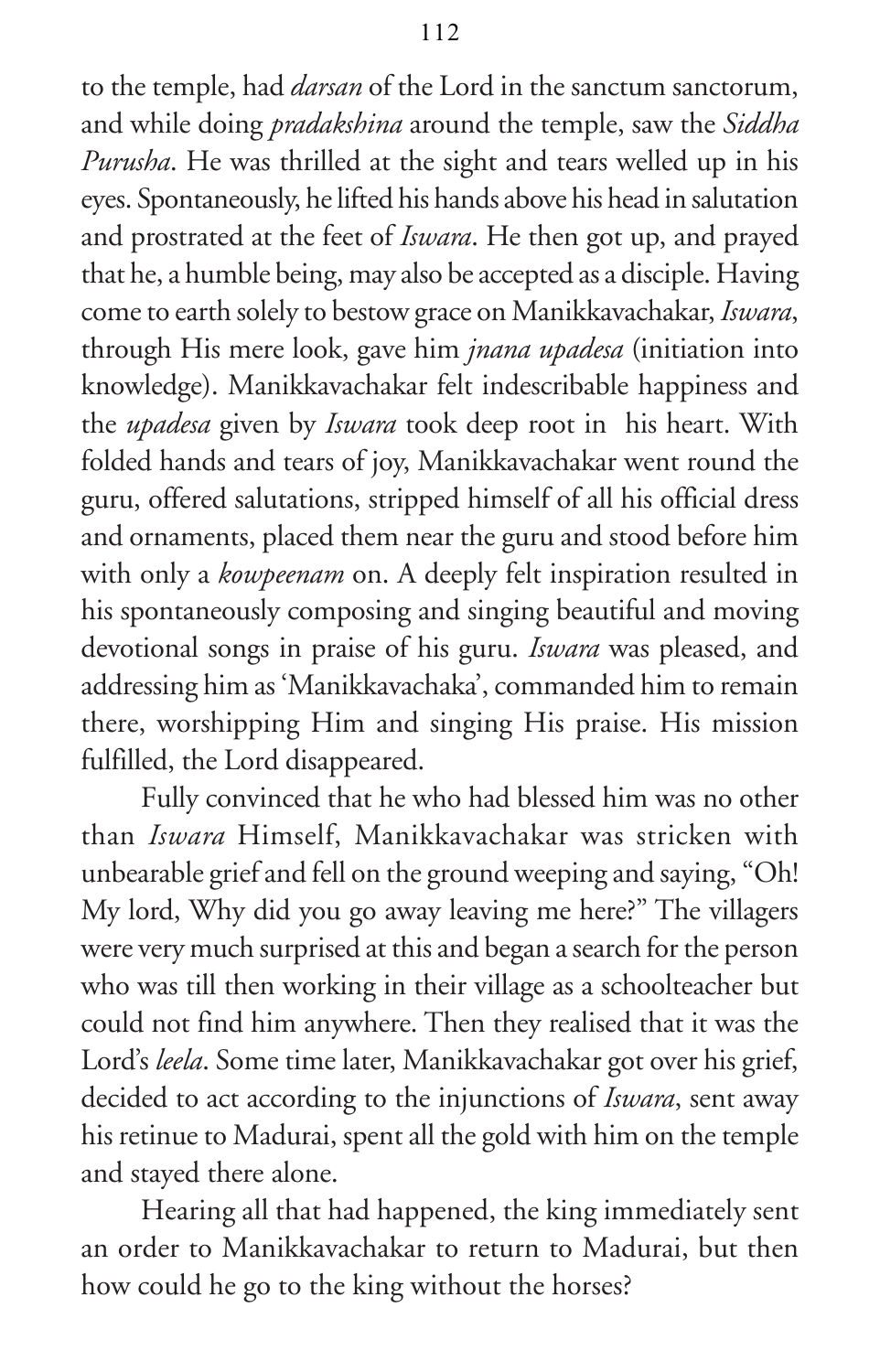to the temple, had *darsan* of the Lord in the sanctum sanctorum, and while doing *pradakshina* around the temple, saw the *Siddha Purusha*. He was thrilled at the sight and tears welled up in his eyes. Spontaneously, he lifted his hands above his head in salutation and prostrated at the feet of *Iswara*. He then got up, and prayed that he, a humble being, may also be accepted as a disciple. Having come to earth solely to bestow grace on Manikkavachakar, *Iswara*, through His mere look, gave him *jnana upadesa* (initiation into knowledge). Manikkavachakar felt indescribable happiness and the *upadesa* given by *Iswara* took deep root in his heart. With folded hands and tears of joy, Manikkavachakar went round the guru, offered salutations, stripped himself of all his official dress and ornaments, placed them near the guru and stood before him with only a *kowpeenam* on. A deeply felt inspiration resulted in his spontaneously composing and singing beautiful and moving devotional songs in praise of his guru. *Iswara* was pleased, and addressing him as 'Manikkavachaka', commanded him to remain there, worshipping Him and singing His praise. His mission fulfilled, the Lord disappeared.

Fully convinced that he who had blessed him was no other than *Iswara* Himself, Manikkavachakar was stricken with unbearable grief and fell on the ground weeping and saying, "Oh! My lord, Why did you go away leaving me here?" The villagers were very much surprised at this and began a search for the person who was till then working in their village as a schoolteacher but could not find him anywhere. Then they realised that it was the Lord's *leela*. Some time later, Manikkavachakar got over his grief, decided to act according to the injunctions of *Iswara*, sent away his retinue to Madurai, spent all the gold with him on the temple and stayed there alone.

Hearing all that had happened, the king immediately sent an order to Manikkavachakar to return to Madurai, but then how could he go to the king without the horses?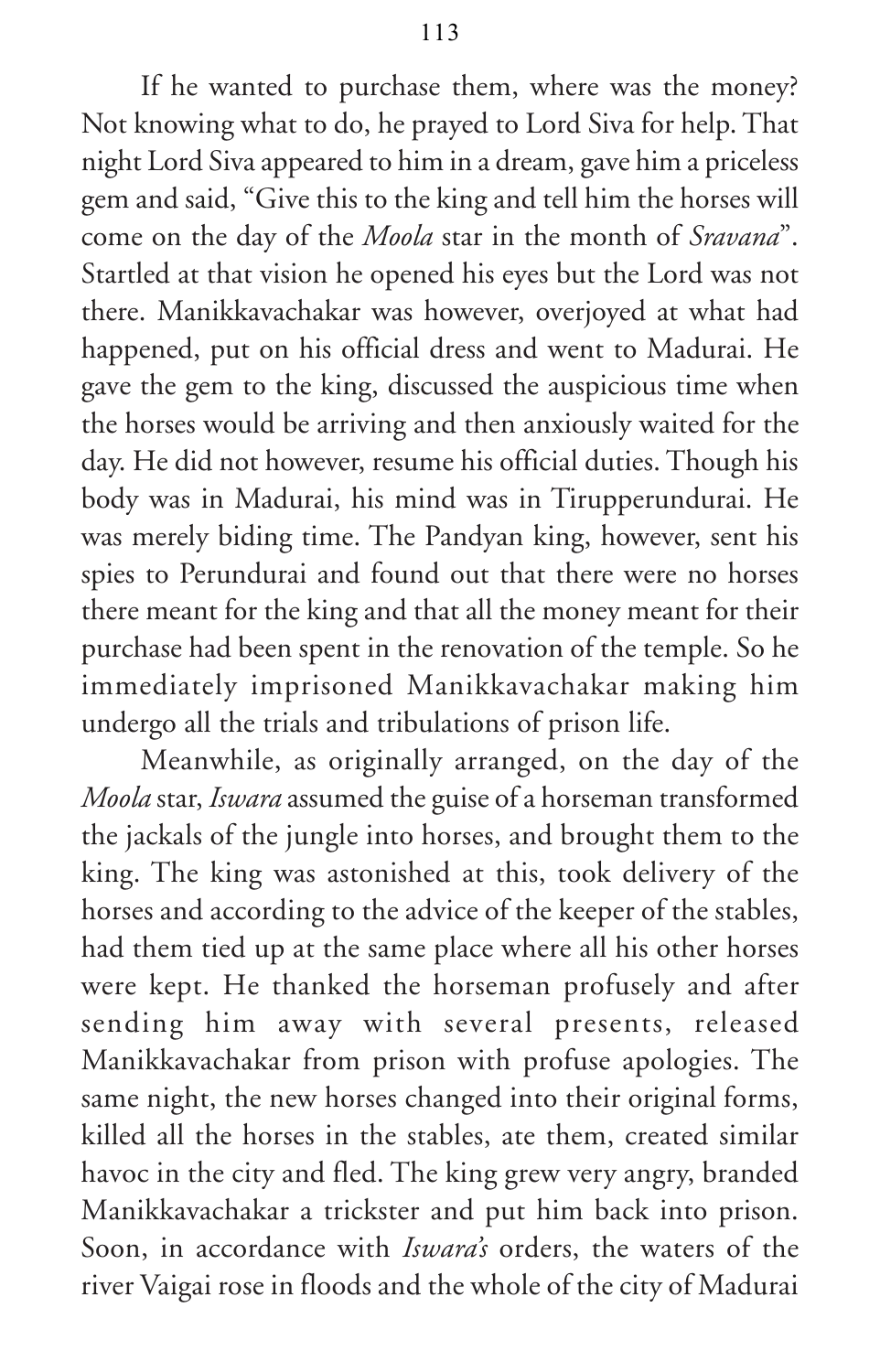If he wanted to purchase them, where was the money? Not knowing what to do, he prayed to Lord Siva for help. That night Lord Siva appeared to him in a dream, gave him a priceless gem and said, "Give this to the king and tell him the horses will come on the day of the *Moola* star in the month of *Sravana*". Startled at that vision he opened his eyes but the Lord was not there. Manikkavachakar was however, overjoyed at what had happened, put on his official dress and went to Madurai. He gave the gem to the king, discussed the auspicious time when the horses would be arriving and then anxiously waited for the day. He did not however, resume his official duties. Though his body was in Madurai, his mind was in Tirupperundurai. He was merely biding time. The Pandyan king, however, sent his spies to Perundurai and found out that there were no horses there meant for the king and that all the money meant for their purchase had been spent in the renovation of the temple. So he immediately imprisoned Manikkavachakar making him undergo all the trials and tribulations of prison life.

Meanwhile, as originally arranged, on the day of the *Moola* star, *Iswara* assumed the guise of a horseman transformed the jackals of the jungle into horses, and brought them to the king. The king was astonished at this, took delivery of the horses and according to the advice of the keeper of the stables, had them tied up at the same place where all his other horses were kept. He thanked the horseman profusely and after sending him away with several presents, released Manikkavachakar from prison with profuse apologies. The same night, the new horses changed into their original forms, killed all the horses in the stables, ate them, created similar havoc in the city and fled. The king grew very angry, branded Manikkavachakar a trickster and put him back into prison. Soon, in accordance with *Iswara's* orders, the waters of the river Vaigai rose in floods and the whole of the city of Madurai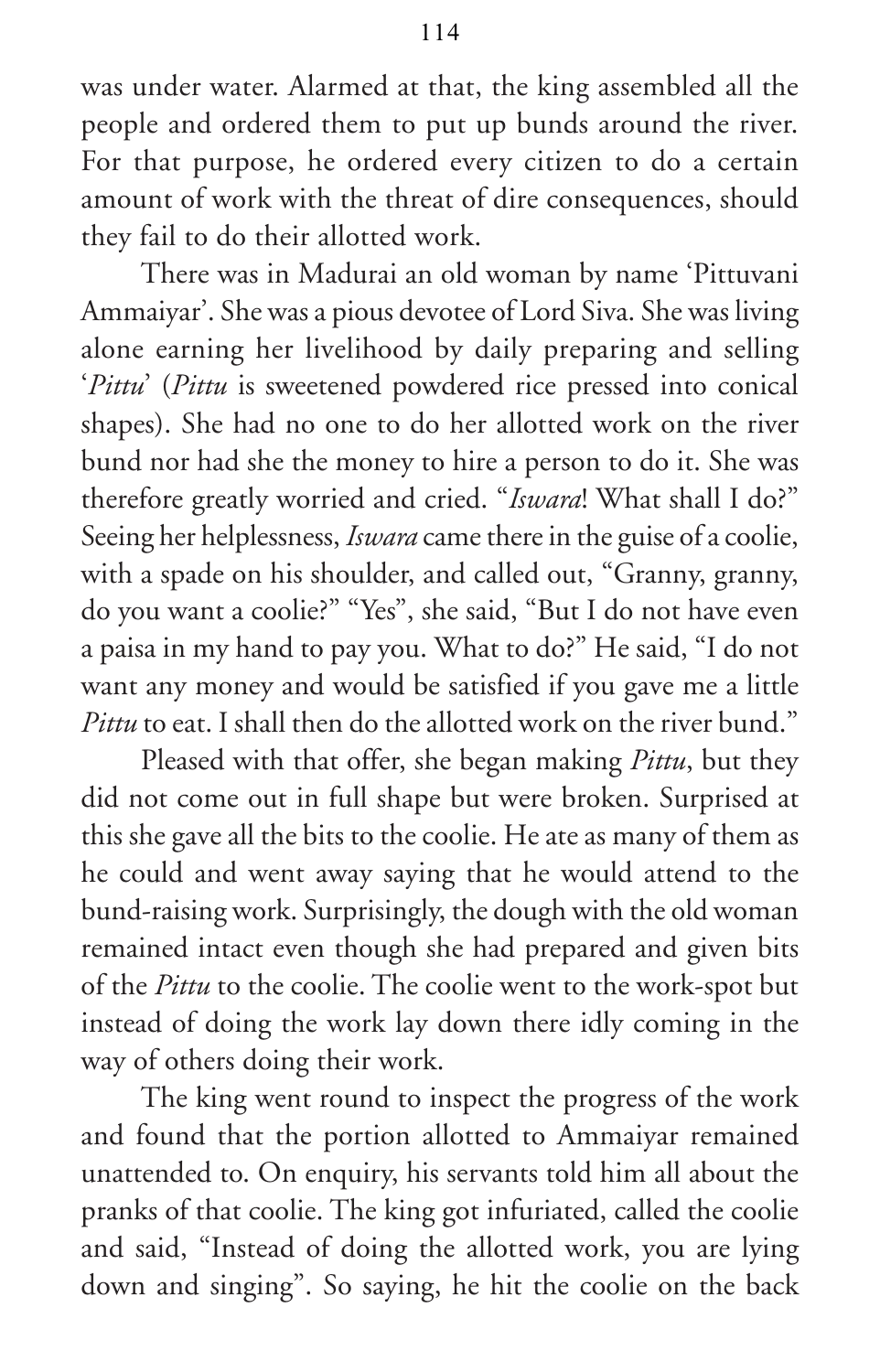was under water. Alarmed at that, the king assembled all the people and ordered them to put up bunds around the river. For that purpose, he ordered every citizen to do a certain amount of work with the threat of dire consequences, should they fail to do their allotted work.

There was in Madurai an old woman by name 'Pittuvani Ammaiyar'. She was a pious devotee of Lord Siva. She was living alone earning her livelihood by daily preparing and selling '*Pittu*' (*Pittu* is sweetened powdered rice pressed into conical shapes). She had no one to do her allotted work on the river bund nor had she the money to hire a person to do it. She was therefore greatly worried and cried. "*Iswara*! What shall I do?" Seeing her helplessness, *Iswara* came there in the guise of a coolie, with a spade on his shoulder, and called out, "Granny, granny, do you want a coolie?" "Yes", she said, "But I do not have even a paisa in my hand to pay you. What to do?" He said, "I do not want any money and would be satisfied if you gave me a little *Pittu* to eat. I shall then do the allotted work on the river bund."

Pleased with that offer, she began making *Pittu*, but they did not come out in full shape but were broken. Surprised at this she gave all the bits to the coolie. He ate as many of them as he could and went away saying that he would attend to the bund-raising work. Surprisingly, the dough with the old woman remained intact even though she had prepared and given bits of the *Pittu* to the coolie. The coolie went to the work-spot but instead of doing the work lay down there idly coming in the way of others doing their work.

The king went round to inspect the progress of the work and found that the portion allotted to Ammaiyar remained unattended to. On enquiry, his servants told him all about the pranks of that coolie. The king got infuriated, called the coolie and said, "Instead of doing the allotted work, you are lying down and singing". So saying, he hit the coolie on the back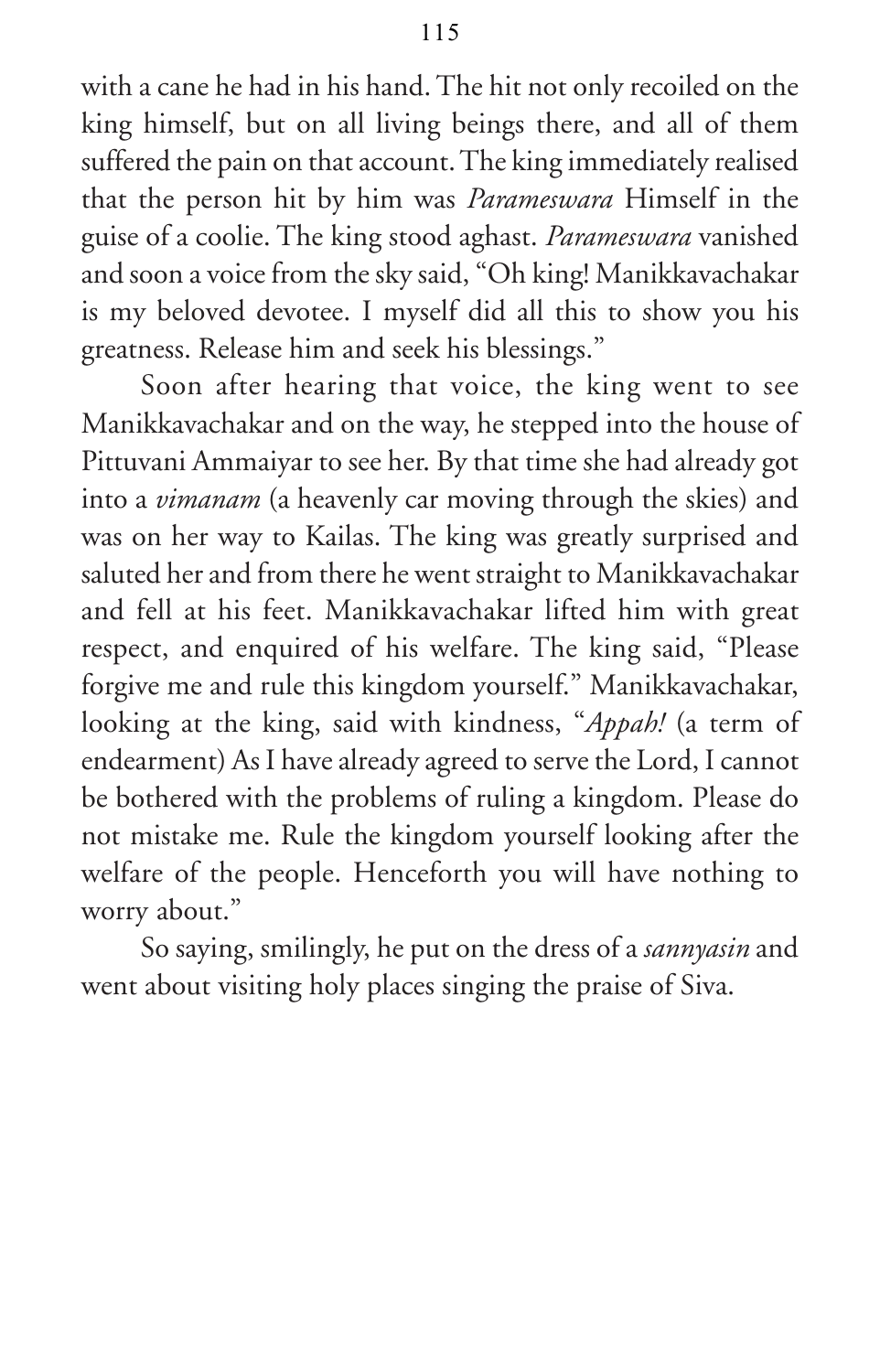with a cane he had in his hand. The hit not only recoiled on the king himself, but on all living beings there, and all of them suffered the pain on that account. The king immediately realised that the person hit by him was *Parameswara* Himself in the guise of a coolie. The king stood aghast. *Parameswara* vanished and soon a voice from the sky said, "Oh king! Manikkavachakar is my beloved devotee. I myself did all this to show you his greatness. Release him and seek his blessings."

Soon after hearing that voice, the king went to see Manikkavachakar and on the way, he stepped into the house of Pittuvani Ammaiyar to see her. By that time she had already got into a *vimanam* (a heavenly car moving through the skies) and was on her way to Kailas. The king was greatly surprised and saluted her and from there he went straight to Manikkavachakar and fell at his feet. Manikkavachakar lifted him with great respect, and enquired of his welfare. The king said, "Please forgive me and rule this kingdom yourself." Manikkavachakar, looking at the king, said with kindness, "*Appah!* (a term of endearment) As I have already agreed to serve the Lord, I cannot be bothered with the problems of ruling a kingdom. Please do not mistake me. Rule the kingdom yourself looking after the welfare of the people. Henceforth you will have nothing to worry about."

So saying, smilingly, he put on the dress of a *sannyasin* and went about visiting holy places singing the praise of Siva.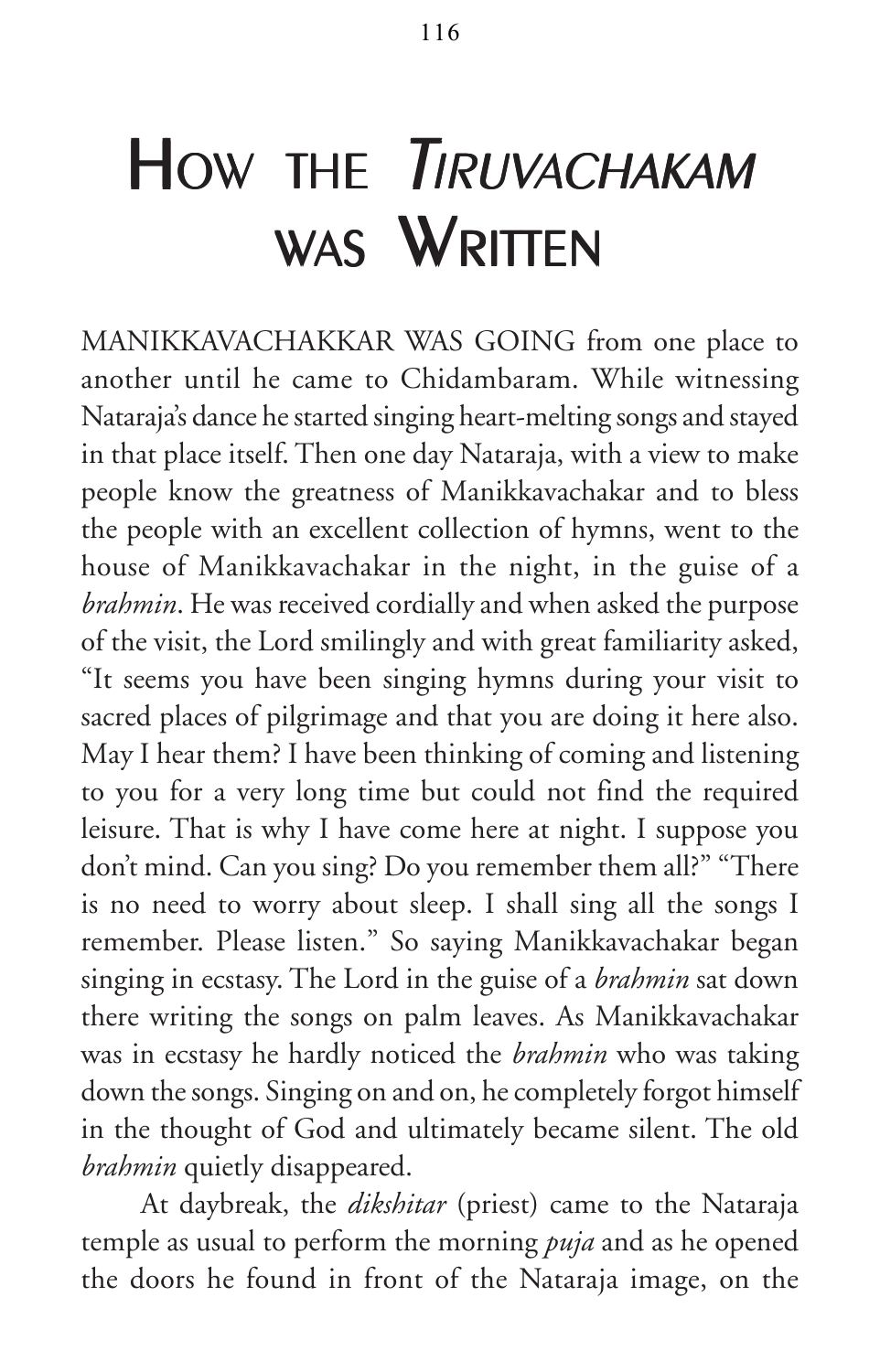# HOW THE *TIRUVACHAKAM* WAS WRITTEN

MANIKKAVACHAKKAR WAS GOING from one place to another until he came to Chidambaram. While witnessing Nataraja's dance he started singing heart-melting songs and stayed in that place itself. Then one day Nataraja, with a view to make people know the greatness of Manikkavachakar and to bless the people with an excellent collection of hymns, went to the house of Manikkavachakar in the night, in the guise of a *brahmin*. He was received cordially and when asked the purpose of the visit, the Lord smilingly and with great familiarity asked, "It seems you have been singing hymns during your visit to sacred places of pilgrimage and that you are doing it here also. May I hear them? I have been thinking of coming and listening to you for a very long time but could not find the required leisure. That is why I have come here at night. I suppose you don't mind. Can you sing? Do you remember them all?" "There is no need to worry about sleep. I shall sing all the songs I remember. Please listen." So saying Manikkavachakar began singing in ecstasy. The Lord in the guise of a *brahmin* sat down there writing the songs on palm leaves. As Manikkavachakar was in ecstasy he hardly noticed the *brahmin* who was taking down the songs. Singing on and on, he completely forgot himself in the thought of God and ultimately became silent. The old *brahmin* quietly disappeared.

At daybreak, the *dikshitar* (priest) came to the Nataraja temple as usual to perform the morning *puja* and as he opened the doors he found in front of the Nataraja image, on the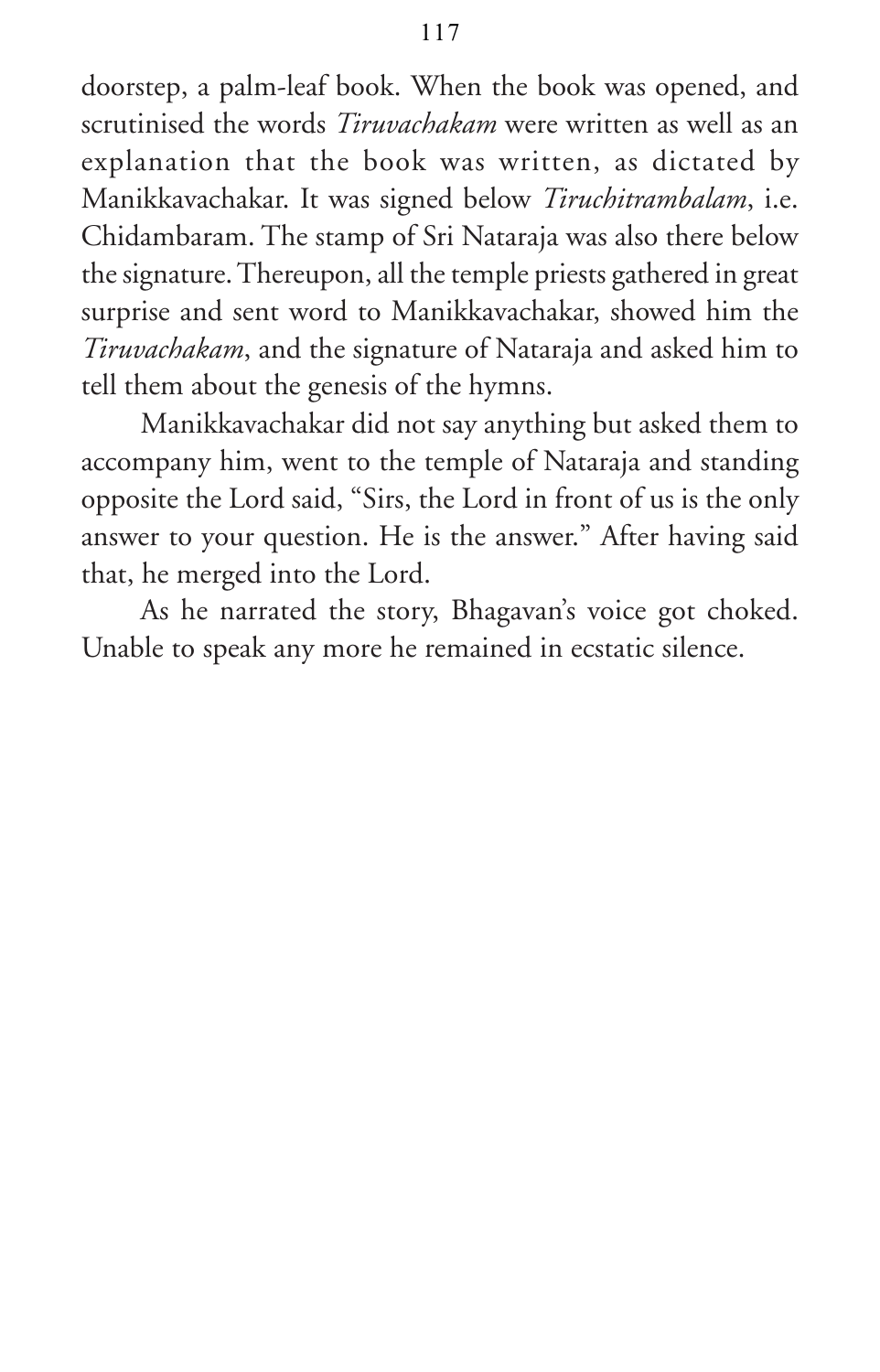doorstep, a palm-leaf book. When the book was opened, and scrutinised the words *Tiruvachakam* were written as well as an explanation that the book was written, as dictated by Manikkavachakar. It was signed below *Tiruchitrambalam*, i.e. Chidambaram. The stamp of Sri Nataraja was also there below the signature. Thereupon, all the temple priests gathered in great surprise and sent word to Manikkavachakar, showed him the *Tiruvachakam*, and the signature of Nataraja and asked him to tell them about the genesis of the hymns.

Manikkavachakar did not say anything but asked them to accompany him, went to the temple of Nataraja and standing opposite the Lord said, "Sirs, the Lord in front of us is the only answer to your question. He is the answer." After having said that, he merged into the Lord.

As he narrated the story, Bhagavan's voice got choked. Unable to speak any more he remained in ecstatic silence.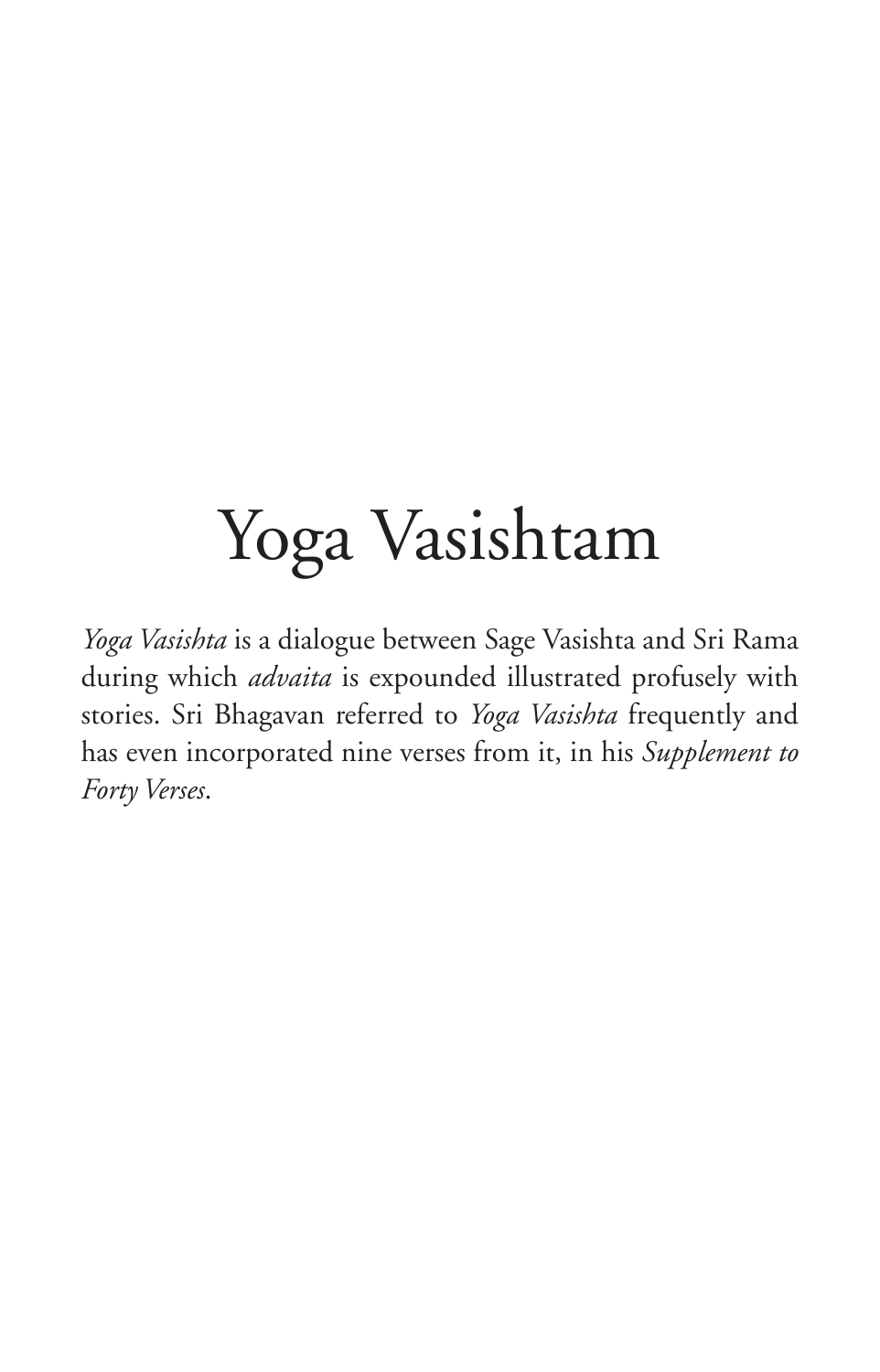# Yoga Vasishtam

*Yoga Vasishta* is a dialogue between Sage Vasishta and Sri Rama during which *advaita* is expounded illustrated profusely with stories. Sri Bhagavan referred to *Yoga Vasishta* frequently and has even incorporated nine verses from it, in his *Supplement to Forty Verses*.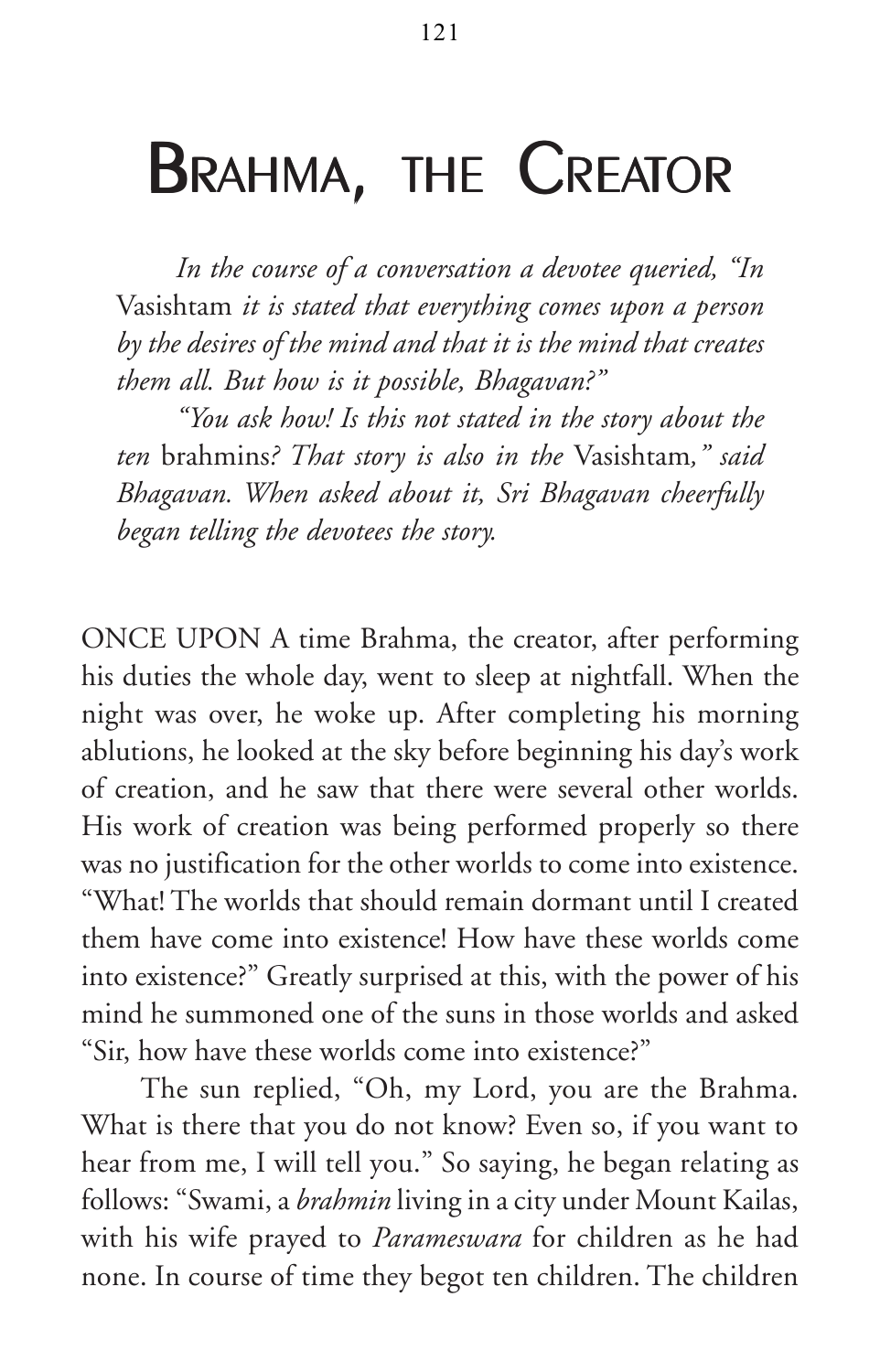## BRAHMA, THE CREATOR

*In the course of a conversation a devotee queried, "In* Vasishtam *it is stated that everything comes upon a person by the desires of the mind and that it is the mind that creates them all. But how is it possible, Bhagavan?"*

*"You ask how! Is this not stated in the story about the ten* brahmins*? That story is also in the* Vasishtam*," said Bhagavan. When asked about it, Sri Bhagavan cheerfully began telling the devotees the story.*

ONCE UPON A time Brahma, the creator, after performing his duties the whole day, went to sleep at nightfall. When the night was over, he woke up. After completing his morning ablutions, he looked at the sky before beginning his day's work of creation, and he saw that there were several other worlds. His work of creation was being performed properly so there was no justification for the other worlds to come into existence. "What! The worlds that should remain dormant until I created them have come into existence! How have these worlds come into existence?" Greatly surprised at this, with the power of his mind he summoned one of the suns in those worlds and asked "Sir, how have these worlds come into existence?"

The sun replied, "Oh, my Lord, you are the Brahma. What is there that you do not know? Even so, if you want to hear from me, I will tell you." So saying, he began relating as follows: "Swami, a *brahmin* living in a city under Mount Kailas, with his wife prayed to *Parameswara* for children as he had none. In course of time they begot ten children. The children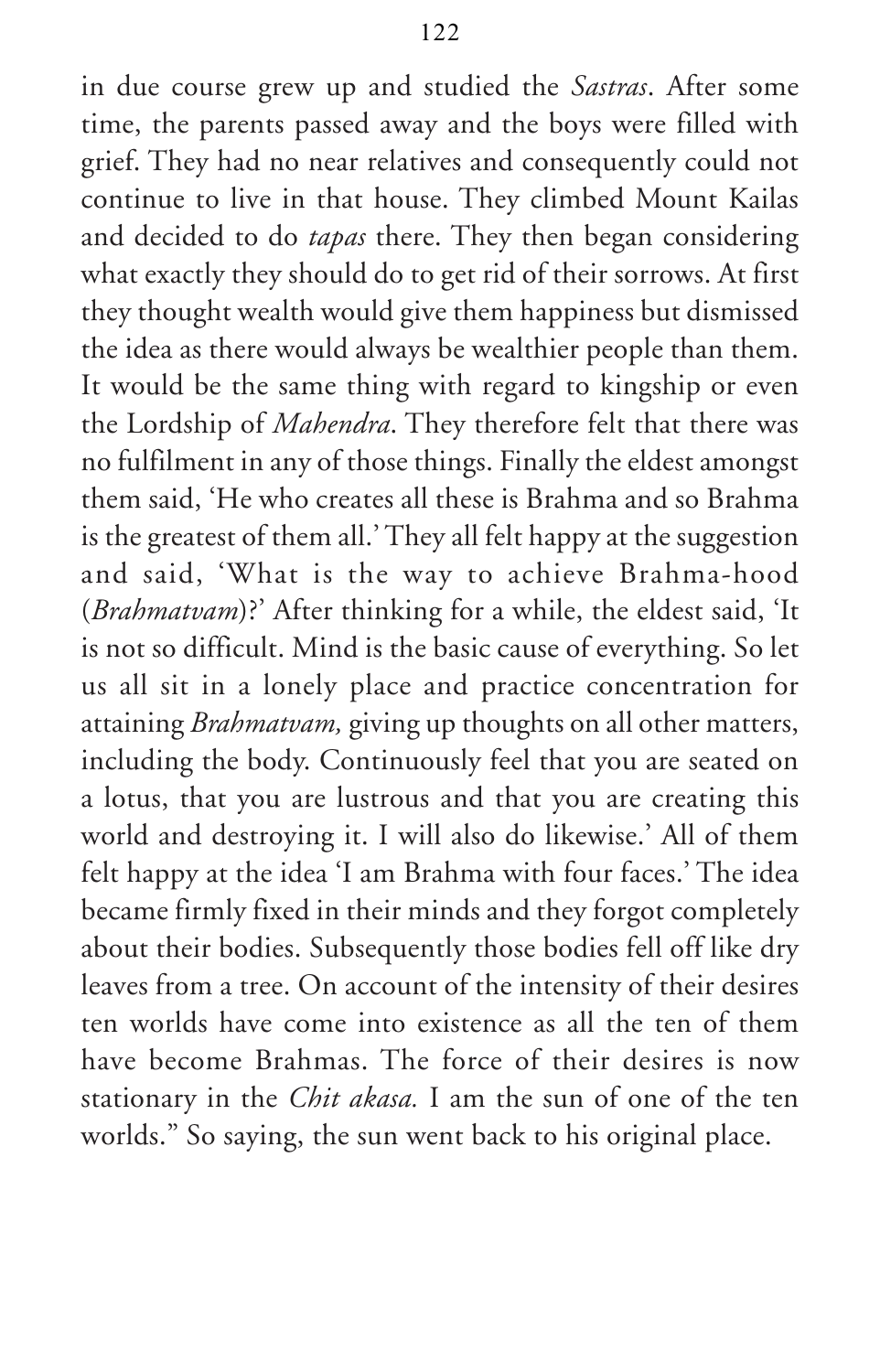in due course grew up and studied the *Sastras*. After some time, the parents passed away and the boys were filled with grief. They had no near relatives and consequently could not continue to live in that house. They climbed Mount Kailas and decided to do *tapas* there. They then began considering what exactly they should do to get rid of their sorrows. At first they thought wealth would give them happiness but dismissed the idea as there would always be wealthier people than them. It would be the same thing with regard to kingship or even the Lordship of *Mahendra*. They therefore felt that there was no fulfilment in any of those things. Finally the eldest amongst them said, 'He who creates all these is Brahma and so Brahma is the greatest of them all.' They all felt happy at the suggestion and said, 'What is the way to achieve Brahma-hood (*Brahmatvam*)?' After thinking for a while, the eldest said, 'It is not so difficult. Mind is the basic cause of everything. So let us all sit in a lonely place and practice concentration for attaining *Brahmatvam,* giving up thoughts on all other matters, including the body. Continuously feel that you are seated on a lotus, that you are lustrous and that you are creating this world and destroying it. I will also do likewise.' All of them felt happy at the idea 'I am Brahma with four faces.' The idea became firmly fixed in their minds and they forgot completely about their bodies. Subsequently those bodies fell off like dry leaves from a tree. On account of the intensity of their desires ten worlds have come into existence as all the ten of them have become Brahmas. The force of their desires is now stationary in the *Chit akasa.* I am the sun of one of the ten worlds." So saying, the sun went back to his original place.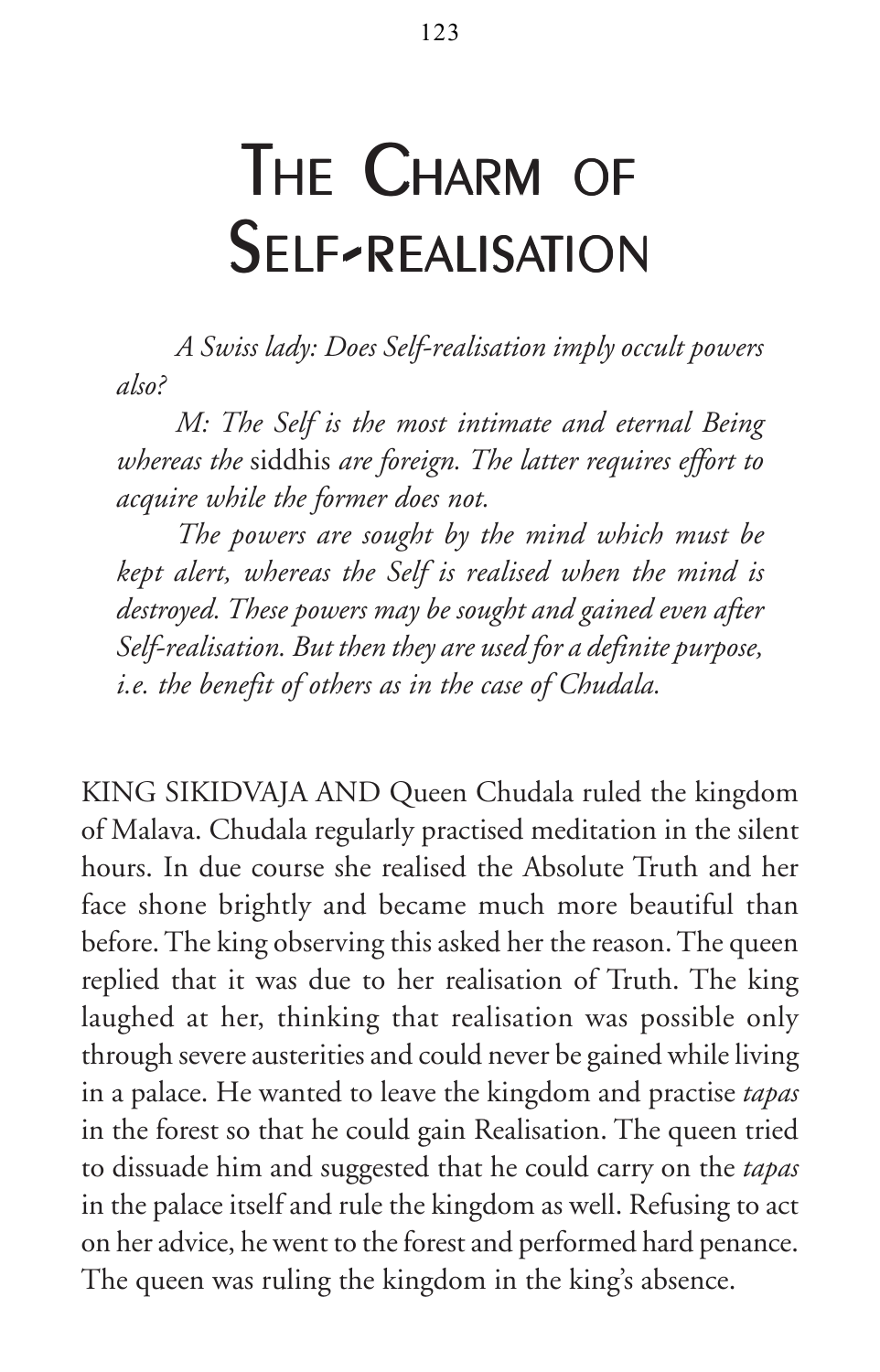## THE CHARM OF SELF-REALISATION

*A Swiss lady: Does Self-realisation imply occult powers also?*

*M: The Self is the most intimate and eternal Being whereas the* siddhis *are foreign. The latter requires effort to acquire while the former does not.*

*The powers are sought by the mind which must be kept alert, whereas the Self is realised when the mind is destroyed. These powers may be sought and gained even after Self-realisation. But then they are used for a definite purpose, i.e. the benefit of others as in the case of Chudala.*

KING SIKIDVAJA AND Queen Chudala ruled the kingdom of Malava. Chudala regularly practised meditation in the silent hours. In due course she realised the Absolute Truth and her face shone brightly and became much more beautiful than before. The king observing this asked her the reason. The queen replied that it was due to her realisation of Truth. The king laughed at her, thinking that realisation was possible only through severe austerities and could never be gained while living in a palace. He wanted to leave the kingdom and practise *tapas* in the forest so that he could gain Realisation. The queen tried to dissuade him and suggested that he could carry on the *tapas* in the palace itself and rule the kingdom as well. Refusing to act on her advice, he went to the forest and performed hard penance. The queen was ruling the kingdom in the king's absence.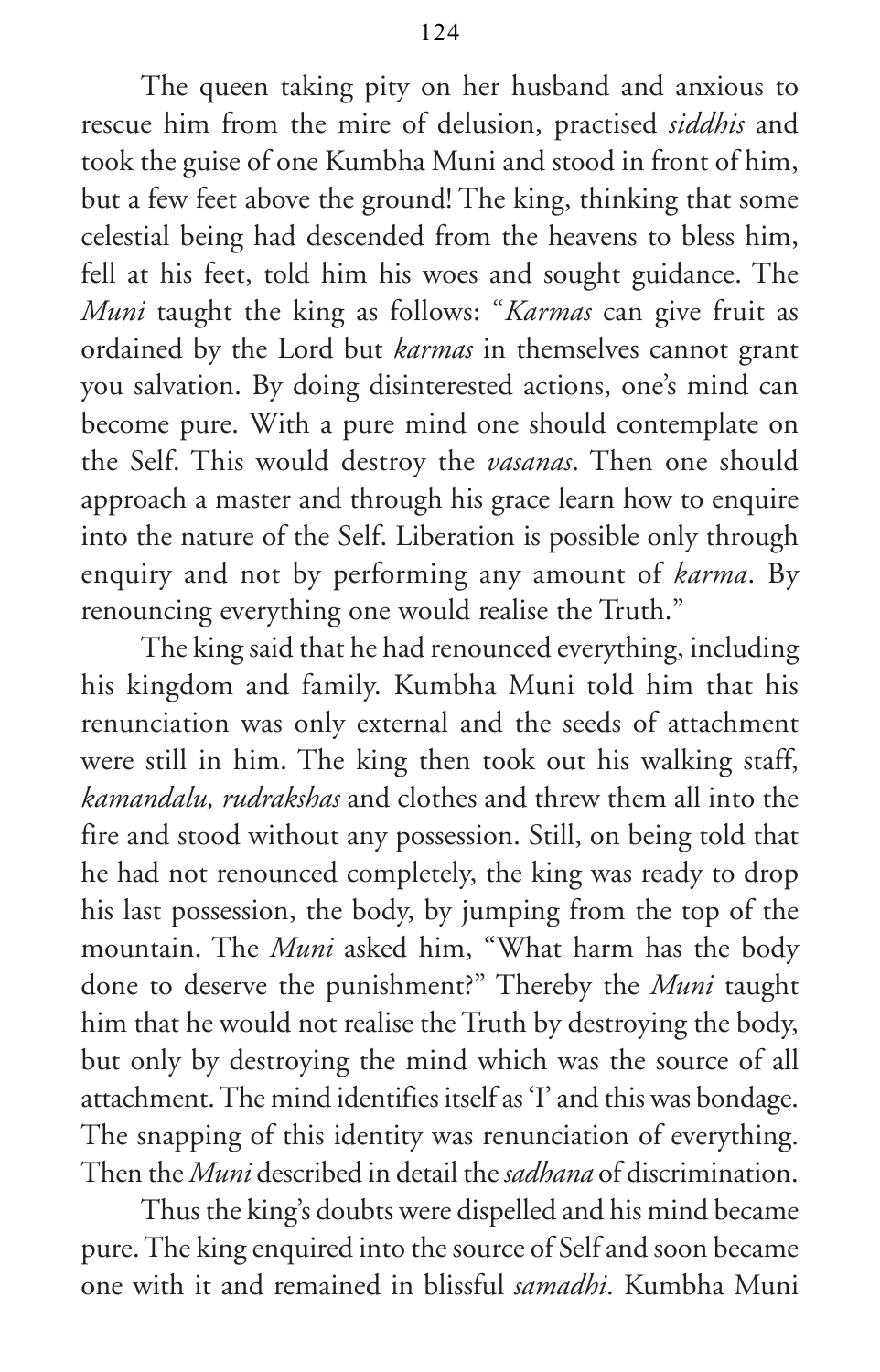The queen taking pity on her husband and anxious to rescue him from the mire of delusion, practised *siddhis* and took the guise of one Kumbha Muni and stood in front of him, but a few feet above the ground! The king, thinking that some celestial being had descended from the heavens to bless him, fell at his feet, told him his woes and sought guidance. The *Muni* taught the king as follows: "*Karmas* can give fruit as ordained by the Lord but *karmas* in themselves cannot grant you salvation. By doing disinterested actions, one's mind can become pure. With a pure mind one should contemplate on the Self. This would destroy the *vasanas*. Then one should approach a master and through his grace learn how to enquire into the nature of the Self. Liberation is possible only through enquiry and not by performing any amount of *karma*. By renouncing everything one would realise the Truth."

The king said that he had renounced everything, including his kingdom and family. Kumbha Muni told him that his renunciation was only external and the seeds of attachment were still in him. The king then took out his walking staff, *kamandalu, rudrakshas* and clothes and threw them all into the fire and stood without any possession. Still, on being told that he had not renounced completely, the king was ready to drop his last possession, the body, by jumping from the top of the mountain. The *Muni* asked him, "What harm has the body done to deserve the punishment?" Thereby the *Muni* taught him that he would not realise the Truth by destroying the body, but only by destroying the mind which was the source of all attachment. The mind identifies itself as 'I' and this was bondage. The snapping of this identity was renunciation of everything. Then the *Muni* described in detail the *sadhana* of discrimination.

Thus the king's doubts were dispelled and his mind became pure. The king enquired into the source of Self and soon became one with it and remained in blissful *samadhi*. Kumbha Muni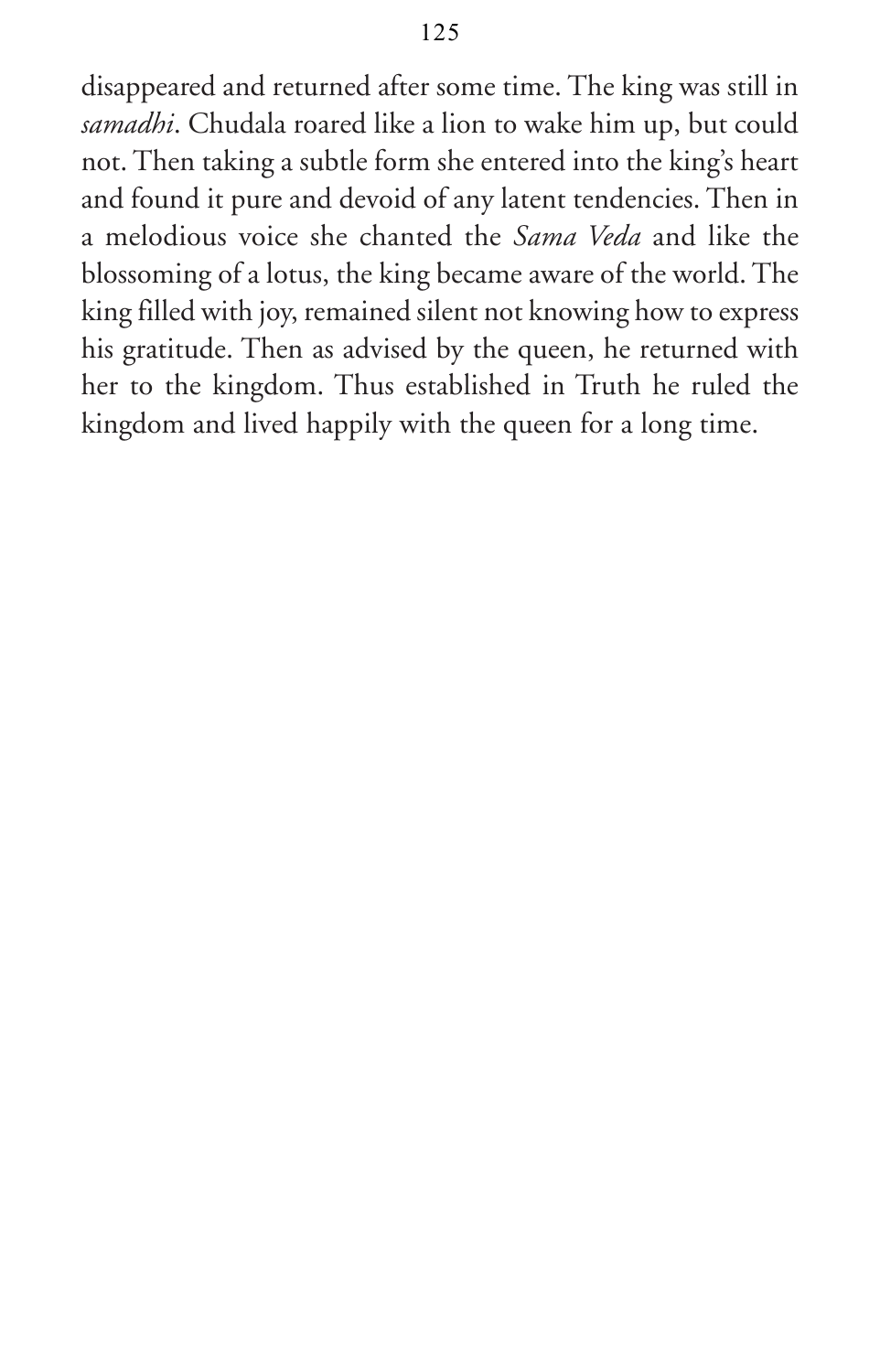disappeared and returned after some time. The king was still in *samadhi*. Chudala roared like a lion to wake him up, but could not. Then taking a subtle form she entered into the king's heart and found it pure and devoid of any latent tendencies. Then in a melodious voice she chanted the *Sama Veda* and like the blossoming of a lotus, the king became aware of the world. The king filled with joy, remained silent not knowing how to express his gratitude. Then as advised by the queen, he returned with her to the kingdom. Thus established in Truth he ruled the kingdom and lived happily with the queen for a long time.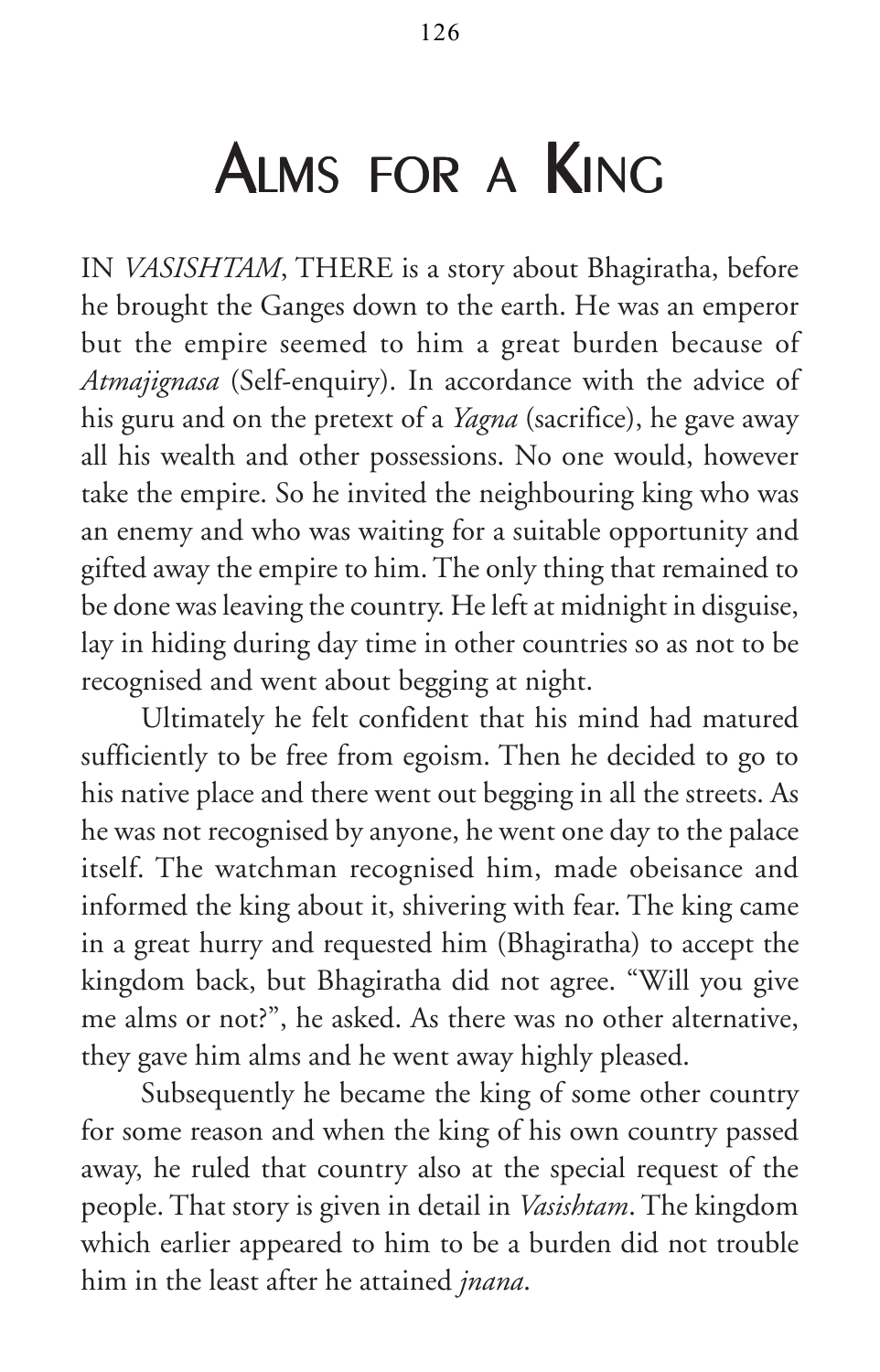## ALMS FOR A KING

IN *VASISHTAM*, THERE is a story about Bhagiratha, before he brought the Ganges down to the earth. He was an emperor but the empire seemed to him a great burden because of *Atmajignasa* (Self-enquiry). In accordance with the advice of his guru and on the pretext of a *Yagna* (sacrifice), he gave away all his wealth and other possessions. No one would, however take the empire. So he invited the neighbouring king who was an enemy and who was waiting for a suitable opportunity and gifted away the empire to him. The only thing that remained to be done was leaving the country. He left at midnight in disguise, lay in hiding during day time in other countries so as not to be recognised and went about begging at night.

Ultimately he felt confident that his mind had matured sufficiently to be free from egoism. Then he decided to go to his native place and there went out begging in all the streets. As he was not recognised by anyone, he went one day to the palace itself. The watchman recognised him, made obeisance and informed the king about it, shivering with fear. The king came in a great hurry and requested him (Bhagiratha) to accept the kingdom back, but Bhagiratha did not agree. "Will you give me alms or not?", he asked. As there was no other alternative, they gave him alms and he went away highly pleased.

Subsequently he became the king of some other country for some reason and when the king of his own country passed away, he ruled that country also at the special request of the people. That story is given in detail in *Vasishtam*. The kingdom which earlier appeared to him to be a burden did not trouble him in the least after he attained *jnana*.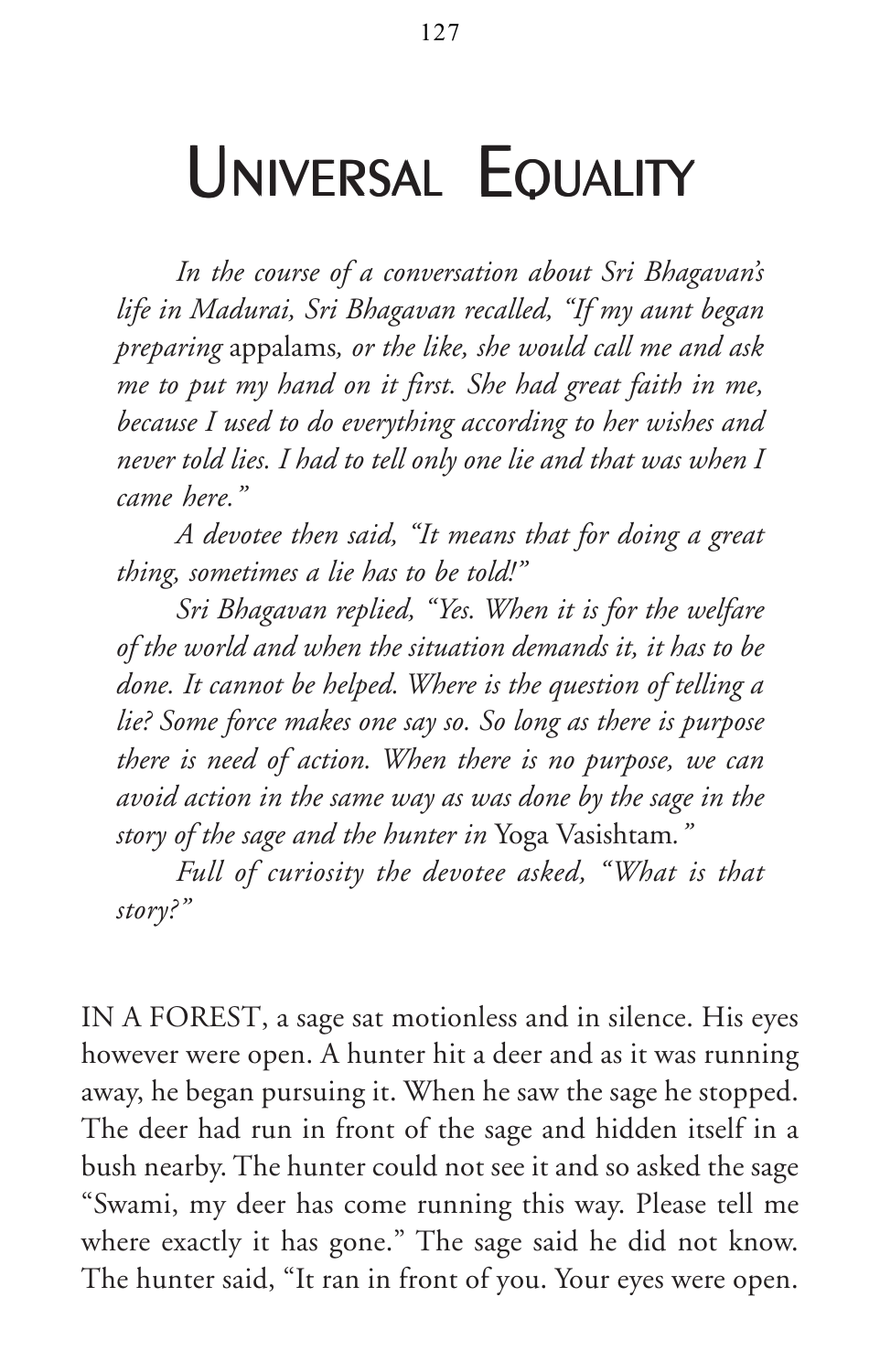## UNIVERSAL EQUALITY

*In the course of a conversation about Sri Bhagavan's life in Madurai, Sri Bhagavan recalled, "If my aunt began preparing* appalams*, or the like, she would call me and ask me to put my hand on it first. She had great faith in me, because I used to do everything according to her wishes and never told lies. I had to tell only one lie and that was when I came here."*

*A devotee then said, "It means that for doing a great thing, sometimes a lie has to be told!"*

*Sri Bhagavan replied, "Yes. When it is for the welfare of the world and when the situation demands it, it has to be done. It cannot be helped. Where is the question of telling a lie? Some force makes one say so. So long as there is purpose there is need of action. When there is no purpose, we can avoid action in the same way as was done by the sage in the story of the sage and the hunter in* Yoga Vasishtam*."*

*Full of curiosity the devotee asked, "What is that story?"*

IN A FOREST, a sage sat motionless and in silence. His eyes however were open. A hunter hit a deer and as it was running away, he began pursuing it. When he saw the sage he stopped. The deer had run in front of the sage and hidden itself in a bush nearby. The hunter could not see it and so asked the sage "Swami, my deer has come running this way. Please tell me where exactly it has gone." The sage said he did not know. The hunter said, "It ran in front of you. Your eyes were open.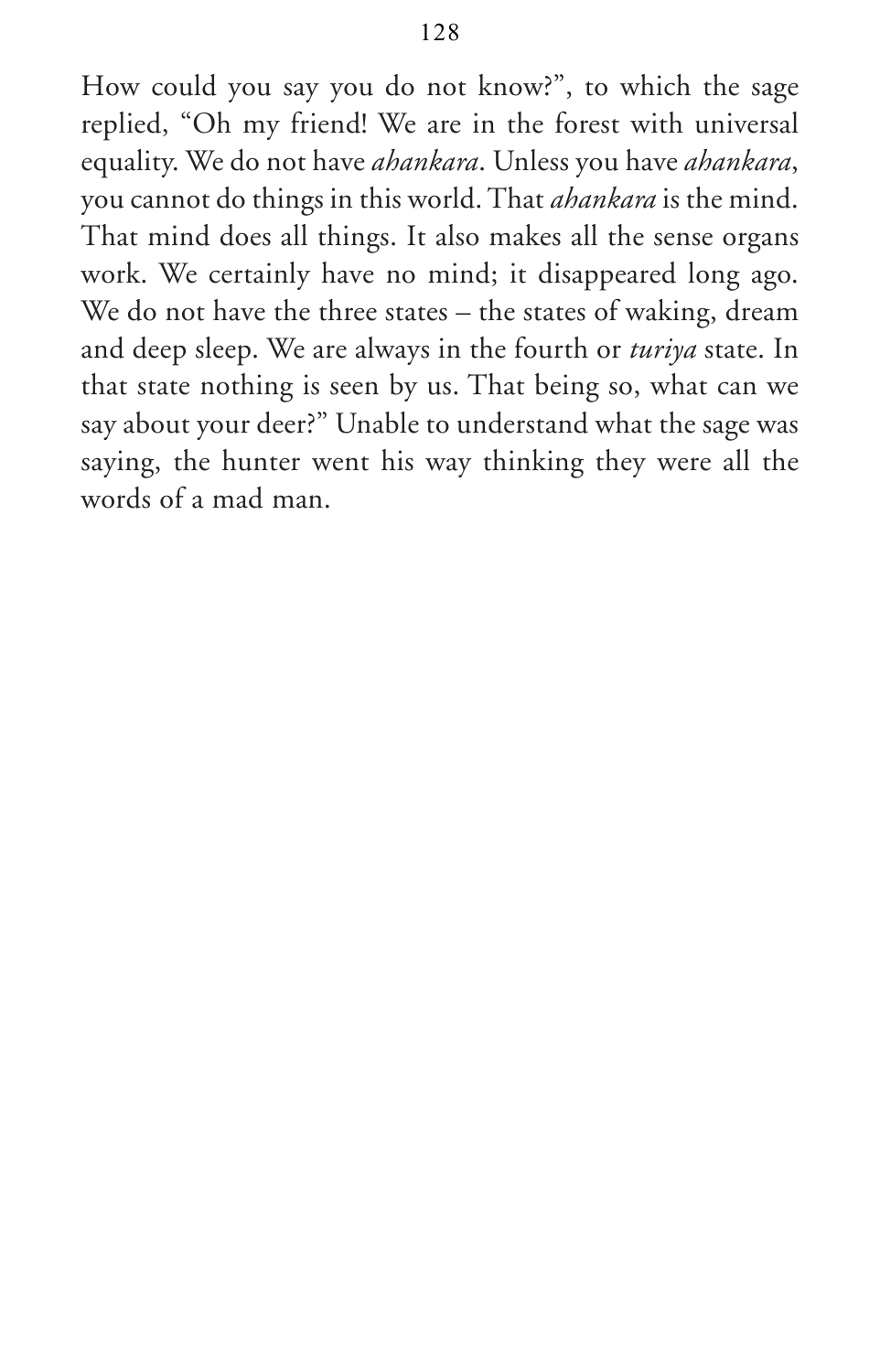How could you say you do not know?", to which the sage replied, "Oh my friend! We are in the forest with universal equality. We do not have *ahankara*. Unless you have *ahankara*, you cannot do things in this world. That *ahankara* is the mind. That mind does all things. It also makes all the sense organs work. We certainly have no mind; it disappeared long ago. We do not have the three states – the states of waking, dream and deep sleep. We are always in the fourth or *turiya* state. In that state nothing is seen by us. That being so, what can we say about your deer?" Unable to understand what the sage was saying, the hunter went his way thinking they were all the words of a mad man.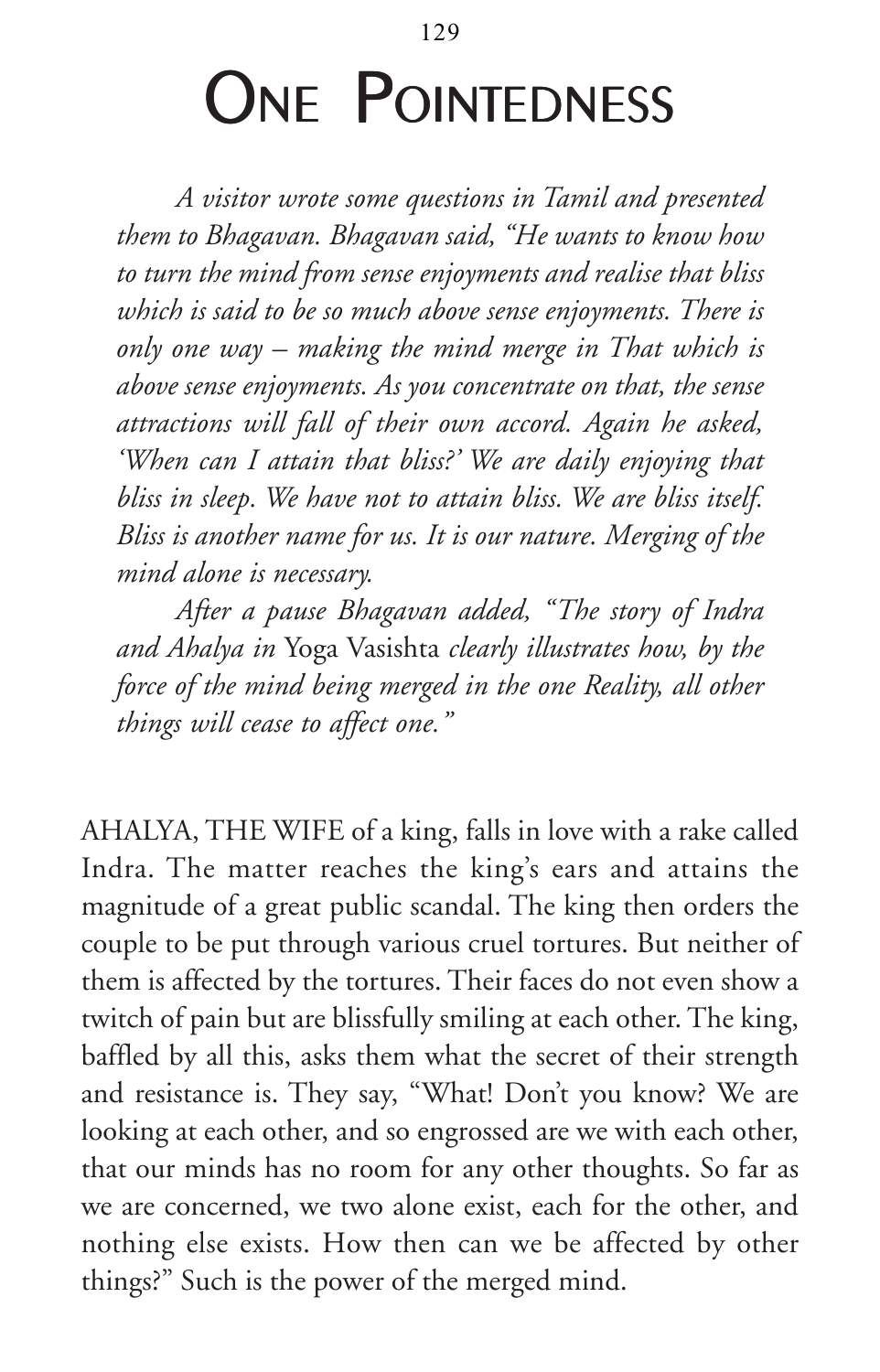# **ONE POINTEDNESS**

*A visitor wrote some questions in Tamil and presented them to Bhagavan. Bhagavan said, "He wants to know how to turn the mind from sense enjoyments and realise that bliss which is said to be so much above sense enjoyments. There is only one way – making the mind merge in That which is above sense enjoyments. As you concentrate on that, the sense attractions will fall of their own accord. Again he asked, 'When can I attain that bliss?' We are daily enjoying that bliss in sleep. We have not to attain bliss. We are bliss itself. Bliss is another name for us. It is our nature. Merging of the mind alone is necessary.*

*After a pause Bhagavan added, "The story of Indra and Ahalya in* Yoga Vasishta *clearly illustrates how, by the force of the mind being merged in the one Reality, all other things will cease to affect one."*

AHALYA, THE WIFE of a king, falls in love with a rake called Indra. The matter reaches the king's ears and attains the magnitude of a great public scandal. The king then orders the couple to be put through various cruel tortures. But neither of them is affected by the tortures. Their faces do not even show a twitch of pain but are blissfully smiling at each other. The king, baffled by all this, asks them what the secret of their strength and resistance is. They say, "What! Don't you know? We are looking at each other, and so engrossed are we with each other, that our minds has no room for any other thoughts. So far as we are concerned, we two alone exist, each for the other, and nothing else exists. How then can we be affected by other things?" Such is the power of the merged mind.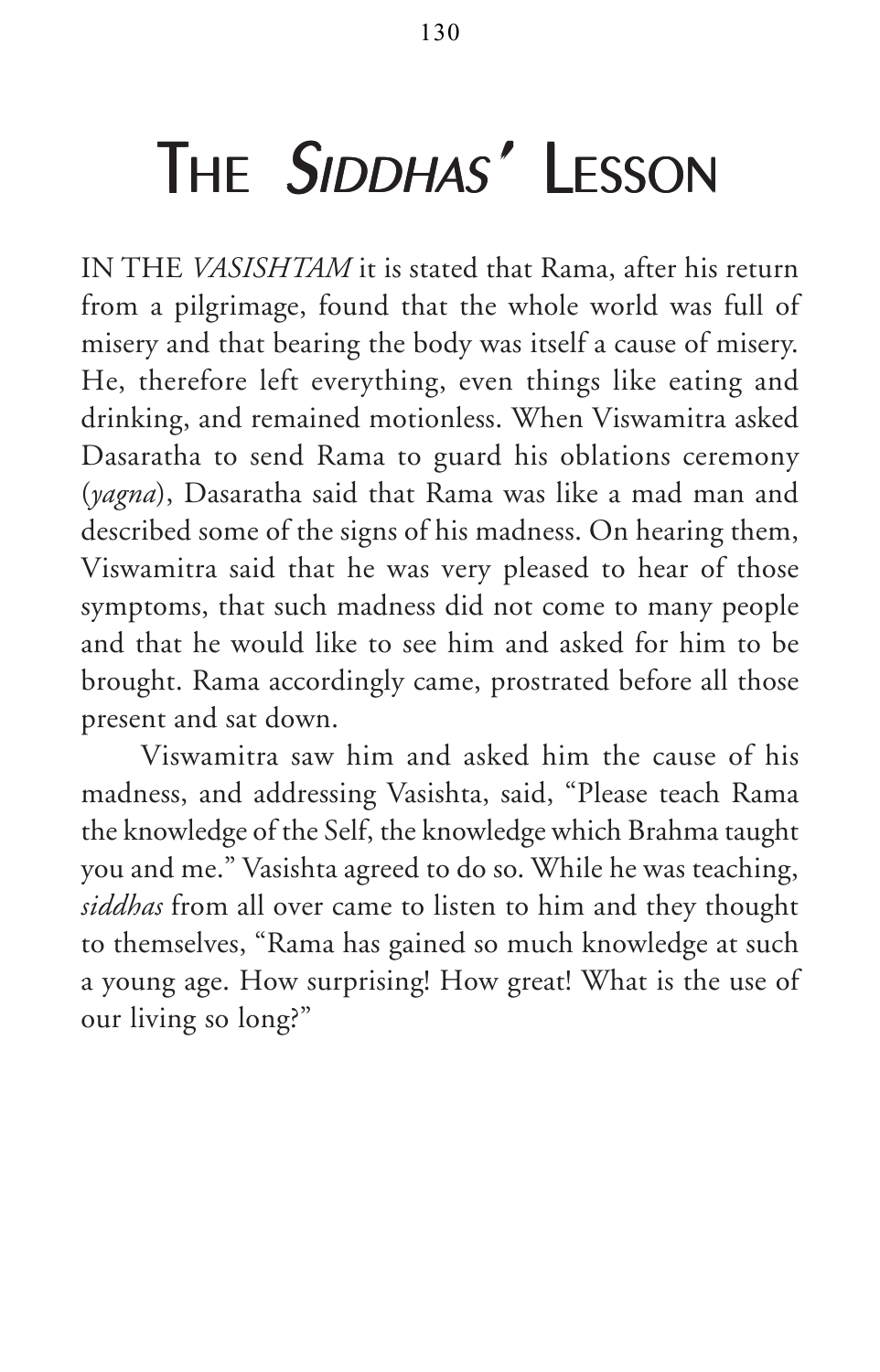# THE *SIDDHAS'* LESSON

IN THE *VASISHTAM* it is stated that Rama, after his return from a pilgrimage, found that the whole world was full of misery and that bearing the body was itself a cause of misery. He, therefore left everything, even things like eating and drinking, and remained motionless. When Viswamitra asked Dasaratha to send Rama to guard his oblations ceremony (*yagna*), Dasaratha said that Rama was like a mad man and described some of the signs of his madness. On hearing them, Viswamitra said that he was very pleased to hear of those symptoms, that such madness did not come to many people and that he would like to see him and asked for him to be brought. Rama accordingly came, prostrated before all those present and sat down.

Viswamitra saw him and asked him the cause of his madness, and addressing Vasishta, said, "Please teach Rama the knowledge of the Self, the knowledge which Brahma taught you and me." Vasishta agreed to do so. While he was teaching, *siddhas* from all over came to listen to him and they thought to themselves, "Rama has gained so much knowledge at such a young age. How surprising! How great! What is the use of our living so long?"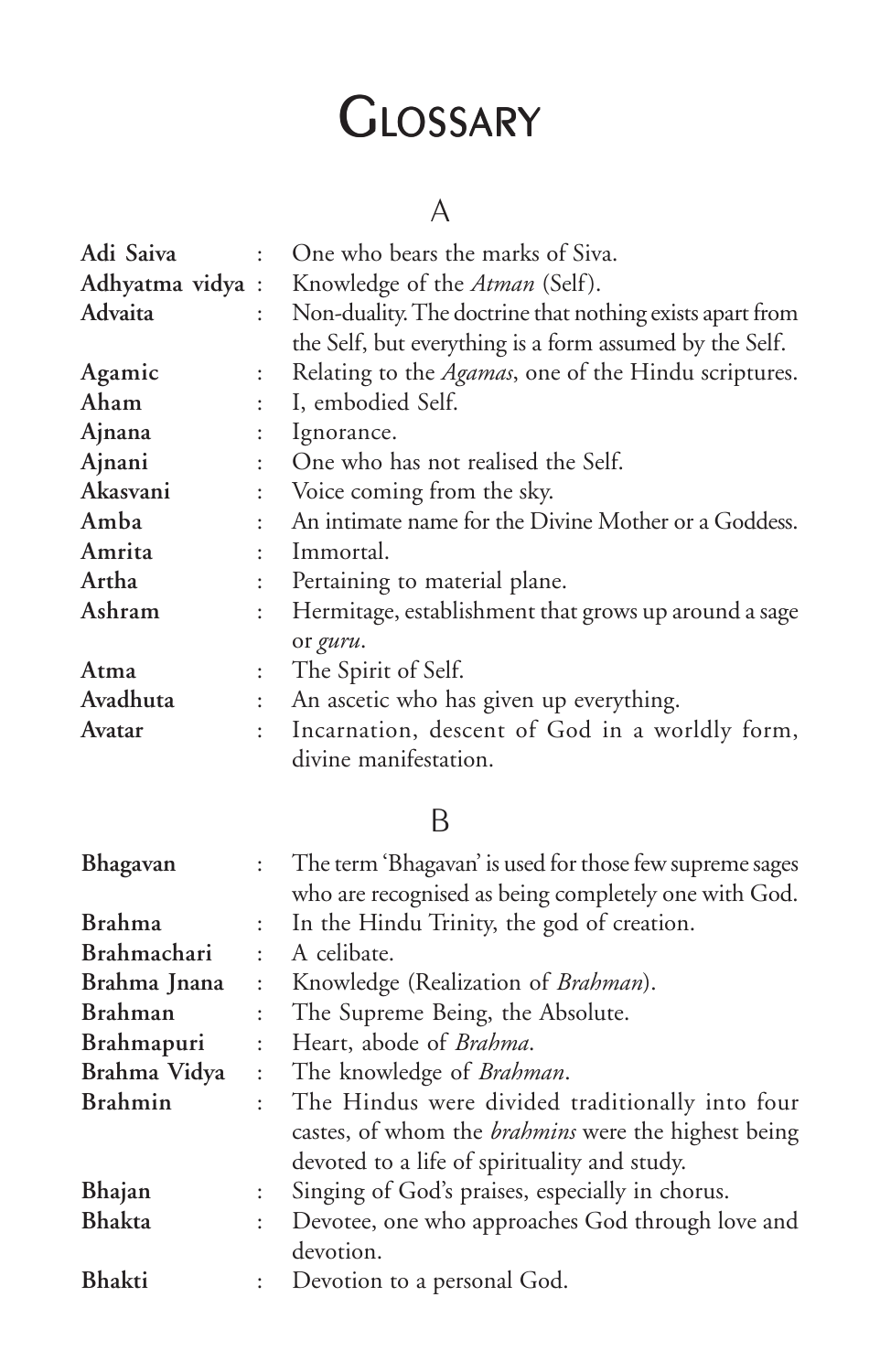## **GLOSSARY**

## A

| Adi Saiva       |                           | One who bears the marks of Siva.                         |
|-----------------|---------------------------|----------------------------------------------------------|
| Adhyatma vidya: |                           | Knowledge of the Atman (Self).                           |
| Advaita         | $\mathbf{r}$              | Non-duality. The doctrine that nothing exists apart from |
|                 |                           | the Self, but everything is a form assumed by the Self.  |
| Agamic          | $\mathbb{R}^{\mathbb{Z}}$ | Relating to the Agamas, one of the Hindu scriptures.     |
| Aham            |                           | I, embodied Self.                                        |
| Ajnana          |                           | Ignorance.                                               |
| Ajnani          |                           | One who has not realised the Self.                       |
| Akasvani        |                           | Voice coming from the sky.                               |
| Amba            |                           | An intimate name for the Divine Mother or a Goddess.     |
| Amrita          |                           | Immortal.                                                |
| Artha           | $\mathbf{L}$              | Pertaining to material plane.                            |
| Ashram          | $\ddot{\phantom{0}}$      | Hermitage, establishment that grows up around a sage     |
|                 |                           | or guru.                                                 |
| Atma            | $\ddot{\phantom{0}}$      | The Spirit of Self.                                      |
| Avadhuta        |                           | An ascetic who has given up everything.                  |
| Avatar          |                           | Incarnation, descent of God in a worldly form,           |
|                 |                           | divine manifestation.                                    |

#### B

| Bhagavan       | $\mathcal{L}$        | The term 'Bhagavan' is used for those few supreme sages    |
|----------------|----------------------|------------------------------------------------------------|
|                |                      | who are recognised as being completely one with God.       |
| <b>Brahma</b>  | $\mathbf{L}$         | In the Hindu Trinity, the god of creation.                 |
| Brahmachari    |                      | A celibate.                                                |
| Brahma Jnana   |                      | Knowledge (Realization of Brahman).                        |
| <b>Brahman</b> |                      | The Supreme Being, the Absolute.                           |
| Brahmapuri     | $\ddot{\cdot}$       | Heart, abode of <i>Brahma</i> .                            |
| Brahma Vidya   |                      | The knowledge of <i>Brahman</i> .                          |
| <b>Brahmin</b> | ٠                    | The Hindus were divided traditionally into four            |
|                |                      | castes, of whom the <i>brahmins</i> were the highest being |
|                |                      | devoted to a life of spirituality and study.               |
| Bhajan         | $\ddot{\phantom{a}}$ | Singing of God's praises, especially in chorus.            |
| <b>Bhakta</b>  | $\ddot{\phantom{a}}$ | Devotee, one who approaches God through love and           |
|                |                      | devotion.                                                  |
| Bhakti         | $\ddot{\phantom{a}}$ | Devotion to a personal God.                                |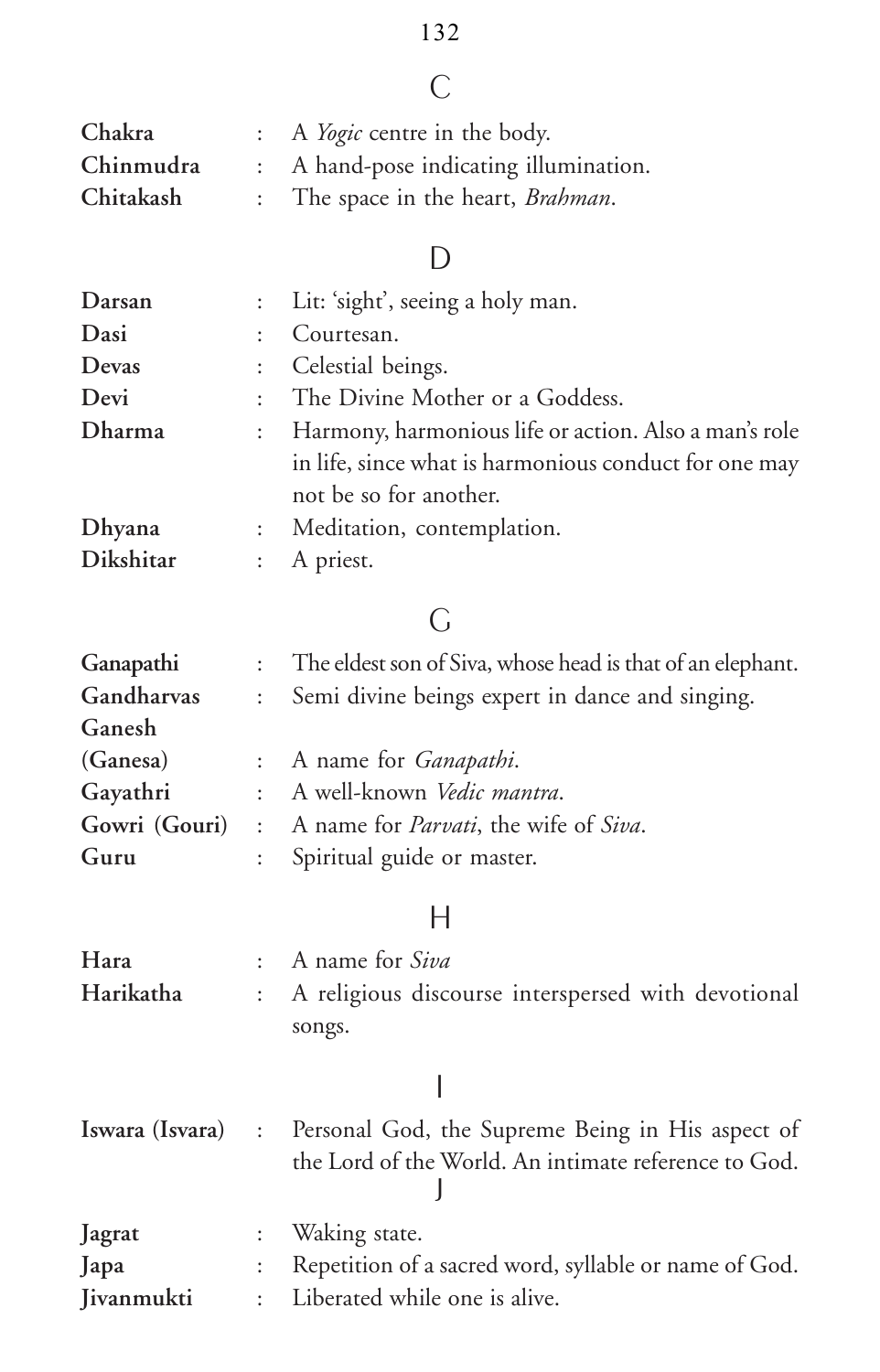### 132

## $\mathsf{C}$

| Chakra    | A <i>Yogic</i> centre in the body.       |
|-----------|------------------------------------------|
| Chinmudra | A hand-pose indicating illumination.     |
| Chitakash | The space in the heart, <i>Brahman</i> . |

### $\overline{D}$

| Darsan    |                           | : Lit: 'sight', seeing a holy man.                    |
|-----------|---------------------------|-------------------------------------------------------|
| Dasi      | $\mathcal{L}$             | Courtesan.                                            |
| Devas     |                           | : Celestial beings.                                   |
| Devi      |                           | : The Divine Mother or a Goddess.                     |
| Dharma    | $\mathbb{R}^{\mathbb{Z}}$ | Harmony, harmonious life or action. Also a man's role |
|           |                           | in life, since what is harmonious conduct for one may |
|           |                           | not be so for another.                                |
| Dhyana    | $\mathbb{R}^n$            | Meditation, contemplation.                            |
| Dikshitar |                           | : A priest.                                           |

## G

| Ganapathi  | : The eldest son of Siva, whose head is that of an elephant.          |
|------------|-----------------------------------------------------------------------|
| Gandharvas | : Semi divine beings expert in dance and singing.                     |
| Ganesh     |                                                                       |
| (Ganesa)   | : A name for <i>Ganapathi</i> .                                       |
| Gayathri   | : A well-known Vedic mantra.                                          |
|            | Gowri (Gouri) : A name for <i>Parvati</i> , the wife of <i>Siva</i> . |
| Guru       | : Spiritual guide or master.                                          |

## H

| Hara      | $\therefore$ A name for Siva                         |
|-----------|------------------------------------------------------|
| Harikatha | : A religious discourse interspersed with devotional |
|           | songs.                                               |

### I

|  | Iswara (Isvara) : Personal God, the Supreme Being in His aspect of |
|--|--------------------------------------------------------------------|
|  | the Lord of the World. An intimate reference to God.               |
|  |                                                                    |

| Jagrat            | : Waking state.                                         |
|-------------------|---------------------------------------------------------|
| Japa              | : Repetition of a sacred word, syllable or name of God. |
| <b>Iivanmukti</b> | : Liberated while one is alive.                         |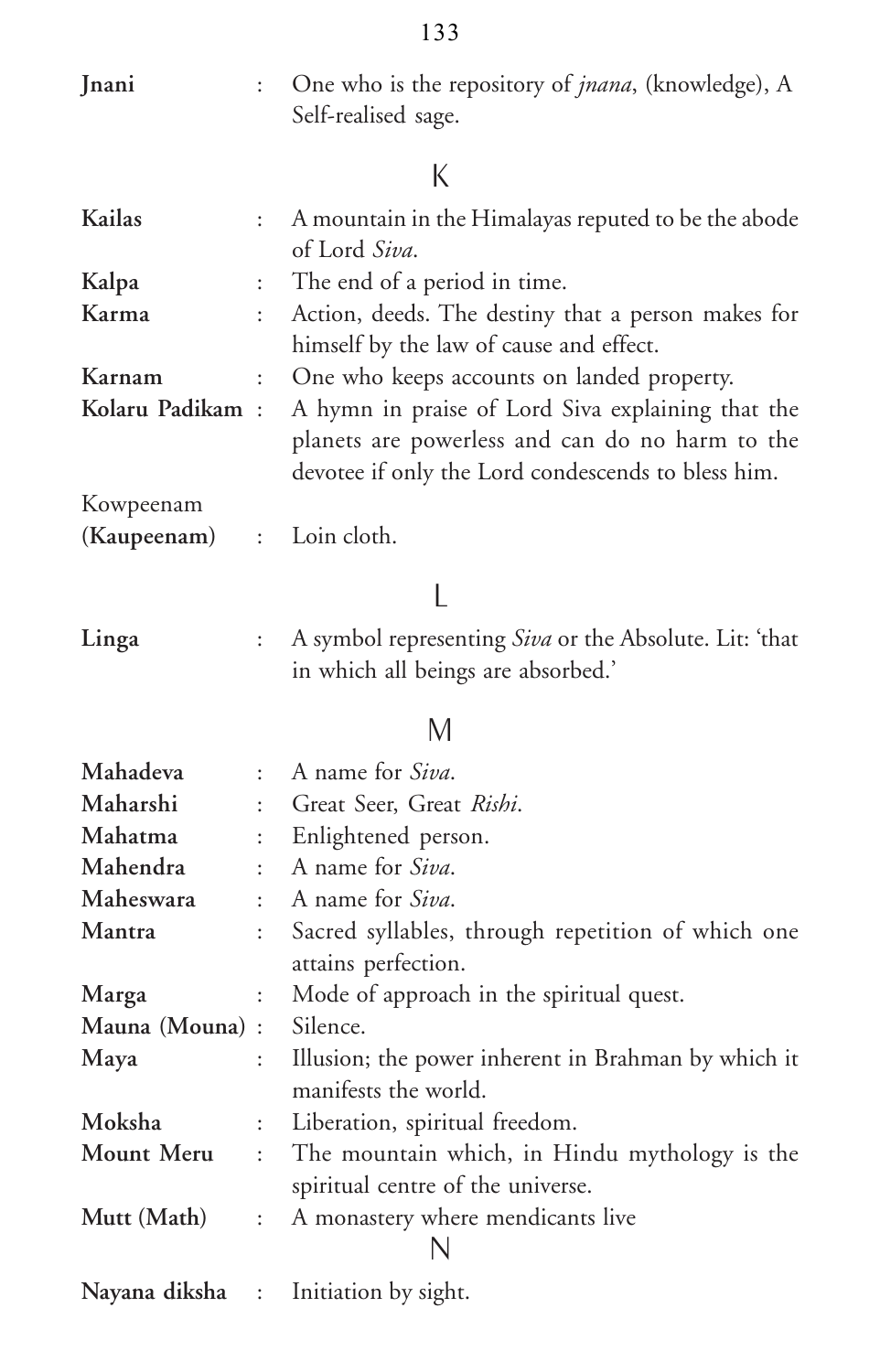| Jnani | One who is the repository of <i>jnana</i> , (knowledge), A |
|-------|------------------------------------------------------------|
|       | Self-realised sage.                                        |

#### K

| Kailas          | : A mountain in the Himalayas reputed to be the abode<br>of Lord Siva.                                                                                     |
|-----------------|------------------------------------------------------------------------------------------------------------------------------------------------------------|
| Kalpa           | : The end of a period in time.                                                                                                                             |
| Karma           | : Action, deeds. The destiny that a person makes for                                                                                                       |
|                 | himself by the law of cause and effect.                                                                                                                    |
| Karnam          | : One who keeps accounts on landed property.                                                                                                               |
| Kolaru Padikam: | A hymn in praise of Lord Siva explaining that the<br>planets are powerless and can do no harm to the<br>devotee if only the Lord condescends to bless him. |
| Kowpeenam       |                                                                                                                                                            |

**(Kaupeenam)** : Loin cloth.

#### L

**Linga** : A symbol representing *Siva* or the Absolute. Lit: 'that in which all beings are absorbed.'

#### M

| Mahadeva        |                           | : A name for Siva.                                                                 |
|-----------------|---------------------------|------------------------------------------------------------------------------------|
| Maharshi        |                           | : Great Seer, Great Rishi.                                                         |
| Mahatma         |                           | : Enlightened person.                                                              |
| Mahendra        |                           | : A name for Siva.                                                                 |
| Maheswara       | $\mathbf{r}$              | A name for Siva.                                                                   |
| Mantra          | $\ddot{\cdot}$            | Sacred syllables, through repetition of which one<br>attains perfection.           |
| Marga           | $\mathcal{L}$             | Mode of approach in the spiritual quest.                                           |
| Mauna (Mouna) : |                           | Silence.                                                                           |
| Maya            | $\mathbb{R}^{\mathbb{Z}}$ | Illusion; the power inherent in Brahman by which it<br>manifests the world.        |
| Moksha          | $\mathbb{R}^{\mathbb{Z}}$ | Liberation, spiritual freedom.                                                     |
| Mount Meru      | $\mathbb{R}^{\mathbb{Z}}$ | The mountain which, in Hindu mythology is the<br>spiritual centre of the universe. |
| Mutt (Math)     | $\mathbb{R}^{\mathbb{Z}}$ | A monastery where mendicants live                                                  |
|                 |                           | Nayana diksha : Initiation by sight.                                               |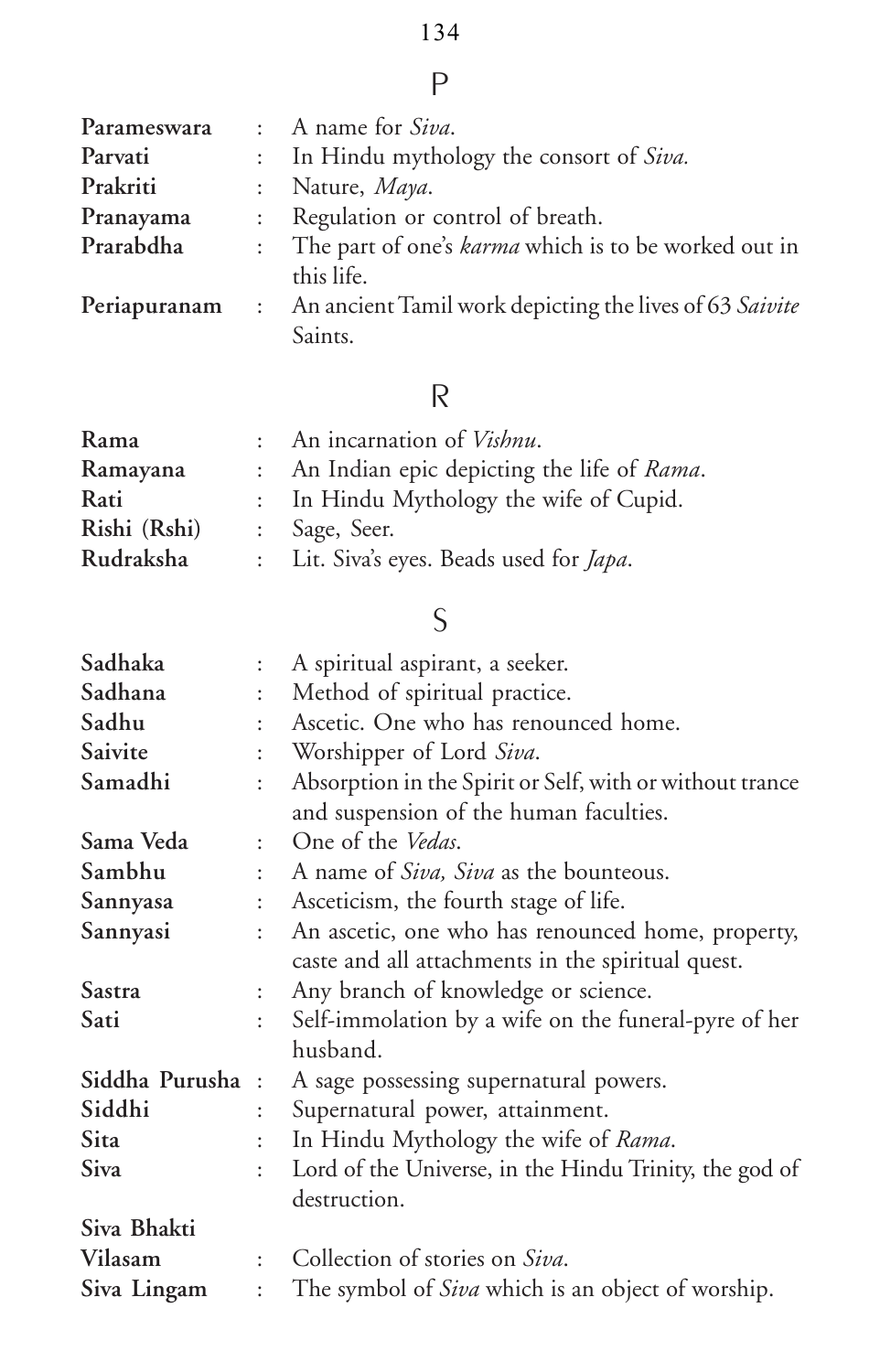#### 134

### P

| Parameswara  |                           | : A name for Siva.                                                          |
|--------------|---------------------------|-----------------------------------------------------------------------------|
| Parvati      |                           | : In Hindu mythology the consort of Siva.                                   |
| Prakriti     | $\mathbb{Z}$              | Nature, Maya.                                                               |
| Pranayama    | $\mathbb{R}^{\mathbb{Z}}$ | Regulation or control of breath.                                            |
| Prarabdha    |                           | : The part of one's <i>karma</i> which is to be worked out in<br>this life. |
| Periapuranam |                           | : An ancient Tamil work depicting the lives of 63 Saivite<br>Saints.        |

## R

| Rama         | : An incarnation of <i>Vishnu</i> .        |
|--------------|--------------------------------------------|
| Ramayana     | An Indian epic depicting the life of Rama. |
| Rati         | In Hindu Mythology the wife of Cupid.      |
| Rishi (Rshi) | : Sage, Seer.                              |
| Rudraksha    | : Lit. Siva's eyes. Beads used for Japa.   |

## S

| Sadhaka         |                      | A spiritual aspirant, a seeker.                          |
|-----------------|----------------------|----------------------------------------------------------|
| Sadhana         |                      | Method of spiritual practice.                            |
| Sadhu           |                      | Ascetic. One who has renounced home.                     |
| Saivite         |                      | Worshipper of Lord Siva.                                 |
| Samadhi         |                      | Absorption in the Spirit or Self, with or without trance |
|                 |                      | and suspension of the human faculties.                   |
| Sama Veda       |                      | One of the <i>Vedas</i> .                                |
| Sambhu          |                      | A name of <i>Siva</i> , <i>Siva</i> as the bounteous.    |
| Sannyasa        |                      | Asceticism, the fourth stage of life.                    |
| Sannyasi        |                      | An ascetic, one who has renounced home, property,        |
|                 |                      | caste and all attachments in the spiritual quest.        |
| Sastra          |                      | Any branch of knowledge or science.                      |
| Sati            | ÷                    | Self-immolation by a wife on the funeral-pyre of her     |
|                 |                      | husband.                                                 |
| Siddha Purusha: |                      | A sage possessing supernatural powers.                   |
| Siddhi          | $\ddot{\phantom{a}}$ | Supernatural power, attainment.                          |
| Sita            |                      | In Hindu Mythology the wife of Rama.                     |
| Siva            | ÷.                   | Lord of the Universe, in the Hindu Trinity, the god of   |
|                 |                      | destruction.                                             |
| Siva Bhakti     |                      |                                                          |
| Vilasam         | ÷                    | Collection of stories on Siva.                           |
| Siva Lingam     |                      | The symbol of <i>Siva</i> which is an object of worship. |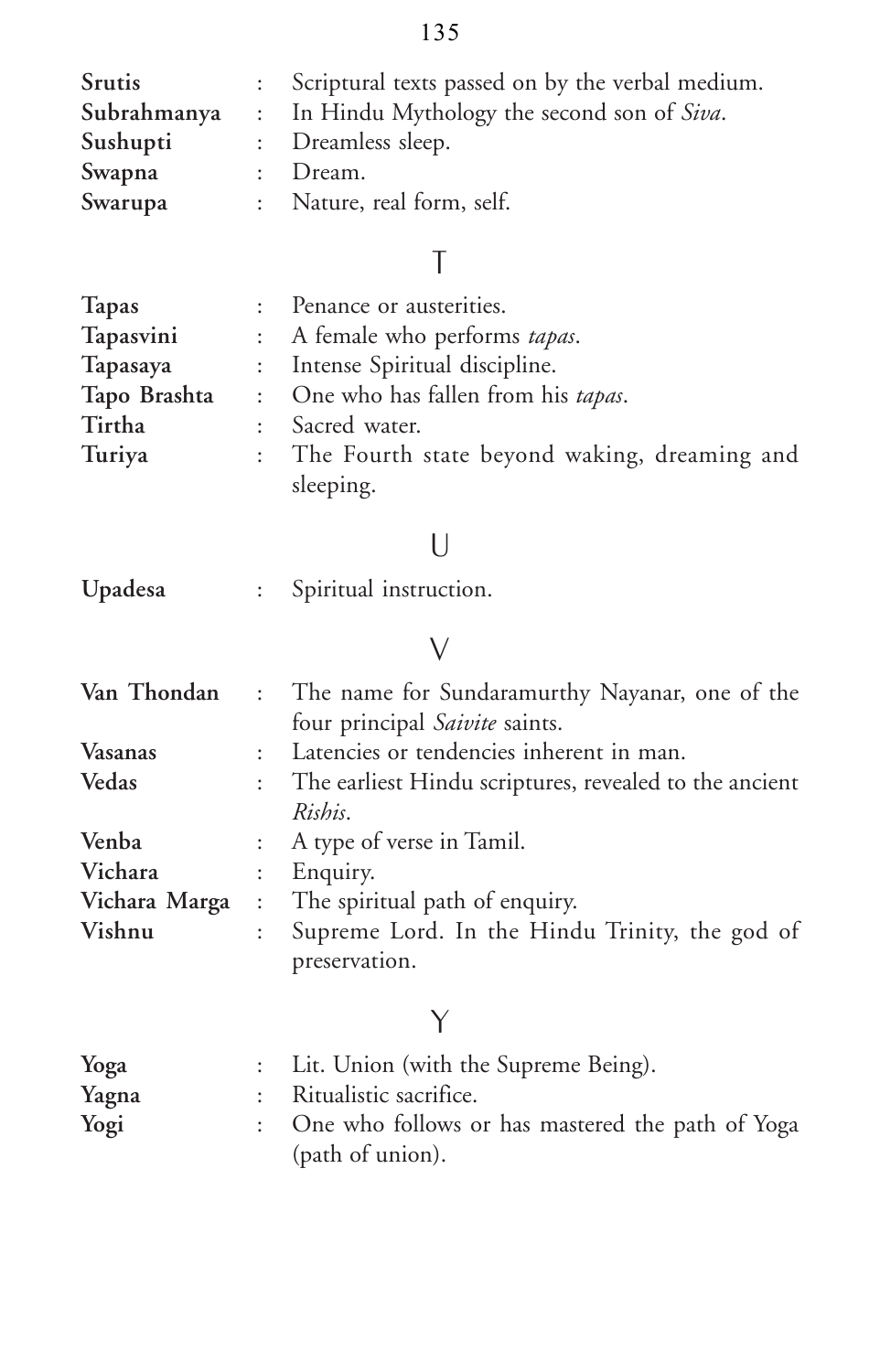#### 135

| Srutis      | Scriptural texts passed on by the verbal medium. |
|-------------|--------------------------------------------------|
| Subrahmanya | : In Hindu Mythology the second son of Siva.     |
| Sushupti    | : Dreamless sleep.                               |
| Swapna      | : Dream.                                         |
| Swarupa     | : Nature, real form, self.                       |
|             |                                                  |

### T

| <b>Tapas</b> | $\ddot{\phantom{a}}$ | Penance or austerities.                        |
|--------------|----------------------|------------------------------------------------|
| Tapasvini    |                      | : A female who performs tapas.                 |
| Tapasaya     |                      | : Intense Spiritual discipline.                |
| Tapo Brashta |                      | : One who has fallen from his tapas.           |
| Tirtha       |                      | : Sacred water.                                |
| Turiya       |                      | : The Fourth state beyond waking, dreaming and |
|              |                      | sleeping.                                      |

### $\bigcup$

| Upadesa | Spiritual instruction. |
|---------|------------------------|
|---------|------------------------|

#### V

| Van Thondan   |                           | : The name for Sundaramurthy Nayanar, one of the         |
|---------------|---------------------------|----------------------------------------------------------|
|               |                           | four principal Saivite saints.                           |
| Vasanas       |                           | : Latencies or tendencies inherent in man.               |
| Vedas         |                           | : The earliest Hindu scriptures, revealed to the ancient |
|               |                           | Rishis.                                                  |
| Venba         |                           | : A type of verse in Tamil.                              |
| Vichara       | $\mathcal{L}$             | Enquiry.                                                 |
| Vichara Marga |                           | : The spiritual path of enquiry.                         |
| Vishnu        | $\mathbb{Z}^{\mathbb{Z}}$ | Supreme Lord. In the Hindu Trinity, the god of           |
|               |                           | preservation.                                            |

### Y

| Yoga  | : Lit. Union (with the Supreme Being).                                 |
|-------|------------------------------------------------------------------------|
| Yagna | : Ritualistic sacrifice.                                               |
| Yogi  | : One who follows or has mastered the path of Yoga<br>(path of union). |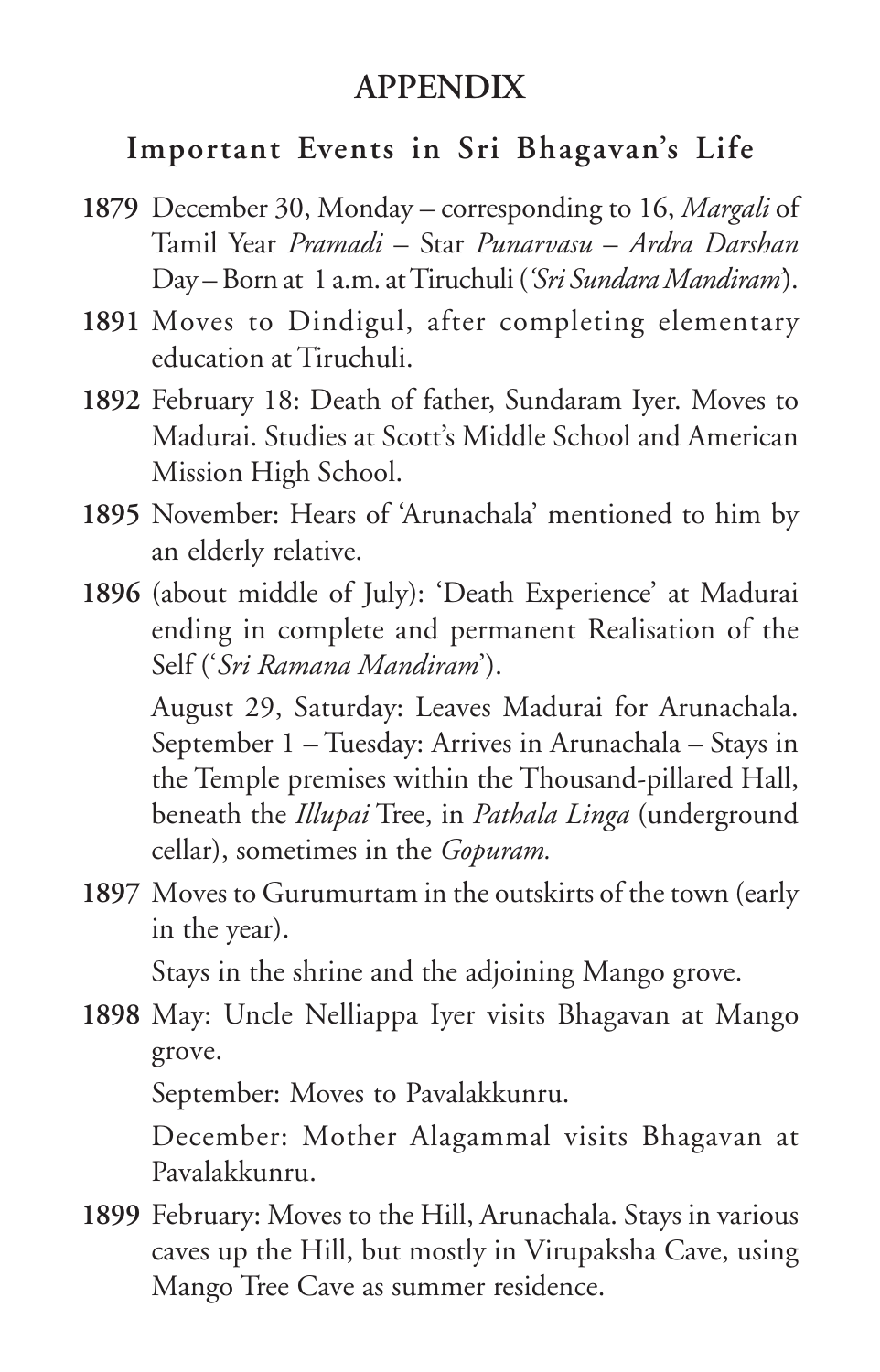## **APPENDIX**

## **Important Events in Sri Bhagavan's Life**

- **1879** December 30, Monday corresponding to 16, *Margali* of Tamil Year *Pramadi* – Star *Punarvasu* – *Ardra Darshan* Day – Born at 1 a.m. at Tiruchuli (*'Sri Sundara Mandiram'*).
- **1891** Moves to Dindigul, after completing elementary education at Tiruchuli.
- **1892** February 18: Death of father, Sundaram Iyer. Moves to Madurai. Studies at Scott's Middle School and American Mission High School.
- **1895** November: Hears of 'Arunachala' mentioned to him by an elderly relative.
- **1896** (about middle of July): 'Death Experience' at Madurai ending in complete and permanent Realisation of the Self ('*Sri Ramana Mandiram*').

August 29, Saturday: Leaves Madurai for Arunachala. September 1 – Tuesday: Arrives in Arunachala – Stays in the Temple premises within the Thousand-pillared Hall, beneath the *Illupai* Tree, in *Pathala Linga* (underground cellar), sometimes in the *Gopuram.*

**1897** Moves to Gurumurtam in the outskirts of the town (early in the year).

Stays in the shrine and the adjoining Mango grove.

**1898** May: Uncle Nelliappa Iyer visits Bhagavan at Mango grove.

September: Moves to Pavalakkunru.

December: Mother Alagammal visits Bhagavan at Pavalakkunru.

**1899** February: Moves to the Hill, Arunachala. Stays in various caves up the Hill, but mostly in Virupaksha Cave, using Mango Tree Cave as summer residence.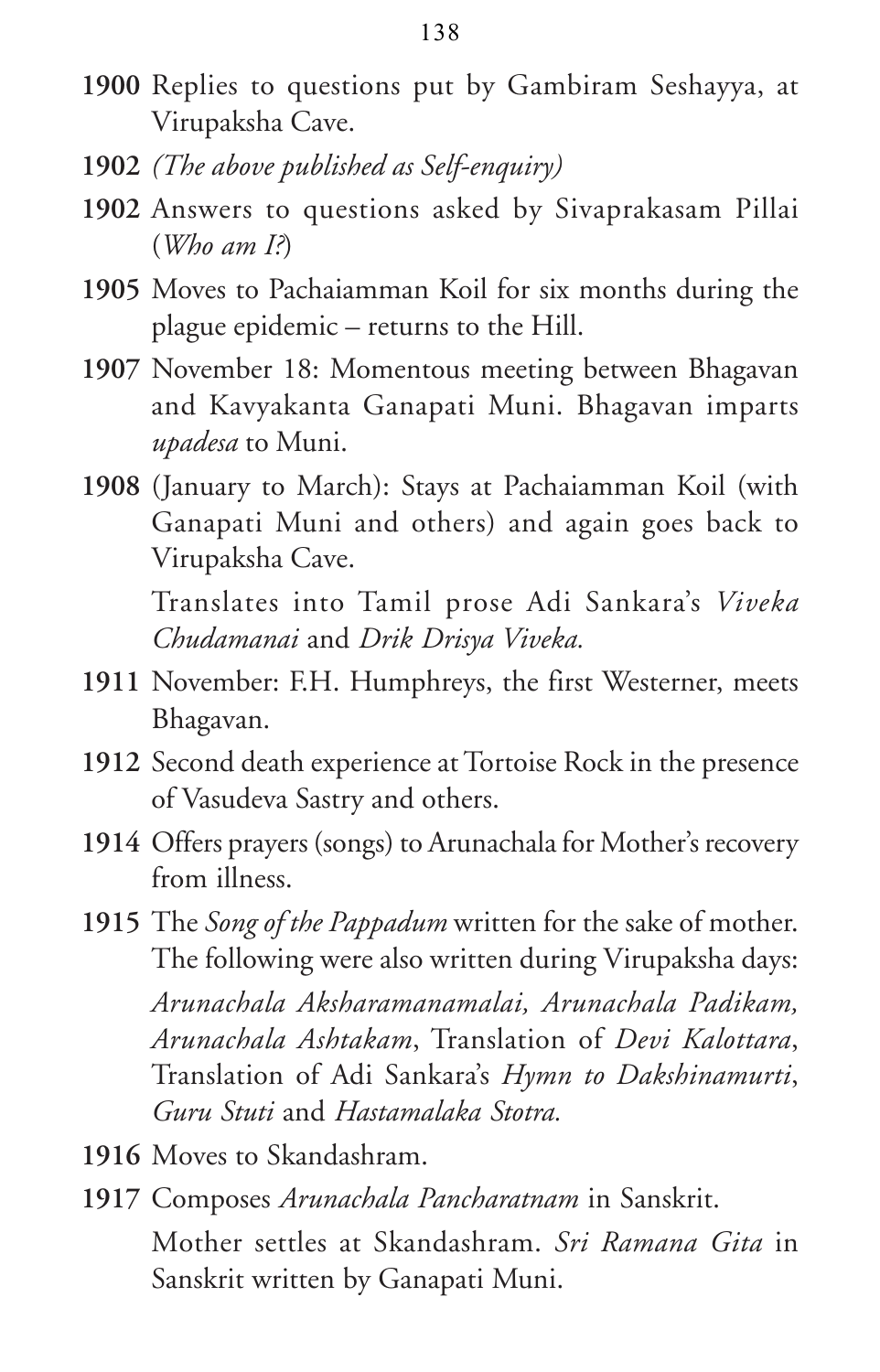- **1900** Replies to questions put by Gambiram Seshayya, at Virupaksha Cave.
- **1902** *(The above published as Self-enquiry)*
- **1902** Answers to questions asked by Sivaprakasam Pillai (*Who am I?*)
- **1905** Moves to Pachaiamman Koil for six months during the plague epidemic – returns to the Hill.
- **1907** November 18: Momentous meeting between Bhagavan and Kavyakanta Ganapati Muni. Bhagavan imparts *upadesa* to Muni.
- **1908** (January to March): Stays at Pachaiamman Koil (with Ganapati Muni and others) and again goes back to Virupaksha Cave.

Translates into Tamil prose Adi Sankara's *Viveka Chudamanai* and *Drik Drisya Viveka.*

- **1911** November: F.H. Humphreys, the first Westerner, meets Bhagavan.
- **1912** Second death experience at Tortoise Rock in the presence of Vasudeva Sastry and others.
- **1914** Offers prayers (songs) to Arunachala for Mother's recovery from illness.
- **1915** The *Song of the Pappadum* written for the sake of mother. The following were also written during Virupaksha days: *Arunachala Aksharamanamalai, Arunachala Padikam, Arunachala Ashtakam*, Translation of *Devi Kalottara*, Translation of Adi Sankara's *Hymn to Dakshinamurti*, *Guru Stuti* and *Hastamalaka Stotra.*
- **1916** Moves to Skandashram.
- **1917** Composes *Arunachala Pancharatnam* in Sanskrit. Mother settles at Skandashram. *Sri Ramana Gita* in Sanskrit written by Ganapati Muni.